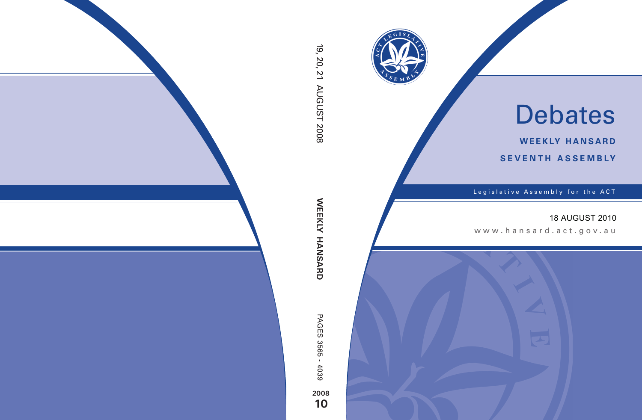

# Debates

**weekly hansard seventh asseMBly**

Legislative Assembly for the ACT

# 18 AUGUST 2010

www .hansard.act.go v.au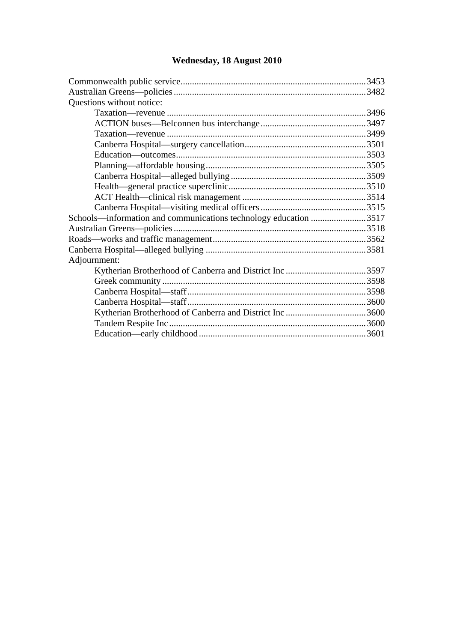#### [Commonwealth public service.................................................................................3453](#page-2-1)  [Australian Greens—policies ....................................................................................3482](#page-31-0)  [Questions without notice:](#page-45-0)  [Taxation—revenue .......................................................................................3496](#page-45-1)  [ACTION buses—Belconnen bus interchange..............................................3497](#page-46-0)  [Taxation—revenue .......................................................................................3499](#page-48-0)  [Canberra Hospital—surgery cancellation.....................................................3501](#page-50-0)  [Education—outcomes...................................................................................3503](#page-52-0)  [Planning—affordable housing......................................................................3505](#page-54-0)  [Canberra Hospital—alleged bullying ...........................................................3509](#page-58-0)  [Health—general practice superclinic............................................................3510](#page-59-0)  [ACT Health—clinical risk management ......................................................3514](#page-63-0)  [Canberra Hospital—visiting medical officers ..............................................3515](#page-64-0)  [Schools—information and communications technology education ........................3517](#page-66-0)  [Australian Greens—policies ....................................................................................3518](#page-67-0)  [Roads—works and traffic management...................................................................3562](#page-111-0)  [Canberra Hospital—alleged bullying ......................................................................3581](#page-130-0)  [Adjournment:](#page-146-0)  [Kytherian Brotherhood of Canberra and District Inc ...................................3597](#page-146-1)  [Greek community .........................................................................................3598](#page-147-0)  [Canberra Hospital—staff..............................................................................3598](#page-147-1)  [Canberra Hospital—staff..............................................................................3600](#page-149-0)  [Kytherian Brotherhood of Canberra and District Inc ...................................3600](#page-149-1)  [Tandem Respite Inc......................................................................................3600](#page-149-2)  [Education—early childhood.........................................................................3601](#page-150-0)

#### **[Wednesday, 18 August 2010](#page-2-0)**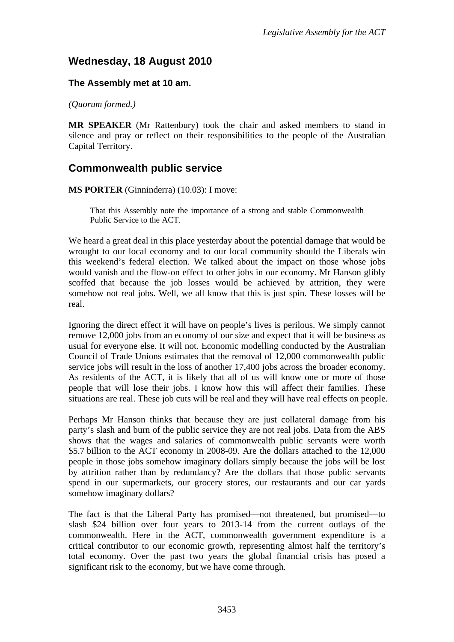# <span id="page-2-0"></span>**Wednesday, 18 August 2010**

## **The Assembly met at 10 am.**

*(Quorum formed.)*

**MR SPEAKER** (Mr Rattenbury) took the chair and asked members to stand in silence and pray or reflect on their responsibilities to the people of the Australian Capital Territory.

## <span id="page-2-1"></span>**Commonwealth public service**

**MS PORTER** (Ginninderra) (10.03): I move:

That this Assembly note the importance of a strong and stable Commonwealth Public Service to the ACT.

We heard a great deal in this place yesterday about the potential damage that would be wrought to our local economy and to our local community should the Liberals win this weekend's federal election. We talked about the impact on those whose jobs would vanish and the flow-on effect to other jobs in our economy. Mr Hanson glibly scoffed that because the job losses would be achieved by attrition, they were somehow not real jobs. Well, we all know that this is just spin. These losses will be real.

Ignoring the direct effect it will have on people's lives is perilous. We simply cannot remove 12,000 jobs from an economy of our size and expect that it will be business as usual for everyone else. It will not. Economic modelling conducted by the Australian Council of Trade Unions estimates that the removal of 12,000 commonwealth public service jobs will result in the loss of another 17,400 jobs across the broader economy. As residents of the ACT, it is likely that all of us will know one or more of those people that will lose their jobs. I know how this will affect their families. These situations are real. These job cuts will be real and they will have real effects on people.

Perhaps Mr Hanson thinks that because they are just collateral damage from his party's slash and burn of the public service they are not real jobs. Data from the ABS shows that the wages and salaries of commonwealth public servants were worth \$5.7 billion to the ACT economy in 2008-09. Are the dollars attached to the 12,000 people in those jobs somehow imaginary dollars simply because the jobs will be lost by attrition rather than by redundancy? Are the dollars that those public servants spend in our supermarkets, our grocery stores, our restaurants and our car yards somehow imaginary dollars?

The fact is that the Liberal Party has promised—not threatened, but promised—to slash \$24 billion over four years to 2013-14 from the current outlays of the commonwealth. Here in the ACT, commonwealth government expenditure is a critical contributor to our economic growth, representing almost half the territory's total economy. Over the past two years the global financial crisis has posed a significant risk to the economy, but we have come through.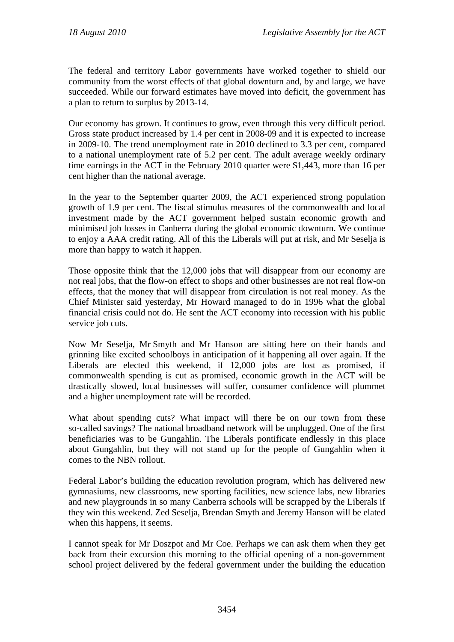The federal and territory Labor governments have worked together to shield our community from the worst effects of that global downturn and, by and large, we have succeeded. While our forward estimates have moved into deficit, the government has a plan to return to surplus by 2013-14.

Our economy has grown. It continues to grow, even through this very difficult period. Gross state product increased by 1.4 per cent in 2008-09 and it is expected to increase in 2009-10. The trend unemployment rate in 2010 declined to 3.3 per cent, compared to a national unemployment rate of 5.2 per cent. The adult average weekly ordinary time earnings in the ACT in the February 2010 quarter were \$1,443, more than 16 per cent higher than the national average.

In the year to the September quarter 2009, the ACT experienced strong population growth of 1.9 per cent. The fiscal stimulus measures of the commonwealth and local investment made by the ACT government helped sustain economic growth and minimised job losses in Canberra during the global economic downturn. We continue to enjoy a AAA credit rating. All of this the Liberals will put at risk, and Mr Seselja is more than happy to watch it happen.

Those opposite think that the 12,000 jobs that will disappear from our economy are not real jobs, that the flow-on effect to shops and other businesses are not real flow-on effects, that the money that will disappear from circulation is not real money. As the Chief Minister said yesterday, Mr Howard managed to do in 1996 what the global financial crisis could not do. He sent the ACT economy into recession with his public service job cuts.

Now Mr Seselja, Mr Smyth and Mr Hanson are sitting here on their hands and grinning like excited schoolboys in anticipation of it happening all over again. If the Liberals are elected this weekend, if 12,000 jobs are lost as promised, if commonwealth spending is cut as promised, economic growth in the ACT will be drastically slowed, local businesses will suffer, consumer confidence will plummet and a higher unemployment rate will be recorded.

What about spending cuts? What impact will there be on our town from these so-called savings? The national broadband network will be unplugged. One of the first beneficiaries was to be Gungahlin. The Liberals pontificate endlessly in this place about Gungahlin, but they will not stand up for the people of Gungahlin when it comes to the NBN rollout.

Federal Labor's building the education revolution program, which has delivered new gymnasiums, new classrooms, new sporting facilities, new science labs, new libraries and new playgrounds in so many Canberra schools will be scrapped by the Liberals if they win this weekend. Zed Seselja, Brendan Smyth and Jeremy Hanson will be elated when this happens, it seems.

I cannot speak for Mr Doszpot and Mr Coe. Perhaps we can ask them when they get back from their excursion this morning to the official opening of a non-government school project delivered by the federal government under the building the education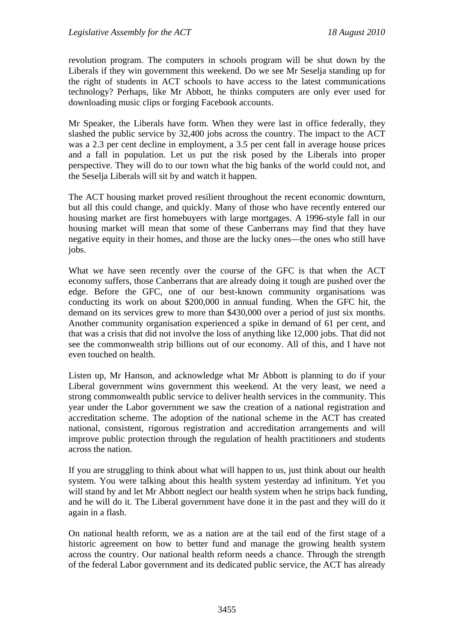revolution program. The computers in schools program will be shut down by the Liberals if they win government this weekend. Do we see Mr Seselja standing up for the right of students in ACT schools to have access to the latest communications technology? Perhaps, like Mr Abbott, he thinks computers are only ever used for downloading music clips or forging Facebook accounts.

Mr Speaker, the Liberals have form. When they were last in office federally, they slashed the public service by 32,400 jobs across the country. The impact to the ACT was a 2.3 per cent decline in employment, a 3.5 per cent fall in average house prices and a fall in population. Let us put the risk posed by the Liberals into proper perspective. They will do to our town what the big banks of the world could not, and the Seselja Liberals will sit by and watch it happen.

The ACT housing market proved resilient throughout the recent economic downturn, but all this could change, and quickly. Many of those who have recently entered our housing market are first homebuyers with large mortgages. A 1996-style fall in our housing market will mean that some of these Canberrans may find that they have negative equity in their homes, and those are the lucky ones—the ones who still have jobs.

What we have seen recently over the course of the GFC is that when the ACT economy suffers, those Canberrans that are already doing it tough are pushed over the edge. Before the GFC, one of our best-known community organisations was conducting its work on about \$200,000 in annual funding. When the GFC hit, the demand on its services grew to more than \$430,000 over a period of just six months. Another community organisation experienced a spike in demand of 61 per cent, and that was a crisis that did not involve the loss of anything like 12,000 jobs. That did not see the commonwealth strip billions out of our economy. All of this, and I have not even touched on health.

Listen up, Mr Hanson, and acknowledge what Mr Abbott is planning to do if your Liberal government wins government this weekend. At the very least, we need a strong commonwealth public service to deliver health services in the community. This year under the Labor government we saw the creation of a national registration and accreditation scheme. The adoption of the national scheme in the ACT has created national, consistent, rigorous registration and accreditation arrangements and will improve public protection through the regulation of health practitioners and students across the nation.

If you are struggling to think about what will happen to us, just think about our health system. You were talking about this health system yesterday ad infinitum. Yet you will stand by and let Mr Abbott neglect our health system when he strips back funding, and he will do it. The Liberal government have done it in the past and they will do it again in a flash.

On national health reform, we as a nation are at the tail end of the first stage of a historic agreement on how to better fund and manage the growing health system across the country. Our national health reform needs a chance. Through the strength of the federal Labor government and its dedicated public service, the ACT has already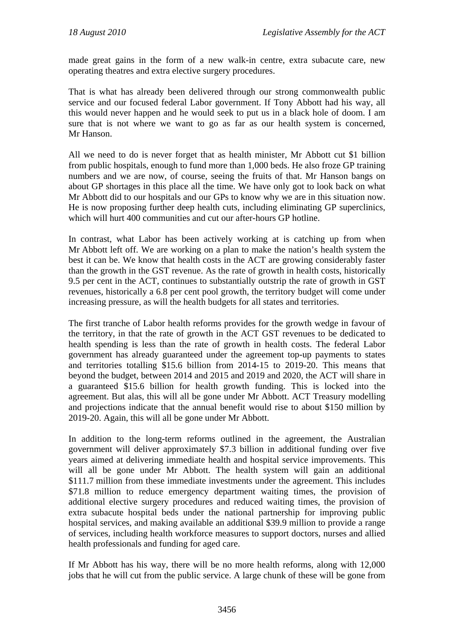made great gains in the form of a new walk-in centre, extra subacute care, new operating theatres and extra elective surgery procedures.

That is what has already been delivered through our strong commonwealth public service and our focused federal Labor government. If Tony Abbott had his way, all this would never happen and he would seek to put us in a black hole of doom. I am sure that is not where we want to go as far as our health system is concerned, Mr Hanson.

All we need to do is never forget that as health minister, Mr Abbott cut \$1 billion from public hospitals, enough to fund more than 1,000 beds. He also froze GP training numbers and we are now, of course, seeing the fruits of that. Mr Hanson bangs on about GP shortages in this place all the time. We have only got to look back on what Mr Abbott did to our hospitals and our GPs to know why we are in this situation now. He is now proposing further deep health cuts, including eliminating GP superclinics, which will hurt 400 communities and cut our after-hours GP hotline.

In contrast, what Labor has been actively working at is catching up from when Mr Abbott left off. We are working on a plan to make the nation's health system the best it can be. We know that health costs in the ACT are growing considerably faster than the growth in the GST revenue. As the rate of growth in health costs, historically 9.5 per cent in the ACT, continues to substantially outstrip the rate of growth in GST revenues, historically a 6.8 per cent pool growth, the territory budget will come under increasing pressure, as will the health budgets for all states and territories.

The first tranche of Labor health reforms provides for the growth wedge in favour of the territory, in that the rate of growth in the ACT GST revenues to be dedicated to health spending is less than the rate of growth in health costs. The federal Labor government has already guaranteed under the agreement top-up payments to states and territories totalling \$15.6 billion from 2014-15 to 2019-20. This means that beyond the budget, between 2014 and 2015 and 2019 and 2020, the ACT will share in a guaranteed \$15.6 billion for health growth funding. This is locked into the agreement. But alas, this will all be gone under Mr Abbott. ACT Treasury modelling and projections indicate that the annual benefit would rise to about \$150 million by 2019-20. Again, this will all be gone under Mr Abbott.

In addition to the long-term reforms outlined in the agreement, the Australian government will deliver approximately \$7.3 billion in additional funding over five years aimed at delivering immediate health and hospital service improvements. This will all be gone under Mr Abbott. The health system will gain an additional \$111.7 million from these immediate investments under the agreement. This includes \$71.8 million to reduce emergency department waiting times, the provision of additional elective surgery procedures and reduced waiting times, the provision of extra subacute hospital beds under the national partnership for improving public hospital services, and making available an additional \$39.9 million to provide a range of services, including health workforce measures to support doctors, nurses and allied health professionals and funding for aged care.

If Mr Abbott has his way, there will be no more health reforms, along with 12,000 jobs that he will cut from the public service. A large chunk of these will be gone from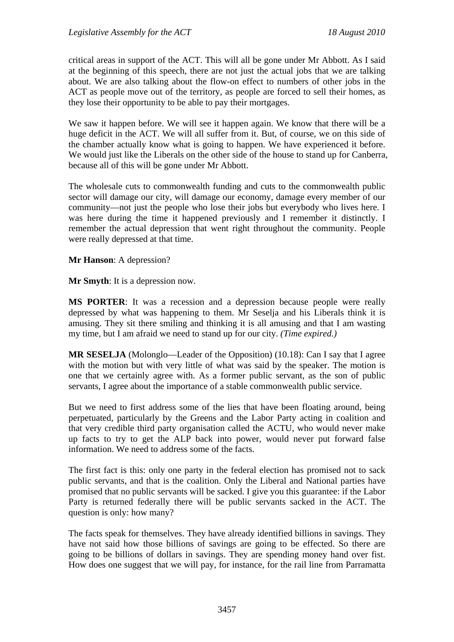critical areas in support of the ACT. This will all be gone under Mr Abbott. As I said at the beginning of this speech, there are not just the actual jobs that we are talking about. We are also talking about the flow-on effect to numbers of other jobs in the ACT as people move out of the territory, as people are forced to sell their homes, as they lose their opportunity to be able to pay their mortgages.

We saw it happen before. We will see it happen again. We know that there will be a huge deficit in the ACT. We will all suffer from it. But, of course, we on this side of the chamber actually know what is going to happen. We have experienced it before. We would just like the Liberals on the other side of the house to stand up for Canberra, because all of this will be gone under Mr Abbott.

The wholesale cuts to commonwealth funding and cuts to the commonwealth public sector will damage our city, will damage our economy, damage every member of our community—not just the people who lose their jobs but everybody who lives here. I was here during the time it happened previously and I remember it distinctly. I remember the actual depression that went right throughout the community. People were really depressed at that time.

**Mr Hanson**: A depression?

**Mr Smyth**: It is a depression now.

**MS PORTER**: It was a recession and a depression because people were really depressed by what was happening to them. Mr Seselja and his Liberals think it is amusing. They sit there smiling and thinking it is all amusing and that I am wasting my time, but I am afraid we need to stand up for our city. *(Time expired.)*

**MR SESELJA** (Molonglo—Leader of the Opposition) (10.18): Can I say that I agree with the motion but with very little of what was said by the speaker. The motion is one that we certainly agree with. As a former public servant, as the son of public servants, I agree about the importance of a stable commonwealth public service.

But we need to first address some of the lies that have been floating around, being perpetuated, particularly by the Greens and the Labor Party acting in coalition and that very credible third party organisation called the ACTU, who would never make up facts to try to get the ALP back into power, would never put forward false information. We need to address some of the facts.

The first fact is this: only one party in the federal election has promised not to sack public servants, and that is the coalition. Only the Liberal and National parties have promised that no public servants will be sacked. I give you this guarantee: if the Labor Party is returned federally there will be public servants sacked in the ACT. The question is only: how many?

The facts speak for themselves. They have already identified billions in savings. They have not said how those billions of savings are going to be effected. So there are going to be billions of dollars in savings. They are spending money hand over fist. How does one suggest that we will pay, for instance, for the rail line from Parramatta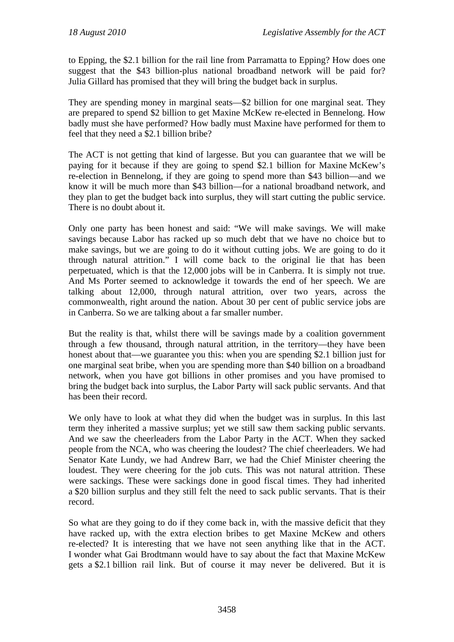to Epping, the \$2.1 billion for the rail line from Parramatta to Epping? How does one suggest that the \$43 billion-plus national broadband network will be paid for? Julia Gillard has promised that they will bring the budget back in surplus.

They are spending money in marginal seats—\$2 billion for one marginal seat. They are prepared to spend \$2 billion to get Maxine McKew re-elected in Bennelong. How badly must she have performed? How badly must Maxine have performed for them to feel that they need a \$2.1 billion bribe?

The ACT is not getting that kind of largesse. But you can guarantee that we will be paying for it because if they are going to spend \$2.1 billion for Maxine McKew's re-election in Bennelong, if they are going to spend more than \$43 billion—and we know it will be much more than \$43 billion—for a national broadband network, and they plan to get the budget back into surplus, they will start cutting the public service. There is no doubt about it.

Only one party has been honest and said: "We will make savings. We will make savings because Labor has racked up so much debt that we have no choice but to make savings, but we are going to do it without cutting jobs. We are going to do it through natural attrition." I will come back to the original lie that has been perpetuated, which is that the 12,000 jobs will be in Canberra. It is simply not true. And Ms Porter seemed to acknowledge it towards the end of her speech. We are talking about 12,000, through natural attrition, over two years, across the commonwealth, right around the nation. About 30 per cent of public service jobs are in Canberra. So we are talking about a far smaller number.

But the reality is that, whilst there will be savings made by a coalition government through a few thousand, through natural attrition, in the territory—they have been honest about that—we guarantee you this: when you are spending \$2.1 billion just for one marginal seat bribe, when you are spending more than \$40 billion on a broadband network, when you have got billions in other promises and you have promised to bring the budget back into surplus, the Labor Party will sack public servants. And that has been their record.

We only have to look at what they did when the budget was in surplus. In this last term they inherited a massive surplus; yet we still saw them sacking public servants. And we saw the cheerleaders from the Labor Party in the ACT. When they sacked people from the NCA, who was cheering the loudest? The chief cheerleaders. We had Senator Kate Lundy, we had Andrew Barr, we had the Chief Minister cheering the loudest. They were cheering for the job cuts. This was not natural attrition. These were sackings. These were sackings done in good fiscal times. They had inherited a \$20 billion surplus and they still felt the need to sack public servants. That is their record.

So what are they going to do if they come back in, with the massive deficit that they have racked up, with the extra election bribes to get Maxine McKew and others re-elected? It is interesting that we have not seen anything like that in the ACT. I wonder what Gai Brodtmann would have to say about the fact that Maxine McKew gets a \$2.1 billion rail link. But of course it may never be delivered. But it is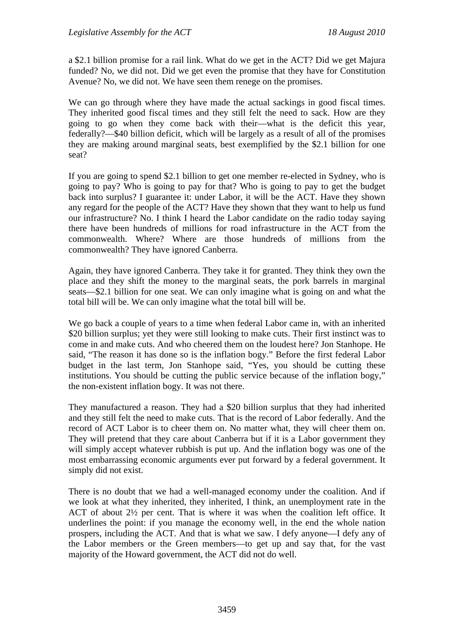a \$2.1 billion promise for a rail link. What do we get in the ACT? Did we get Majura funded? No, we did not. Did we get even the promise that they have for Constitution Avenue? No, we did not. We have seen them renege on the promises.

We can go through where they have made the actual sackings in good fiscal times. They inherited good fiscal times and they still felt the need to sack. How are they going to go when they come back with their—what is the deficit this year, federally?—\$40 billion deficit, which will be largely as a result of all of the promises they are making around marginal seats, best exemplified by the \$2.1 billion for one seat?

If you are going to spend \$2.1 billion to get one member re-elected in Sydney, who is going to pay? Who is going to pay for that? Who is going to pay to get the budget back into surplus? I guarantee it: under Labor, it will be the ACT. Have they shown any regard for the people of the ACT? Have they shown that they want to help us fund our infrastructure? No. I think I heard the Labor candidate on the radio today saying there have been hundreds of millions for road infrastructure in the ACT from the commonwealth. Where? Where are those hundreds of millions from the commonwealth? They have ignored Canberra.

Again, they have ignored Canberra. They take it for granted. They think they own the place and they shift the money to the marginal seats, the pork barrels in marginal seats—\$2.1 billion for one seat. We can only imagine what is going on and what the total bill will be. We can only imagine what the total bill will be.

We go back a couple of years to a time when federal Labor came in, with an inherited \$20 billion surplus; yet they were still looking to make cuts. Their first instinct was to come in and make cuts. And who cheered them on the loudest here? Jon Stanhope. He said, "The reason it has done so is the inflation bogy." Before the first federal Labor budget in the last term, Jon Stanhope said, "Yes, you should be cutting these institutions. You should be cutting the public service because of the inflation bogy," the non-existent inflation bogy. It was not there.

They manufactured a reason. They had a \$20 billion surplus that they had inherited and they still felt the need to make cuts. That is the record of Labor federally. And the record of ACT Labor is to cheer them on. No matter what, they will cheer them on. They will pretend that they care about Canberra but if it is a Labor government they will simply accept whatever rubbish is put up. And the inflation bogy was one of the most embarrassing economic arguments ever put forward by a federal government. It simply did not exist.

There is no doubt that we had a well-managed economy under the coalition. And if we look at what they inherited, they inherited, I think, an unemployment rate in the ACT of about 2½ per cent. That is where it was when the coalition left office. It underlines the point: if you manage the economy well, in the end the whole nation prospers, including the ACT. And that is what we saw. I defy anyone—I defy any of the Labor members or the Green members—to get up and say that, for the vast majority of the Howard government, the ACT did not do well.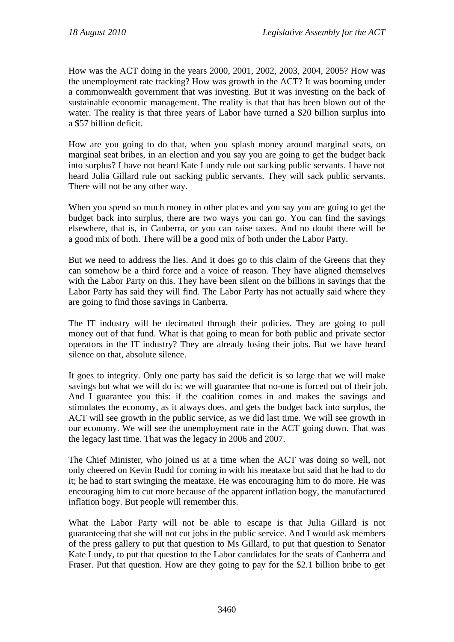How was the ACT doing in the years 2000, 2001, 2002, 2003, 2004, 2005? How was the unemployment rate tracking? How was growth in the ACT? It was booming under a commonwealth government that was investing. But it was investing on the back of sustainable economic management. The reality is that that has been blown out of the water. The reality is that three years of Labor have turned a \$20 billion surplus into a \$57 billion deficit.

How are you going to do that, when you splash money around marginal seats, on marginal seat bribes, in an election and you say you are going to get the budget back into surplus? I have not heard Kate Lundy rule out sacking public servants. I have not heard Julia Gillard rule out sacking public servants. They will sack public servants. There will not be any other way.

When you spend so much money in other places and you say you are going to get the budget back into surplus, there are two ways you can go. You can find the savings elsewhere, that is, in Canberra, or you can raise taxes. And no doubt there will be a good mix of both. There will be a good mix of both under the Labor Party.

But we need to address the lies. And it does go to this claim of the Greens that they can somehow be a third force and a voice of reason. They have aligned themselves with the Labor Party on this. They have been silent on the billions in savings that the Labor Party has said they will find. The Labor Party has not actually said where they are going to find those savings in Canberra.

The IT industry will be decimated through their policies. They are going to pull money out of that fund. What is that going to mean for both public and private sector operators in the IT industry? They are already losing their jobs. But we have heard silence on that, absolute silence.

It goes to integrity. Only one party has said the deficit is so large that we will make savings but what we will do is: we will guarantee that no-one is forced out of their job. And I guarantee you this: if the coalition comes in and makes the savings and stimulates the economy, as it always does, and gets the budget back into surplus, the ACT will see growth in the public service, as we did last time. We will see growth in our economy. We will see the unemployment rate in the ACT going down. That was the legacy last time. That was the legacy in 2006 and 2007.

The Chief Minister, who joined us at a time when the ACT was doing so well, not only cheered on Kevin Rudd for coming in with his meataxe but said that he had to do it; he had to start swinging the meataxe. He was encouraging him to do more. He was encouraging him to cut more because of the apparent inflation bogy, the manufactured inflation bogy. But people will remember this.

What the Labor Party will not be able to escape is that Julia Gillard is not guaranteeing that she will not cut jobs in the public service. And I would ask members of the press gallery to put that question to Ms Gillard, to put that question to Senator Kate Lundy, to put that question to the Labor candidates for the seats of Canberra and Fraser. Put that question. How are they going to pay for the \$2.1 billion bribe to get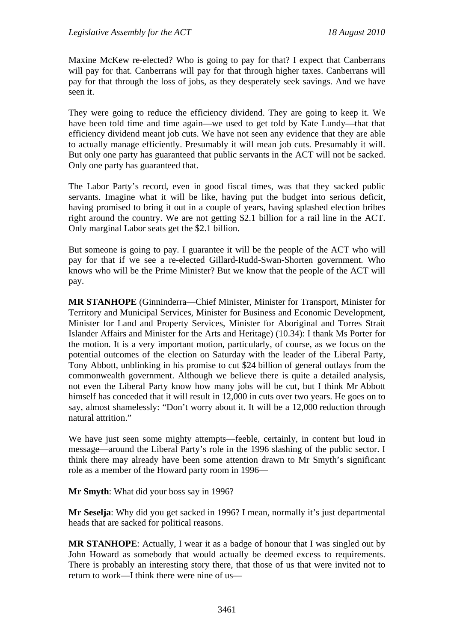Maxine McKew re-elected? Who is going to pay for that? I expect that Canberrans will pay for that. Canberrans will pay for that through higher taxes. Canberrans will pay for that through the loss of jobs, as they desperately seek savings. And we have seen it.

They were going to reduce the efficiency dividend. They are going to keep it. We have been told time and time again—we used to get told by Kate Lundy—that that efficiency dividend meant job cuts. We have not seen any evidence that they are able to actually manage efficiently. Presumably it will mean job cuts. Presumably it will. But only one party has guaranteed that public servants in the ACT will not be sacked. Only one party has guaranteed that.

The Labor Party's record, even in good fiscal times, was that they sacked public servants. Imagine what it will be like, having put the budget into serious deficit, having promised to bring it out in a couple of years, having splashed election bribes right around the country. We are not getting \$2.1 billion for a rail line in the ACT. Only marginal Labor seats get the \$2.1 billion.

But someone is going to pay. I guarantee it will be the people of the ACT who will pay for that if we see a re-elected Gillard-Rudd-Swan-Shorten government. Who knows who will be the Prime Minister? But we know that the people of the ACT will pay.

**MR STANHOPE** (Ginninderra—Chief Minister, Minister for Transport, Minister for Territory and Municipal Services, Minister for Business and Economic Development, Minister for Land and Property Services, Minister for Aboriginal and Torres Strait Islander Affairs and Minister for the Arts and Heritage) (10.34): I thank Ms Porter for the motion. It is a very important motion, particularly, of course, as we focus on the potential outcomes of the election on Saturday with the leader of the Liberal Party, Tony Abbott, unblinking in his promise to cut \$24 billion of general outlays from the commonwealth government. Although we believe there is quite a detailed analysis, not even the Liberal Party know how many jobs will be cut, but I think Mr Abbott himself has conceded that it will result in 12,000 in cuts over two years. He goes on to say, almost shamelessly: "Don't worry about it. It will be a 12,000 reduction through natural attrition."

We have just seen some mighty attempts—feeble, certainly, in content but loud in message—around the Liberal Party's role in the 1996 slashing of the public sector. I think there may already have been some attention drawn to Mr Smyth's significant role as a member of the Howard party room in 1996—

**Mr Smyth**: What did your boss say in 1996?

**Mr Seselja**: Why did you get sacked in 1996? I mean, normally it's just departmental heads that are sacked for political reasons.

**MR STANHOPE**: Actually, I wear it as a badge of honour that I was singled out by John Howard as somebody that would actually be deemed excess to requirements. There is probably an interesting story there, that those of us that were invited not to return to work—I think there were nine of us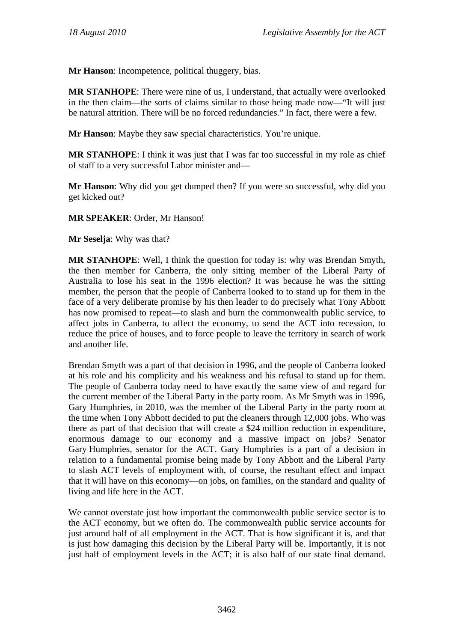**Mr Hanson**: Incompetence, political thuggery, bias.

**MR STANHOPE**: There were nine of us, I understand, that actually were overlooked in the then claim—the sorts of claims similar to those being made now—"It will just be natural attrition. There will be no forced redundancies." In fact, there were a few.

**Mr Hanson**: Maybe they saw special characteristics. You're unique.

**MR STANHOPE**: I think it was just that I was far too successful in my role as chief of staff to a very successful Labor minister and—

**Mr Hanson**: Why did you get dumped then? If you were so successful, why did you get kicked out?

## **MR SPEAKER**: Order, Mr Hanson!

**Mr Seselja**: Why was that?

**MR STANHOPE**: Well, I think the question for today is: why was Brendan Smyth, the then member for Canberra, the only sitting member of the Liberal Party of Australia to lose his seat in the 1996 election? It was because he was the sitting member, the person that the people of Canberra looked to to stand up for them in the face of a very deliberate promise by his then leader to do precisely what Tony Abbott has now promised to repeat—to slash and burn the commonwealth public service, to affect jobs in Canberra, to affect the economy, to send the ACT into recession, to reduce the price of houses, and to force people to leave the territory in search of work and another life.

Brendan Smyth was a part of that decision in 1996, and the people of Canberra looked at his role and his complicity and his weakness and his refusal to stand up for them. The people of Canberra today need to have exactly the same view of and regard for the current member of the Liberal Party in the party room. As Mr Smyth was in 1996, Gary Humphries, in 2010, was the member of the Liberal Party in the party room at the time when Tony Abbott decided to put the cleaners through 12,000 jobs. Who was there as part of that decision that will create a \$24 million reduction in expenditure, enormous damage to our economy and a massive impact on jobs? Senator Gary Humphries, senator for the ACT. Gary Humphries is a part of a decision in relation to a fundamental promise being made by Tony Abbott and the Liberal Party to slash ACT levels of employment with, of course, the resultant effect and impact that it will have on this economy—on jobs, on families, on the standard and quality of living and life here in the ACT.

We cannot overstate just how important the commonwealth public service sector is to the ACT economy, but we often do. The commonwealth public service accounts for just around half of all employment in the ACT. That is how significant it is, and that is just how damaging this decision by the Liberal Party will be. Importantly, it is not just half of employment levels in the ACT; it is also half of our state final demand.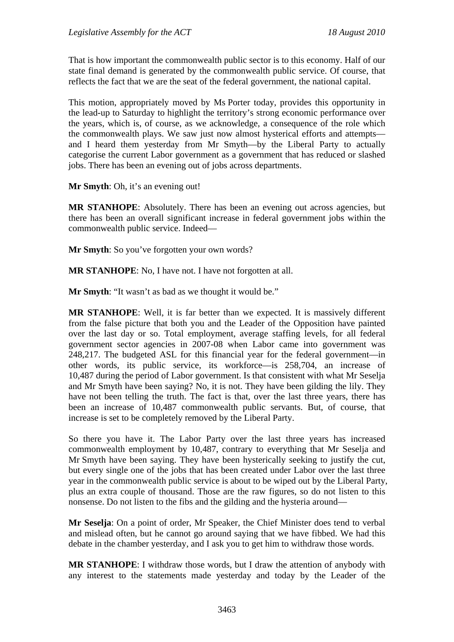That is how important the commonwealth public sector is to this economy. Half of our state final demand is generated by the commonwealth public service. Of course, that reflects the fact that we are the seat of the federal government, the national capital.

This motion, appropriately moved by Ms Porter today, provides this opportunity in the lead-up to Saturday to highlight the territory's strong economic performance over the years, which is, of course, as we acknowledge, a consequence of the role which the commonwealth plays. We saw just now almost hysterical efforts and attempts and I heard them yesterday from Mr Smyth—by the Liberal Party to actually categorise the current Labor government as a government that has reduced or slashed jobs. There has been an evening out of jobs across departments.

**Mr Smyth**: Oh, it's an evening out!

**MR STANHOPE**: Absolutely. There has been an evening out across agencies, but there has been an overall significant increase in federal government jobs within the commonwealth public service. Indeed—

**Mr Smyth**: So you've forgotten your own words?

**MR STANHOPE**: No, I have not. I have not forgotten at all.

**Mr Smyth:** "It wasn't as bad as we thought it would be."

**MR STANHOPE**: Well, it is far better than we expected. It is massively different from the false picture that both you and the Leader of the Opposition have painted over the last day or so. Total employment, average staffing levels, for all federal government sector agencies in 2007-08 when Labor came into government was 248,217. The budgeted ASL for this financial year for the federal government—in other words, its public service, its workforce—is 258,704, an increase of 10,487 during the period of Labor government. Is that consistent with what Mr Seselja and Mr Smyth have been saying? No, it is not. They have been gilding the lily. They have not been telling the truth. The fact is that, over the last three years, there has been an increase of 10,487 commonwealth public servants. But, of course, that increase is set to be completely removed by the Liberal Party.

So there you have it. The Labor Party over the last three years has increased commonwealth employment by 10,487, contrary to everything that Mr Seselja and Mr Smyth have been saying. They have been hysterically seeking to justify the cut, but every single one of the jobs that has been created under Labor over the last three year in the commonwealth public service is about to be wiped out by the Liberal Party, plus an extra couple of thousand. Those are the raw figures, so do not listen to this nonsense. Do not listen to the fibs and the gilding and the hysteria around—

**Mr Seselja**: On a point of order, Mr Speaker, the Chief Minister does tend to verbal and mislead often, but he cannot go around saying that we have fibbed. We had this debate in the chamber yesterday, and I ask you to get him to withdraw those words.

**MR STANHOPE**: I withdraw those words, but I draw the attention of anybody with any interest to the statements made yesterday and today by the Leader of the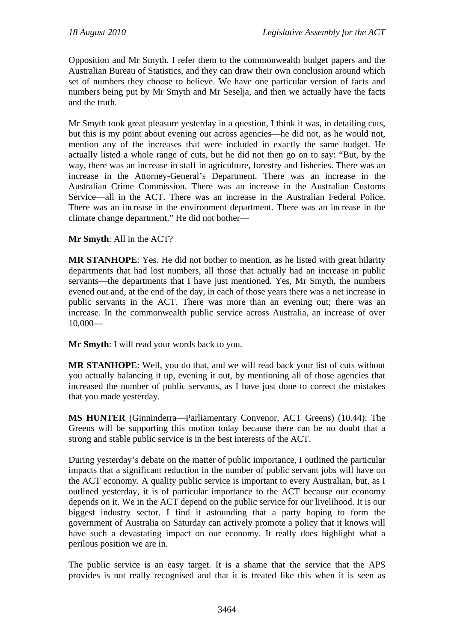Opposition and Mr Smyth. I refer them to the commonwealth budget papers and the Australian Bureau of Statistics, and they can draw their own conclusion around which set of numbers they choose to believe. We have one particular version of facts and numbers being put by Mr Smyth and Mr Seselja, and then we actually have the facts and the truth.

Mr Smyth took great pleasure yesterday in a question, I think it was, in detailing cuts, but this is my point about evening out across agencies—he did not, as he would not, mention any of the increases that were included in exactly the same budget. He actually listed a whole range of cuts, but he did not then go on to say: "But, by the way, there was an increase in staff in agriculture, forestry and fisheries. There was an increase in the Attorney-General's Department. There was an increase in the Australian Crime Commission. There was an increase in the Australian Customs Service—all in the ACT. There was an increase in the Australian Federal Police. There was an increase in the environment department. There was an increase in the climate change department." He did not bother—

## **Mr Smyth**: All in the ACT?

**MR STANHOPE**: Yes. He did not bother to mention, as he listed with great hilarity departments that had lost numbers, all those that actually had an increase in public servants—the departments that I have just mentioned. Yes, Mr Smyth, the numbers evened out and, at the end of the day, in each of those years there was a net increase in public servants in the ACT. There was more than an evening out; there was an increase. In the commonwealth public service across Australia, an increase of over 10,000—

**Mr Smyth**: I will read your words back to you.

**MR STANHOPE**: Well, you do that, and we will read back your list of cuts without you actually balancing it up, evening it out, by mentioning all of those agencies that increased the number of public servants, as I have just done to correct the mistakes that you made yesterday.

**MS HUNTER** (Ginninderra—Parliamentary Convenor, ACT Greens) (10.44): The Greens will be supporting this motion today because there can be no doubt that a strong and stable public service is in the best interests of the ACT.

During yesterday's debate on the matter of public importance, I outlined the particular impacts that a significant reduction in the number of public servant jobs will have on the ACT economy. A quality public service is important to every Australian, but, as I outlined yesterday, it is of particular importance to the ACT because our economy depends on it. We in the ACT depend on the public service for our livelihood. It is our biggest industry sector. I find it astounding that a party hoping to form the government of Australia on Saturday can actively promote a policy that it knows will have such a devastating impact on our economy. It really does highlight what a perilous position we are in.

The public service is an easy target. It is a shame that the service that the APS provides is not really recognised and that it is treated like this when it is seen as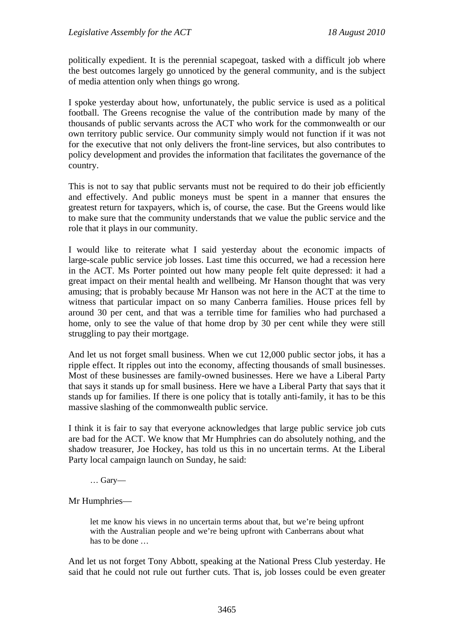politically expedient. It is the perennial scapegoat, tasked with a difficult job where the best outcomes largely go unnoticed by the general community, and is the subject of media attention only when things go wrong.

I spoke yesterday about how, unfortunately, the public service is used as a political football. The Greens recognise the value of the contribution made by many of the thousands of public servants across the ACT who work for the commonwealth or our own territory public service. Our community simply would not function if it was not for the executive that not only delivers the front-line services, but also contributes to policy development and provides the information that facilitates the governance of the country.

This is not to say that public servants must not be required to do their job efficiently and effectively. And public moneys must be spent in a manner that ensures the greatest return for taxpayers, which is, of course, the case. But the Greens would like to make sure that the community understands that we value the public service and the role that it plays in our community.

I would like to reiterate what I said yesterday about the economic impacts of large-scale public service job losses. Last time this occurred, we had a recession here in the ACT. Ms Porter pointed out how many people felt quite depressed: it had a great impact on their mental health and wellbeing. Mr Hanson thought that was very amusing; that is probably because Mr Hanson was not here in the ACT at the time to witness that particular impact on so many Canberra families. House prices fell by around 30 per cent, and that was a terrible time for families who had purchased a home, only to see the value of that home drop by 30 per cent while they were still struggling to pay their mortgage.

And let us not forget small business. When we cut 12,000 public sector jobs, it has a ripple effect. It ripples out into the economy, affecting thousands of small businesses. Most of these businesses are family-owned businesses. Here we have a Liberal Party that says it stands up for small business. Here we have a Liberal Party that says that it stands up for families. If there is one policy that is totally anti-family, it has to be this massive slashing of the commonwealth public service.

I think it is fair to say that everyone acknowledges that large public service job cuts are bad for the ACT. We know that Mr Humphries can do absolutely nothing, and the shadow treasurer, Joe Hockey, has told us this in no uncertain terms. At the Liberal Party local campaign launch on Sunday, he said:

… Gary—

Mr Humphries—

let me know his views in no uncertain terms about that, but we're being upfront with the Australian people and we're being upfront with Canberrans about what has to be done …

And let us not forget Tony Abbott, speaking at the National Press Club yesterday. He said that he could not rule out further cuts. That is, job losses could be even greater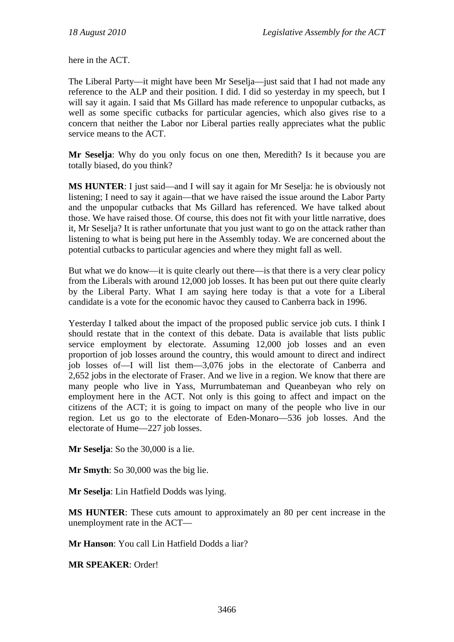here in the ACT.

The Liberal Party—it might have been Mr Seselja—just said that I had not made any reference to the ALP and their position. I did. I did so yesterday in my speech, but I will say it again. I said that Ms Gillard has made reference to unpopular cutbacks, as well as some specific cutbacks for particular agencies, which also gives rise to a concern that neither the Labor nor Liberal parties really appreciates what the public service means to the ACT.

**Mr Seselja**: Why do you only focus on one then, Meredith? Is it because you are totally biased, do you think?

**MS HUNTER:** I just said—and I will say it again for Mr Seselja: he is obviously not listening; I need to say it again—that we have raised the issue around the Labor Party and the unpopular cutbacks that Ms Gillard has referenced. We have talked about those. We have raised those. Of course, this does not fit with your little narrative, does it, Mr Seselja? It is rather unfortunate that you just want to go on the attack rather than listening to what is being put here in the Assembly today. We are concerned about the potential cutbacks to particular agencies and where they might fall as well.

But what we do know—it is quite clearly out there—is that there is a very clear policy from the Liberals with around 12,000 job losses. It has been put out there quite clearly by the Liberal Party. What I am saying here today is that a vote for a Liberal candidate is a vote for the economic havoc they caused to Canberra back in 1996.

Yesterday I talked about the impact of the proposed public service job cuts. I think I should restate that in the context of this debate. Data is available that lists public service employment by electorate. Assuming 12,000 job losses and an even proportion of job losses around the country, this would amount to direct and indirect job losses of—I will list them—3,076 jobs in the electorate of Canberra and 2,652 jobs in the electorate of Fraser. And we live in a region. We know that there are many people who live in Yass, Murrumbateman and Queanbeyan who rely on employment here in the ACT. Not only is this going to affect and impact on the citizens of the ACT; it is going to impact on many of the people who live in our region. Let us go to the electorate of Eden-Monaro—536 job losses. And the electorate of Hume—227 job losses.

**Mr Seselja**: So the 30,000 is a lie.

**Mr Smyth**: So 30,000 was the big lie.

**Mr Seselja**: Lin Hatfield Dodds was lying.

**MS HUNTER**: These cuts amount to approximately an 80 per cent increase in the unemployment rate in the ACT—

**Mr Hanson**: You call Lin Hatfield Dodds a liar?

**MR SPEAKER**: Order!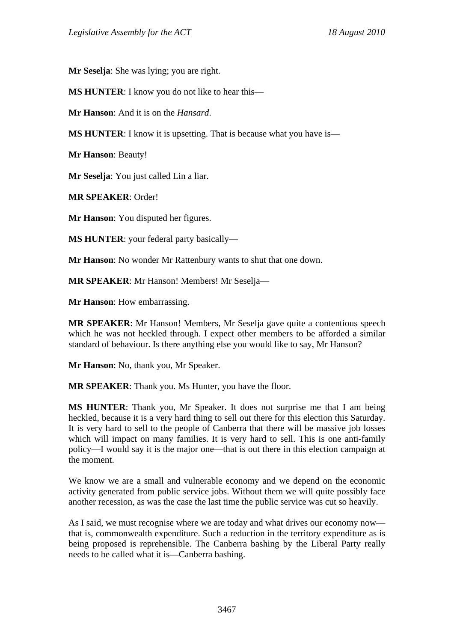**Mr Seselja**: She was lying; you are right.

**MS HUNTER**: I know you do not like to hear this—

**Mr Hanson**: And it is on the *Hansard*.

**MS HUNTER:** I know it is upsetting. That is because what you have is—

**Mr Hanson**: Beauty!

**Mr Seselja**: You just called Lin a liar.

**MR SPEAKER**: Order!

**Mr Hanson**: You disputed her figures.

**MS HUNTER**: your federal party basically—

**Mr Hanson**: No wonder Mr Rattenbury wants to shut that one down.

**MR SPEAKER**: Mr Hanson! Members! Mr Seselja—

**Mr Hanson**: How embarrassing.

**MR SPEAKER**: Mr Hanson! Members, Mr Seselja gave quite a contentious speech which he was not heckled through. I expect other members to be afforded a similar standard of behaviour. Is there anything else you would like to say, Mr Hanson?

**Mr Hanson**: No, thank you, Mr Speaker.

**MR SPEAKER**: Thank you. Ms Hunter, you have the floor.

**MS HUNTER**: Thank you, Mr Speaker. It does not surprise me that I am being heckled, because it is a very hard thing to sell out there for this election this Saturday. It is very hard to sell to the people of Canberra that there will be massive job losses which will impact on many families. It is very hard to sell. This is one anti-family policy—I would say it is the major one—that is out there in this election campaign at the moment.

We know we are a small and vulnerable economy and we depend on the economic activity generated from public service jobs. Without them we will quite possibly face another recession, as was the case the last time the public service was cut so heavily.

As I said, we must recognise where we are today and what drives our economy now that is, commonwealth expenditure. Such a reduction in the territory expenditure as is being proposed is reprehensible. The Canberra bashing by the Liberal Party really needs to be called what it is—Canberra bashing.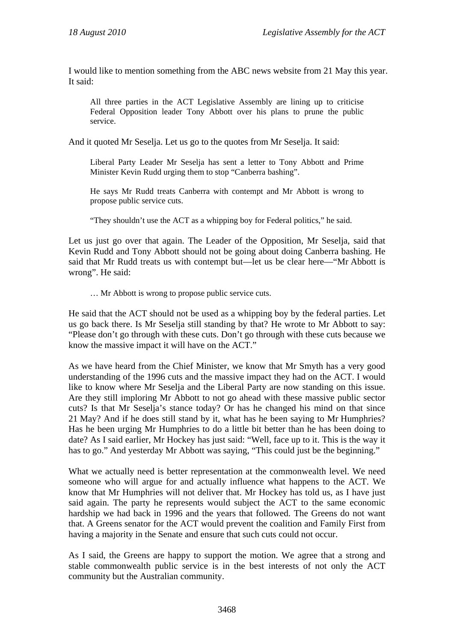I would like to mention something from the ABC news website from 21 May this year. It said:

All three parties in the ACT Legislative Assembly are lining up to criticise Federal Opposition leader Tony Abbott over his plans to prune the public service.

And it quoted Mr Seselia. Let us go to the quotes from Mr Seselia. It said:

Liberal Party Leader Mr Seselja has sent a letter to Tony Abbott and Prime Minister Kevin Rudd urging them to stop "Canberra bashing".

He says Mr Rudd treats Canberra with contempt and Mr Abbott is wrong to propose public service cuts.

"They shouldn't use the ACT as a whipping boy for Federal politics," he said.

Let us just go over that again. The Leader of the Opposition, Mr Seselja, said that Kevin Rudd and Tony Abbott should not be going about doing Canberra bashing. He said that Mr Rudd treats us with contempt but—let us be clear here—"Mr Abbott is wrong". He said:

… Mr Abbott is wrong to propose public service cuts.

He said that the ACT should not be used as a whipping boy by the federal parties. Let us go back there. Is Mr Seselja still standing by that? He wrote to Mr Abbott to say: "Please don't go through with these cuts. Don't go through with these cuts because we know the massive impact it will have on the ACT."

As we have heard from the Chief Minister, we know that Mr Smyth has a very good understanding of the 1996 cuts and the massive impact they had on the ACT. I would like to know where Mr Seselja and the Liberal Party are now standing on this issue. Are they still imploring Mr Abbott to not go ahead with these massive public sector cuts? Is that Mr Seselja's stance today? Or has he changed his mind on that since 21 May? And if he does still stand by it, what has he been saying to Mr Humphries? Has he been urging Mr Humphries to do a little bit better than he has been doing to date? As I said earlier, Mr Hockey has just said: "Well, face up to it. This is the way it has to go." And yesterday Mr Abbott was saying, "This could just be the beginning."

What we actually need is better representation at the commonwealth level. We need someone who will argue for and actually influence what happens to the ACT. We know that Mr Humphries will not deliver that. Mr Hockey has told us, as I have just said again. The party he represents would subject the ACT to the same economic hardship we had back in 1996 and the years that followed. The Greens do not want that. A Greens senator for the ACT would prevent the coalition and Family First from having a majority in the Senate and ensure that such cuts could not occur.

As I said, the Greens are happy to support the motion. We agree that a strong and stable commonwealth public service is in the best interests of not only the ACT community but the Australian community.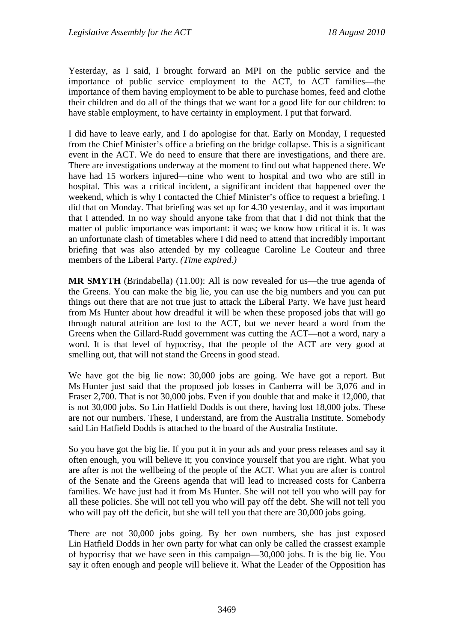Yesterday, as I said, I brought forward an MPI on the public service and the importance of public service employment to the ACT, to ACT families—the importance of them having employment to be able to purchase homes, feed and clothe their children and do all of the things that we want for a good life for our children: to have stable employment, to have certainty in employment. I put that forward.

I did have to leave early, and I do apologise for that. Early on Monday, I requested from the Chief Minister's office a briefing on the bridge collapse. This is a significant event in the ACT. We do need to ensure that there are investigations, and there are. There are investigations underway at the moment to find out what happened there. We have had 15 workers injured—nine who went to hospital and two who are still in hospital. This was a critical incident, a significant incident that happened over the weekend, which is why I contacted the Chief Minister's office to request a briefing. I did that on Monday. That briefing was set up for 4.30 yesterday, and it was important that I attended. In no way should anyone take from that that I did not think that the matter of public importance was important: it was; we know how critical it is. It was an unfortunate clash of timetables where I did need to attend that incredibly important briefing that was also attended by my colleague Caroline Le Couteur and three members of the Liberal Party. *(Time expired.)* 

**MR SMYTH** (Brindabella) (11.00): All is now revealed for us—the true agenda of the Greens. You can make the big lie, you can use the big numbers and you can put things out there that are not true just to attack the Liberal Party. We have just heard from Ms Hunter about how dreadful it will be when these proposed jobs that will go through natural attrition are lost to the ACT, but we never heard a word from the Greens when the Gillard-Rudd government was cutting the ACT—not a word, nary a word. It is that level of hypocrisy, that the people of the ACT are very good at smelling out, that will not stand the Greens in good stead.

We have got the big lie now: 30,000 jobs are going. We have got a report. But Ms Hunter just said that the proposed job losses in Canberra will be 3,076 and in Fraser 2,700. That is not 30,000 jobs. Even if you double that and make it 12,000, that is not 30,000 jobs. So Lin Hatfield Dodds is out there, having lost 18,000 jobs. These are not our numbers. These, I understand, are from the Australia Institute. Somebody said Lin Hatfield Dodds is attached to the board of the Australia Institute.

So you have got the big lie. If you put it in your ads and your press releases and say it often enough, you will believe it; you convince yourself that you are right. What you are after is not the wellbeing of the people of the ACT. What you are after is control of the Senate and the Greens agenda that will lead to increased costs for Canberra families. We have just had it from Ms Hunter. She will not tell you who will pay for all these policies. She will not tell you who will pay off the debt. She will not tell you who will pay off the deficit, but she will tell you that there are 30,000 jobs going.

There are not 30,000 jobs going. By her own numbers, she has just exposed Lin Hatfield Dodds in her own party for what can only be called the crassest example of hypocrisy that we have seen in this campaign—30,000 jobs. It is the big lie. You say it often enough and people will believe it. What the Leader of the Opposition has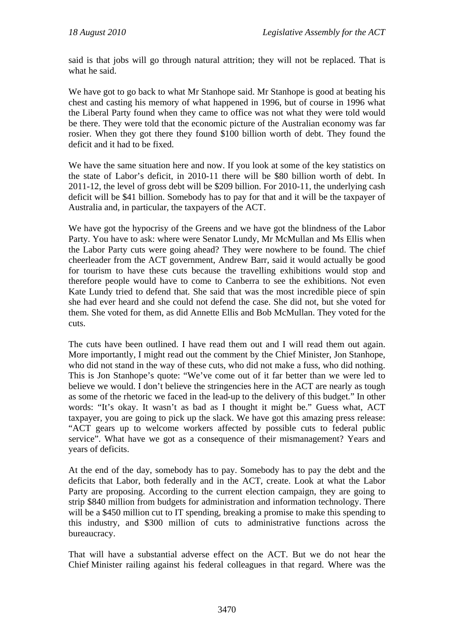said is that jobs will go through natural attrition; they will not be replaced. That is what he said.

We have got to go back to what Mr Stanhope said. Mr Stanhope is good at beating his chest and casting his memory of what happened in 1996, but of course in 1996 what the Liberal Party found when they came to office was not what they were told would be there. They were told that the economic picture of the Australian economy was far rosier. When they got there they found \$100 billion worth of debt. They found the deficit and it had to be fixed.

We have the same situation here and now. If you look at some of the key statistics on the state of Labor's deficit, in 2010-11 there will be \$80 billion worth of debt. In 2011-12, the level of gross debt will be \$209 billion. For 2010-11, the underlying cash deficit will be \$41 billion. Somebody has to pay for that and it will be the taxpayer of Australia and, in particular, the taxpayers of the ACT.

We have got the hypocrisy of the Greens and we have got the blindness of the Labor Party. You have to ask: where were Senator Lundy, Mr McMullan and Ms Ellis when the Labor Party cuts were going ahead? They were nowhere to be found. The chief cheerleader from the ACT government, Andrew Barr, said it would actually be good for tourism to have these cuts because the travelling exhibitions would stop and therefore people would have to come to Canberra to see the exhibitions. Not even Kate Lundy tried to defend that. She said that was the most incredible piece of spin she had ever heard and she could not defend the case. She did not, but she voted for them. She voted for them, as did Annette Ellis and Bob McMullan. They voted for the cuts.

The cuts have been outlined. I have read them out and I will read them out again. More importantly, I might read out the comment by the Chief Minister, Jon Stanhope, who did not stand in the way of these cuts, who did not make a fuss, who did nothing. This is Jon Stanhope's quote: "We've come out of it far better than we were led to believe we would. I don't believe the stringencies here in the ACT are nearly as tough as some of the rhetoric we faced in the lead-up to the delivery of this budget." In other words: "It's okay. It wasn't as bad as I thought it might be." Guess what, ACT taxpayer, you are going to pick up the slack. We have got this amazing press release: "ACT gears up to welcome workers affected by possible cuts to federal public service". What have we got as a consequence of their mismanagement? Years and years of deficits.

At the end of the day, somebody has to pay. Somebody has to pay the debt and the deficits that Labor, both federally and in the ACT, create. Look at what the Labor Party are proposing. According to the current election campaign, they are going to strip \$840 million from budgets for administration and information technology. There will be a \$450 million cut to IT spending, breaking a promise to make this spending to this industry, and \$300 million of cuts to administrative functions across the bureaucracy.

That will have a substantial adverse effect on the ACT. But we do not hear the Chief Minister railing against his federal colleagues in that regard. Where was the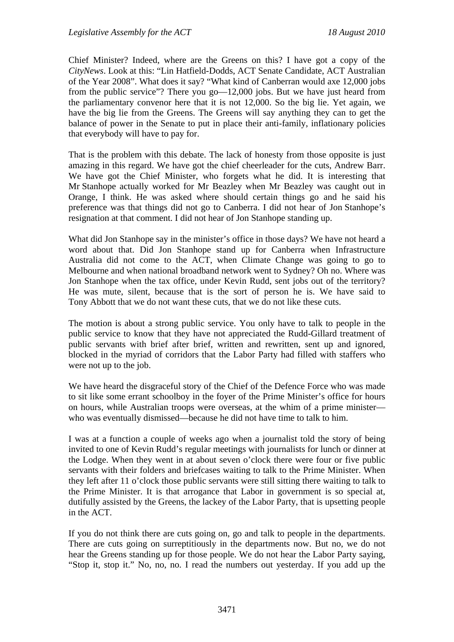Chief Minister? Indeed, where are the Greens on this? I have got a copy of the *CityNews*. Look at this: "Lin Hatfield-Dodds, ACT Senate Candidate, ACT Australian of the Year 2008". What does it say? "What kind of Canberran would axe 12,000 jobs from the public service"? There you go—12,000 jobs. But we have just heard from the parliamentary convenor here that it is not 12,000. So the big lie. Yet again, we have the big lie from the Greens. The Greens will say anything they can to get the balance of power in the Senate to put in place their anti-family, inflationary policies that everybody will have to pay for.

That is the problem with this debate. The lack of honesty from those opposite is just amazing in this regard. We have got the chief cheerleader for the cuts, Andrew Barr. We have got the Chief Minister, who forgets what he did. It is interesting that Mr Stanhope actually worked for Mr Beazley when Mr Beazley was caught out in Orange, I think. He was asked where should certain things go and he said his preference was that things did not go to Canberra. I did not hear of Jon Stanhope's resignation at that comment. I did not hear of Jon Stanhope standing up.

What did Jon Stanhope say in the minister's office in those days? We have not heard a word about that. Did Jon Stanhope stand up for Canberra when Infrastructure Australia did not come to the ACT, when Climate Change was going to go to Melbourne and when national broadband network went to Sydney? Oh no. Where was Jon Stanhope when the tax office, under Kevin Rudd, sent jobs out of the territory? He was mute, silent, because that is the sort of person he is. We have said to Tony Abbott that we do not want these cuts, that we do not like these cuts.

The motion is about a strong public service. You only have to talk to people in the public service to know that they have not appreciated the Rudd-Gillard treatment of public servants with brief after brief, written and rewritten, sent up and ignored, blocked in the myriad of corridors that the Labor Party had filled with staffers who were not up to the job.

We have heard the disgraceful story of the Chief of the Defence Force who was made to sit like some errant schoolboy in the foyer of the Prime Minister's office for hours on hours, while Australian troops were overseas, at the whim of a prime minister who was eventually dismissed—because he did not have time to talk to him.

I was at a function a couple of weeks ago when a journalist told the story of being invited to one of Kevin Rudd's regular meetings with journalists for lunch or dinner at the Lodge. When they went in at about seven o'clock there were four or five public servants with their folders and briefcases waiting to talk to the Prime Minister. When they left after 11 o'clock those public servants were still sitting there waiting to talk to the Prime Minister. It is that arrogance that Labor in government is so special at, dutifully assisted by the Greens, the lackey of the Labor Party, that is upsetting people in the ACT.

If you do not think there are cuts going on, go and talk to people in the departments. There are cuts going on surreptitiously in the departments now. But no, we do not hear the Greens standing up for those people. We do not hear the Labor Party saying, "Stop it, stop it." No, no, no. I read the numbers out yesterday. If you add up the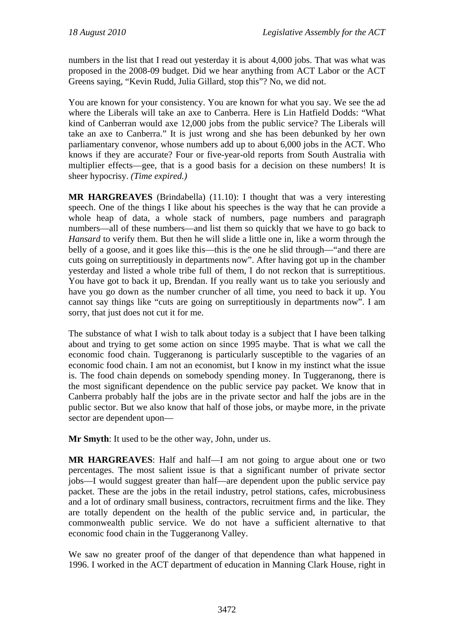numbers in the list that I read out yesterday it is about 4,000 jobs. That was what was proposed in the 2008-09 budget. Did we hear anything from ACT Labor or the ACT Greens saying, "Kevin Rudd, Julia Gillard, stop this"? No, we did not.

You are known for your consistency. You are known for what you say. We see the ad where the Liberals will take an axe to Canberra. Here is Lin Hatfield Dodds: "What kind of Canberran would axe 12,000 jobs from the public service? The Liberals will take an axe to Canberra." It is just wrong and she has been debunked by her own parliamentary convenor, whose numbers add up to about 6,000 jobs in the ACT. Who knows if they are accurate? Four or five-year-old reports from South Australia with multiplier effects—gee, that is a good basis for a decision on these numbers! It is sheer hypocrisy. *(Time expired.)*

**MR HARGREAVES** (Brindabella) (11.10): I thought that was a very interesting speech. One of the things I like about his speeches is the way that he can provide a whole heap of data, a whole stack of numbers, page numbers and paragraph numbers—all of these numbers—and list them so quickly that we have to go back to *Hansard* to verify them. But then he will slide a little one in, like a worm through the belly of a goose, and it goes like this—this is the one he slid through—"and there are cuts going on surreptitiously in departments now". After having got up in the chamber yesterday and listed a whole tribe full of them, I do not reckon that is surreptitious. You have got to back it up, Brendan. If you really want us to take you seriously and have you go down as the number cruncher of all time, you need to back it up. You cannot say things like "cuts are going on surreptitiously in departments now". I am sorry, that just does not cut it for me.

The substance of what I wish to talk about today is a subject that I have been talking about and trying to get some action on since 1995 maybe. That is what we call the economic food chain. Tuggeranong is particularly susceptible to the vagaries of an economic food chain. I am not an economist, but I know in my instinct what the issue is. The food chain depends on somebody spending money. In Tuggeranong, there is the most significant dependence on the public service pay packet. We know that in Canberra probably half the jobs are in the private sector and half the jobs are in the public sector. But we also know that half of those jobs, or maybe more, in the private sector are dependent upon—

**Mr Smyth**: It used to be the other way, John, under us.

**MR HARGREAVES**: Half and half—I am not going to argue about one or two percentages. The most salient issue is that a significant number of private sector jobs—I would suggest greater than half—are dependent upon the public service pay packet. These are the jobs in the retail industry, petrol stations, cafes, microbusiness and a lot of ordinary small business, contractors, recruitment firms and the like. They are totally dependent on the health of the public service and, in particular, the commonwealth public service. We do not have a sufficient alternative to that economic food chain in the Tuggeranong Valley.

We saw no greater proof of the danger of that dependence than what happened in 1996. I worked in the ACT department of education in Manning Clark House, right in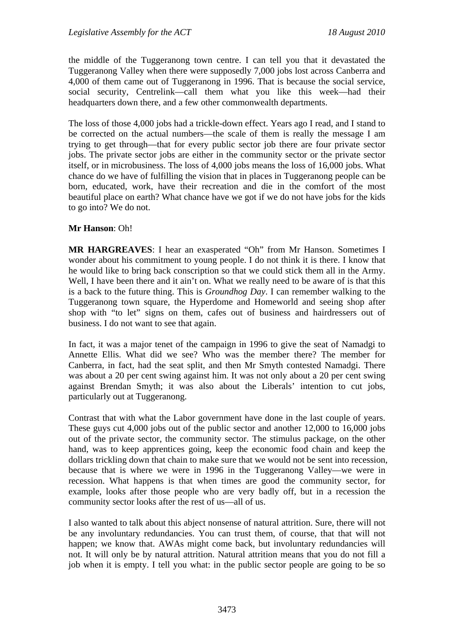the middle of the Tuggeranong town centre. I can tell you that it devastated the Tuggeranong Valley when there were supposedly 7,000 jobs lost across Canberra and 4,000 of them came out of Tuggeranong in 1996. That is because the social service, social security, Centrelink—call them what you like this week—had their headquarters down there, and a few other commonwealth departments.

The loss of those 4,000 jobs had a trickle-down effect. Years ago I read, and I stand to be corrected on the actual numbers—the scale of them is really the message I am trying to get through—that for every public sector job there are four private sector jobs. The private sector jobs are either in the community sector or the private sector itself, or in microbusiness. The loss of 4,000 jobs means the loss of 16,000 jobs. What chance do we have of fulfilling the vision that in places in Tuggeranong people can be born, educated, work, have their recreation and die in the comfort of the most beautiful place on earth? What chance have we got if we do not have jobs for the kids to go into? We do not.

#### **Mr Hanson**: Oh!

**MR HARGREAVES**: I hear an exasperated "Oh" from Mr Hanson. Sometimes I wonder about his commitment to young people. I do not think it is there. I know that he would like to bring back conscription so that we could stick them all in the Army. Well, I have been there and it ain't on. What we really need to be aware of is that this is a back to the future thing. This is *Groundhog Day*. I can remember walking to the Tuggeranong town square, the Hyperdome and Homeworld and seeing shop after shop with "to let" signs on them, cafes out of business and hairdressers out of business. I do not want to see that again.

In fact, it was a major tenet of the campaign in 1996 to give the seat of Namadgi to Annette Ellis. What did we see? Who was the member there? The member for Canberra, in fact, had the seat split, and then Mr Smyth contested Namadgi. There was about a 20 per cent swing against him. It was not only about a 20 per cent swing against Brendan Smyth; it was also about the Liberals' intention to cut jobs, particularly out at Tuggeranong.

Contrast that with what the Labor government have done in the last couple of years. These guys cut 4,000 jobs out of the public sector and another 12,000 to 16,000 jobs out of the private sector, the community sector. The stimulus package, on the other hand, was to keep apprentices going, keep the economic food chain and keep the dollars trickling down that chain to make sure that we would not be sent into recession, because that is where we were in 1996 in the Tuggeranong Valley—we were in recession. What happens is that when times are good the community sector, for example, looks after those people who are very badly off, but in a recession the community sector looks after the rest of us—all of us.

I also wanted to talk about this abject nonsense of natural attrition. Sure, there will not be any involuntary redundancies. You can trust them, of course, that that will not happen; we know that. AWAs might come back, but involuntary redundancies will not. It will only be by natural attrition. Natural attrition means that you do not fill a job when it is empty. I tell you what: in the public sector people are going to be so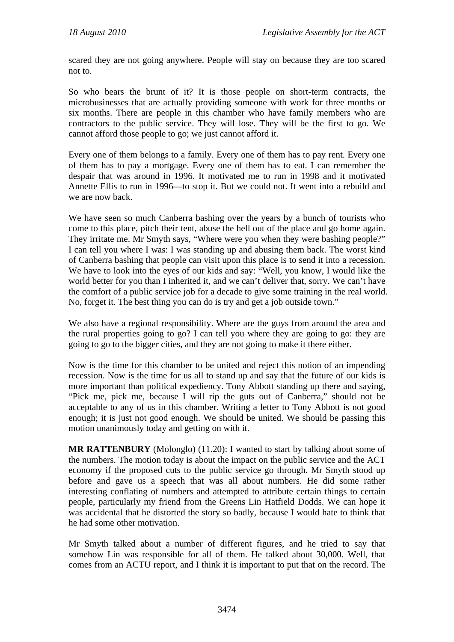scared they are not going anywhere. People will stay on because they are too scared not to.

So who bears the brunt of it? It is those people on short-term contracts, the microbusinesses that are actually providing someone with work for three months or six months. There are people in this chamber who have family members who are contractors to the public service. They will lose. They will be the first to go. We cannot afford those people to go; we just cannot afford it.

Every one of them belongs to a family. Every one of them has to pay rent. Every one of them has to pay a mortgage. Every one of them has to eat. I can remember the despair that was around in 1996. It motivated me to run in 1998 and it motivated Annette Ellis to run in 1996—to stop it. But we could not. It went into a rebuild and we are now back.

We have seen so much Canberra bashing over the years by a bunch of tourists who come to this place, pitch their tent, abuse the hell out of the place and go home again. They irritate me. Mr Smyth says, "Where were you when they were bashing people?" I can tell you where I was: I was standing up and abusing them back. The worst kind of Canberra bashing that people can visit upon this place is to send it into a recession. We have to look into the eyes of our kids and say: "Well, you know, I would like the world better for you than I inherited it, and we can't deliver that, sorry. We can't have the comfort of a public service job for a decade to give some training in the real world. No, forget it. The best thing you can do is try and get a job outside town."

We also have a regional responsibility. Where are the guys from around the area and the rural properties going to go? I can tell you where they are going to go: they are going to go to the bigger cities, and they are not going to make it there either.

Now is the time for this chamber to be united and reject this notion of an impending recession. Now is the time for us all to stand up and say that the future of our kids is more important than political expediency. Tony Abbott standing up there and saying, "Pick me, pick me, because I will rip the guts out of Canberra," should not be acceptable to any of us in this chamber. Writing a letter to Tony Abbott is not good enough; it is just not good enough. We should be united. We should be passing this motion unanimously today and getting on with it.

**MR RATTENBURY** (Molonglo) (11.20): I wanted to start by talking about some of the numbers. The motion today is about the impact on the public service and the ACT economy if the proposed cuts to the public service go through. Mr Smyth stood up before and gave us a speech that was all about numbers. He did some rather interesting conflating of numbers and attempted to attribute certain things to certain people, particularly my friend from the Greens Lin Hatfield Dodds. We can hope it was accidental that he distorted the story so badly, because I would hate to think that he had some other motivation.

Mr Smyth talked about a number of different figures, and he tried to say that somehow Lin was responsible for all of them. He talked about 30,000. Well, that comes from an ACTU report, and I think it is important to put that on the record. The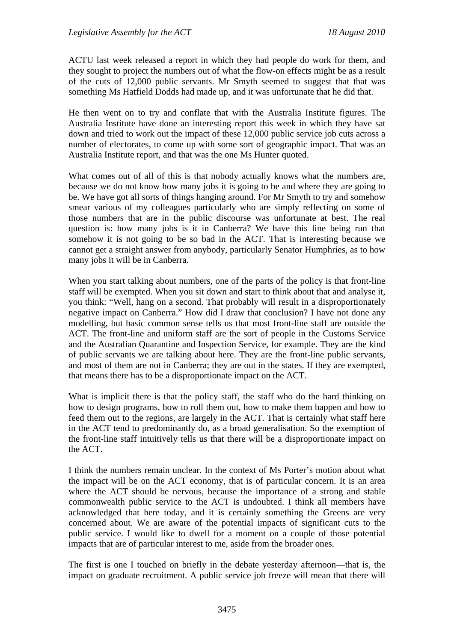ACTU last week released a report in which they had people do work for them, and they sought to project the numbers out of what the flow-on effects might be as a result of the cuts of 12,000 public servants. Mr Smyth seemed to suggest that that was something Ms Hatfield Dodds had made up, and it was unfortunate that he did that.

He then went on to try and conflate that with the Australia Institute figures. The Australia Institute have done an interesting report this week in which they have sat down and tried to work out the impact of these 12,000 public service job cuts across a number of electorates, to come up with some sort of geographic impact. That was an Australia Institute report, and that was the one Ms Hunter quoted.

What comes out of all of this is that nobody actually knows what the numbers are, because we do not know how many jobs it is going to be and where they are going to be. We have got all sorts of things hanging around. For Mr Smyth to try and somehow smear various of my colleagues particularly who are simply reflecting on some of those numbers that are in the public discourse was unfortunate at best. The real question is: how many jobs is it in Canberra? We have this line being run that somehow it is not going to be so bad in the ACT. That is interesting because we cannot get a straight answer from anybody, particularly Senator Humphries, as to how many jobs it will be in Canberra.

When you start talking about numbers, one of the parts of the policy is that front-line staff will be exempted. When you sit down and start to think about that and analyse it, you think: "Well, hang on a second. That probably will result in a disproportionately negative impact on Canberra." How did I draw that conclusion? I have not done any modelling, but basic common sense tells us that most front-line staff are outside the ACT. The front-line and uniform staff are the sort of people in the Customs Service and the Australian Quarantine and Inspection Service, for example. They are the kind of public servants we are talking about here. They are the front-line public servants, and most of them are not in Canberra; they are out in the states. If they are exempted, that means there has to be a disproportionate impact on the ACT.

What is implicit there is that the policy staff, the staff who do the hard thinking on how to design programs, how to roll them out, how to make them happen and how to feed them out to the regions, are largely in the ACT. That is certainly what staff here in the ACT tend to predominantly do, as a broad generalisation. So the exemption of the front-line staff intuitively tells us that there will be a disproportionate impact on the ACT.

I think the numbers remain unclear. In the context of Ms Porter's motion about what the impact will be on the ACT economy, that is of particular concern. It is an area where the ACT should be nervous, because the importance of a strong and stable commonwealth public service to the ACT is undoubted. I think all members have acknowledged that here today, and it is certainly something the Greens are very concerned about. We are aware of the potential impacts of significant cuts to the public service. I would like to dwell for a moment on a couple of those potential impacts that are of particular interest to me, aside from the broader ones.

The first is one I touched on briefly in the debate yesterday afternoon—that is, the impact on graduate recruitment. A public service job freeze will mean that there will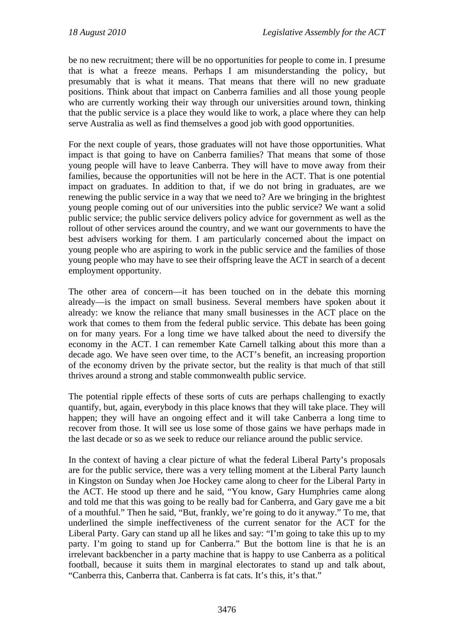be no new recruitment; there will be no opportunities for people to come in. I presume that is what a freeze means. Perhaps I am misunderstanding the policy, but presumably that is what it means. That means that there will no new graduate positions. Think about that impact on Canberra families and all those young people who are currently working their way through our universities around town, thinking that the public service is a place they would like to work, a place where they can help serve Australia as well as find themselves a good job with good opportunities.

For the next couple of years, those graduates will not have those opportunities. What impact is that going to have on Canberra families? That means that some of those young people will have to leave Canberra. They will have to move away from their families, because the opportunities will not be here in the ACT. That is one potential impact on graduates. In addition to that, if we do not bring in graduates, are we renewing the public service in a way that we need to? Are we bringing in the brightest young people coming out of our universities into the public service? We want a solid public service; the public service delivers policy advice for government as well as the rollout of other services around the country, and we want our governments to have the best advisers working for them. I am particularly concerned about the impact on young people who are aspiring to work in the public service and the families of those young people who may have to see their offspring leave the ACT in search of a decent employment opportunity.

The other area of concern—it has been touched on in the debate this morning already—is the impact on small business. Several members have spoken about it already: we know the reliance that many small businesses in the ACT place on the work that comes to them from the federal public service. This debate has been going on for many years. For a long time we have talked about the need to diversify the economy in the ACT. I can remember Kate Carnell talking about this more than a decade ago. We have seen over time, to the ACT's benefit, an increasing proportion of the economy driven by the private sector, but the reality is that much of that still thrives around a strong and stable commonwealth public service.

The potential ripple effects of these sorts of cuts are perhaps challenging to exactly quantify, but, again, everybody in this place knows that they will take place. They will happen; they will have an ongoing effect and it will take Canberra a long time to recover from those. It will see us lose some of those gains we have perhaps made in the last decade or so as we seek to reduce our reliance around the public service.

In the context of having a clear picture of what the federal Liberal Party's proposals are for the public service, there was a very telling moment at the Liberal Party launch in Kingston on Sunday when Joe Hockey came along to cheer for the Liberal Party in the ACT. He stood up there and he said, "You know, Gary Humphries came along and told me that this was going to be really bad for Canberra, and Gary gave me a bit of a mouthful." Then he said, "But, frankly, we're going to do it anyway." To me, that underlined the simple ineffectiveness of the current senator for the ACT for the Liberal Party. Gary can stand up all he likes and say: "I'm going to take this up to my party. I'm going to stand up for Canberra." But the bottom line is that he is an irrelevant backbencher in a party machine that is happy to use Canberra as a political football, because it suits them in marginal electorates to stand up and talk about, "Canberra this, Canberra that. Canberra is fat cats. It's this, it's that."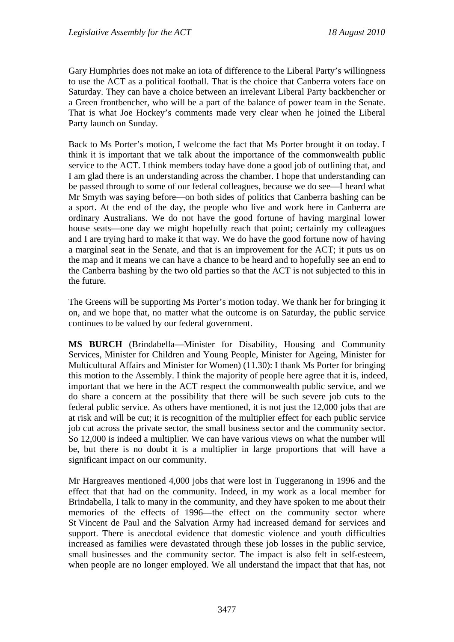Gary Humphries does not make an iota of difference to the Liberal Party's willingness to use the ACT as a political football. That is the choice that Canberra voters face on Saturday. They can have a choice between an irrelevant Liberal Party backbencher or a Green frontbencher, who will be a part of the balance of power team in the Senate. That is what Joe Hockey's comments made very clear when he joined the Liberal Party launch on Sunday.

Back to Ms Porter's motion, I welcome the fact that Ms Porter brought it on today. I think it is important that we talk about the importance of the commonwealth public service to the ACT. I think members today have done a good job of outlining that, and I am glad there is an understanding across the chamber. I hope that understanding can be passed through to some of our federal colleagues, because we do see—I heard what Mr Smyth was saying before—on both sides of politics that Canberra bashing can be a sport. At the end of the day, the people who live and work here in Canberra are ordinary Australians. We do not have the good fortune of having marginal lower house seats—one day we might hopefully reach that point; certainly my colleagues and I are trying hard to make it that way. We do have the good fortune now of having a marginal seat in the Senate, and that is an improvement for the ACT; it puts us on the map and it means we can have a chance to be heard and to hopefully see an end to the Canberra bashing by the two old parties so that the ACT is not subjected to this in the future.

The Greens will be supporting Ms Porter's motion today. We thank her for bringing it on, and we hope that, no matter what the outcome is on Saturday, the public service continues to be valued by our federal government.

**MS BURCH** (Brindabella—Minister for Disability, Housing and Community Services, Minister for Children and Young People, Minister for Ageing, Minister for Multicultural Affairs and Minister for Women) (11.30): I thank Ms Porter for bringing this motion to the Assembly. I think the majority of people here agree that it is, indeed, important that we here in the ACT respect the commonwealth public service, and we do share a concern at the possibility that there will be such severe job cuts to the federal public service. As others have mentioned, it is not just the 12,000 jobs that are at risk and will be cut; it is recognition of the multiplier effect for each public service job cut across the private sector, the small business sector and the community sector. So 12,000 is indeed a multiplier. We can have various views on what the number will be, but there is no doubt it is a multiplier in large proportions that will have a significant impact on our community.

Mr Hargreaves mentioned 4,000 jobs that were lost in Tuggeranong in 1996 and the effect that that had on the community. Indeed, in my work as a local member for Brindabella, I talk to many in the community, and they have spoken to me about their memories of the effects of 1996—the effect on the community sector where St Vincent de Paul and the Salvation Army had increased demand for services and support. There is anecdotal evidence that domestic violence and youth difficulties increased as families were devastated through these job losses in the public service, small businesses and the community sector. The impact is also felt in self-esteem, when people are no longer employed. We all understand the impact that that has, not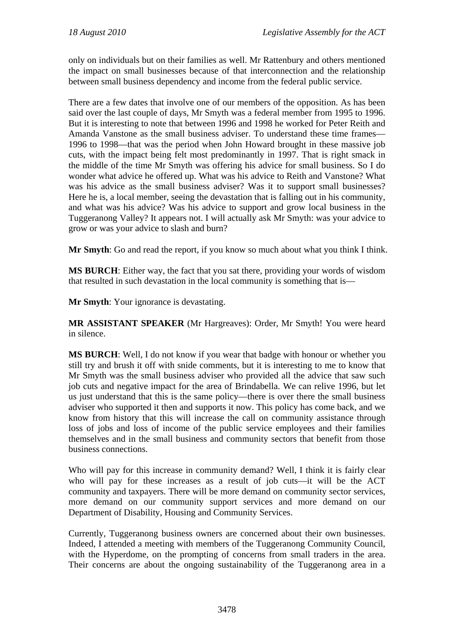only on individuals but on their families as well. Mr Rattenbury and others mentioned the impact on small businesses because of that interconnection and the relationship between small business dependency and income from the federal public service.

There are a few dates that involve one of our members of the opposition. As has been said over the last couple of days, Mr Smyth was a federal member from 1995 to 1996. But it is interesting to note that between 1996 and 1998 he worked for Peter Reith and Amanda Vanstone as the small business adviser. To understand these time frames— 1996 to 1998—that was the period when John Howard brought in these massive job cuts, with the impact being felt most predominantly in 1997. That is right smack in the middle of the time Mr Smyth was offering his advice for small business. So I do wonder what advice he offered up. What was his advice to Reith and Vanstone? What was his advice as the small business adviser? Was it to support small businesses? Here he is, a local member, seeing the devastation that is falling out in his community, and what was his advice? Was his advice to support and grow local business in the Tuggeranong Valley? It appears not. I will actually ask Mr Smyth: was your advice to grow or was your advice to slash and burn?

**Mr Smyth**: Go and read the report, if you know so much about what you think I think.

**MS BURCH**: Either way, the fact that you sat there, providing your words of wisdom that resulted in such devastation in the local community is something that is—

**Mr Smyth**: Your ignorance is devastating.

**MR ASSISTANT SPEAKER** (Mr Hargreaves): Order, Mr Smyth! You were heard in silence.

**MS BURCH**: Well, I do not know if you wear that badge with honour or whether you still try and brush it off with snide comments, but it is interesting to me to know that Mr Smyth was the small business adviser who provided all the advice that saw such job cuts and negative impact for the area of Brindabella. We can relive 1996, but let us just understand that this is the same policy—there is over there the small business adviser who supported it then and supports it now. This policy has come back, and we know from history that this will increase the call on community assistance through loss of jobs and loss of income of the public service employees and their families themselves and in the small business and community sectors that benefit from those business connections.

Who will pay for this increase in community demand? Well, I think it is fairly clear who will pay for these increases as a result of job cuts—it will be the ACT community and taxpayers. There will be more demand on community sector services, more demand on our community support services and more demand on our Department of Disability, Housing and Community Services.

Currently, Tuggeranong business owners are concerned about their own businesses. Indeed, I attended a meeting with members of the Tuggeranong Community Council, with the Hyperdome, on the prompting of concerns from small traders in the area. Their concerns are about the ongoing sustainability of the Tuggeranong area in a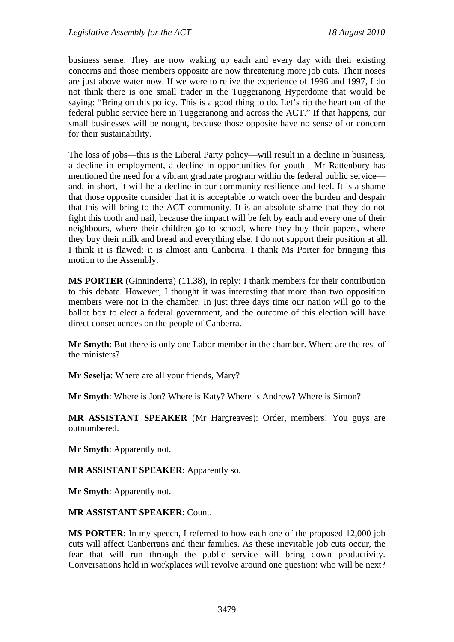business sense. They are now waking up each and every day with their existing concerns and those members opposite are now threatening more job cuts. Their noses are just above water now. If we were to relive the experience of 1996 and 1997, I do not think there is one small trader in the Tuggeranong Hyperdome that would be saying: "Bring on this policy. This is a good thing to do. Let's rip the heart out of the federal public service here in Tuggeranong and across the ACT." If that happens, our small businesses will be nought, because those opposite have no sense of or concern for their sustainability.

The loss of jobs—this is the Liberal Party policy—will result in a decline in business, a decline in employment, a decline in opportunities for youth—Mr Rattenbury has mentioned the need for a vibrant graduate program within the federal public service and, in short, it will be a decline in our community resilience and feel. It is a shame that those opposite consider that it is acceptable to watch over the burden and despair that this will bring to the ACT community. It is an absolute shame that they do not fight this tooth and nail, because the impact will be felt by each and every one of their neighbours, where their children go to school, where they buy their papers, where they buy their milk and bread and everything else. I do not support their position at all. I think it is flawed; it is almost anti Canberra. I thank Ms Porter for bringing this motion to the Assembly.

**MS PORTER** (Ginninderra) (11.38), in reply: I thank members for their contribution to this debate. However, I thought it was interesting that more than two opposition members were not in the chamber. In just three days time our nation will go to the ballot box to elect a federal government, and the outcome of this election will have direct consequences on the people of Canberra.

**Mr Smyth**: But there is only one Labor member in the chamber. Where are the rest of the ministers?

**Mr Seselja**: Where are all your friends, Mary?

**Mr Smyth**: Where is Jon? Where is Katy? Where is Andrew? Where is Simon?

**MR ASSISTANT SPEAKER** (Mr Hargreaves): Order, members! You guys are outnumbered.

**Mr Smyth**: Apparently not.

**MR ASSISTANT SPEAKER**: Apparently so.

**Mr Smyth**: Apparently not.

#### **MR ASSISTANT SPEAKER**: Count.

**MS PORTER**: In my speech, I referred to how each one of the proposed 12,000 job cuts will affect Canberrans and their families. As these inevitable job cuts occur, the fear that will run through the public service will bring down productivity. Conversations held in workplaces will revolve around one question: who will be next?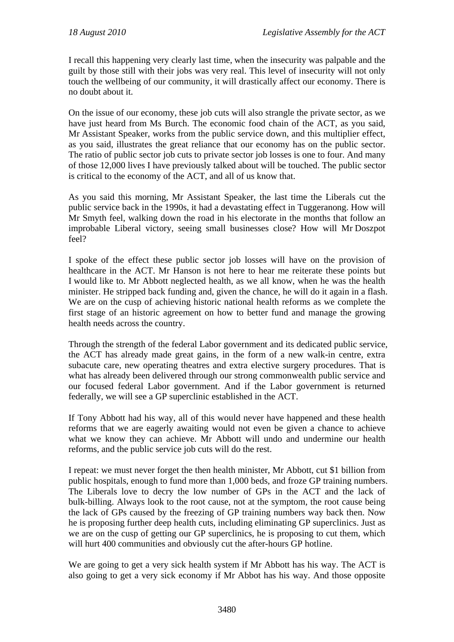I recall this happening very clearly last time, when the insecurity was palpable and the guilt by those still with their jobs was very real. This level of insecurity will not only touch the wellbeing of our community, it will drastically affect our economy. There is no doubt about it.

On the issue of our economy, these job cuts will also strangle the private sector, as we have just heard from Ms Burch. The economic food chain of the ACT, as you said, Mr Assistant Speaker, works from the public service down, and this multiplier effect, as you said, illustrates the great reliance that our economy has on the public sector. The ratio of public sector job cuts to private sector job losses is one to four. And many of those 12,000 lives I have previously talked about will be touched. The public sector is critical to the economy of the ACT, and all of us know that.

As you said this morning, Mr Assistant Speaker, the last time the Liberals cut the public service back in the 1990s, it had a devastating effect in Tuggeranong. How will Mr Smyth feel, walking down the road in his electorate in the months that follow an improbable Liberal victory, seeing small businesses close? How will Mr Doszpot feel?

I spoke of the effect these public sector job losses will have on the provision of healthcare in the ACT. Mr Hanson is not here to hear me reiterate these points but I would like to. Mr Abbott neglected health, as we all know, when he was the health minister. He stripped back funding and, given the chance, he will do it again in a flash. We are on the cusp of achieving historic national health reforms as we complete the first stage of an historic agreement on how to better fund and manage the growing health needs across the country.

Through the strength of the federal Labor government and its dedicated public service, the ACT has already made great gains, in the form of a new walk-in centre, extra subacute care, new operating theatres and extra elective surgery procedures. That is what has already been delivered through our strong commonwealth public service and our focused federal Labor government. And if the Labor government is returned federally, we will see a GP superclinic established in the ACT.

If Tony Abbott had his way, all of this would never have happened and these health reforms that we are eagerly awaiting would not even be given a chance to achieve what we know they can achieve. Mr Abbott will undo and undermine our health reforms, and the public service job cuts will do the rest.

I repeat: we must never forget the then health minister, Mr Abbott, cut \$1 billion from public hospitals, enough to fund more than 1,000 beds, and froze GP training numbers. The Liberals love to decry the low number of GPs in the ACT and the lack of bulk-billing. Always look to the root cause, not at the symptom, the root cause being the lack of GPs caused by the freezing of GP training numbers way back then. Now he is proposing further deep health cuts, including eliminating GP superclinics. Just as we are on the cusp of getting our GP superclinics, he is proposing to cut them, which will hurt 400 communities and obviously cut the after-hours GP hotline.

We are going to get a very sick health system if Mr Abbott has his way. The ACT is also going to get a very sick economy if Mr Abbot has his way. And those opposite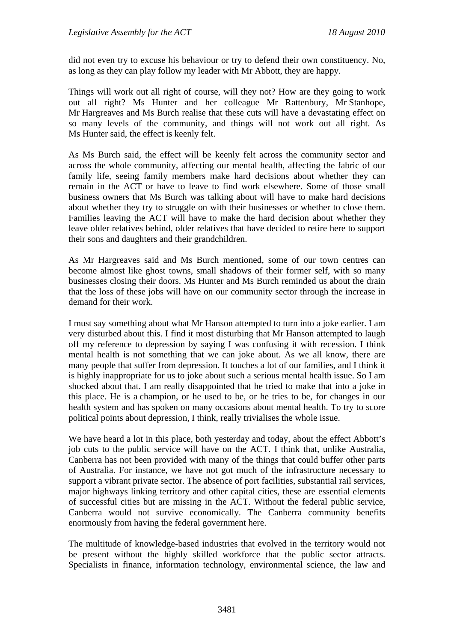did not even try to excuse his behaviour or try to defend their own constituency. No, as long as they can play follow my leader with Mr Abbott, they are happy.

Things will work out all right of course, will they not? How are they going to work out all right? Ms Hunter and her colleague Mr Rattenbury, Mr Stanhope, Mr Hargreaves and Ms Burch realise that these cuts will have a devastating effect on so many levels of the community, and things will not work out all right. As Ms Hunter said, the effect is keenly felt.

As Ms Burch said, the effect will be keenly felt across the community sector and across the whole community, affecting our mental health, affecting the fabric of our family life, seeing family members make hard decisions about whether they can remain in the ACT or have to leave to find work elsewhere. Some of those small business owners that Ms Burch was talking about will have to make hard decisions about whether they try to struggle on with their businesses or whether to close them. Families leaving the ACT will have to make the hard decision about whether they leave older relatives behind, older relatives that have decided to retire here to support their sons and daughters and their grandchildren.

As Mr Hargreaves said and Ms Burch mentioned, some of our town centres can become almost like ghost towns, small shadows of their former self, with so many businesses closing their doors. Ms Hunter and Ms Burch reminded us about the drain that the loss of these jobs will have on our community sector through the increase in demand for their work.

I must say something about what Mr Hanson attempted to turn into a joke earlier. I am very disturbed about this. I find it most disturbing that Mr Hanson attempted to laugh off my reference to depression by saying I was confusing it with recession. I think mental health is not something that we can joke about. As we all know, there are many people that suffer from depression. It touches a lot of our families, and I think it is highly inappropriate for us to joke about such a serious mental health issue. So I am shocked about that. I am really disappointed that he tried to make that into a joke in this place. He is a champion, or he used to be, or he tries to be, for changes in our health system and has spoken on many occasions about mental health. To try to score political points about depression, I think, really trivialises the whole issue.

We have heard a lot in this place, both yesterday and today, about the effect Abbott's job cuts to the public service will have on the ACT. I think that, unlike Australia, Canberra has not been provided with many of the things that could buffer other parts of Australia. For instance, we have not got much of the infrastructure necessary to support a vibrant private sector. The absence of port facilities, substantial rail services, major highways linking territory and other capital cities, these are essential elements of successful cities but are missing in the ACT. Without the federal public service, Canberra would not survive economically. The Canberra community benefits enormously from having the federal government here.

The multitude of knowledge-based industries that evolved in the territory would not be present without the highly skilled workforce that the public sector attracts. Specialists in finance, information technology, environmental science, the law and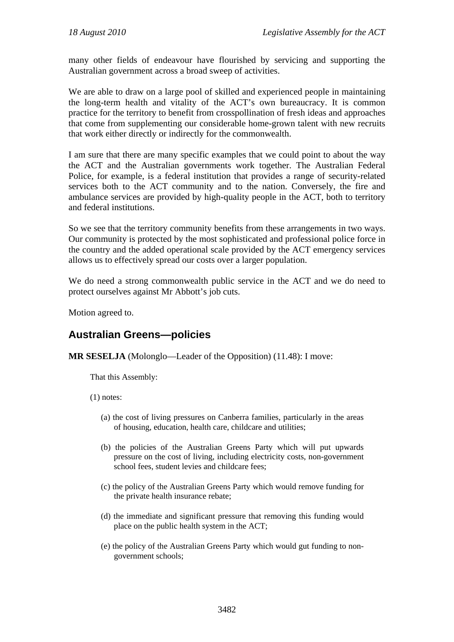many other fields of endeavour have flourished by servicing and supporting the Australian government across a broad sweep of activities.

We are able to draw on a large pool of skilled and experienced people in maintaining the long-term health and vitality of the ACT's own bureaucracy. It is common practice for the territory to benefit from crosspollination of fresh ideas and approaches that come from supplementing our considerable home-grown talent with new recruits that work either directly or indirectly for the commonwealth.

I am sure that there are many specific examples that we could point to about the way the ACT and the Australian governments work together. The Australian Federal Police, for example, is a federal institution that provides a range of security-related services both to the ACT community and to the nation. Conversely, the fire and ambulance services are provided by high-quality people in the ACT, both to territory and federal institutions.

So we see that the territory community benefits from these arrangements in two ways. Our community is protected by the most sophisticated and professional police force in the country and the added operational scale provided by the ACT emergency services allows us to effectively spread our costs over a larger population.

We do need a strong commonwealth public service in the ACT and we do need to protect ourselves against Mr Abbott's job cuts.

Motion agreed to.

## <span id="page-31-0"></span>**Australian Greens—policies**

**MR SESELJA** (Molonglo—Leader of the Opposition) (11.48): I move:

That this Assembly:

(1) notes:

- (a) the cost of living pressures on Canberra families, particularly in the areas of housing, education, health care, childcare and utilities;
- (b) the policies of the Australian Greens Party which will put upwards pressure on the cost of living, including electricity costs, non-government school fees, student levies and childcare fees;
- (c) the policy of the Australian Greens Party which would remove funding for the private health insurance rebate;
- (d) the immediate and significant pressure that removing this funding would place on the public health system in the ACT;
- (e) the policy of the Australian Greens Party which would gut funding to nongovernment schools;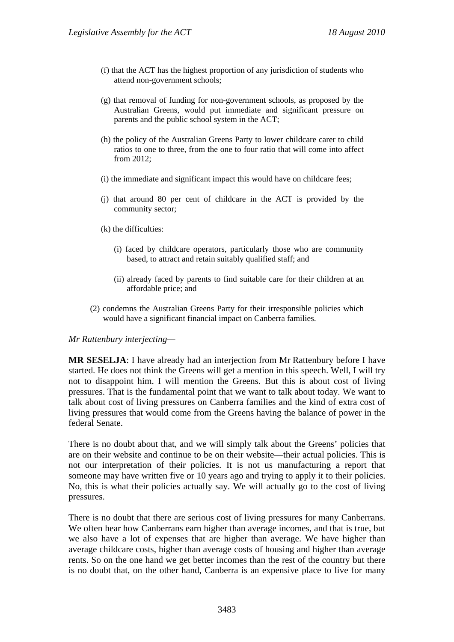- (f) that the ACT has the highest proportion of any jurisdiction of students who attend non-government schools;
- (g) that removal of funding for non-government schools, as proposed by the Australian Greens, would put immediate and significant pressure on parents and the public school system in the ACT;
- (h) the policy of the Australian Greens Party to lower childcare carer to child ratios to one to three, from the one to four ratio that will come into affect from 2012;
- (i) the immediate and significant impact this would have on childcare fees;
- (j) that around 80 per cent of childcare in the ACT is provided by the community sector;
- (k) the difficulties:
	- (i) faced by childcare operators, particularly those who are community based, to attract and retain suitably qualified staff; and
	- (ii) already faced by parents to find suitable care for their children at an affordable price; and
- (2) condemns the Australian Greens Party for their irresponsible policies which would have a significant financial impact on Canberra families.

#### *Mr Rattenbury interjecting—*

**MR SESELJA**: I have already had an interjection from Mr Rattenbury before I have started. He does not think the Greens will get a mention in this speech. Well, I will try not to disappoint him. I will mention the Greens. But this is about cost of living pressures. That is the fundamental point that we want to talk about today. We want to talk about cost of living pressures on Canberra families and the kind of extra cost of living pressures that would come from the Greens having the balance of power in the federal Senate.

There is no doubt about that, and we will simply talk about the Greens' policies that are on their website and continue to be on their website—their actual policies. This is not our interpretation of their policies. It is not us manufacturing a report that someone may have written five or 10 years ago and trying to apply it to their policies. No, this is what their policies actually say. We will actually go to the cost of living pressures.

There is no doubt that there are serious cost of living pressures for many Canberrans. We often hear how Canberrans earn higher than average incomes, and that is true, but we also have a lot of expenses that are higher than average. We have higher than average childcare costs, higher than average costs of housing and higher than average rents. So on the one hand we get better incomes than the rest of the country but there is no doubt that, on the other hand, Canberra is an expensive place to live for many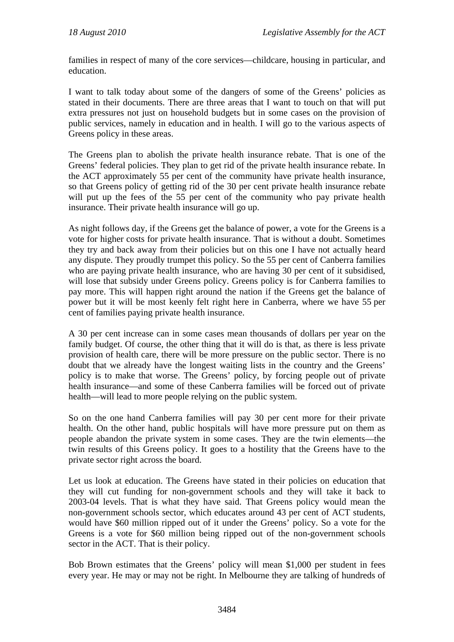families in respect of many of the core services—childcare, housing in particular, and education.

I want to talk today about some of the dangers of some of the Greens' policies as stated in their documents. There are three areas that I want to touch on that will put extra pressures not just on household budgets but in some cases on the provision of public services, namely in education and in health. I will go to the various aspects of Greens policy in these areas.

The Greens plan to abolish the private health insurance rebate. That is one of the Greens' federal policies. They plan to get rid of the private health insurance rebate. In the ACT approximately 55 per cent of the community have private health insurance, so that Greens policy of getting rid of the 30 per cent private health insurance rebate will put up the fees of the 55 per cent of the community who pay private health insurance. Their private health insurance will go up.

As night follows day, if the Greens get the balance of power, a vote for the Greens is a vote for higher costs for private health insurance. That is without a doubt. Sometimes they try and back away from their policies but on this one I have not actually heard any dispute. They proudly trumpet this policy. So the 55 per cent of Canberra families who are paying private health insurance, who are having 30 per cent of it subsidised, will lose that subsidy under Greens policy. Greens policy is for Canberra families to pay more. This will happen right around the nation if the Greens get the balance of power but it will be most keenly felt right here in Canberra, where we have 55 per cent of families paying private health insurance.

A 30 per cent increase can in some cases mean thousands of dollars per year on the family budget. Of course, the other thing that it will do is that, as there is less private provision of health care, there will be more pressure on the public sector. There is no doubt that we already have the longest waiting lists in the country and the Greens' policy is to make that worse. The Greens' policy, by forcing people out of private health insurance—and some of these Canberra families will be forced out of private health—will lead to more people relying on the public system.

So on the one hand Canberra families will pay 30 per cent more for their private health. On the other hand, public hospitals will have more pressure put on them as people abandon the private system in some cases. They are the twin elements—the twin results of this Greens policy. It goes to a hostility that the Greens have to the private sector right across the board.

Let us look at education. The Greens have stated in their policies on education that they will cut funding for non-government schools and they will take it back to 2003-04 levels. That is what they have said. That Greens policy would mean the non-government schools sector, which educates around 43 per cent of ACT students, would have \$60 million ripped out of it under the Greens' policy. So a vote for the Greens is a vote for \$60 million being ripped out of the non-government schools sector in the ACT. That is their policy.

Bob Brown estimates that the Greens' policy will mean \$1,000 per student in fees every year. He may or may not be right. In Melbourne they are talking of hundreds of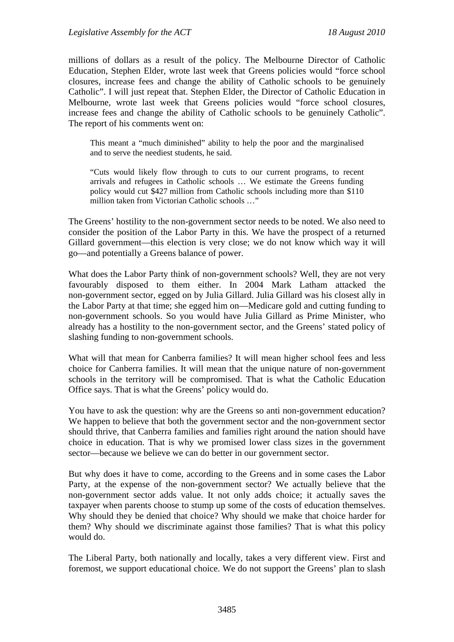millions of dollars as a result of the policy. The Melbourne Director of Catholic Education, Stephen Elder, wrote last week that Greens policies would "force school closures, increase fees and change the ability of Catholic schools to be genuinely Catholic". I will just repeat that. Stephen Elder, the Director of Catholic Education in Melbourne, wrote last week that Greens policies would "force school closures, increase fees and change the ability of Catholic schools to be genuinely Catholic". The report of his comments went on:

This meant a "much diminished" ability to help the poor and the marginalised and to serve the neediest students, he said.

"Cuts would likely flow through to cuts to our current programs, to recent arrivals and refugees in Catholic schools … We estimate the Greens funding policy would cut \$427 million from Catholic schools including more than \$110 million taken from Victorian Catholic schools …"

The Greens' hostility to the non-government sector needs to be noted. We also need to consider the position of the Labor Party in this. We have the prospect of a returned Gillard government—this election is very close; we do not know which way it will go—and potentially a Greens balance of power.

What does the Labor Party think of non-government schools? Well, they are not very favourably disposed to them either. In 2004 Mark Latham attacked the non-government sector, egged on by Julia Gillard. Julia Gillard was his closest ally in the Labor Party at that time; she egged him on—Medicare gold and cutting funding to non-government schools. So you would have Julia Gillard as Prime Minister, who already has a hostility to the non-government sector, and the Greens' stated policy of slashing funding to non-government schools.

What will that mean for Canberra families? It will mean higher school fees and less choice for Canberra families. It will mean that the unique nature of non-government schools in the territory will be compromised. That is what the Catholic Education Office says. That is what the Greens' policy would do.

You have to ask the question: why are the Greens so anti non-government education? We happen to believe that both the government sector and the non-government sector should thrive, that Canberra families and families right around the nation should have choice in education. That is why we promised lower class sizes in the government sector—because we believe we can do better in our government sector.

But why does it have to come, according to the Greens and in some cases the Labor Party, at the expense of the non-government sector? We actually believe that the non-government sector adds value. It not only adds choice; it actually saves the taxpayer when parents choose to stump up some of the costs of education themselves. Why should they be denied that choice? Why should we make that choice harder for them? Why should we discriminate against those families? That is what this policy would do.

The Liberal Party, both nationally and locally, takes a very different view. First and foremost, we support educational choice. We do not support the Greens' plan to slash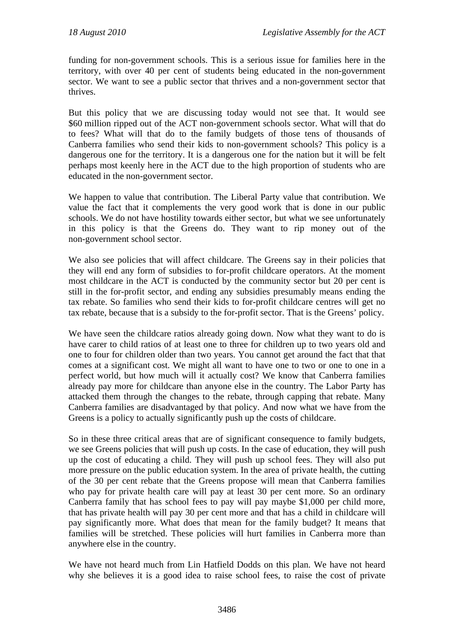funding for non-government schools. This is a serious issue for families here in the territory, with over 40 per cent of students being educated in the non-government sector. We want to see a public sector that thrives and a non-government sector that thrives.

But this policy that we are discussing today would not see that. It would see \$60 million ripped out of the ACT non-government schools sector. What will that do to fees? What will that do to the family budgets of those tens of thousands of Canberra families who send their kids to non-government schools? This policy is a dangerous one for the territory. It is a dangerous one for the nation but it will be felt perhaps most keenly here in the ACT due to the high proportion of students who are educated in the non-government sector.

We happen to value that contribution. The Liberal Party value that contribution. We value the fact that it complements the very good work that is done in our public schools. We do not have hostility towards either sector, but what we see unfortunately in this policy is that the Greens do. They want to rip money out of the non-government school sector.

We also see policies that will affect childcare. The Greens say in their policies that they will end any form of subsidies to for-profit childcare operators. At the moment most childcare in the ACT is conducted by the community sector but 20 per cent is still in the for-profit sector, and ending any subsidies presumably means ending the tax rebate. So families who send their kids to for-profit childcare centres will get no tax rebate, because that is a subsidy to the for-profit sector. That is the Greens' policy.

We have seen the childcare ratios already going down. Now what they want to do is have carer to child ratios of at least one to three for children up to two years old and one to four for children older than two years. You cannot get around the fact that that comes at a significant cost. We might all want to have one to two or one to one in a perfect world, but how much will it actually cost? We know that Canberra families already pay more for childcare than anyone else in the country. The Labor Party has attacked them through the changes to the rebate, through capping that rebate. Many Canberra families are disadvantaged by that policy. And now what we have from the Greens is a policy to actually significantly push up the costs of childcare.

So in these three critical areas that are of significant consequence to family budgets, we see Greens policies that will push up costs. In the case of education, they will push up the cost of educating a child. They will push up school fees. They will also put more pressure on the public education system. In the area of private health, the cutting of the 30 per cent rebate that the Greens propose will mean that Canberra families who pay for private health care will pay at least 30 per cent more. So an ordinary Canberra family that has school fees to pay will pay maybe \$1,000 per child more, that has private health will pay 30 per cent more and that has a child in childcare will pay significantly more. What does that mean for the family budget? It means that families will be stretched. These policies will hurt families in Canberra more than anywhere else in the country.

We have not heard much from Lin Hatfield Dodds on this plan. We have not heard why she believes it is a good idea to raise school fees, to raise the cost of private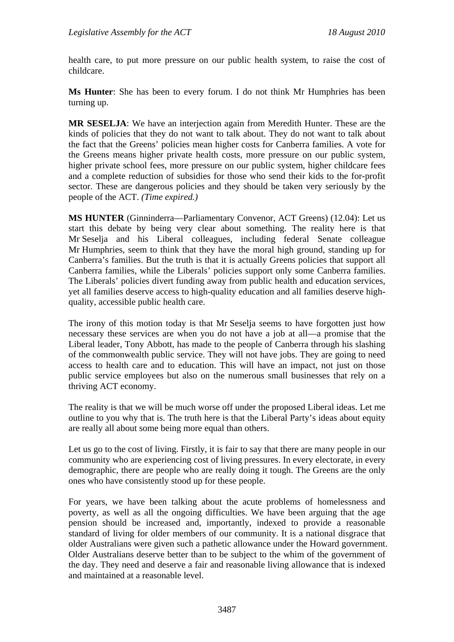health care, to put more pressure on our public health system, to raise the cost of childcare.

**Ms Hunter**: She has been to every forum. I do not think Mr Humphries has been turning up.

**MR SESELJA**: We have an interjection again from Meredith Hunter. These are the kinds of policies that they do not want to talk about. They do not want to talk about the fact that the Greens' policies mean higher costs for Canberra families. A vote for the Greens means higher private health costs, more pressure on our public system, higher private school fees, more pressure on our public system, higher childcare fees and a complete reduction of subsidies for those who send their kids to the for-profit sector. These are dangerous policies and they should be taken very seriously by the people of the ACT. *(Time expired.)* 

**MS HUNTER** (Ginninderra—Parliamentary Convenor, ACT Greens) (12.04): Let us start this debate by being very clear about something. The reality here is that Mr Seselja and his Liberal colleagues, including federal Senate colleague Mr Humphries, seem to think that they have the moral high ground, standing up for Canberra's families. But the truth is that it is actually Greens policies that support all Canberra families, while the Liberals' policies support only some Canberra families. The Liberals' policies divert funding away from public health and education services, yet all families deserve access to high-quality education and all families deserve highquality, accessible public health care.

The irony of this motion today is that Mr Seselia seems to have forgotten just how necessary these services are when you do not have a job at all—a promise that the Liberal leader, Tony Abbott, has made to the people of Canberra through his slashing of the commonwealth public service. They will not have jobs. They are going to need access to health care and to education. This will have an impact, not just on those public service employees but also on the numerous small businesses that rely on a thriving ACT economy.

The reality is that we will be much worse off under the proposed Liberal ideas. Let me outline to you why that is. The truth here is that the Liberal Party's ideas about equity are really all about some being more equal than others.

Let us go to the cost of living. Firstly, it is fair to say that there are many people in our community who are experiencing cost of living pressures. In every electorate, in every demographic, there are people who are really doing it tough. The Greens are the only ones who have consistently stood up for these people.

For years, we have been talking about the acute problems of homelessness and poverty, as well as all the ongoing difficulties. We have been arguing that the age pension should be increased and, importantly, indexed to provide a reasonable standard of living for older members of our community. It is a national disgrace that older Australians were given such a pathetic allowance under the Howard government. Older Australians deserve better than to be subject to the whim of the government of the day. They need and deserve a fair and reasonable living allowance that is indexed and maintained at a reasonable level.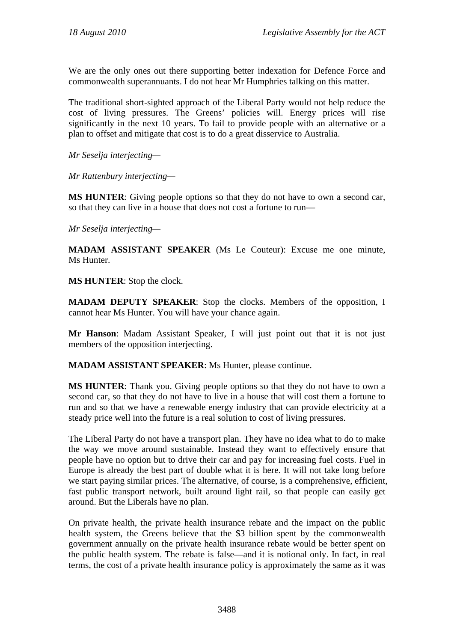We are the only ones out there supporting better indexation for Defence Force and commonwealth superannuants. I do not hear Mr Humphries talking on this matter.

The traditional short-sighted approach of the Liberal Party would not help reduce the cost of living pressures. The Greens' policies will. Energy prices will rise significantly in the next 10 years. To fail to provide people with an alternative or a plan to offset and mitigate that cost is to do a great disservice to Australia.

*Mr Seselja interjecting—* 

*Mr Rattenbury interjecting—*

**MS HUNTER**: Giving people options so that they do not have to own a second car, so that they can live in a house that does not cost a fortune to run—

*Mr Seselja interjecting—* 

**MADAM ASSISTANT SPEAKER** (Ms Le Couteur): Excuse me one minute, Ms Hunter.

**MS HUNTER**: Stop the clock.

**MADAM DEPUTY SPEAKER**: Stop the clocks. Members of the opposition, I cannot hear Ms Hunter. You will have your chance again.

**Mr Hanson**: Madam Assistant Speaker, I will just point out that it is not just members of the opposition interjecting.

**MADAM ASSISTANT SPEAKER**: Ms Hunter, please continue.

**MS HUNTER**: Thank you. Giving people options so that they do not have to own a second car, so that they do not have to live in a house that will cost them a fortune to run and so that we have a renewable energy industry that can provide electricity at a steady price well into the future is a real solution to cost of living pressures.

The Liberal Party do not have a transport plan. They have no idea what to do to make the way we move around sustainable. Instead they want to effectively ensure that people have no option but to drive their car and pay for increasing fuel costs. Fuel in Europe is already the best part of double what it is here. It will not take long before we start paying similar prices. The alternative, of course, is a comprehensive, efficient, fast public transport network, built around light rail, so that people can easily get around. But the Liberals have no plan.

On private health, the private health insurance rebate and the impact on the public health system, the Greens believe that the \$3 billion spent by the commonwealth government annually on the private health insurance rebate would be better spent on the public health system. The rebate is false—and it is notional only. In fact, in real terms, the cost of a private health insurance policy is approximately the same as it was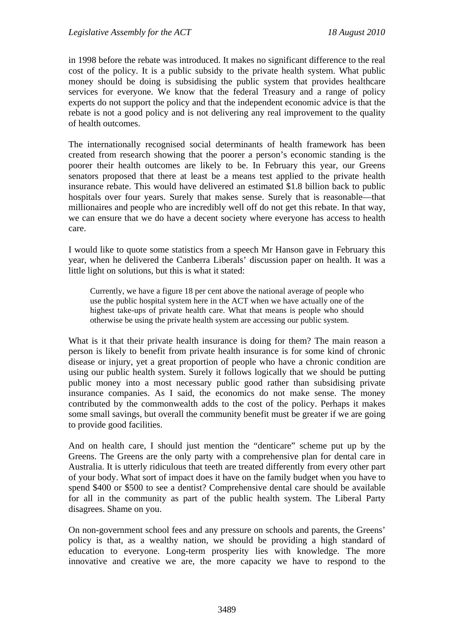in 1998 before the rebate was introduced. It makes no significant difference to the real cost of the policy. It is a public subsidy to the private health system. What public money should be doing is subsidising the public system that provides healthcare services for everyone. We know that the federal Treasury and a range of policy experts do not support the policy and that the independent economic advice is that the rebate is not a good policy and is not delivering any real improvement to the quality of health outcomes.

The internationally recognised social determinants of health framework has been created from research showing that the poorer a person's economic standing is the poorer their health outcomes are likely to be. In February this year, our Greens senators proposed that there at least be a means test applied to the private health insurance rebate. This would have delivered an estimated \$1.8 billion back to public hospitals over four years. Surely that makes sense. Surely that is reasonable—that millionaires and people who are incredibly well off do not get this rebate. In that way, we can ensure that we do have a decent society where everyone has access to health care.

I would like to quote some statistics from a speech Mr Hanson gave in February this year, when he delivered the Canberra Liberals' discussion paper on health. It was a little light on solutions, but this is what it stated:

Currently, we have a figure 18 per cent above the national average of people who use the public hospital system here in the ACT when we have actually one of the highest take-ups of private health care. What that means is people who should otherwise be using the private health system are accessing our public system.

What is it that their private health insurance is doing for them? The main reason a person is likely to benefit from private health insurance is for some kind of chronic disease or injury, yet a great proportion of people who have a chronic condition are using our public health system. Surely it follows logically that we should be putting public money into a most necessary public good rather than subsidising private insurance companies. As I said, the economics do not make sense. The money contributed by the commonwealth adds to the cost of the policy. Perhaps it makes some small savings, but overall the community benefit must be greater if we are going to provide good facilities.

And on health care, I should just mention the "denticare" scheme put up by the Greens. The Greens are the only party with a comprehensive plan for dental care in Australia. It is utterly ridiculous that teeth are treated differently from every other part of your body. What sort of impact does it have on the family budget when you have to spend \$400 or \$500 to see a dentist? Comprehensive dental care should be available for all in the community as part of the public health system. The Liberal Party disagrees. Shame on you.

On non-government school fees and any pressure on schools and parents, the Greens' policy is that, as a wealthy nation, we should be providing a high standard of education to everyone. Long-term prosperity lies with knowledge. The more innovative and creative we are, the more capacity we have to respond to the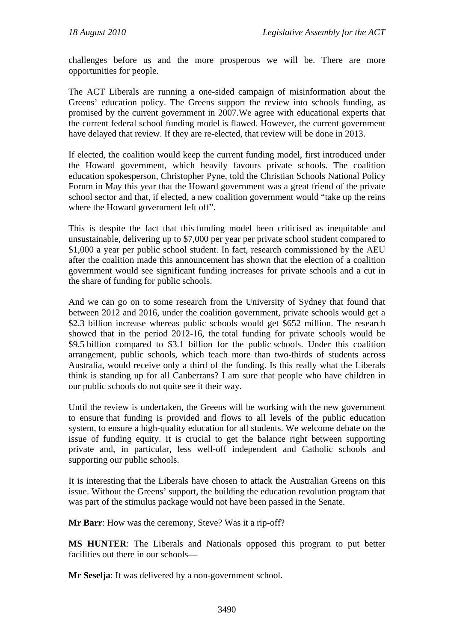challenges before us and the more prosperous we will be. There are more opportunities for people.

The ACT Liberals are running a one-sided campaign of misinformation about the Greens' education policy. The Greens support the review into schools funding, as promised by the current government in 2007.We agree with educational experts that the current federal school funding model is flawed. However, the current government have delayed that review. If they are re-elected, that review will be done in 2013.

If elected, the coalition would keep the current funding model, first introduced under the Howard government, which heavily favours private schools. The coalition education spokesperson, Christopher Pyne, told the Christian Schools National Policy Forum in May this year that the Howard government was a great friend of the private school sector and that, if elected, a new coalition government would "take up the reins where the Howard government left off".

This is despite the fact that this funding model been criticised as inequitable and unsustainable, delivering up to \$7,000 per year per private school student compared to \$1,000 a year per public school student. In fact, research commissioned by the AEU after the coalition made this announcement has shown that the election of a coalition government would see significant funding increases for private schools and a cut in the share of funding for public schools.

And we can go on to some research from the University of Sydney that found that between 2012 and 2016, under the coalition government, private schools would get a \$2.3 billion increase whereas public schools would get \$652 million. The research showed that in the period 2012-16, the total funding for private schools would be \$9.5 billion compared to \$3.1 billion for the public schools. Under this coalition arrangement, public schools, which teach more than two-thirds of students across Australia, would receive only a third of the funding. Is this really what the Liberals think is standing up for all Canberrans? I am sure that people who have children in our public schools do not quite see it their way.

Until the review is undertaken, the Greens will be working with the new government to ensure that funding is provided and flows to all levels of the public education system, to ensure a high-quality education for all students. We welcome debate on the issue of funding equity. It is crucial to get the balance right between supporting private and, in particular, less well-off independent and Catholic schools and supporting our public schools.

It is interesting that the Liberals have chosen to attack the Australian Greens on this issue. Without the Greens' support, the building the education revolution program that was part of the stimulus package would not have been passed in the Senate.

**Mr Barr**: How was the ceremony, Steve? Was it a rip-off?

**MS HUNTER**: The Liberals and Nationals opposed this program to put better facilities out there in our schools—

**Mr Seselja**: It was delivered by a non-government school.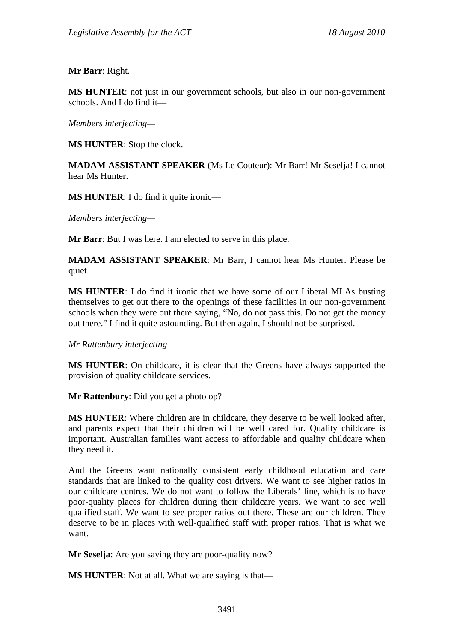**Mr Barr**: Right.

**MS HUNTER**: not just in our government schools, but also in our non-government schools. And I do find it—

*Members interjecting—* 

**MS HUNTER**: Stop the clock.

**MADAM ASSISTANT SPEAKER** (Ms Le Couteur): Mr Barr! Mr Seselja! I cannot hear Ms Hunter.

**MS HUNTER**: I do find it quite ironic—

*Members interjecting—* 

**Mr Barr**: But I was here. I am elected to serve in this place.

**MADAM ASSISTANT SPEAKER**: Mr Barr, I cannot hear Ms Hunter. Please be quiet.

**MS HUNTER**: I do find it ironic that we have some of our Liberal MLAs busting themselves to get out there to the openings of these facilities in our non-government schools when they were out there saying, "No, do not pass this. Do not get the money out there." I find it quite astounding. But then again, I should not be surprised.

*Mr Rattenbury interjecting—* 

**MS HUNTER**: On childcare, it is clear that the Greens have always supported the provision of quality childcare services.

**Mr Rattenbury**: Did you get a photo op?

**MS HUNTER**: Where children are in childcare, they deserve to be well looked after, and parents expect that their children will be well cared for. Quality childcare is important. Australian families want access to affordable and quality childcare when they need it.

And the Greens want nationally consistent early childhood education and care standards that are linked to the quality cost drivers. We want to see higher ratios in our childcare centres. We do not want to follow the Liberals' line, which is to have poor-quality places for children during their childcare years. We want to see well qualified staff. We want to see proper ratios out there. These are our children. They deserve to be in places with well-qualified staff with proper ratios. That is what we want.

**Mr Seselja**: Are you saying they are poor-quality now?

**MS HUNTER**: Not at all. What we are saying is that—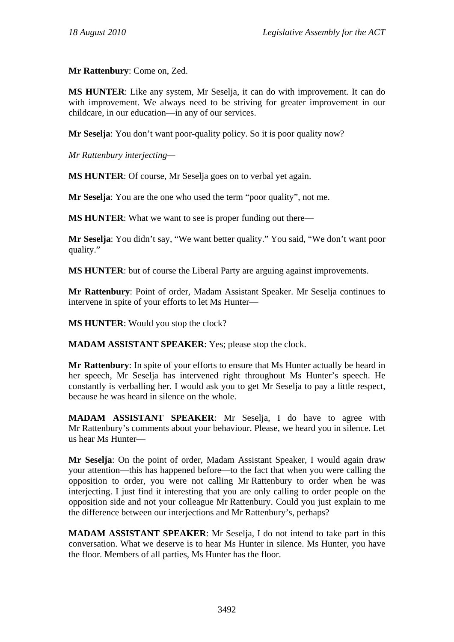**Mr Rattenbury**: Come on, Zed.

**MS HUNTER**: Like any system, Mr Seselja, it can do with improvement. It can do with improvement. We always need to be striving for greater improvement in our childcare, in our education—in any of our services.

**Mr Seselja:** You don't want poor-quality policy. So it is poor quality now?

*Mr Rattenbury interjecting—* 

**MS HUNTER**: Of course, Mr Seselja goes on to verbal yet again.

**Mr Seselja**: You are the one who used the term "poor quality", not me.

**MS HUNTER**: What we want to see is proper funding out there—

**Mr Seselja**: You didn't say, "We want better quality." You said, "We don't want poor quality."

**MS HUNTER**: but of course the Liberal Party are arguing against improvements.

**Mr Rattenbury**: Point of order, Madam Assistant Speaker. Mr Seselja continues to intervene in spite of your efforts to let Ms Hunter—

**MS HUNTER**: Would you stop the clock?

**MADAM ASSISTANT SPEAKER**: Yes; please stop the clock.

**Mr Rattenbury**: In spite of your efforts to ensure that Ms Hunter actually be heard in her speech, Mr Seselja has intervened right throughout Ms Hunter's speech. He constantly is verballing her. I would ask you to get Mr Seselja to pay a little respect, because he was heard in silence on the whole.

**MADAM ASSISTANT SPEAKER**: Mr Seselja, I do have to agree with Mr Rattenbury's comments about your behaviour. Please, we heard you in silence. Let us hear Ms Hunter—

**Mr Seselja**: On the point of order, Madam Assistant Speaker, I would again draw your attention—this has happened before—to the fact that when you were calling the opposition to order, you were not calling Mr Rattenbury to order when he was interjecting. I just find it interesting that you are only calling to order people on the opposition side and not your colleague Mr Rattenbury. Could you just explain to me the difference between our interjections and Mr Rattenbury's, perhaps?

**MADAM ASSISTANT SPEAKER**: Mr Seselja, I do not intend to take part in this conversation. What we deserve is to hear Ms Hunter in silence. Ms Hunter, you have the floor. Members of all parties, Ms Hunter has the floor.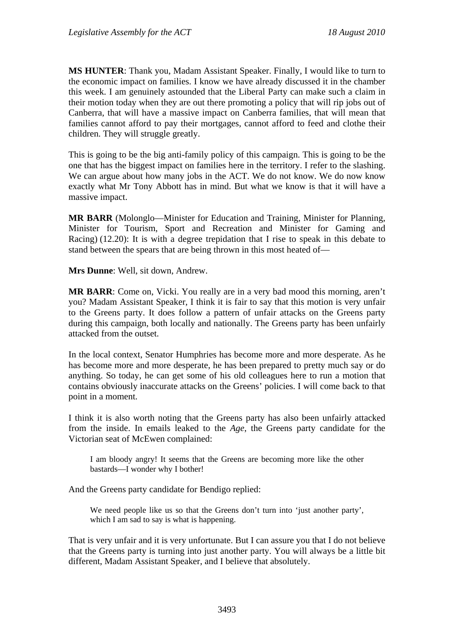**MS HUNTER**: Thank you, Madam Assistant Speaker. Finally, I would like to turn to the economic impact on families. I know we have already discussed it in the chamber this week. I am genuinely astounded that the Liberal Party can make such a claim in their motion today when they are out there promoting a policy that will rip jobs out of Canberra, that will have a massive impact on Canberra families, that will mean that families cannot afford to pay their mortgages, cannot afford to feed and clothe their children. They will struggle greatly.

This is going to be the big anti-family policy of this campaign. This is going to be the one that has the biggest impact on families here in the territory. I refer to the slashing. We can argue about how many jobs in the ACT. We do not know. We do now know exactly what Mr Tony Abbott has in mind. But what we know is that it will have a massive impact.

**MR BARR** (Molonglo—Minister for Education and Training, Minister for Planning, Minister for Tourism, Sport and Recreation and Minister for Gaming and Racing) (12.20): It is with a degree trepidation that I rise to speak in this debate to stand between the spears that are being thrown in this most heated of—

**Mrs Dunne**: Well, sit down, Andrew.

**MR BARR**: Come on, Vicki. You really are in a very bad mood this morning, aren't you? Madam Assistant Speaker, I think it is fair to say that this motion is very unfair to the Greens party. It does follow a pattern of unfair attacks on the Greens party during this campaign, both locally and nationally. The Greens party has been unfairly attacked from the outset.

In the local context, Senator Humphries has become more and more desperate. As he has become more and more desperate, he has been prepared to pretty much say or do anything. So today, he can get some of his old colleagues here to run a motion that contains obviously inaccurate attacks on the Greens' policies. I will come back to that point in a moment.

I think it is also worth noting that the Greens party has also been unfairly attacked from the inside. In emails leaked to the *Age*, the Greens party candidate for the Victorian seat of McEwen complained:

I am bloody angry! It seems that the Greens are becoming more like the other bastards—I wonder why I bother!

And the Greens party candidate for Bendigo replied:

We need people like us so that the Greens don't turn into 'just another party', which I am sad to say is what is happening.

That is very unfair and it is very unfortunate. But I can assure you that I do not believe that the Greens party is turning into just another party. You will always be a little bit different, Madam Assistant Speaker, and I believe that absolutely.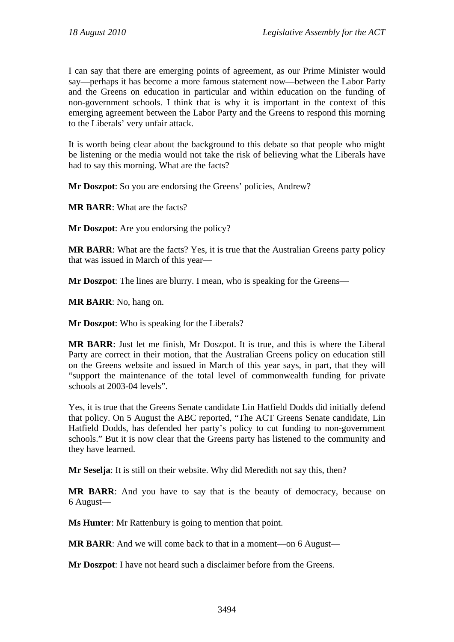I can say that there are emerging points of agreement, as our Prime Minister would say—perhaps it has become a more famous statement now—between the Labor Party and the Greens on education in particular and within education on the funding of non-government schools. I think that is why it is important in the context of this emerging agreement between the Labor Party and the Greens to respond this morning to the Liberals' very unfair attack.

It is worth being clear about the background to this debate so that people who might be listening or the media would not take the risk of believing what the Liberals have had to say this morning. What are the facts?

**Mr Doszpot:** So you are endorsing the Greens' policies, Andrew?

**MR BARR**: What are the facts?

**Mr Doszpot**: Are you endorsing the policy?

**MR BARR**: What are the facts? Yes, it is true that the Australian Greens party policy that was issued in March of this year—

**Mr Doszpot**: The lines are blurry. I mean, who is speaking for the Greens—

**MR BARR**: No, hang on.

**Mr Doszpot**: Who is speaking for the Liberals?

**MR BARR**: Just let me finish, Mr Doszpot. It is true, and this is where the Liberal Party are correct in their motion, that the Australian Greens policy on education still on the Greens website and issued in March of this year says, in part, that they will "support the maintenance of the total level of commonwealth funding for private schools at 2003-04 levels".

Yes, it is true that the Greens Senate candidate Lin Hatfield Dodds did initially defend that policy. On 5 August the ABC reported, "The ACT Greens Senate candidate, Lin Hatfield Dodds, has defended her party's policy to cut funding to non-government schools." But it is now clear that the Greens party has listened to the community and they have learned.

**Mr Seselja**: It is still on their website. Why did Meredith not say this, then?

**MR BARR**: And you have to say that is the beauty of democracy, because on 6 August—

**Ms Hunter**: Mr Rattenbury is going to mention that point.

**MR BARR**: And we will come back to that in a moment—on 6 August—

**Mr Doszpot**: I have not heard such a disclaimer before from the Greens.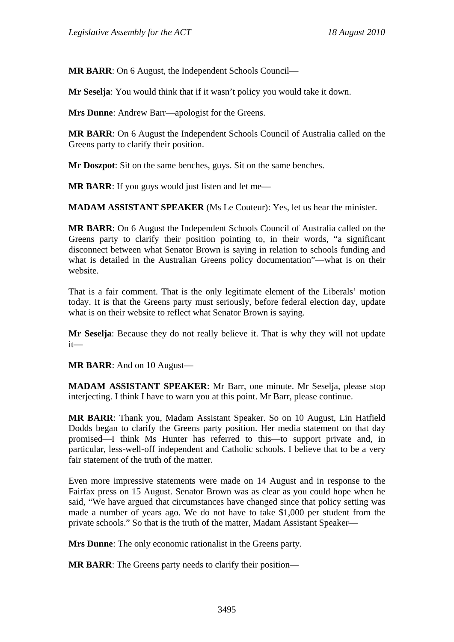**MR BARR**: On 6 August, the Independent Schools Council—

**Mr Seselja**: You would think that if it wasn't policy you would take it down.

**Mrs Dunne**: Andrew Barr—apologist for the Greens.

**MR BARR**: On 6 August the Independent Schools Council of Australia called on the Greens party to clarify their position.

**Mr Doszpot**: Sit on the same benches, guys. Sit on the same benches.

**MR BARR:** If you guys would just listen and let me—

**MADAM ASSISTANT SPEAKER** (Ms Le Couteur): Yes, let us hear the minister.

**MR BARR**: On 6 August the Independent Schools Council of Australia called on the Greens party to clarify their position pointing to, in their words, "a significant disconnect between what Senator Brown is saying in relation to schools funding and what is detailed in the Australian Greens policy documentation"—what is on their website.

That is a fair comment. That is the only legitimate element of the Liberals' motion today. It is that the Greens party must seriously, before federal election day, update what is on their website to reflect what Senator Brown is saying.

**Mr Seselja**: Because they do not really believe it. That is why they will not update it—

**MR BARR**: And on 10 August—

**MADAM ASSISTANT SPEAKER**: Mr Barr, one minute. Mr Seselja, please stop interjecting. I think I have to warn you at this point. Mr Barr, please continue.

**MR BARR**: Thank you, Madam Assistant Speaker. So on 10 August, Lin Hatfield Dodds began to clarify the Greens party position. Her media statement on that day promised—I think Ms Hunter has referred to this—to support private and, in particular, less-well-off independent and Catholic schools. I believe that to be a very fair statement of the truth of the matter.

Even more impressive statements were made on 14 August and in response to the Fairfax press on 15 August. Senator Brown was as clear as you could hope when he said, "We have argued that circumstances have changed since that policy setting was made a number of years ago. We do not have to take \$1,000 per student from the private schools." So that is the truth of the matter, Madam Assistant Speaker—

**Mrs Dunne**: The only economic rationalist in the Greens party.

**MR BARR**: The Greens party needs to clarify their position—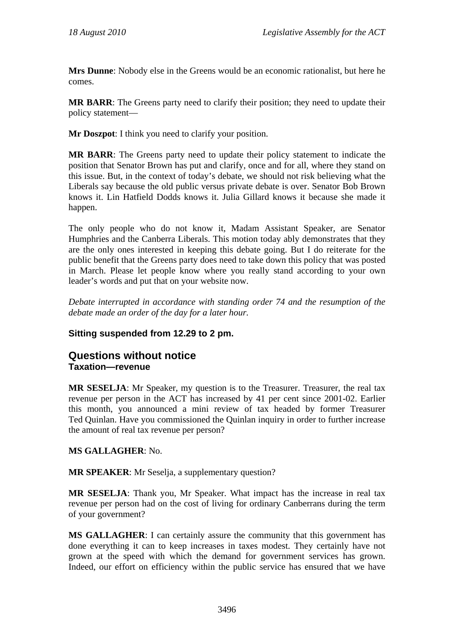**Mrs Dunne**: Nobody else in the Greens would be an economic rationalist, but here he comes.

**MR BARR**: The Greens party need to clarify their position; they need to update their policy statement—

**Mr Doszpot**: I think you need to clarify your position.

**MR BARR**: The Greens party need to update their policy statement to indicate the position that Senator Brown has put and clarify, once and for all, where they stand on this issue. But, in the context of today's debate, we should not risk believing what the Liberals say because the old public versus private debate is over. Senator Bob Brown knows it. Lin Hatfield Dodds knows it. Julia Gillard knows it because she made it happen.

The only people who do not know it, Madam Assistant Speaker, are Senator Humphries and the Canberra Liberals. This motion today ably demonstrates that they are the only ones interested in keeping this debate going. But I do reiterate for the public benefit that the Greens party does need to take down this policy that was posted in March. Please let people know where you really stand according to your own leader's words and put that on your website now.

*Debate interrupted in accordance with standing order 74 and the resumption of the debate made an order of the day for a later hour.* 

## **Sitting suspended from 12.29 to 2 pm.**

## **Questions without notice Taxation—revenue**

**MR SESELJA**: Mr Speaker, my question is to the Treasurer. Treasurer, the real tax revenue per person in the ACT has increased by 41 per cent since 2001-02. Earlier this month, you announced a mini review of tax headed by former Treasurer Ted Quinlan. Have you commissioned the Quinlan inquiry in order to further increase the amount of real tax revenue per person?

#### **MS GALLAGHER**: No.

**MR SPEAKER**: Mr Seselja, a supplementary question?

**MR SESELJA**: Thank you, Mr Speaker. What impact has the increase in real tax revenue per person had on the cost of living for ordinary Canberrans during the term of your government?

**MS GALLAGHER**: I can certainly assure the community that this government has done everything it can to keep increases in taxes modest. They certainly have not grown at the speed with which the demand for government services has grown. Indeed, our effort on efficiency within the public service has ensured that we have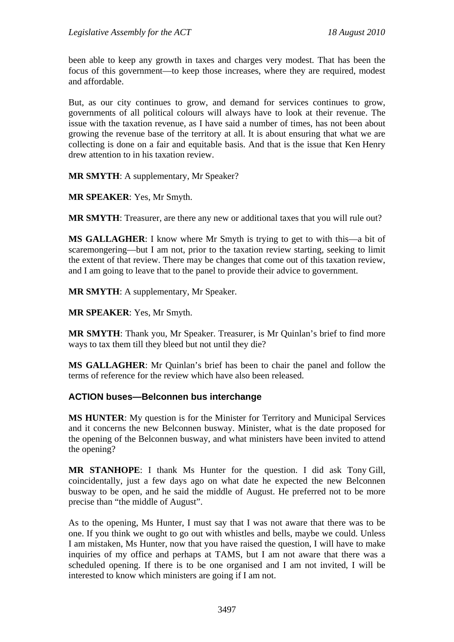been able to keep any growth in taxes and charges very modest. That has been the focus of this government—to keep those increases, where they are required, modest and affordable.

But, as our city continues to grow, and demand for services continues to grow, governments of all political colours will always have to look at their revenue. The issue with the taxation revenue, as I have said a number of times, has not been about growing the revenue base of the territory at all. It is about ensuring that what we are collecting is done on a fair and equitable basis. And that is the issue that Ken Henry drew attention to in his taxation review.

**MR SMYTH**: A supplementary, Mr Speaker?

**MR SPEAKER**: Yes, Mr Smyth.

**MR SMYTH**: Treasurer, are there any new or additional taxes that you will rule out?

**MS GALLAGHER**: I know where Mr Smyth is trying to get to with this—a bit of scaremongering—but I am not, prior to the taxation review starting, seeking to limit the extent of that review. There may be changes that come out of this taxation review, and I am going to leave that to the panel to provide their advice to government.

**MR SMYTH**: A supplementary, Mr Speaker.

**MR SPEAKER**: Yes, Mr Smyth.

**MR SMYTH**: Thank you, Mr Speaker. Treasurer, is Mr Quinlan's brief to find more ways to tax them till they bleed but not until they die?

**MS GALLAGHER**: Mr Quinlan's brief has been to chair the panel and follow the terms of reference for the review which have also been released.

## **ACTION buses—Belconnen bus interchange**

**MS HUNTER**: My question is for the Minister for Territory and Municipal Services and it concerns the new Belconnen busway. Minister, what is the date proposed for the opening of the Belconnen busway, and what ministers have been invited to attend the opening?

**MR STANHOPE**: I thank Ms Hunter for the question. I did ask Tony Gill, coincidentally, just a few days ago on what date he expected the new Belconnen busway to be open, and he said the middle of August. He preferred not to be more precise than "the middle of August".

As to the opening, Ms Hunter, I must say that I was not aware that there was to be one. If you think we ought to go out with whistles and bells, maybe we could. Unless I am mistaken, Ms Hunter, now that you have raised the question, I will have to make inquiries of my office and perhaps at TAMS, but I am not aware that there was a scheduled opening. If there is to be one organised and I am not invited, I will be interested to know which ministers are going if I am not.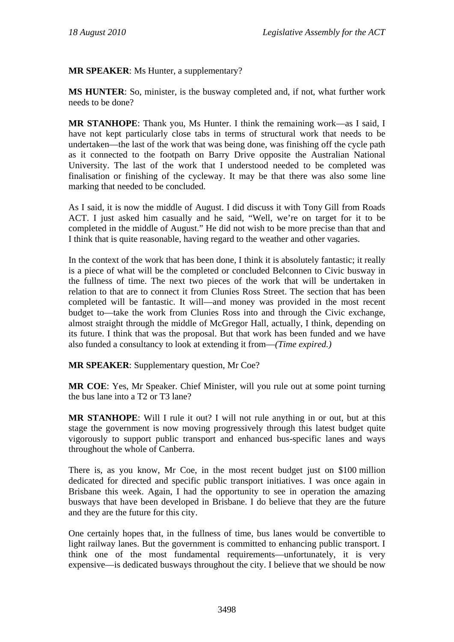**MR SPEAKER**: Ms Hunter, a supplementary?

**MS HUNTER**: So, minister, is the busway completed and, if not, what further work needs to be done?

**MR STANHOPE**: Thank you, Ms Hunter. I think the remaining work—as I said, I have not kept particularly close tabs in terms of structural work that needs to be undertaken—the last of the work that was being done, was finishing off the cycle path as it connected to the footpath on Barry Drive opposite the Australian National University. The last of the work that I understood needed to be completed was finalisation or finishing of the cycleway. It may be that there was also some line marking that needed to be concluded.

As I said, it is now the middle of August. I did discuss it with Tony Gill from Roads ACT. I just asked him casually and he said, "Well, we're on target for it to be completed in the middle of August." He did not wish to be more precise than that and I think that is quite reasonable, having regard to the weather and other vagaries.

In the context of the work that has been done, I think it is absolutely fantastic; it really is a piece of what will be the completed or concluded Belconnen to Civic busway in the fullness of time. The next two pieces of the work that will be undertaken in relation to that are to connect it from Clunies Ross Street. The section that has been completed will be fantastic. It will—and money was provided in the most recent budget to—take the work from Clunies Ross into and through the Civic exchange, almost straight through the middle of McGregor Hall, actually, I think, depending on its future. I think that was the proposal. But that work has been funded and we have also funded a consultancy to look at extending it from—*(Time expired.)*

**MR SPEAKER**: Supplementary question, Mr Coe?

**MR COE**: Yes, Mr Speaker. Chief Minister, will you rule out at some point turning the bus lane into a T2 or T3 lane?

**MR STANHOPE**: Will I rule it out? I will not rule anything in or out, but at this stage the government is now moving progressively through this latest budget quite vigorously to support public transport and enhanced bus-specific lanes and ways throughout the whole of Canberra.

There is, as you know, Mr Coe, in the most recent budget just on \$100 million dedicated for directed and specific public transport initiatives. I was once again in Brisbane this week. Again, I had the opportunity to see in operation the amazing busways that have been developed in Brisbane. I do believe that they are the future and they are the future for this city.

One certainly hopes that, in the fullness of time, bus lanes would be convertible to light railway lanes. But the government is committed to enhancing public transport. I think one of the most fundamental requirements—unfortunately, it is very expensive—is dedicated busways throughout the city. I believe that we should be now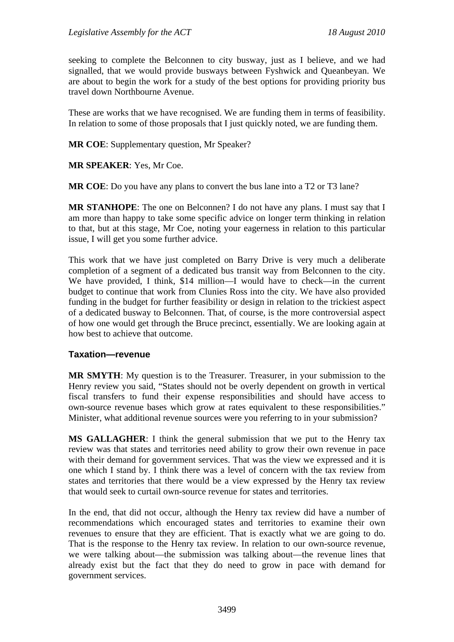seeking to complete the Belconnen to city busway, just as I believe, and we had signalled, that we would provide busways between Fyshwick and Queanbeyan. We are about to begin the work for a study of the best options for providing priority bus travel down Northbourne Avenue.

These are works that we have recognised. We are funding them in terms of feasibility. In relation to some of those proposals that I just quickly noted, we are funding them.

**MR COE**: Supplementary question, Mr Speaker?

**MR SPEAKER**: Yes, Mr Coe.

**MR COE**: Do you have any plans to convert the bus lane into a T2 or T3 lane?

**MR STANHOPE**: The one on Belconnen? I do not have any plans. I must say that I am more than happy to take some specific advice on longer term thinking in relation to that, but at this stage, Mr Coe, noting your eagerness in relation to this particular issue, I will get you some further advice.

This work that we have just completed on Barry Drive is very much a deliberate completion of a segment of a dedicated bus transit way from Belconnen to the city. We have provided, I think, \$14 million—I would have to check—in the current budget to continue that work from Clunies Ross into the city. We have also provided funding in the budget for further feasibility or design in relation to the trickiest aspect of a dedicated busway to Belconnen. That, of course, is the more controversial aspect of how one would get through the Bruce precinct, essentially. We are looking again at how best to achieve that outcome.

#### **Taxation—revenue**

**MR SMYTH**: My question is to the Treasurer. Treasurer, in your submission to the Henry review you said, "States should not be overly dependent on growth in vertical fiscal transfers to fund their expense responsibilities and should have access to own-source revenue bases which grow at rates equivalent to these responsibilities." Minister, what additional revenue sources were you referring to in your submission?

**MS GALLAGHER**: I think the general submission that we put to the Henry tax review was that states and territories need ability to grow their own revenue in pace with their demand for government services. That was the view we expressed and it is one which I stand by. I think there was a level of concern with the tax review from states and territories that there would be a view expressed by the Henry tax review that would seek to curtail own-source revenue for states and territories.

In the end, that did not occur, although the Henry tax review did have a number of recommendations which encouraged states and territories to examine their own revenues to ensure that they are efficient. That is exactly what we are going to do. That is the response to the Henry tax review. In relation to our own-source revenue, we were talking about—the submission was talking about—the revenue lines that already exist but the fact that they do need to grow in pace with demand for government services.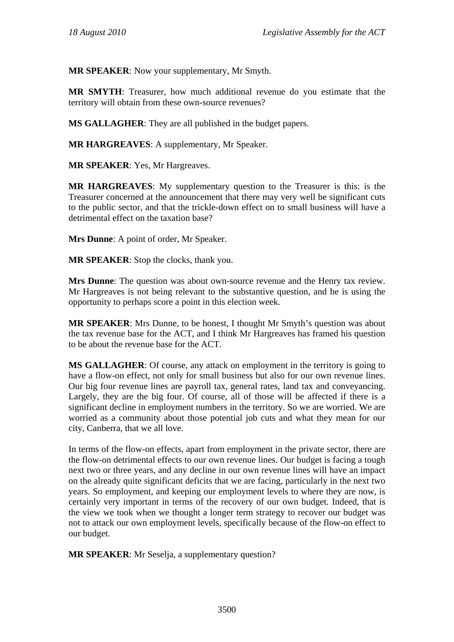**MR SPEAKER**: Now your supplementary, Mr Smyth.

**MR SMYTH**: Treasurer, how much additional revenue do you estimate that the territory will obtain from these own-source revenues?

**MS GALLAGHER**: They are all published in the budget papers.

**MR HARGREAVES**: A supplementary, Mr Speaker.

**MR SPEAKER**: Yes, Mr Hargreaves.

**MR HARGREAVES**: My supplementary question to the Treasurer is this: is the Treasurer concerned at the announcement that there may very well be significant cuts to the public sector, and that the trickle-down effect on to small business will have a detrimental effect on the taxation base?

**Mrs Dunne**: A point of order, Mr Speaker.

**MR SPEAKER**: Stop the clocks, thank you.

**Mrs Dunne**: The question was about own-source revenue and the Henry tax review. Mr Hargreaves is not being relevant to the substantive question, and he is using the opportunity to perhaps score a point in this election week.

**MR SPEAKER**: Mrs Dunne, to be honest, I thought Mr Smyth's question was about the tax revenue base for the ACT, and I think Mr Hargreaves has framed his question to be about the revenue base for the ACT.

**MS GALLAGHER**: Of course, any attack on employment in the territory is going to have a flow-on effect, not only for small business but also for our own revenue lines. Our big four revenue lines are payroll tax, general rates, land tax and conveyancing. Largely, they are the big four. Of course, all of those will be affected if there is a significant decline in employment numbers in the territory. So we are worried. We are worried as a community about those potential job cuts and what they mean for our city, Canberra, that we all love.

In terms of the flow-on effects, apart from employment in the private sector, there are the flow-on detrimental effects to our own revenue lines. Our budget is facing a tough next two or three years, and any decline in our own revenue lines will have an impact on the already quite significant deficits that we are facing, particularly in the next two years. So employment, and keeping our employment levels to where they are now, is certainly very important in terms of the recovery of our own budget. Indeed, that is the view we took when we thought a longer term strategy to recover our budget was not to attack our own employment levels, specifically because of the flow-on effect to our budget.

**MR SPEAKER**: Mr Seselja, a supplementary question?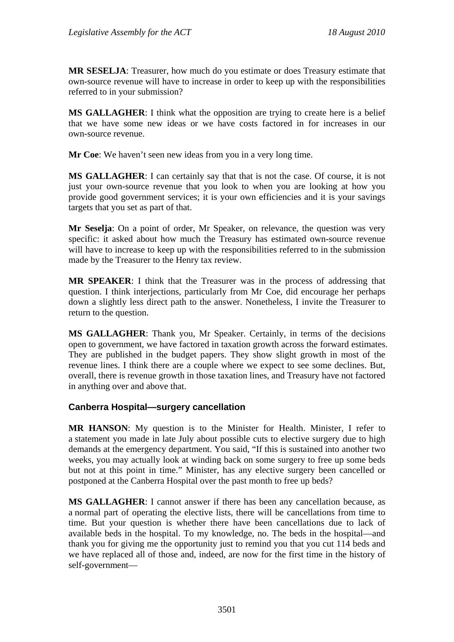**MR SESELJA**: Treasurer, how much do you estimate or does Treasury estimate that own-source revenue will have to increase in order to keep up with the responsibilities referred to in your submission?

**MS GALLAGHER**: I think what the opposition are trying to create here is a belief that we have some new ideas or we have costs factored in for increases in our own-source revenue.

**Mr Coe**: We haven't seen new ideas from you in a very long time.

**MS GALLAGHER**: I can certainly say that that is not the case. Of course, it is not just your own-source revenue that you look to when you are looking at how you provide good government services; it is your own efficiencies and it is your savings targets that you set as part of that.

**Mr Seselja**: On a point of order, Mr Speaker, on relevance, the question was very specific: it asked about how much the Treasury has estimated own-source revenue will have to increase to keep up with the responsibilities referred to in the submission made by the Treasurer to the Henry tax review.

**MR SPEAKER**: I think that the Treasurer was in the process of addressing that question. I think interjections, particularly from Mr Coe, did encourage her perhaps down a slightly less direct path to the answer. Nonetheless, I invite the Treasurer to return to the question.

**MS GALLAGHER**: Thank you, Mr Speaker. Certainly, in terms of the decisions open to government, we have factored in taxation growth across the forward estimates. They are published in the budget papers. They show slight growth in most of the revenue lines. I think there are a couple where we expect to see some declines. But, overall, there is revenue growth in those taxation lines, and Treasury have not factored in anything over and above that.

#### **Canberra Hospital—surgery cancellation**

**MR HANSON**: My question is to the Minister for Health. Minister, I refer to a statement you made in late July about possible cuts to elective surgery due to high demands at the emergency department. You said, "If this is sustained into another two weeks, you may actually look at winding back on some surgery to free up some beds but not at this point in time." Minister, has any elective surgery been cancelled or postponed at the Canberra Hospital over the past month to free up beds?

**MS GALLAGHER**: I cannot answer if there has been any cancellation because, as a normal part of operating the elective lists, there will be cancellations from time to time. But your question is whether there have been cancellations due to lack of available beds in the hospital. To my knowledge, no. The beds in the hospital—and thank you for giving me the opportunity just to remind you that you cut 114 beds and we have replaced all of those and, indeed, are now for the first time in the history of self-government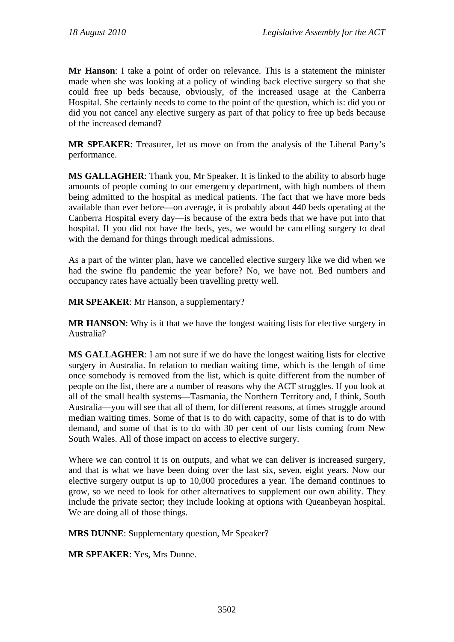**Mr Hanson**: I take a point of order on relevance. This is a statement the minister made when she was looking at a policy of winding back elective surgery so that she could free up beds because, obviously, of the increased usage at the Canberra Hospital. She certainly needs to come to the point of the question, which is: did you or did you not cancel any elective surgery as part of that policy to free up beds because of the increased demand?

**MR SPEAKER**: Treasurer, let us move on from the analysis of the Liberal Party's performance.

**MS GALLAGHER**: Thank you, Mr Speaker. It is linked to the ability to absorb huge amounts of people coming to our emergency department, with high numbers of them being admitted to the hospital as medical patients. The fact that we have more beds available than ever before—on average, it is probably about 440 beds operating at the Canberra Hospital every day—is because of the extra beds that we have put into that hospital. If you did not have the beds, yes, we would be cancelling surgery to deal with the demand for things through medical admissions.

As a part of the winter plan, have we cancelled elective surgery like we did when we had the swine flu pandemic the year before? No, we have not. Bed numbers and occupancy rates have actually been travelling pretty well.

**MR SPEAKER**: Mr Hanson, a supplementary?

**MR HANSON**: Why is it that we have the longest waiting lists for elective surgery in Australia?

**MS GALLAGHER**: I am not sure if we do have the longest waiting lists for elective surgery in Australia. In relation to median waiting time, which is the length of time once somebody is removed from the list, which is quite different from the number of people on the list, there are a number of reasons why the ACT struggles. If you look at all of the small health systems—Tasmania, the Northern Territory and, I think, South Australia—you will see that all of them, for different reasons, at times struggle around median waiting times. Some of that is to do with capacity, some of that is to do with demand, and some of that is to do with 30 per cent of our lists coming from New South Wales. All of those impact on access to elective surgery.

Where we can control it is on outputs, and what we can deliver is increased surgery, and that is what we have been doing over the last six, seven, eight years. Now our elective surgery output is up to 10,000 procedures a year. The demand continues to grow, so we need to look for other alternatives to supplement our own ability. They include the private sector; they include looking at options with Queanbeyan hospital. We are doing all of those things.

**MRS DUNNE**: Supplementary question, Mr Speaker?

**MR SPEAKER**: Yes, Mrs Dunne.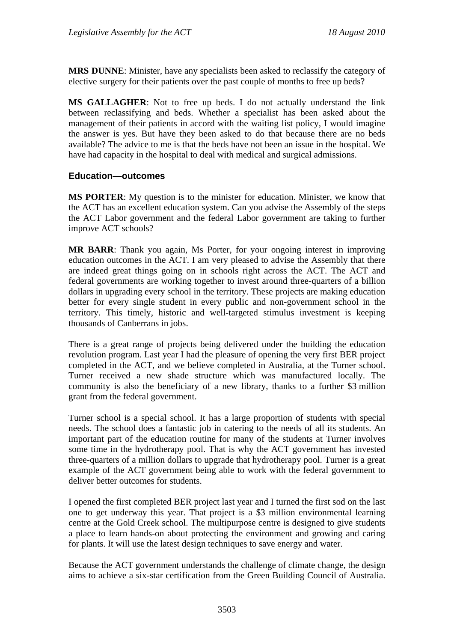**MRS DUNNE**: Minister, have any specialists been asked to reclassify the category of elective surgery for their patients over the past couple of months to free up beds?

**MS GALLAGHER**: Not to free up beds. I do not actually understand the link between reclassifying and beds. Whether a specialist has been asked about the management of their patients in accord with the waiting list policy, I would imagine the answer is yes. But have they been asked to do that because there are no beds available? The advice to me is that the beds have not been an issue in the hospital. We have had capacity in the hospital to deal with medical and surgical admissions.

## **Education—outcomes**

**MS PORTER**: My question is to the minister for education. Minister, we know that the ACT has an excellent education system. Can you advise the Assembly of the steps the ACT Labor government and the federal Labor government are taking to further improve ACT schools?

**MR BARR**: Thank you again, Ms Porter, for your ongoing interest in improving education outcomes in the ACT. I am very pleased to advise the Assembly that there are indeed great things going on in schools right across the ACT. The ACT and federal governments are working together to invest around three-quarters of a billion dollars in upgrading every school in the territory. These projects are making education better for every single student in every public and non-government school in the territory. This timely, historic and well-targeted stimulus investment is keeping thousands of Canberrans in jobs.

There is a great range of projects being delivered under the building the education revolution program. Last year I had the pleasure of opening the very first BER project completed in the ACT, and we believe completed in Australia, at the Turner school. Turner received a new shade structure which was manufactured locally. The community is also the beneficiary of a new library, thanks to a further \$3 million grant from the federal government.

Turner school is a special school. It has a large proportion of students with special needs. The school does a fantastic job in catering to the needs of all its students. An important part of the education routine for many of the students at Turner involves some time in the hydrotherapy pool. That is why the ACT government has invested three-quarters of a million dollars to upgrade that hydrotherapy pool. Turner is a great example of the ACT government being able to work with the federal government to deliver better outcomes for students.

I opened the first completed BER project last year and I turned the first sod on the last one to get underway this year. That project is a \$3 million environmental learning centre at the Gold Creek school. The multipurpose centre is designed to give students a place to learn hands-on about protecting the environment and growing and caring for plants. It will use the latest design techniques to save energy and water.

Because the ACT government understands the challenge of climate change, the design aims to achieve a six-star certification from the Green Building Council of Australia.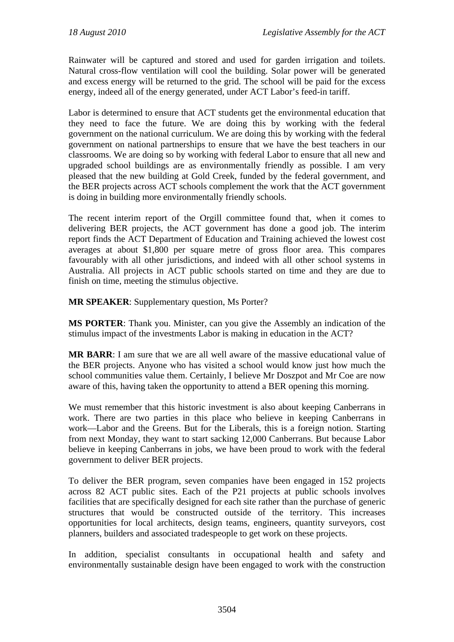Rainwater will be captured and stored and used for garden irrigation and toilets. Natural cross-flow ventilation will cool the building. Solar power will be generated and excess energy will be returned to the grid. The school will be paid for the excess energy, indeed all of the energy generated, under ACT Labor's feed-in tariff.

Labor is determined to ensure that ACT students get the environmental education that they need to face the future. We are doing this by working with the federal government on the national curriculum. We are doing this by working with the federal government on national partnerships to ensure that we have the best teachers in our classrooms. We are doing so by working with federal Labor to ensure that all new and upgraded school buildings are as environmentally friendly as possible. I am very pleased that the new building at Gold Creek, funded by the federal government, and the BER projects across ACT schools complement the work that the ACT government is doing in building more environmentally friendly schools.

The recent interim report of the Orgill committee found that, when it comes to delivering BER projects, the ACT government has done a good job. The interim report finds the ACT Department of Education and Training achieved the lowest cost averages at about \$1,800 per square metre of gross floor area. This compares favourably with all other jurisdictions, and indeed with all other school systems in Australia. All projects in ACT public schools started on time and they are due to finish on time, meeting the stimulus objective.

**MR SPEAKER**: Supplementary question, Ms Porter?

**MS PORTER**: Thank you. Minister, can you give the Assembly an indication of the stimulus impact of the investments Labor is making in education in the ACT?

**MR BARR**: I am sure that we are all well aware of the massive educational value of the BER projects. Anyone who has visited a school would know just how much the school communities value them. Certainly, I believe Mr Doszpot and Mr Coe are now aware of this, having taken the opportunity to attend a BER opening this morning.

We must remember that this historic investment is also about keeping Canberrans in work. There are two parties in this place who believe in keeping Canberrans in work—Labor and the Greens. But for the Liberals, this is a foreign notion. Starting from next Monday, they want to start sacking 12,000 Canberrans. But because Labor believe in keeping Canberrans in jobs, we have been proud to work with the federal government to deliver BER projects.

To deliver the BER program, seven companies have been engaged in 152 projects across 82 ACT public sites. Each of the P21 projects at public schools involves facilities that are specifically designed for each site rather than the purchase of generic structures that would be constructed outside of the territory. This increases opportunities for local architects, design teams, engineers, quantity surveyors, cost planners, builders and associated tradespeople to get work on these projects.

In addition, specialist consultants in occupational health and safety and environmentally sustainable design have been engaged to work with the construction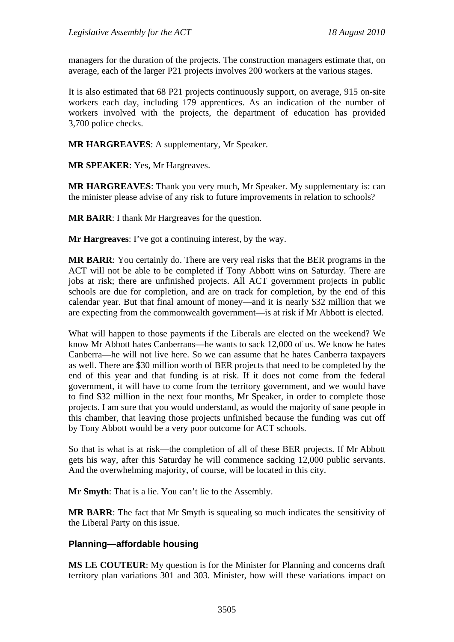managers for the duration of the projects. The construction managers estimate that, on average, each of the larger P21 projects involves 200 workers at the various stages.

It is also estimated that 68 P21 projects continuously support, on average, 915 on-site workers each day, including 179 apprentices. As an indication of the number of workers involved with the projects, the department of education has provided 3,700 police checks.

**MR HARGREAVES**: A supplementary, Mr Speaker.

**MR SPEAKER**: Yes, Mr Hargreaves.

**MR HARGREAVES**: Thank you very much, Mr Speaker. My supplementary is: can the minister please advise of any risk to future improvements in relation to schools?

**MR BARR**: I thank Mr Hargreaves for the question.

**Mr Hargreaves**: I've got a continuing interest, by the way.

**MR BARR**: You certainly do. There are very real risks that the BER programs in the ACT will not be able to be completed if Tony Abbott wins on Saturday. There are jobs at risk; there are unfinished projects. All ACT government projects in public schools are due for completion, and are on track for completion, by the end of this calendar year. But that final amount of money—and it is nearly \$32 million that we are expecting from the commonwealth government—is at risk if Mr Abbott is elected.

What will happen to those payments if the Liberals are elected on the weekend? We know Mr Abbott hates Canberrans—he wants to sack 12,000 of us. We know he hates Canberra—he will not live here. So we can assume that he hates Canberra taxpayers as well. There are \$30 million worth of BER projects that need to be completed by the end of this year and that funding is at risk. If it does not come from the federal government, it will have to come from the territory government, and we would have to find \$32 million in the next four months, Mr Speaker, in order to complete those projects. I am sure that you would understand, as would the majority of sane people in this chamber, that leaving those projects unfinished because the funding was cut off by Tony Abbott would be a very poor outcome for ACT schools.

So that is what is at risk—the completion of all of these BER projects. If Mr Abbott gets his way, after this Saturday he will commence sacking 12,000 public servants. And the overwhelming majority, of course, will be located in this city.

**Mr Smyth**: That is a lie. You can't lie to the Assembly.

**MR BARR**: The fact that Mr Smyth is squealing so much indicates the sensitivity of the Liberal Party on this issue.

#### **Planning—affordable housing**

**MS LE COUTEUR**: My question is for the Minister for Planning and concerns draft territory plan variations 301 and 303. Minister, how will these variations impact on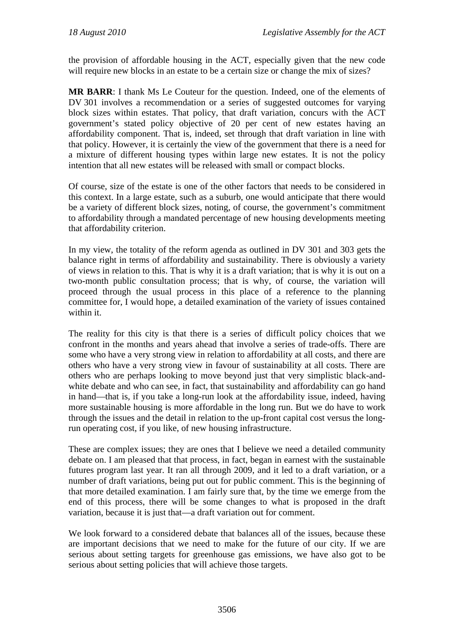the provision of affordable housing in the ACT, especially given that the new code will require new blocks in an estate to be a certain size or change the mix of sizes?

**MR BARR**: I thank Ms Le Couteur for the question. Indeed, one of the elements of DV 301 involves a recommendation or a series of suggested outcomes for varying block sizes within estates. That policy, that draft variation, concurs with the ACT government's stated policy objective of 20 per cent of new estates having an affordability component. That is, indeed, set through that draft variation in line with that policy. However, it is certainly the view of the government that there is a need for a mixture of different housing types within large new estates. It is not the policy intention that all new estates will be released with small or compact blocks.

Of course, size of the estate is one of the other factors that needs to be considered in this context. In a large estate, such as a suburb, one would anticipate that there would be a variety of different block sizes, noting, of course, the government's commitment to affordability through a mandated percentage of new housing developments meeting that affordability criterion.

In my view, the totality of the reform agenda as outlined in DV 301 and 303 gets the balance right in terms of affordability and sustainability. There is obviously a variety of views in relation to this. That is why it is a draft variation; that is why it is out on a two-month public consultation process; that is why, of course, the variation will proceed through the usual process in this place of a reference to the planning committee for, I would hope, a detailed examination of the variety of issues contained within it.

The reality for this city is that there is a series of difficult policy choices that we confront in the months and years ahead that involve a series of trade-offs. There are some who have a very strong view in relation to affordability at all costs, and there are others who have a very strong view in favour of sustainability at all costs. There are others who are perhaps looking to move beyond just that very simplistic black-andwhite debate and who can see, in fact, that sustainability and affordability can go hand in hand—that is, if you take a long-run look at the affordability issue, indeed, having more sustainable housing is more affordable in the long run. But we do have to work through the issues and the detail in relation to the up-front capital cost versus the longrun operating cost, if you like, of new housing infrastructure.

These are complex issues; they are ones that I believe we need a detailed community debate on. I am pleased that that process, in fact, began in earnest with the sustainable futures program last year. It ran all through 2009, and it led to a draft variation, or a number of draft variations, being put out for public comment. This is the beginning of that more detailed examination. I am fairly sure that, by the time we emerge from the end of this process, there will be some changes to what is proposed in the draft variation, because it is just that—a draft variation out for comment.

We look forward to a considered debate that balances all of the issues, because these are important decisions that we need to make for the future of our city. If we are serious about setting targets for greenhouse gas emissions, we have also got to be serious about setting policies that will achieve those targets.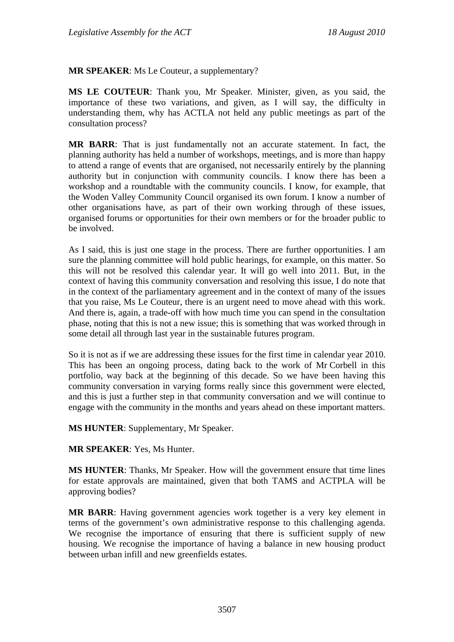**MR SPEAKER**: Ms Le Couteur, a supplementary?

**MS LE COUTEUR**: Thank you, Mr Speaker. Minister, given, as you said, the importance of these two variations, and given, as I will say, the difficulty in understanding them, why has ACTLA not held any public meetings as part of the consultation process?

**MR BARR**: That is just fundamentally not an accurate statement. In fact, the planning authority has held a number of workshops, meetings, and is more than happy to attend a range of events that are organised, not necessarily entirely by the planning authority but in conjunction with community councils. I know there has been a workshop and a roundtable with the community councils. I know, for example, that the Woden Valley Community Council organised its own forum. I know a number of other organisations have, as part of their own working through of these issues, organised forums or opportunities for their own members or for the broader public to be involved.

As I said, this is just one stage in the process. There are further opportunities. I am sure the planning committee will hold public hearings, for example, on this matter. So this will not be resolved this calendar year. It will go well into 2011. But, in the context of having this community conversation and resolving this issue, I do note that in the context of the parliamentary agreement and in the context of many of the issues that you raise, Ms Le Couteur, there is an urgent need to move ahead with this work. And there is, again, a trade-off with how much time you can spend in the consultation phase, noting that this is not a new issue; this is something that was worked through in some detail all through last year in the sustainable futures program.

So it is not as if we are addressing these issues for the first time in calendar year 2010. This has been an ongoing process, dating back to the work of Mr Corbell in this portfolio, way back at the beginning of this decade. So we have been having this community conversation in varying forms really since this government were elected, and this is just a further step in that community conversation and we will continue to engage with the community in the months and years ahead on these important matters.

**MS HUNTER**: Supplementary, Mr Speaker.

**MR SPEAKER**: Yes, Ms Hunter.

**MS HUNTER**: Thanks, Mr Speaker. How will the government ensure that time lines for estate approvals are maintained, given that both TAMS and ACTPLA will be approving bodies?

**MR BARR**: Having government agencies work together is a very key element in terms of the government's own administrative response to this challenging agenda. We recognise the importance of ensuring that there is sufficient supply of new housing. We recognise the importance of having a balance in new housing product between urban infill and new greenfields estates.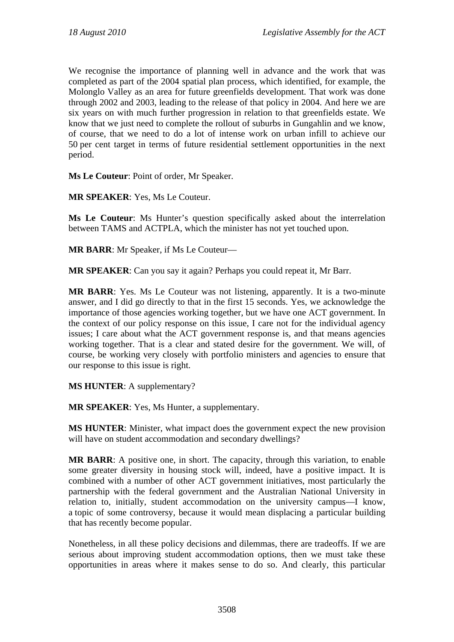We recognise the importance of planning well in advance and the work that was completed as part of the 2004 spatial plan process, which identified, for example, the Molonglo Valley as an area for future greenfields development. That work was done through 2002 and 2003, leading to the release of that policy in 2004. And here we are six years on with much further progression in relation to that greenfields estate. We know that we just need to complete the rollout of suburbs in Gungahlin and we know, of course, that we need to do a lot of intense work on urban infill to achieve our 50 per cent target in terms of future residential settlement opportunities in the next period.

**Ms Le Couteur**: Point of order, Mr Speaker.

**MR SPEAKER**: Yes, Ms Le Couteur.

**Ms Le Couteur**: Ms Hunter's question specifically asked about the interrelation between TAMS and ACTPLA, which the minister has not yet touched upon.

**MR BARR**: Mr Speaker, if Ms Le Couteur—

**MR SPEAKER**: Can you say it again? Perhaps you could repeat it, Mr Barr.

**MR BARR**: Yes. Ms Le Couteur was not listening, apparently. It is a two-minute answer, and I did go directly to that in the first 15 seconds. Yes, we acknowledge the importance of those agencies working together, but we have one ACT government. In the context of our policy response on this issue, I care not for the individual agency issues; I care about what the ACT government response is, and that means agencies working together. That is a clear and stated desire for the government. We will, of course, be working very closely with portfolio ministers and agencies to ensure that our response to this issue is right.

**MS HUNTER**: A supplementary?

**MR SPEAKER**: Yes, Ms Hunter, a supplementary.

**MS HUNTER**: Minister, what impact does the government expect the new provision will have on student accommodation and secondary dwellings?

**MR BARR**: A positive one, in short. The capacity, through this variation, to enable some greater diversity in housing stock will, indeed, have a positive impact. It is combined with a number of other ACT government initiatives, most particularly the partnership with the federal government and the Australian National University in relation to, initially, student accommodation on the university campus—I know, a topic of some controversy, because it would mean displacing a particular building that has recently become popular.

Nonetheless, in all these policy decisions and dilemmas, there are tradeoffs. If we are serious about improving student accommodation options, then we must take these opportunities in areas where it makes sense to do so. And clearly, this particular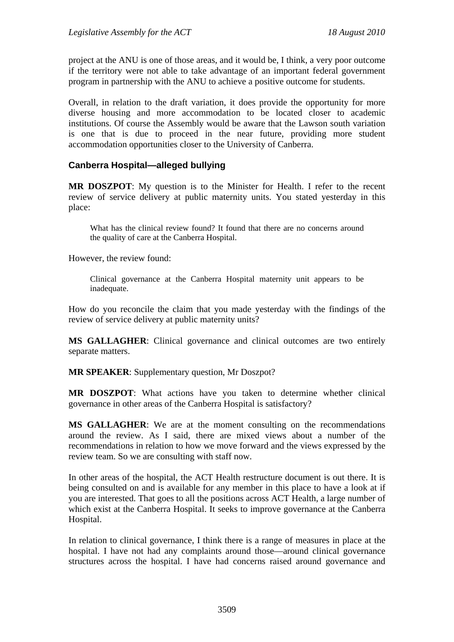project at the ANU is one of those areas, and it would be, I think, a very poor outcome if the territory were not able to take advantage of an important federal government program in partnership with the ANU to achieve a positive outcome for students.

Overall, in relation to the draft variation, it does provide the opportunity for more diverse housing and more accommodation to be located closer to academic institutions. Of course the Assembly would be aware that the Lawson south variation is one that is due to proceed in the near future, providing more student accommodation opportunities closer to the University of Canberra.

## **Canberra Hospital—alleged bullying**

**MR DOSZPOT**: My question is to the Minister for Health. I refer to the recent review of service delivery at public maternity units. You stated yesterday in this place:

What has the clinical review found? It found that there are no concerns around the quality of care at the Canberra Hospital.

However, the review found:

Clinical governance at the Canberra Hospital maternity unit appears to be inadequate.

How do you reconcile the claim that you made yesterday with the findings of the review of service delivery at public maternity units?

**MS GALLAGHER**: Clinical governance and clinical outcomes are two entirely separate matters.

**MR SPEAKER:** Supplementary question, Mr Doszpot?

**MR DOSZPOT**: What actions have you taken to determine whether clinical governance in other areas of the Canberra Hospital is satisfactory?

**MS GALLAGHER**: We are at the moment consulting on the recommendations around the review. As I said, there are mixed views about a number of the recommendations in relation to how we move forward and the views expressed by the review team. So we are consulting with staff now.

In other areas of the hospital, the ACT Health restructure document is out there. It is being consulted on and is available for any member in this place to have a look at if you are interested. That goes to all the positions across ACT Health, a large number of which exist at the Canberra Hospital. It seeks to improve governance at the Canberra Hospital.

In relation to clinical governance, I think there is a range of measures in place at the hospital. I have not had any complaints around those—around clinical governance structures across the hospital. I have had concerns raised around governance and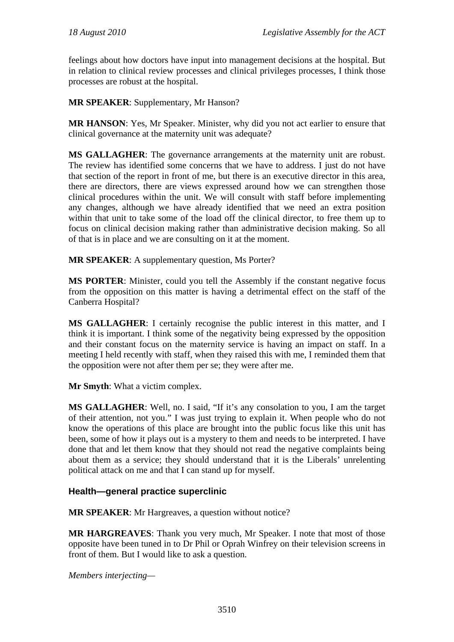feelings about how doctors have input into management decisions at the hospital. But in relation to clinical review processes and clinical privileges processes, I think those processes are robust at the hospital.

**MR SPEAKER**: Supplementary, Mr Hanson?

**MR HANSON**: Yes, Mr Speaker. Minister, why did you not act earlier to ensure that clinical governance at the maternity unit was adequate?

**MS GALLAGHER**: The governance arrangements at the maternity unit are robust. The review has identified some concerns that we have to address. I just do not have that section of the report in front of me, but there is an executive director in this area, there are directors, there are views expressed around how we can strengthen those clinical procedures within the unit. We will consult with staff before implementing any changes, although we have already identified that we need an extra position within that unit to take some of the load off the clinical director, to free them up to focus on clinical decision making rather than administrative decision making. So all of that is in place and we are consulting on it at the moment.

**MR SPEAKER**: A supplementary question, Ms Porter?

**MS PORTER:** Minister, could you tell the Assembly if the constant negative focus from the opposition on this matter is having a detrimental effect on the staff of the Canberra Hospital?

**MS GALLAGHER**: I certainly recognise the public interest in this matter, and I think it is important. I think some of the negativity being expressed by the opposition and their constant focus on the maternity service is having an impact on staff. In a meeting I held recently with staff, when they raised this with me, I reminded them that the opposition were not after them per se; they were after me.

**Mr Smyth**: What a victim complex.

**MS GALLAGHER**: Well, no. I said, "If it's any consolation to you, I am the target of their attention, not you." I was just trying to explain it. When people who do not know the operations of this place are brought into the public focus like this unit has been, some of how it plays out is a mystery to them and needs to be interpreted. I have done that and let them know that they should not read the negative complaints being about them as a service; they should understand that it is the Liberals' unrelenting political attack on me and that I can stand up for myself.

#### **Health—general practice superclinic**

**MR SPEAKER**: Mr Hargreaves, a question without notice?

**MR HARGREAVES**: Thank you very much, Mr Speaker. I note that most of those opposite have been tuned in to Dr Phil or Oprah Winfrey on their television screens in front of them. But I would like to ask a question.

*Members interjecting—*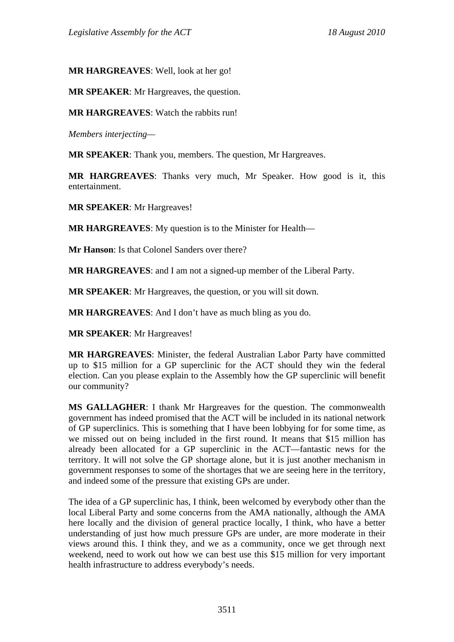**MR HARGREAVES**: Well, look at her go!

**MR SPEAKER**: Mr Hargreaves, the question.

**MR HARGREAVES**: Watch the rabbits run!

*Members interjecting—* 

**MR SPEAKER**: Thank you, members. The question, Mr Hargreaves.

**MR HARGREAVES**: Thanks very much, Mr Speaker. How good is it, this entertainment.

**MR SPEAKER**: Mr Hargreaves!

**MR HARGREAVES**: My question is to the Minister for Health—

**Mr Hanson**: Is that Colonel Sanders over there?

**MR HARGREAVES**: and I am not a signed-up member of the Liberal Party.

**MR SPEAKER**: Mr Hargreaves, the question, or you will sit down.

**MR HARGREAVES**: And I don't have as much bling as you do.

**MR SPEAKER**: Mr Hargreaves!

**MR HARGREAVES**: Minister, the federal Australian Labor Party have committed up to \$15 million for a GP superclinic for the ACT should they win the federal election. Can you please explain to the Assembly how the GP superclinic will benefit our community?

**MS GALLAGHER**: I thank Mr Hargreaves for the question. The commonwealth government has indeed promised that the ACT will be included in its national network of GP superclinics. This is something that I have been lobbying for for some time, as we missed out on being included in the first round. It means that \$15 million has already been allocated for a GP superclinic in the ACT—fantastic news for the territory. It will not solve the GP shortage alone, but it is just another mechanism in government responses to some of the shortages that we are seeing here in the territory, and indeed some of the pressure that existing GPs are under.

The idea of a GP superclinic has, I think, been welcomed by everybody other than the local Liberal Party and some concerns from the AMA nationally, although the AMA here locally and the division of general practice locally, I think, who have a better understanding of just how much pressure GPs are under, are more moderate in their views around this. I think they, and we as a community, once we get through next weekend, need to work out how we can best use this \$15 million for very important health infrastructure to address everybody's needs.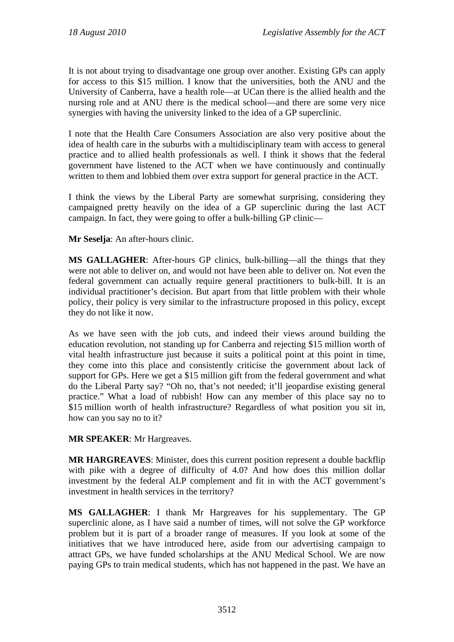It is not about trying to disadvantage one group over another. Existing GPs can apply for access to this \$15 million. I know that the universities, both the ANU and the University of Canberra, have a health role—at UCan there is the allied health and the nursing role and at ANU there is the medical school—and there are some very nice synergies with having the university linked to the idea of a GP superclinic.

I note that the Health Care Consumers Association are also very positive about the idea of health care in the suburbs with a multidisciplinary team with access to general practice and to allied health professionals as well. I think it shows that the federal government have listened to the ACT when we have continuously and continually written to them and lobbied them over extra support for general practice in the ACT.

I think the views by the Liberal Party are somewhat surprising, considering they campaigned pretty heavily on the idea of a GP superclinic during the last ACT campaign. In fact, they were going to offer a bulk-billing GP clinic—

**Mr Seselja**: An after-hours clinic.

**MS GALLAGHER**: After-hours GP clinics, bulk-billing—all the things that they were not able to deliver on, and would not have been able to deliver on. Not even the federal government can actually require general practitioners to bulk-bill. It is an individual practitioner's decision. But apart from that little problem with their whole policy, their policy is very similar to the infrastructure proposed in this policy, except they do not like it now.

As we have seen with the job cuts, and indeed their views around building the education revolution, not standing up for Canberra and rejecting \$15 million worth of vital health infrastructure just because it suits a political point at this point in time, they come into this place and consistently criticise the government about lack of support for GPs. Here we get a \$15 million gift from the federal government and what do the Liberal Party say? "Oh no, that's not needed; it'll jeopardise existing general practice." What a load of rubbish! How can any member of this place say no to \$15 million worth of health infrastructure? Regardless of what position you sit in, how can you say no to it?

**MR SPEAKER**: Mr Hargreaves.

**MR HARGREAVES**: Minister, does this current position represent a double backflip with pike with a degree of difficulty of 4.0? And how does this million dollar investment by the federal ALP complement and fit in with the ACT government's investment in health services in the territory?

**MS GALLAGHER**: I thank Mr Hargreaves for his supplementary. The GP superclinic alone, as I have said a number of times, will not solve the GP workforce problem but it is part of a broader range of measures. If you look at some of the initiatives that we have introduced here, aside from our advertising campaign to attract GPs, we have funded scholarships at the ANU Medical School. We are now paying GPs to train medical students, which has not happened in the past. We have an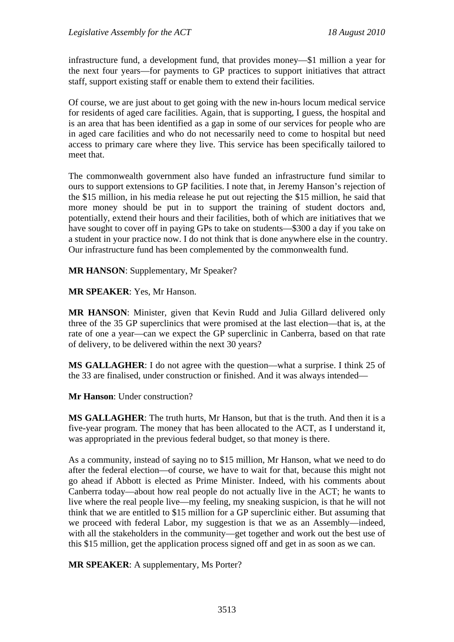infrastructure fund, a development fund, that provides money—\$1 million a year for the next four years—for payments to GP practices to support initiatives that attract staff, support existing staff or enable them to extend their facilities.

Of course, we are just about to get going with the new in-hours locum medical service for residents of aged care facilities. Again, that is supporting, I guess, the hospital and is an area that has been identified as a gap in some of our services for people who are in aged care facilities and who do not necessarily need to come to hospital but need access to primary care where they live. This service has been specifically tailored to meet that.

The commonwealth government also have funded an infrastructure fund similar to ours to support extensions to GP facilities. I note that, in Jeremy Hanson's rejection of the \$15 million, in his media release he put out rejecting the \$15 million, he said that more money should be put in to support the training of student doctors and, potentially, extend their hours and their facilities, both of which are initiatives that we have sought to cover off in paying GPs to take on students—\$300 a day if you take on a student in your practice now. I do not think that is done anywhere else in the country. Our infrastructure fund has been complemented by the commonwealth fund.

**MR HANSON**: Supplementary, Mr Speaker?

**MR SPEAKER**: Yes, Mr Hanson.

**MR HANSON**: Minister, given that Kevin Rudd and Julia Gillard delivered only three of the 35 GP superclinics that were promised at the last election—that is, at the rate of one a year—can we expect the GP superclinic in Canberra, based on that rate of delivery, to be delivered within the next 30 years?

**MS GALLAGHER**: I do not agree with the question—what a surprise. I think 25 of the 33 are finalised, under construction or finished. And it was always intended—

**Mr Hanson**: Under construction?

**MS GALLAGHER**: The truth hurts, Mr Hanson, but that is the truth. And then it is a five-year program. The money that has been allocated to the ACT, as I understand it, was appropriated in the previous federal budget, so that money is there.

As a community, instead of saying no to \$15 million, Mr Hanson, what we need to do after the federal election—of course, we have to wait for that, because this might not go ahead if Abbott is elected as Prime Minister. Indeed, with his comments about Canberra today—about how real people do not actually live in the ACT; he wants to live where the real people live—my feeling, my sneaking suspicion, is that he will not think that we are entitled to \$15 million for a GP superclinic either. But assuming that we proceed with federal Labor, my suggestion is that we as an Assembly—indeed, with all the stakeholders in the community—get together and work out the best use of this \$15 million, get the application process signed off and get in as soon as we can.

**MR SPEAKER**: A supplementary, Ms Porter?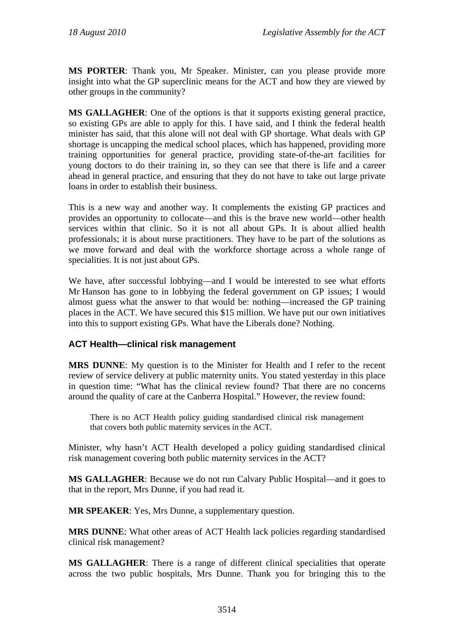**MS PORTER**: Thank you, Mr Speaker. Minister, can you please provide more insight into what the GP superclinic means for the ACT and how they are viewed by other groups in the community?

**MS GALLAGHER**: One of the options is that it supports existing general practice, so existing GPs are able to apply for this. I have said, and I think the federal health minister has said, that this alone will not deal with GP shortage. What deals with GP shortage is uncapping the medical school places, which has happened, providing more training opportunities for general practice, providing state-of-the-art facilities for young doctors to do their training in, so they can see that there is life and a career ahead in general practice, and ensuring that they do not have to take out large private loans in order to establish their business.

This is a new way and another way. It complements the existing GP practices and provides an opportunity to collocate—and this is the brave new world—other health services within that clinic. So it is not all about GPs. It is about allied health professionals; it is about nurse practitioners. They have to be part of the solutions as we move forward and deal with the workforce shortage across a whole range of specialities. It is not just about GPs.

We have, after successful lobbying—and I would be interested to see what efforts Mr Hanson has gone to in lobbying the federal government on GP issues; I would almost guess what the answer to that would be: nothing—increased the GP training places in the ACT. We have secured this \$15 million. We have put our own initiatives into this to support existing GPs. What have the Liberals done? Nothing.

## **ACT Health—clinical risk management**

**MRS DUNNE**: My question is to the Minister for Health and I refer to the recent review of service delivery at public maternity units. You stated yesterday in this place in question time: "What has the clinical review found? That there are no concerns around the quality of care at the Canberra Hospital." However, the review found:

There is no ACT Health policy guiding standardised clinical risk management that covers both public maternity services in the ACT.

Minister, why hasn't ACT Health developed a policy guiding standardised clinical risk management covering both public maternity services in the ACT?

**MS GALLAGHER**: Because we do not run Calvary Public Hospital—and it goes to that in the report, Mrs Dunne, if you had read it.

**MR SPEAKER**: Yes, Mrs Dunne, a supplementary question.

**MRS DUNNE**: What other areas of ACT Health lack policies regarding standardised clinical risk management?

**MS GALLAGHER**: There is a range of different clinical specialities that operate across the two public hospitals, Mrs Dunne. Thank you for bringing this to the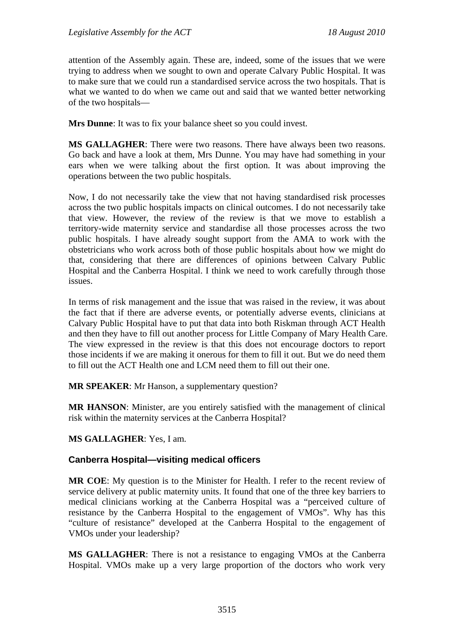attention of the Assembly again. These are, indeed, some of the issues that we were trying to address when we sought to own and operate Calvary Public Hospital. It was to make sure that we could run a standardised service across the two hospitals. That is what we wanted to do when we came out and said that we wanted better networking of the two hospitals—

**Mrs Dunne**: It was to fix your balance sheet so you could invest.

**MS GALLAGHER**: There were two reasons. There have always been two reasons. Go back and have a look at them, Mrs Dunne. You may have had something in your ears when we were talking about the first option. It was about improving the operations between the two public hospitals.

Now, I do not necessarily take the view that not having standardised risk processes across the two public hospitals impacts on clinical outcomes. I do not necessarily take that view. However, the review of the review is that we move to establish a territory-wide maternity service and standardise all those processes across the two public hospitals. I have already sought support from the AMA to work with the obstetricians who work across both of those public hospitals about how we might do that, considering that there are differences of opinions between Calvary Public Hospital and the Canberra Hospital. I think we need to work carefully through those issues.

In terms of risk management and the issue that was raised in the review, it was about the fact that if there are adverse events, or potentially adverse events, clinicians at Calvary Public Hospital have to put that data into both Riskman through ACT Health and then they have to fill out another process for Little Company of Mary Health Care. The view expressed in the review is that this does not encourage doctors to report those incidents if we are making it onerous for them to fill it out. But we do need them to fill out the ACT Health one and LCM need them to fill out their one.

**MR SPEAKER**: Mr Hanson, a supplementary question?

**MR HANSON**: Minister, are you entirely satisfied with the management of clinical risk within the maternity services at the Canberra Hospital?

#### **MS GALLAGHER**: Yes, I am.

#### **Canberra Hospital—visiting medical officers**

**MR COE**: My question is to the Minister for Health. I refer to the recent review of service delivery at public maternity units. It found that one of the three key barriers to medical clinicians working at the Canberra Hospital was a "perceived culture of resistance by the Canberra Hospital to the engagement of VMOs". Why has this "culture of resistance" developed at the Canberra Hospital to the engagement of VMOs under your leadership?

**MS GALLAGHER**: There is not a resistance to engaging VMOs at the Canberra Hospital. VMOs make up a very large proportion of the doctors who work very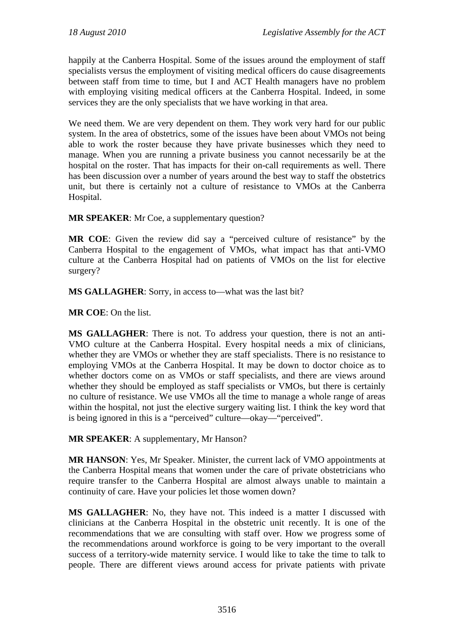happily at the Canberra Hospital. Some of the issues around the employment of staff specialists versus the employment of visiting medical officers do cause disagreements between staff from time to time, but I and ACT Health managers have no problem with employing visiting medical officers at the Canberra Hospital. Indeed, in some services they are the only specialists that we have working in that area.

We need them. We are very dependent on them. They work very hard for our public system. In the area of obstetrics, some of the issues have been about VMOs not being able to work the roster because they have private businesses which they need to manage. When you are running a private business you cannot necessarily be at the hospital on the roster. That has impacts for their on-call requirements as well. There has been discussion over a number of years around the best way to staff the obstetrics unit, but there is certainly not a culture of resistance to VMOs at the Canberra Hospital.

**MR SPEAKER**: Mr Coe, a supplementary question?

**MR COE**: Given the review did say a "perceived culture of resistance" by the Canberra Hospital to the engagement of VMOs, what impact has that anti-VMO culture at the Canberra Hospital had on patients of VMOs on the list for elective surgery?

**MS GALLAGHER**: Sorry, in access to—what was the last bit?

**MR COE**: On the list.

**MS GALLAGHER**: There is not. To address your question, there is not an anti-VMO culture at the Canberra Hospital. Every hospital needs a mix of clinicians, whether they are VMOs or whether they are staff specialists. There is no resistance to employing VMOs at the Canberra Hospital. It may be down to doctor choice as to whether doctors come on as VMOs or staff specialists, and there are views around whether they should be employed as staff specialists or VMOs, but there is certainly no culture of resistance. We use VMOs all the time to manage a whole range of areas within the hospital, not just the elective surgery waiting list. I think the key word that is being ignored in this is a "perceived" culture—okay—"perceived".

**MR SPEAKER**: A supplementary, Mr Hanson?

**MR HANSON**: Yes, Mr Speaker. Minister, the current lack of VMO appointments at the Canberra Hospital means that women under the care of private obstetricians who require transfer to the Canberra Hospital are almost always unable to maintain a continuity of care. Have your policies let those women down?

**MS GALLAGHER**: No, they have not. This indeed is a matter I discussed with clinicians at the Canberra Hospital in the obstetric unit recently. It is one of the recommendations that we are consulting with staff over. How we progress some of the recommendations around workforce is going to be very important to the overall success of a territory-wide maternity service. I would like to take the time to talk to people. There are different views around access for private patients with private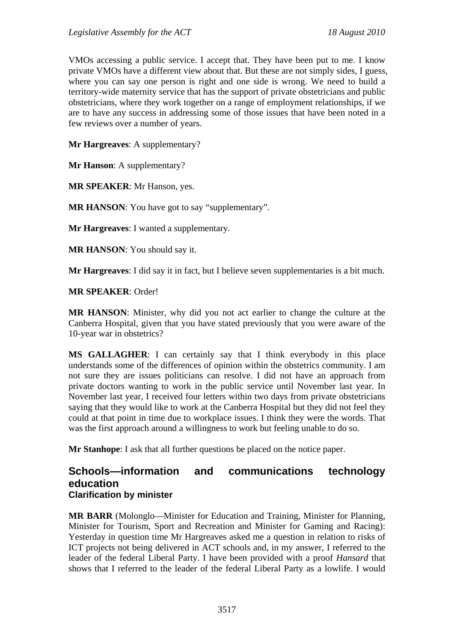VMOs accessing a public service. I accept that. They have been put to me. I know private VMOs have a different view about that. But these are not simply sides, I guess, where you can say one person is right and one side is wrong. We need to build a territory-wide maternity service that has the support of private obstetricians and public obstetricians, where they work together on a range of employment relationships, if we are to have any success in addressing some of those issues that have been noted in a few reviews over a number of years.

**Mr Hargreaves**: A supplementary?

**Mr Hanson**: A supplementary?

**MR SPEAKER**: Mr Hanson, yes.

**MR HANSON:** You have got to say "supplementary".

**Mr Hargreaves**: I wanted a supplementary.

**MR HANSON**: You should say it.

**Mr Hargreaves**: I did say it in fact, but I believe seven supplementaries is a bit much.

**MR SPEAKER**: Order!

**MR HANSON**: Minister, why did you not act earlier to change the culture at the Canberra Hospital, given that you have stated previously that you were aware of the 10-year war in obstetrics?

**MS GALLAGHER**: I can certainly say that I think everybody in this place understands some of the differences of opinion within the obstetrics community. I am not sure they are issues politicians can resolve. I did not have an approach from private doctors wanting to work in the public service until November last year. In November last year, I received four letters within two days from private obstetricians saying that they would like to work at the Canberra Hospital but they did not feel they could at that point in time due to workplace issues. I think they were the words. That was the first approach around a willingness to work but feeling unable to do so.

**Mr Stanhope**: I ask that all further questions be placed on the notice paper.

## **Schools—information and communications technology education Clarification by minister**

**MR BARR** (Molonglo—Minister for Education and Training, Minister for Planning, Minister for Tourism, Sport and Recreation and Minister for Gaming and Racing): Yesterday in question time Mr Hargreaves asked me a question in relation to risks of ICT projects not being delivered in ACT schools and, in my answer, I referred to the leader of the federal Liberal Party. I have been provided with a proof *Hansard* that shows that I referred to the leader of the federal Liberal Party as a lowlife. I would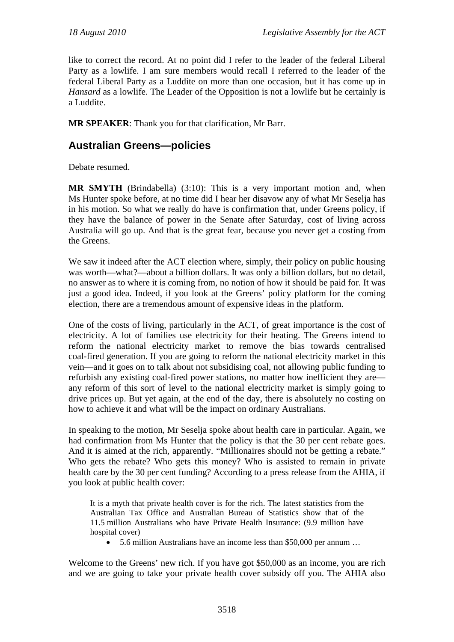like to correct the record. At no point did I refer to the leader of the federal Liberal Party as a lowlife. I am sure members would recall I referred to the leader of the federal Liberal Party as a Luddite on more than one occasion, but it has come up in *Hansard* as a lowlife. The Leader of the Opposition is not a lowlife but he certainly is a Luddite.

**MR SPEAKER**: Thank you for that clarification, Mr Barr.

# **Australian Greens—policies**

Debate resumed.

**MR SMYTH** (Brindabella) (3:10): This is a very important motion and, when Ms Hunter spoke before, at no time did I hear her disavow any of what Mr Seselja has in his motion. So what we really do have is confirmation that, under Greens policy, if they have the balance of power in the Senate after Saturday, cost of living across Australia will go up. And that is the great fear, because you never get a costing from the Greens.

We saw it indeed after the ACT election where, simply, their policy on public housing was worth—what?—about a billion dollars. It was only a billion dollars, but no detail, no answer as to where it is coming from, no notion of how it should be paid for. It was just a good idea. Indeed, if you look at the Greens' policy platform for the coming election, there are a tremendous amount of expensive ideas in the platform.

One of the costs of living, particularly in the ACT, of great importance is the cost of electricity. A lot of families use electricity for their heating. The Greens intend to reform the national electricity market to remove the bias towards centralised coal-fired generation. If you are going to reform the national electricity market in this vein—and it goes on to talk about not subsidising coal, not allowing public funding to refurbish any existing coal-fired power stations, no matter how inefficient they are any reform of this sort of level to the national electricity market is simply going to drive prices up. But yet again, at the end of the day, there is absolutely no costing on how to achieve it and what will be the impact on ordinary Australians.

In speaking to the motion, Mr Seselja spoke about health care in particular. Again, we had confirmation from Ms Hunter that the policy is that the 30 per cent rebate goes. And it is aimed at the rich, apparently. "Millionaires should not be getting a rebate." Who gets the rebate? Who gets this money? Who is assisted to remain in private health care by the 30 per cent funding? According to a press release from the AHIA, if you look at public health cover:

It is a myth that private health cover is for the rich. The latest statistics from the Australian Tax Office and Australian Bureau of Statistics show that of the 11.5 million Australians who have Private Health Insurance: (9.9 million have hospital cover)

5.6 million Australians have an income less than \$50,000 per annum …

Welcome to the Greens' new rich. If you have got \$50,000 as an income, you are rich and we are going to take your private health cover subsidy off you. The AHIA also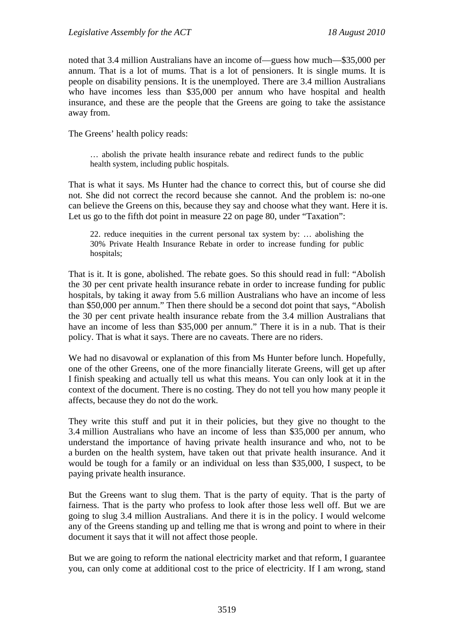noted that 3.4 million Australians have an income of—guess how much—\$35,000 per annum. That is a lot of mums. That is a lot of pensioners. It is single mums. It is people on disability pensions. It is the unemployed. There are 3.4 million Australians who have incomes less than \$35,000 per annum who have hospital and health insurance, and these are the people that the Greens are going to take the assistance away from.

The Greens' health policy reads:

… abolish the private health insurance rebate and redirect funds to the public health system, including public hospitals.

That is what it says. Ms Hunter had the chance to correct this, but of course she did not. She did not correct the record because she cannot. And the problem is: no-one can believe the Greens on this, because they say and choose what they want. Here it is. Let us go to the fifth dot point in measure 22 on page 80, under "Taxation":

22. reduce inequities in the current personal tax system by: … abolishing the 30% Private Health Insurance Rebate in order to increase funding for public hospitals;

That is it. It is gone, abolished. The rebate goes. So this should read in full: "Abolish the 30 per cent private health insurance rebate in order to increase funding for public hospitals, by taking it away from 5.6 million Australians who have an income of less than \$50,000 per annum." Then there should be a second dot point that says, "Abolish the 30 per cent private health insurance rebate from the 3.4 million Australians that have an income of less than \$35,000 per annum." There it is in a nub. That is their policy. That is what it says. There are no caveats. There are no riders.

We had no disavowal or explanation of this from Ms Hunter before lunch. Hopefully, one of the other Greens, one of the more financially literate Greens, will get up after I finish speaking and actually tell us what this means. You can only look at it in the context of the document. There is no costing. They do not tell you how many people it affects, because they do not do the work.

They write this stuff and put it in their policies, but they give no thought to the 3.4 million Australians who have an income of less than \$35,000 per annum, who understand the importance of having private health insurance and who, not to be a burden on the health system, have taken out that private health insurance. And it would be tough for a family or an individual on less than \$35,000, I suspect, to be paying private health insurance.

But the Greens want to slug them. That is the party of equity. That is the party of fairness. That is the party who profess to look after those less well off. But we are going to slug 3.4 million Australians. And there it is in the policy. I would welcome any of the Greens standing up and telling me that is wrong and point to where in their document it says that it will not affect those people.

But we are going to reform the national electricity market and that reform, I guarantee you, can only come at additional cost to the price of electricity. If I am wrong, stand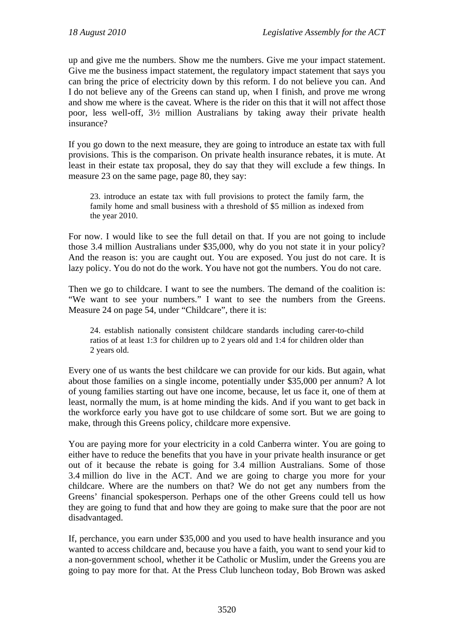up and give me the numbers. Show me the numbers. Give me your impact statement. Give me the business impact statement, the regulatory impact statement that says you can bring the price of electricity down by this reform. I do not believe you can. And I do not believe any of the Greens can stand up, when I finish, and prove me wrong and show me where is the caveat. Where is the rider on this that it will not affect those poor, less well-off, 3½ million Australians by taking away their private health insurance?

If you go down to the next measure, they are going to introduce an estate tax with full provisions. This is the comparison. On private health insurance rebates, it is mute. At least in their estate tax proposal, they do say that they will exclude a few things. In measure 23 on the same page, page 80, they say:

23. introduce an estate tax with full provisions to protect the family farm, the family home and small business with a threshold of \$5 million as indexed from the year 2010.

For now. I would like to see the full detail on that. If you are not going to include those 3.4 million Australians under \$35,000, why do you not state it in your policy? And the reason is: you are caught out. You are exposed. You just do not care. It is lazy policy. You do not do the work. You have not got the numbers. You do not care.

Then we go to childcare. I want to see the numbers. The demand of the coalition is: "We want to see your numbers." I want to see the numbers from the Greens. Measure 24 on page 54, under "Childcare", there it is:

24. establish nationally consistent childcare standards including carer-to-child ratios of at least 1:3 for children up to 2 years old and 1:4 for children older than 2 years old.

Every one of us wants the best childcare we can provide for our kids. But again, what about those families on a single income, potentially under \$35,000 per annum? A lot of young families starting out have one income, because, let us face it, one of them at least, normally the mum, is at home minding the kids. And if you want to get back in the workforce early you have got to use childcare of some sort. But we are going to make, through this Greens policy, childcare more expensive.

You are paying more for your electricity in a cold Canberra winter. You are going to either have to reduce the benefits that you have in your private health insurance or get out of it because the rebate is going for 3.4 million Australians. Some of those 3.4 million do live in the ACT. And we are going to charge you more for your childcare. Where are the numbers on that? We do not get any numbers from the Greens' financial spokesperson. Perhaps one of the other Greens could tell us how they are going to fund that and how they are going to make sure that the poor are not disadvantaged.

If, perchance, you earn under \$35,000 and you used to have health insurance and you wanted to access childcare and, because you have a faith, you want to send your kid to a non-government school, whether it be Catholic or Muslim, under the Greens you are going to pay more for that. At the Press Club luncheon today, Bob Brown was asked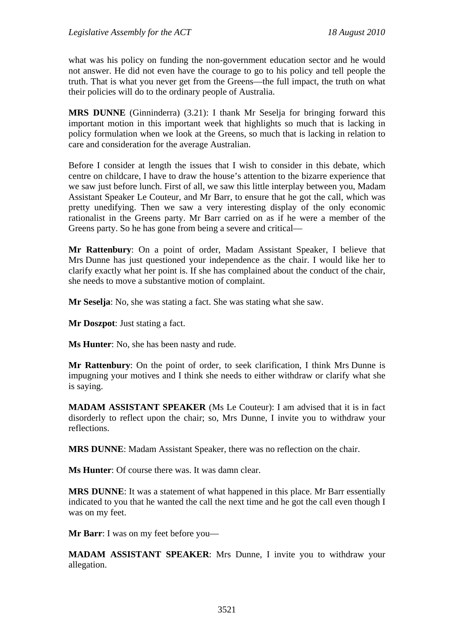what was his policy on funding the non-government education sector and he would not answer. He did not even have the courage to go to his policy and tell people the truth. That is what you never get from the Greens—the full impact, the truth on what their policies will do to the ordinary people of Australia.

**MRS DUNNE** (Ginninderra) (3.21): I thank Mr Seselja for bringing forward this important motion in this important week that highlights so much that is lacking in policy formulation when we look at the Greens, so much that is lacking in relation to care and consideration for the average Australian.

Before I consider at length the issues that I wish to consider in this debate, which centre on childcare, I have to draw the house's attention to the bizarre experience that we saw just before lunch. First of all, we saw this little interplay between you, Madam Assistant Speaker Le Couteur, and Mr Barr, to ensure that he got the call, which was pretty unedifying. Then we saw a very interesting display of the only economic rationalist in the Greens party. Mr Barr carried on as if he were a member of the Greens party. So he has gone from being a severe and critical—

**Mr Rattenbury**: On a point of order, Madam Assistant Speaker, I believe that Mrs Dunne has just questioned your independence as the chair. I would like her to clarify exactly what her point is. If she has complained about the conduct of the chair, she needs to move a substantive motion of complaint.

**Mr Seselja**: No, she was stating a fact. She was stating what she saw.

**Mr Doszpot**: Just stating a fact.

**Ms Hunter**: No, she has been nasty and rude.

**Mr Rattenbury**: On the point of order, to seek clarification, I think Mrs Dunne is impugning your motives and I think she needs to either withdraw or clarify what she is saying.

**MADAM ASSISTANT SPEAKER** (Ms Le Couteur): I am advised that it is in fact disorderly to reflect upon the chair; so, Mrs Dunne, I invite you to withdraw your reflections.

**MRS DUNNE**: Madam Assistant Speaker, there was no reflection on the chair.

**Ms Hunter**: Of course there was. It was damn clear.

**MRS DUNNE**: It was a statement of what happened in this place. Mr Barr essentially indicated to you that he wanted the call the next time and he got the call even though I was on my feet.

**Mr Barr**: I was on my feet before you—

**MADAM ASSISTANT SPEAKER**: Mrs Dunne, I invite you to withdraw your allegation.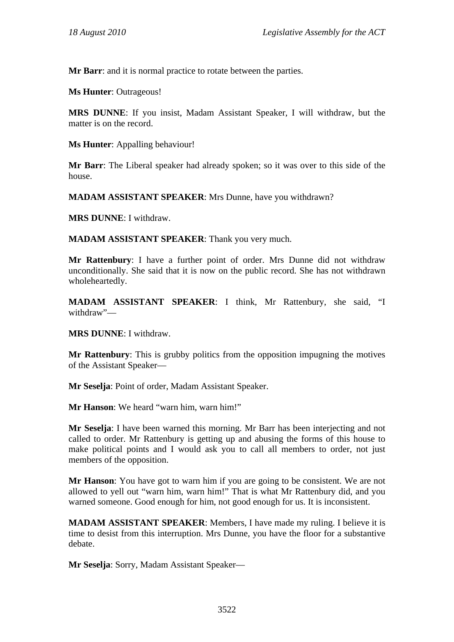**Mr Barr**: and it is normal practice to rotate between the parties.

**Ms Hunter**: Outrageous!

**MRS DUNNE**: If you insist, Madam Assistant Speaker, I will withdraw, but the matter is on the record.

**Ms Hunter**: Appalling behaviour!

**Mr Barr**: The Liberal speaker had already spoken; so it was over to this side of the house.

**MADAM ASSISTANT SPEAKER**: Mrs Dunne, have you withdrawn?

**MRS DUNNE**: I withdraw.

**MADAM ASSISTANT SPEAKER**: Thank you very much.

**Mr Rattenbury**: I have a further point of order. Mrs Dunne did not withdraw unconditionally. She said that it is now on the public record. She has not withdrawn wholeheartedly.

**MADAM ASSISTANT SPEAKER**: I think, Mr Rattenbury, she said, "I withdraw"—

**MRS DUNNE**: I withdraw.

**Mr Rattenbury**: This is grubby politics from the opposition impugning the motives of the Assistant Speaker—

**Mr Seselja**: Point of order, Madam Assistant Speaker.

**Mr Hanson**: We heard "warn him, warn him!"

**Mr Seselja**: I have been warned this morning. Mr Barr has been interjecting and not called to order. Mr Rattenbury is getting up and abusing the forms of this house to make political points and I would ask you to call all members to order, not just members of the opposition.

**Mr Hanson**: You have got to warn him if you are going to be consistent. We are not allowed to yell out "warn him, warn him!" That is what Mr Rattenbury did, and you warned someone. Good enough for him, not good enough for us. It is inconsistent.

**MADAM ASSISTANT SPEAKER**: Members, I have made my ruling. I believe it is time to desist from this interruption. Mrs Dunne, you have the floor for a substantive debate.

**Mr Seselja**: Sorry, Madam Assistant Speaker—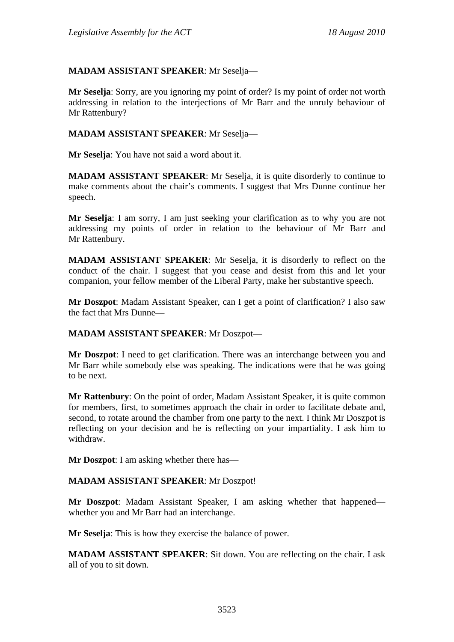# **MADAM ASSISTANT SPEAKER**: Mr Seselja—

**Mr Seselja**: Sorry, are you ignoring my point of order? Is my point of order not worth addressing in relation to the interjections of Mr Barr and the unruly behaviour of Mr Rattenbury?

### **MADAM ASSISTANT SPEAKER**: Mr Seselja—

**Mr Seselja**: You have not said a word about it.

**MADAM ASSISTANT SPEAKER**: Mr Seselja, it is quite disorderly to continue to make comments about the chair's comments. I suggest that Mrs Dunne continue her speech.

**Mr Seselja**: I am sorry, I am just seeking your clarification as to why you are not addressing my points of order in relation to the behaviour of Mr Barr and Mr Rattenbury.

**MADAM ASSISTANT SPEAKER**: Mr Seselja, it is disorderly to reflect on the conduct of the chair. I suggest that you cease and desist from this and let your companion, your fellow member of the Liberal Party, make her substantive speech.

**Mr Doszpot**: Madam Assistant Speaker, can I get a point of clarification? I also saw the fact that Mrs Dunne—

#### **MADAM ASSISTANT SPEAKER**: Mr Doszpot—

**Mr Doszpot**: I need to get clarification. There was an interchange between you and Mr Barr while somebody else was speaking. The indications were that he was going to be next.

**Mr Rattenbury**: On the point of order, Madam Assistant Speaker, it is quite common for members, first, to sometimes approach the chair in order to facilitate debate and, second, to rotate around the chamber from one party to the next. I think Mr Doszpot is reflecting on your decision and he is reflecting on your impartiality. I ask him to withdraw.

**Mr Doszpot**: I am asking whether there has—

#### **MADAM ASSISTANT SPEAKER**: Mr Doszpot!

**Mr Doszpot**: Madam Assistant Speaker, I am asking whether that happened whether you and Mr Barr had an interchange.

**Mr Seselja**: This is how they exercise the balance of power.

**MADAM ASSISTANT SPEAKER**: Sit down. You are reflecting on the chair. I ask all of you to sit down.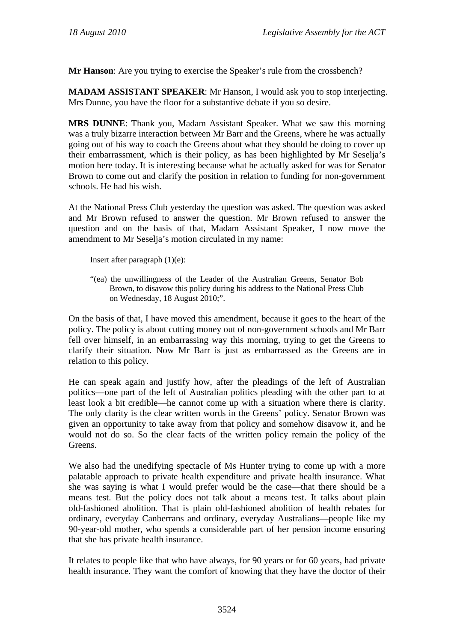**Mr Hanson**: Are you trying to exercise the Speaker's rule from the crossbench?

**MADAM ASSISTANT SPEAKER**: Mr Hanson, I would ask you to stop interjecting. Mrs Dunne, you have the floor for a substantive debate if you so desire.

**MRS DUNNE**: Thank you, Madam Assistant Speaker. What we saw this morning was a truly bizarre interaction between Mr Barr and the Greens, where he was actually going out of his way to coach the Greens about what they should be doing to cover up their embarrassment, which is their policy, as has been highlighted by Mr Seselja's motion here today. It is interesting because what he actually asked for was for Senator Brown to come out and clarify the position in relation to funding for non-government schools. He had his wish.

At the National Press Club yesterday the question was asked. The question was asked and Mr Brown refused to answer the question. Mr Brown refused to answer the question and on the basis of that, Madam Assistant Speaker, I now move the amendment to Mr Seselja's motion circulated in my name:

Insert after paragraph (1)(e):

"(ea) the unwillingness of the Leader of the Australian Greens, Senator Bob Brown, to disavow this policy during his address to the National Press Club on Wednesday, 18 August 2010;".

On the basis of that, I have moved this amendment, because it goes to the heart of the policy. The policy is about cutting money out of non-government schools and Mr Barr fell over himself, in an embarrassing way this morning, trying to get the Greens to clarify their situation. Now Mr Barr is just as embarrassed as the Greens are in relation to this policy.

He can speak again and justify how, after the pleadings of the left of Australian politics—one part of the left of Australian politics pleading with the other part to at least look a bit credible—he cannot come up with a situation where there is clarity. The only clarity is the clear written words in the Greens' policy. Senator Brown was given an opportunity to take away from that policy and somehow disavow it, and he would not do so. So the clear facts of the written policy remain the policy of the Greens.

We also had the unedifying spectacle of Ms Hunter trying to come up with a more palatable approach to private health expenditure and private health insurance. What she was saying is what I would prefer would be the case—that there should be a means test. But the policy does not talk about a means test. It talks about plain old-fashioned abolition. That is plain old-fashioned abolition of health rebates for ordinary, everyday Canberrans and ordinary, everyday Australians—people like my 90-year-old mother, who spends a considerable part of her pension income ensuring that she has private health insurance.

It relates to people like that who have always, for 90 years or for 60 years, had private health insurance. They want the comfort of knowing that they have the doctor of their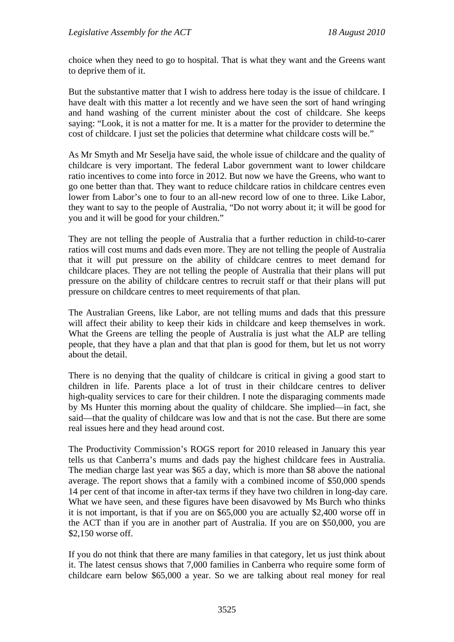choice when they need to go to hospital. That is what they want and the Greens want to deprive them of it.

But the substantive matter that I wish to address here today is the issue of childcare. I have dealt with this matter a lot recently and we have seen the sort of hand wringing and hand washing of the current minister about the cost of childcare. She keeps saying: "Look, it is not a matter for me. It is a matter for the provider to determine the cost of childcare. I just set the policies that determine what childcare costs will be."

As Mr Smyth and Mr Seselja have said, the whole issue of childcare and the quality of childcare is very important. The federal Labor government want to lower childcare ratio incentives to come into force in 2012. But now we have the Greens, who want to go one better than that. They want to reduce childcare ratios in childcare centres even lower from Labor's one to four to an all-new record low of one to three. Like Labor, they want to say to the people of Australia, "Do not worry about it; it will be good for you and it will be good for your children."

They are not telling the people of Australia that a further reduction in child-to-carer ratios will cost mums and dads even more. They are not telling the people of Australia that it will put pressure on the ability of childcare centres to meet demand for childcare places. They are not telling the people of Australia that their plans will put pressure on the ability of childcare centres to recruit staff or that their plans will put pressure on childcare centres to meet requirements of that plan.

The Australian Greens, like Labor, are not telling mums and dads that this pressure will affect their ability to keep their kids in childcare and keep themselves in work. What the Greens are telling the people of Australia is just what the ALP are telling people, that they have a plan and that that plan is good for them, but let us not worry about the detail.

There is no denying that the quality of childcare is critical in giving a good start to children in life. Parents place a lot of trust in their childcare centres to deliver high-quality services to care for their children. I note the disparaging comments made by Ms Hunter this morning about the quality of childcare. She implied—in fact, she said—that the quality of childcare was low and that is not the case. But there are some real issues here and they head around cost.

The Productivity Commission's ROGS report for 2010 released in January this year tells us that Canberra's mums and dads pay the highest childcare fees in Australia. The median charge last year was \$65 a day, which is more than \$8 above the national average. The report shows that a family with a combined income of \$50,000 spends 14 per cent of that income in after-tax terms if they have two children in long-day care. What we have seen, and these figures have been disavowed by Ms Burch who thinks it is not important, is that if you are on \$65,000 you are actually \$2,400 worse off in the ACT than if you are in another part of Australia. If you are on \$50,000, you are \$2,150 worse off.

If you do not think that there are many families in that category, let us just think about it. The latest census shows that 7,000 families in Canberra who require some form of childcare earn below \$65,000 a year. So we are talking about real money for real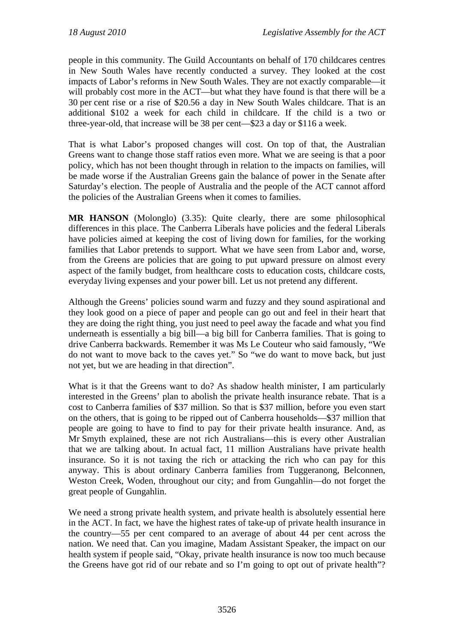people in this community. The Guild Accountants on behalf of 170 childcares centres in New South Wales have recently conducted a survey. They looked at the cost impacts of Labor's reforms in New South Wales. They are not exactly comparable—it will probably cost more in the ACT—but what they have found is that there will be a 30 per cent rise or a rise of \$20.56 a day in New South Wales childcare. That is an additional \$102 a week for each child in childcare. If the child is a two or three-year-old, that increase will be 38 per cent—\$23 a day or \$116 a week.

That is what Labor's proposed changes will cost. On top of that, the Australian Greens want to change those staff ratios even more. What we are seeing is that a poor policy, which has not been thought through in relation to the impacts on families, will be made worse if the Australian Greens gain the balance of power in the Senate after Saturday's election. The people of Australia and the people of the ACT cannot afford the policies of the Australian Greens when it comes to families.

**MR HANSON** (Molonglo) (3.35): Quite clearly, there are some philosophical differences in this place. The Canberra Liberals have policies and the federal Liberals have policies aimed at keeping the cost of living down for families, for the working families that Labor pretends to support. What we have seen from Labor and, worse, from the Greens are policies that are going to put upward pressure on almost every aspect of the family budget, from healthcare costs to education costs, childcare costs, everyday living expenses and your power bill. Let us not pretend any different.

Although the Greens' policies sound warm and fuzzy and they sound aspirational and they look good on a piece of paper and people can go out and feel in their heart that they are doing the right thing, you just need to peel away the facade and what you find underneath is essentially a big bill—a big bill for Canberra families. That is going to drive Canberra backwards. Remember it was Ms Le Couteur who said famously, "We do not want to move back to the caves yet." So "we do want to move back, but just not yet, but we are heading in that direction".

What is it that the Greens want to do? As shadow health minister, I am particularly interested in the Greens' plan to abolish the private health insurance rebate. That is a cost to Canberra families of \$37 million. So that is \$37 million, before you even start on the others, that is going to be ripped out of Canberra households—\$37 million that people are going to have to find to pay for their private health insurance. And, as Mr Smyth explained, these are not rich Australians—this is every other Australian that we are talking about. In actual fact, 11 million Australians have private health insurance. So it is not taxing the rich or attacking the rich who can pay for this anyway. This is about ordinary Canberra families from Tuggeranong, Belconnen, Weston Creek, Woden, throughout our city; and from Gungahlin—do not forget the great people of Gungahlin.

We need a strong private health system, and private health is absolutely essential here in the ACT. In fact, we have the highest rates of take-up of private health insurance in the country—55 per cent compared to an average of about 44 per cent across the nation. We need that. Can you imagine, Madam Assistant Speaker, the impact on our health system if people said, "Okay, private health insurance is now too much because the Greens have got rid of our rebate and so I'm going to opt out of private health"?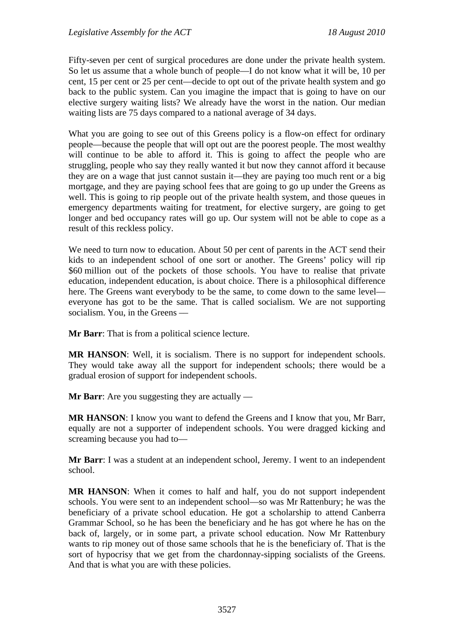Fifty-seven per cent of surgical procedures are done under the private health system. So let us assume that a whole bunch of people—I do not know what it will be, 10 per cent, 15 per cent or 25 per cent—decide to opt out of the private health system and go back to the public system. Can you imagine the impact that is going to have on our elective surgery waiting lists? We already have the worst in the nation. Our median waiting lists are 75 days compared to a national average of 34 days.

What you are going to see out of this Greens policy is a flow-on effect for ordinary people—because the people that will opt out are the poorest people. The most wealthy will continue to be able to afford it. This is going to affect the people who are struggling, people who say they really wanted it but now they cannot afford it because they are on a wage that just cannot sustain it—they are paying too much rent or a big mortgage, and they are paying school fees that are going to go up under the Greens as well. This is going to rip people out of the private health system, and those queues in emergency departments waiting for treatment, for elective surgery, are going to get longer and bed occupancy rates will go up. Our system will not be able to cope as a result of this reckless policy.

We need to turn now to education. About 50 per cent of parents in the ACT send their kids to an independent school of one sort or another. The Greens' policy will rip \$60 million out of the pockets of those schools. You have to realise that private education, independent education, is about choice. There is a philosophical difference here. The Greens want everybody to be the same, to come down to the same level everyone has got to be the same. That is called socialism. We are not supporting socialism. You, in the Greens —

**Mr Barr**: That is from a political science lecture.

**MR HANSON**: Well, it is socialism. There is no support for independent schools. They would take away all the support for independent schools; there would be a gradual erosion of support for independent schools.

**Mr Barr**: Are you suggesting they are actually —

**MR HANSON**: I know you want to defend the Greens and I know that you, Mr Barr, equally are not a supporter of independent schools. You were dragged kicking and screaming because you had to—

**Mr Barr**: I was a student at an independent school, Jeremy. I went to an independent school.

**MR HANSON**: When it comes to half and half, you do not support independent schools. You were sent to an independent school—so was Mr Rattenbury; he was the beneficiary of a private school education. He got a scholarship to attend Canberra Grammar School, so he has been the beneficiary and he has got where he has on the back of, largely, or in some part, a private school education. Now Mr Rattenbury wants to rip money out of those same schools that he is the beneficiary of. That is the sort of hypocrisy that we get from the chardonnay-sipping socialists of the Greens. And that is what you are with these policies.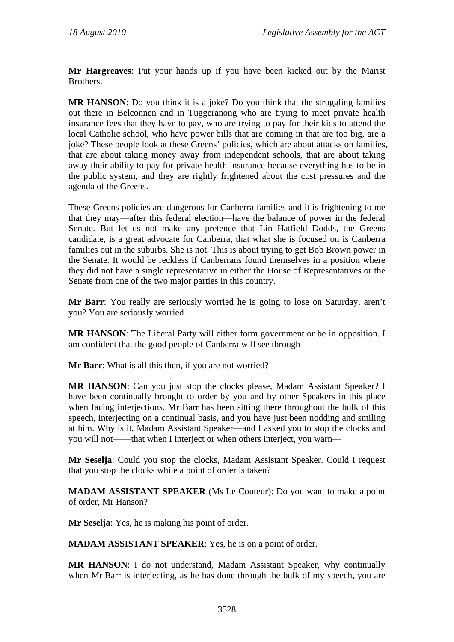**Mr Hargreaves**: Put your hands up if you have been kicked out by the Marist Brothers.

**MR HANSON:** Do you think it is a joke? Do you think that the struggling families out there in Belconnen and in Tuggeranong who are trying to meet private health insurance fees that they have to pay, who are trying to pay for their kids to attend the local Catholic school, who have power bills that are coming in that are too big, are a joke? These people look at these Greens' policies, which are about attacks on families, that are about taking money away from independent schools, that are about taking away their ability to pay for private health insurance because everything has to be in the public system, and they are rightly frightened about the cost pressures and the agenda of the Greens.

These Greens policies are dangerous for Canberra families and it is frightening to me that they may—after this federal election—have the balance of power in the federal Senate. But let us not make any pretence that Lin Hatfield Dodds, the Greens candidate, is a great advocate for Canberra, that what she is focused on is Canberra families out in the suburbs. She is not. This is about trying to get Bob Brown power in the Senate. It would be reckless if Canberrans found themselves in a position where they did not have a single representative in either the House of Representatives or the Senate from one of the two major parties in this country.

**Mr Barr**: You really are seriously worried he is going to lose on Saturday, aren't you? You are seriously worried.

**MR HANSON**: The Liberal Party will either form government or be in opposition. I am confident that the good people of Canberra will see through—

**Mr Barr**: What is all this then, if you are not worried?

**MR HANSON**: Can you just stop the clocks please, Madam Assistant Speaker? I have been continually brought to order by you and by other Speakers in this place when facing interjections. Mr Barr has been sitting there throughout the bulk of this speech, interjecting on a continual basis, and you have just been nodding and smiling at him. Why is it, Madam Assistant Speaker—and I asked you to stop the clocks and you will not——that when I interject or when others interject, you warn—

**Mr Seselja**: Could you stop the clocks, Madam Assistant Speaker. Could I request that you stop the clocks while a point of order is taken?

**MADAM ASSISTANT SPEAKER** (Ms Le Couteur): Do you want to make a point of order, Mr Hanson?

**Mr Seselja**: Yes, he is making his point of order.

**MADAM ASSISTANT SPEAKER**: Yes, he is on a point of order.

**MR HANSON**: I do not understand, Madam Assistant Speaker, why continually when Mr Barr is interjecting, as he has done through the bulk of my speech, you are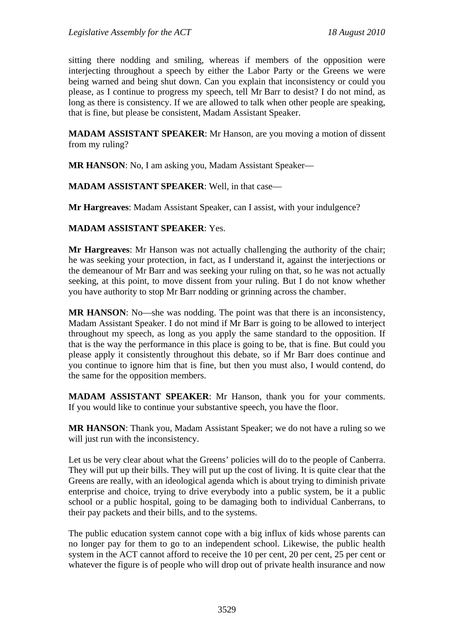sitting there nodding and smiling, whereas if members of the opposition were interjecting throughout a speech by either the Labor Party or the Greens we were being warned and being shut down. Can you explain that inconsistency or could you please, as I continue to progress my speech, tell Mr Barr to desist? I do not mind, as long as there is consistency. If we are allowed to talk when other people are speaking, that is fine, but please be consistent, Madam Assistant Speaker.

**MADAM ASSISTANT SPEAKER**: Mr Hanson, are you moving a motion of dissent from my ruling?

**MR HANSON**: No, I am asking you, Madam Assistant Speaker—

**MADAM ASSISTANT SPEAKER**: Well, in that case—

**Mr Hargreaves**: Madam Assistant Speaker, can I assist, with your indulgence?

**MADAM ASSISTANT SPEAKER**: Yes.

**Mr Hargreaves**: Mr Hanson was not actually challenging the authority of the chair; he was seeking your protection, in fact, as I understand it, against the interjections or the demeanour of Mr Barr and was seeking your ruling on that, so he was not actually seeking, at this point, to move dissent from your ruling. But I do not know whether you have authority to stop Mr Barr nodding or grinning across the chamber.

**MR HANSON**: No—she was nodding. The point was that there is an inconsistency, Madam Assistant Speaker. I do not mind if Mr Barr is going to be allowed to interject throughout my speech, as long as you apply the same standard to the opposition. If that is the way the performance in this place is going to be, that is fine. But could you please apply it consistently throughout this debate, so if Mr Barr does continue and you continue to ignore him that is fine, but then you must also, I would contend, do the same for the opposition members.

**MADAM ASSISTANT SPEAKER**: Mr Hanson, thank you for your comments. If you would like to continue your substantive speech, you have the floor.

**MR HANSON**: Thank you, Madam Assistant Speaker; we do not have a ruling so we will just run with the inconsistency.

Let us be very clear about what the Greens' policies will do to the people of Canberra. They will put up their bills. They will put up the cost of living. It is quite clear that the Greens are really, with an ideological agenda which is about trying to diminish private enterprise and choice, trying to drive everybody into a public system, be it a public school or a public hospital, going to be damaging both to individual Canberrans, to their pay packets and their bills, and to the systems.

The public education system cannot cope with a big influx of kids whose parents can no longer pay for them to go to an independent school. Likewise, the public health system in the ACT cannot afford to receive the 10 per cent, 20 per cent, 25 per cent or whatever the figure is of people who will drop out of private health insurance and now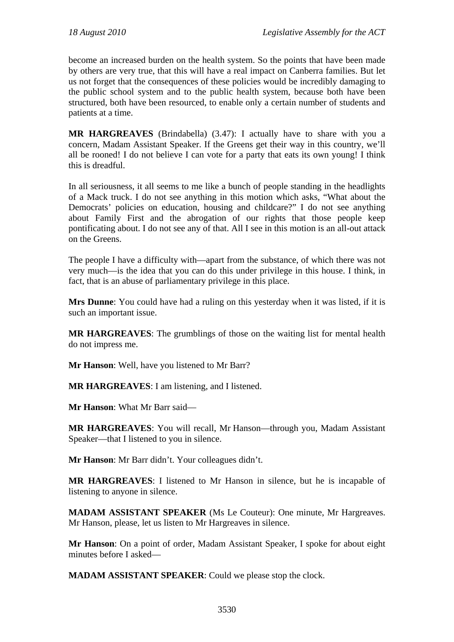become an increased burden on the health system. So the points that have been made by others are very true, that this will have a real impact on Canberra families. But let us not forget that the consequences of these policies would be incredibly damaging to the public school system and to the public health system, because both have been structured, both have been resourced, to enable only a certain number of students and patients at a time.

**MR HARGREAVES** (Brindabella) (3.47): I actually have to share with you a concern, Madam Assistant Speaker. If the Greens get their way in this country, we'll all be rooned! I do not believe I can vote for a party that eats its own young! I think this is dreadful.

In all seriousness, it all seems to me like a bunch of people standing in the headlights of a Mack truck. I do not see anything in this motion which asks, "What about the Democrats' policies on education, housing and childcare?" I do not see anything about Family First and the abrogation of our rights that those people keep pontificating about. I do not see any of that. All I see in this motion is an all-out attack on the Greens.

The people I have a difficulty with—apart from the substance, of which there was not very much—is the idea that you can do this under privilege in this house. I think, in fact, that is an abuse of parliamentary privilege in this place.

**Mrs Dunne**: You could have had a ruling on this yesterday when it was listed, if it is such an important issue.

**MR HARGREAVES**: The grumblings of those on the waiting list for mental health do not impress me.

**Mr Hanson**: Well, have you listened to Mr Barr?

**MR HARGREAVES**: I am listening, and I listened.

**Mr Hanson**: What Mr Barr said—

**MR HARGREAVES**: You will recall, Mr Hanson—through you, Madam Assistant Speaker—that I listened to you in silence.

**Mr Hanson**: Mr Barr didn't. Your colleagues didn't.

**MR HARGREAVES**: I listened to Mr Hanson in silence, but he is incapable of listening to anyone in silence.

**MADAM ASSISTANT SPEAKER** (Ms Le Couteur): One minute, Mr Hargreaves. Mr Hanson, please, let us listen to Mr Hargreaves in silence.

**Mr Hanson**: On a point of order, Madam Assistant Speaker, I spoke for about eight minutes before I asked—

**MADAM ASSISTANT SPEAKER**: Could we please stop the clock.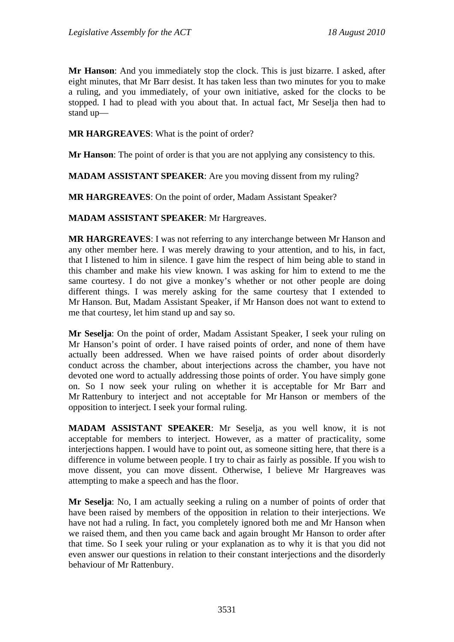**Mr Hanson**: And you immediately stop the clock. This is just bizarre. I asked, after eight minutes, that Mr Barr desist. It has taken less than two minutes for you to make a ruling, and you immediately, of your own initiative, asked for the clocks to be stopped. I had to plead with you about that. In actual fact, Mr Seselja then had to stand up—

**MR HARGREAVES**: What is the point of order?

**Mr Hanson**: The point of order is that you are not applying any consistency to this.

**MADAM ASSISTANT SPEAKER**: Are you moving dissent from my ruling?

**MR HARGREAVES**: On the point of order, Madam Assistant Speaker?

**MADAM ASSISTANT SPEAKER**: Mr Hargreaves.

**MR HARGREAVES**: I was not referring to any interchange between Mr Hanson and any other member here. I was merely drawing to your attention, and to his, in fact, that I listened to him in silence. I gave him the respect of him being able to stand in this chamber and make his view known. I was asking for him to extend to me the same courtesy. I do not give a monkey's whether or not other people are doing different things. I was merely asking for the same courtesy that I extended to Mr Hanson. But, Madam Assistant Speaker, if Mr Hanson does not want to extend to me that courtesy, let him stand up and say so.

**Mr Seselja**: On the point of order, Madam Assistant Speaker, I seek your ruling on Mr Hanson's point of order. I have raised points of order, and none of them have actually been addressed. When we have raised points of order about disorderly conduct across the chamber, about interjections across the chamber, you have not devoted one word to actually addressing those points of order. You have simply gone on. So I now seek your ruling on whether it is acceptable for Mr Barr and Mr Rattenbury to interject and not acceptable for Mr Hanson or members of the opposition to interject. I seek your formal ruling.

**MADAM ASSISTANT SPEAKER**: Mr Seselja, as you well know, it is not acceptable for members to interject. However, as a matter of practicality, some interjections happen. I would have to point out, as someone sitting here, that there is a difference in volume between people. I try to chair as fairly as possible. If you wish to move dissent, you can move dissent. Otherwise, I believe Mr Hargreaves was attempting to make a speech and has the floor.

**Mr Seselja**: No, I am actually seeking a ruling on a number of points of order that have been raised by members of the opposition in relation to their interjections. We have not had a ruling. In fact, you completely ignored both me and Mr Hanson when we raised them, and then you came back and again brought Mr Hanson to order after that time. So I seek your ruling or your explanation as to why it is that you did not even answer our questions in relation to their constant interjections and the disorderly behaviour of Mr Rattenbury.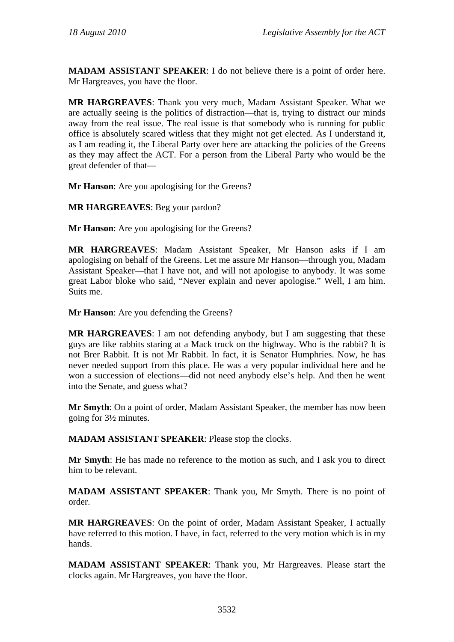**MADAM ASSISTANT SPEAKER**: I do not believe there is a point of order here. Mr Hargreaves, you have the floor.

**MR HARGREAVES**: Thank you very much, Madam Assistant Speaker. What we are actually seeing is the politics of distraction—that is, trying to distract our minds away from the real issue. The real issue is that somebody who is running for public office is absolutely scared witless that they might not get elected. As I understand it, as I am reading it, the Liberal Party over here are attacking the policies of the Greens as they may affect the ACT. For a person from the Liberal Party who would be the great defender of that—

**Mr Hanson**: Are you apologising for the Greens?

**MR HARGREAVES**: Beg your pardon?

**Mr Hanson**: Are you apologising for the Greens?

**MR HARGREAVES**: Madam Assistant Speaker, Mr Hanson asks if I am apologising on behalf of the Greens. Let me assure Mr Hanson—through you, Madam Assistant Speaker—that I have not, and will not apologise to anybody. It was some great Labor bloke who said, "Never explain and never apologise." Well, I am him. Suits me.

**Mr Hanson**: Are you defending the Greens?

**MR HARGREAVES**: I am not defending anybody, but I am suggesting that these guys are like rabbits staring at a Mack truck on the highway. Who is the rabbit? It is not Brer Rabbit. It is not Mr Rabbit. In fact, it is Senator Humphries. Now, he has never needed support from this place. He was a very popular individual here and he won a succession of elections—did not need anybody else's help. And then he went into the Senate, and guess what?

**Mr Smyth**: On a point of order, Madam Assistant Speaker, the member has now been going for 3½ minutes.

**MADAM ASSISTANT SPEAKER**: Please stop the clocks.

**Mr Smyth**: He has made no reference to the motion as such, and I ask you to direct him to be relevant.

**MADAM ASSISTANT SPEAKER**: Thank you, Mr Smyth. There is no point of order.

**MR HARGREAVES**: On the point of order, Madam Assistant Speaker, I actually have referred to this motion. I have, in fact, referred to the very motion which is in my hands.

**MADAM ASSISTANT SPEAKER**: Thank you, Mr Hargreaves. Please start the clocks again. Mr Hargreaves, you have the floor.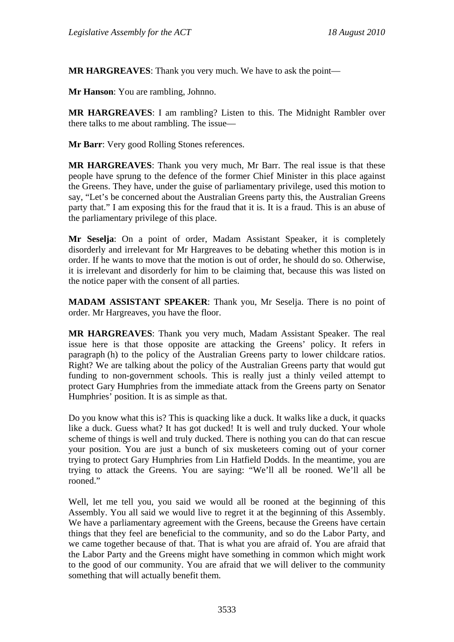**MR HARGREAVES**: Thank you very much. We have to ask the point—

**Mr Hanson**: You are rambling, Johnno.

**MR HARGREAVES**: I am rambling? Listen to this. The Midnight Rambler over there talks to me about rambling. The issue—

**Mr Barr**: Very good Rolling Stones references.

**MR HARGREAVES**: Thank you very much, Mr Barr. The real issue is that these people have sprung to the defence of the former Chief Minister in this place against the Greens. They have, under the guise of parliamentary privilege, used this motion to say, "Let's be concerned about the Australian Greens party this, the Australian Greens party that." I am exposing this for the fraud that it is. It is a fraud. This is an abuse of the parliamentary privilege of this place.

**Mr Seselja**: On a point of order, Madam Assistant Speaker, it is completely disorderly and irrelevant for Mr Hargreaves to be debating whether this motion is in order. If he wants to move that the motion is out of order, he should do so. Otherwise, it is irrelevant and disorderly for him to be claiming that, because this was listed on the notice paper with the consent of all parties.

**MADAM ASSISTANT SPEAKER**: Thank you, Mr Seselja. There is no point of order. Mr Hargreaves, you have the floor.

**MR HARGREAVES**: Thank you very much, Madam Assistant Speaker. The real issue here is that those opposite are attacking the Greens' policy. It refers in paragraph (h) to the policy of the Australian Greens party to lower childcare ratios. Right? We are talking about the policy of the Australian Greens party that would gut funding to non-government schools. This is really just a thinly veiled attempt to protect Gary Humphries from the immediate attack from the Greens party on Senator Humphries' position. It is as simple as that.

Do you know what this is? This is quacking like a duck. It walks like a duck, it quacks like a duck. Guess what? It has got ducked! It is well and truly ducked. Your whole scheme of things is well and truly ducked. There is nothing you can do that can rescue your position. You are just a bunch of six musketeers coming out of your corner trying to protect Gary Humphries from Lin Hatfield Dodds. In the meantime, you are trying to attack the Greens. You are saying: "We'll all be rooned. We'll all be rooned<sup>"</sup>

Well, let me tell you, you said we would all be rooned at the beginning of this Assembly. You all said we would live to regret it at the beginning of this Assembly. We have a parliamentary agreement with the Greens, because the Greens have certain things that they feel are beneficial to the community, and so do the Labor Party, and we came together because of that. That is what you are afraid of. You are afraid that the Labor Party and the Greens might have something in common which might work to the good of our community. You are afraid that we will deliver to the community something that will actually benefit them.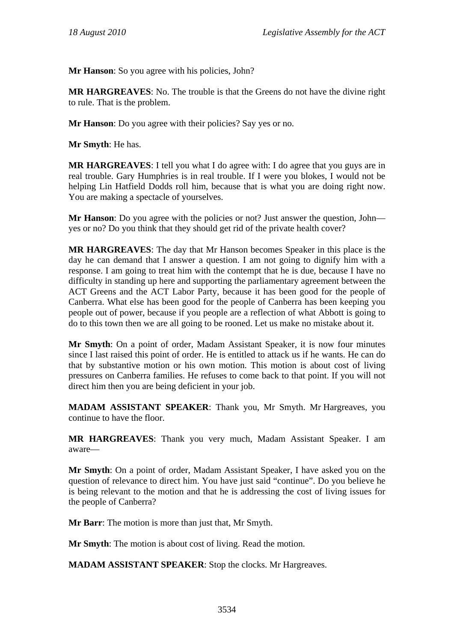**Mr Hanson**: So you agree with his policies, John?

**MR HARGREAVES**: No. The trouble is that the Greens do not have the divine right to rule. That is the problem.

**Mr Hanson**: Do you agree with their policies? Say yes or no.

**Mr Smyth**: He has.

**MR HARGREAVES**: I tell you what I do agree with: I do agree that you guys are in real trouble. Gary Humphries is in real trouble. If I were you blokes, I would not be helping Lin Hatfield Dodds roll him, because that is what you are doing right now. You are making a spectacle of yourselves.

**Mr Hanson**: Do you agree with the policies or not? Just answer the question, John yes or no? Do you think that they should get rid of the private health cover?

**MR HARGREAVES**: The day that Mr Hanson becomes Speaker in this place is the day he can demand that I answer a question. I am not going to dignify him with a response. I am going to treat him with the contempt that he is due, because I have no difficulty in standing up here and supporting the parliamentary agreement between the ACT Greens and the ACT Labor Party, because it has been good for the people of Canberra. What else has been good for the people of Canberra has been keeping you people out of power, because if you people are a reflection of what Abbott is going to do to this town then we are all going to be rooned. Let us make no mistake about it.

**Mr Smyth**: On a point of order, Madam Assistant Speaker, it is now four minutes since I last raised this point of order. He is entitled to attack us if he wants. He can do that by substantive motion or his own motion. This motion is about cost of living pressures on Canberra families. He refuses to come back to that point. If you will not direct him then you are being deficient in your job.

**MADAM ASSISTANT SPEAKER**: Thank you, Mr Smyth. Mr Hargreaves, you continue to have the floor.

**MR HARGREAVES**: Thank you very much, Madam Assistant Speaker. I am aware—

**Mr Smyth**: On a point of order, Madam Assistant Speaker, I have asked you on the question of relevance to direct him. You have just said "continue". Do you believe he is being relevant to the motion and that he is addressing the cost of living issues for the people of Canberra?

**Mr Barr**: The motion is more than just that, Mr Smyth.

**Mr Smyth**: The motion is about cost of living. Read the motion.

**MADAM ASSISTANT SPEAKER**: Stop the clocks. Mr Hargreaves.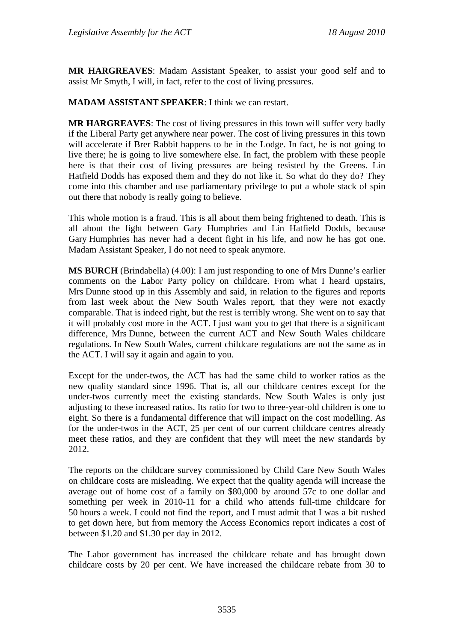**MR HARGREAVES**: Madam Assistant Speaker, to assist your good self and to assist Mr Smyth, I will, in fact, refer to the cost of living pressures.

# **MADAM ASSISTANT SPEAKER**: I think we can restart.

**MR HARGREAVES**: The cost of living pressures in this town will suffer very badly if the Liberal Party get anywhere near power. The cost of living pressures in this town will accelerate if Brer Rabbit happens to be in the Lodge. In fact, he is not going to live there; he is going to live somewhere else. In fact, the problem with these people here is that their cost of living pressures are being resisted by the Greens. Lin Hatfield Dodds has exposed them and they do not like it. So what do they do? They come into this chamber and use parliamentary privilege to put a whole stack of spin out there that nobody is really going to believe.

This whole motion is a fraud. This is all about them being frightened to death. This is all about the fight between Gary Humphries and Lin Hatfield Dodds, because Gary Humphries has never had a decent fight in his life, and now he has got one. Madam Assistant Speaker, I do not need to speak anymore.

**MS BURCH** (Brindabella) (4.00): I am just responding to one of Mrs Dunne's earlier comments on the Labor Party policy on childcare. From what I heard upstairs, Mrs Dunne stood up in this Assembly and said, in relation to the figures and reports from last week about the New South Wales report, that they were not exactly comparable. That is indeed right, but the rest is terribly wrong. She went on to say that it will probably cost more in the ACT. I just want you to get that there is a significant difference, Mrs Dunne, between the current ACT and New South Wales childcare regulations. In New South Wales, current childcare regulations are not the same as in the ACT. I will say it again and again to you.

Except for the under-twos, the ACT has had the same child to worker ratios as the new quality standard since 1996. That is, all our childcare centres except for the under-twos currently meet the existing standards. New South Wales is only just adjusting to these increased ratios. Its ratio for two to three-year-old children is one to eight. So there is a fundamental difference that will impact on the cost modelling. As for the under-twos in the ACT, 25 per cent of our current childcare centres already meet these ratios, and they are confident that they will meet the new standards by 2012.

The reports on the childcare survey commissioned by Child Care New South Wales on childcare costs are misleading. We expect that the quality agenda will increase the average out of home cost of a family on \$80,000 by around 57c to one dollar and something per week in 2010-11 for a child who attends full-time childcare for 50 hours a week. I could not find the report, and I must admit that I was a bit rushed to get down here, but from memory the Access Economics report indicates a cost of between \$1.20 and \$1.30 per day in 2012.

The Labor government has increased the childcare rebate and has brought down childcare costs by 20 per cent. We have increased the childcare rebate from 30 to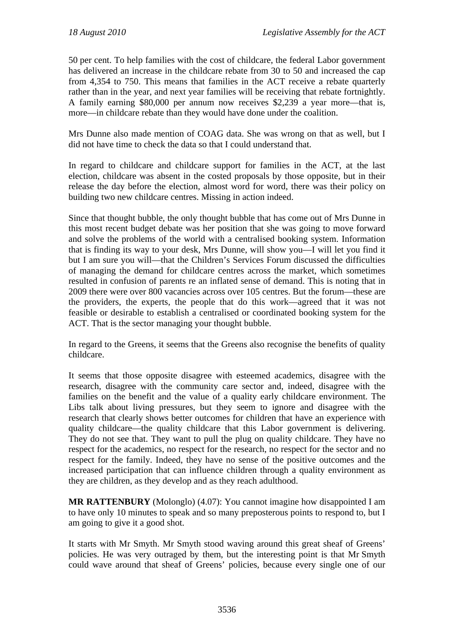50 per cent. To help families with the cost of childcare, the federal Labor government has delivered an increase in the childcare rebate from 30 to 50 and increased the cap from 4,354 to 750. This means that families in the ACT receive a rebate quarterly rather than in the year, and next year families will be receiving that rebate fortnightly. A family earning \$80,000 per annum now receives \$2,239 a year more—that is, more—in childcare rebate than they would have done under the coalition.

Mrs Dunne also made mention of COAG data. She was wrong on that as well, but I did not have time to check the data so that I could understand that.

In regard to childcare and childcare support for families in the ACT, at the last election, childcare was absent in the costed proposals by those opposite, but in their release the day before the election, almost word for word, there was their policy on building two new childcare centres. Missing in action indeed.

Since that thought bubble, the only thought bubble that has come out of Mrs Dunne in this most recent budget debate was her position that she was going to move forward and solve the problems of the world with a centralised booking system. Information that is finding its way to your desk, Mrs Dunne, will show you—I will let you find it but I am sure you will—that the Children's Services Forum discussed the difficulties of managing the demand for childcare centres across the market, which sometimes resulted in confusion of parents re an inflated sense of demand. This is noting that in 2009 there were over 800 vacancies across over 105 centres. But the forum—these are the providers, the experts, the people that do this work—agreed that it was not feasible or desirable to establish a centralised or coordinated booking system for the ACT. That is the sector managing your thought bubble.

In regard to the Greens, it seems that the Greens also recognise the benefits of quality childcare.

It seems that those opposite disagree with esteemed academics, disagree with the research, disagree with the community care sector and, indeed, disagree with the families on the benefit and the value of a quality early childcare environment. The Libs talk about living pressures, but they seem to ignore and disagree with the research that clearly shows better outcomes for children that have an experience with quality childcare—the quality childcare that this Labor government is delivering. They do not see that. They want to pull the plug on quality childcare. They have no respect for the academics, no respect for the research, no respect for the sector and no respect for the family. Indeed, they have no sense of the positive outcomes and the increased participation that can influence children through a quality environment as they are children, as they develop and as they reach adulthood.

**MR RATTENBURY** (Molonglo) (4.07): You cannot imagine how disappointed I am to have only 10 minutes to speak and so many preposterous points to respond to, but I am going to give it a good shot.

It starts with Mr Smyth. Mr Smyth stood waving around this great sheaf of Greens' policies. He was very outraged by them, but the interesting point is that Mr Smyth could wave around that sheaf of Greens' policies, because every single one of our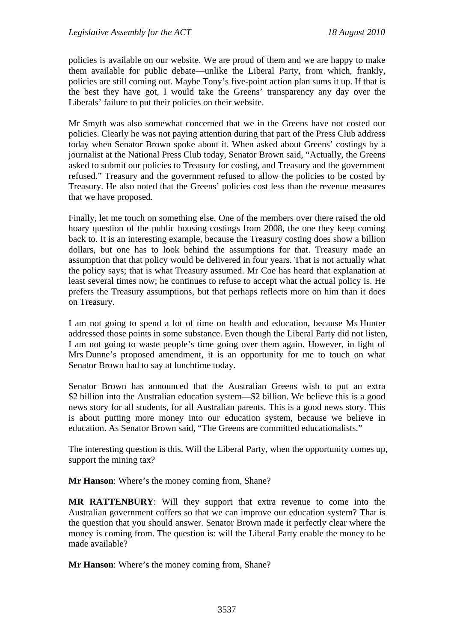policies is available on our website. We are proud of them and we are happy to make them available for public debate—unlike the Liberal Party, from which, frankly, policies are still coming out. Maybe Tony's five-point action plan sums it up. If that is the best they have got, I would take the Greens' transparency any day over the Liberals' failure to put their policies on their website.

Mr Smyth was also somewhat concerned that we in the Greens have not costed our policies. Clearly he was not paying attention during that part of the Press Club address today when Senator Brown spoke about it. When asked about Greens' costings by a journalist at the National Press Club today, Senator Brown said, "Actually, the Greens asked to submit our policies to Treasury for costing, and Treasury and the government refused." Treasury and the government refused to allow the policies to be costed by Treasury. He also noted that the Greens' policies cost less than the revenue measures that we have proposed.

Finally, let me touch on something else. One of the members over there raised the old hoary question of the public housing costings from 2008, the one they keep coming back to. It is an interesting example, because the Treasury costing does show a billion dollars, but one has to look behind the assumptions for that. Treasury made an assumption that that policy would be delivered in four years. That is not actually what the policy says; that is what Treasury assumed. Mr Coe has heard that explanation at least several times now; he continues to refuse to accept what the actual policy is. He prefers the Treasury assumptions, but that perhaps reflects more on him than it does on Treasury.

I am not going to spend a lot of time on health and education, because Ms Hunter addressed those points in some substance. Even though the Liberal Party did not listen, I am not going to waste people's time going over them again. However, in light of Mrs Dunne's proposed amendment, it is an opportunity for me to touch on what Senator Brown had to say at lunchtime today.

Senator Brown has announced that the Australian Greens wish to put an extra \$2 billion into the Australian education system—\$2 billion. We believe this is a good news story for all students, for all Australian parents. This is a good news story. This is about putting more money into our education system, because we believe in education. As Senator Brown said, "The Greens are committed educationalists."

The interesting question is this. Will the Liberal Party, when the opportunity comes up, support the mining tax?

**Mr Hanson**: Where's the money coming from, Shane?

**MR RATTENBURY**: Will they support that extra revenue to come into the Australian government coffers so that we can improve our education system? That is the question that you should answer. Senator Brown made it perfectly clear where the money is coming from. The question is: will the Liberal Party enable the money to be made available?

**Mr Hanson**: Where's the money coming from, Shane?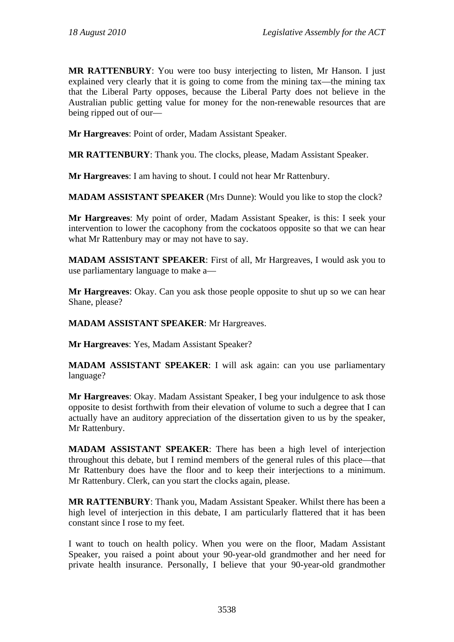**MR RATTENBURY**: You were too busy interjecting to listen, Mr Hanson. I just explained very clearly that it is going to come from the mining tax—the mining tax that the Liberal Party opposes, because the Liberal Party does not believe in the Australian public getting value for money for the non-renewable resources that are being ripped out of our—

**Mr Hargreaves**: Point of order, Madam Assistant Speaker.

**MR RATTENBURY**: Thank you. The clocks, please, Madam Assistant Speaker.

**Mr Hargreaves**: I am having to shout. I could not hear Mr Rattenbury.

**MADAM ASSISTANT SPEAKER** (Mrs Dunne): Would you like to stop the clock?

**Mr Hargreaves**: My point of order, Madam Assistant Speaker, is this: I seek your intervention to lower the cacophony from the cockatoos opposite so that we can hear what Mr Rattenbury may or may not have to say.

**MADAM ASSISTANT SPEAKER**: First of all, Mr Hargreaves, I would ask you to use parliamentary language to make a—

**Mr Hargreaves**: Okay. Can you ask those people opposite to shut up so we can hear Shane, please?

**MADAM ASSISTANT SPEAKER**: Mr Hargreaves.

**Mr Hargreaves**: Yes, Madam Assistant Speaker?

**MADAM ASSISTANT SPEAKER**: I will ask again: can you use parliamentary language?

**Mr Hargreaves**: Okay. Madam Assistant Speaker, I beg your indulgence to ask those opposite to desist forthwith from their elevation of volume to such a degree that I can actually have an auditory appreciation of the dissertation given to us by the speaker, Mr Rattenbury.

**MADAM ASSISTANT SPEAKER**: There has been a high level of interjection throughout this debate, but I remind members of the general rules of this place—that Mr Rattenbury does have the floor and to keep their interjections to a minimum. Mr Rattenbury. Clerk, can you start the clocks again, please.

**MR RATTENBURY**: Thank you, Madam Assistant Speaker. Whilst there has been a high level of interjection in this debate, I am particularly flattered that it has been constant since I rose to my feet.

I want to touch on health policy. When you were on the floor, Madam Assistant Speaker, you raised a point about your 90-year-old grandmother and her need for private health insurance. Personally, I believe that your 90-year-old grandmother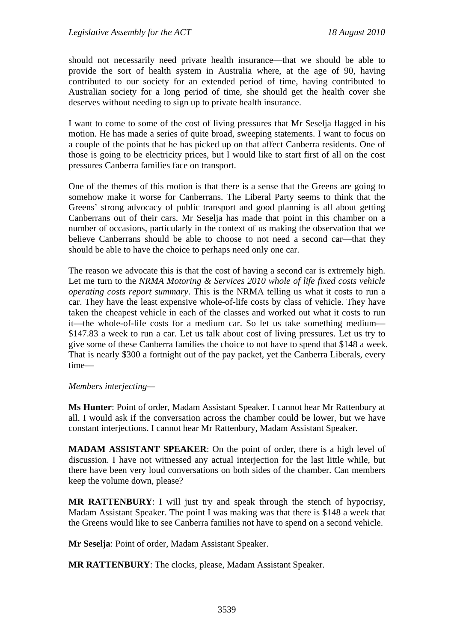should not necessarily need private health insurance—that we should be able to provide the sort of health system in Australia where, at the age of 90, having contributed to our society for an extended period of time, having contributed to Australian society for a long period of time, she should get the health cover she deserves without needing to sign up to private health insurance.

I want to come to some of the cost of living pressures that Mr Seselja flagged in his motion. He has made a series of quite broad, sweeping statements. I want to focus on a couple of the points that he has picked up on that affect Canberra residents. One of those is going to be electricity prices, but I would like to start first of all on the cost pressures Canberra families face on transport.

One of the themes of this motion is that there is a sense that the Greens are going to somehow make it worse for Canberrans. The Liberal Party seems to think that the Greens' strong advocacy of public transport and good planning is all about getting Canberrans out of their cars. Mr Seselja has made that point in this chamber on a number of occasions, particularly in the context of us making the observation that we believe Canberrans should be able to choose to not need a second car—that they should be able to have the choice to perhaps need only one car.

The reason we advocate this is that the cost of having a second car is extremely high. Let me turn to the *NRMA Motoring & Services 2010 whole of life fixed costs vehicle operating costs report summary*. This is the NRMA telling us what it costs to run a car. They have the least expensive whole-of-life costs by class of vehicle. They have taken the cheapest vehicle in each of the classes and worked out what it costs to run it—the whole-of-life costs for a medium car. So let us take something medium— \$147.83 a week to run a car. Let us talk about cost of living pressures. Let us try to give some of these Canberra families the choice to not have to spend that \$148 a week. That is nearly \$300 a fortnight out of the pay packet, yet the Canberra Liberals, every time—

#### *Members interjecting—*

**Ms Hunter**: Point of order, Madam Assistant Speaker. I cannot hear Mr Rattenbury at all. I would ask if the conversation across the chamber could be lower, but we have constant interjections. I cannot hear Mr Rattenbury, Madam Assistant Speaker.

**MADAM ASSISTANT SPEAKER**: On the point of order, there is a high level of discussion. I have not witnessed any actual interjection for the last little while, but there have been very loud conversations on both sides of the chamber. Can members keep the volume down, please?

**MR RATTENBURY**: I will just try and speak through the stench of hypocrisy, Madam Assistant Speaker. The point I was making was that there is \$148 a week that the Greens would like to see Canberra families not have to spend on a second vehicle.

**Mr Seselja**: Point of order, Madam Assistant Speaker.

**MR RATTENBURY**: The clocks, please, Madam Assistant Speaker.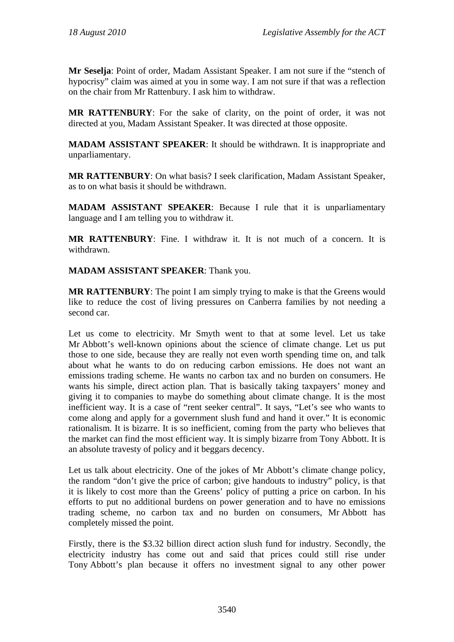**Mr Seselja**: Point of order, Madam Assistant Speaker. I am not sure if the "stench of hypocrisy" claim was aimed at you in some way. I am not sure if that was a reflection on the chair from Mr Rattenbury. I ask him to withdraw.

**MR RATTENBURY**: For the sake of clarity, on the point of order, it was not directed at you, Madam Assistant Speaker. It was directed at those opposite.

**MADAM ASSISTANT SPEAKER**: It should be withdrawn. It is inappropriate and unparliamentary.

**MR RATTENBURY**: On what basis? I seek clarification, Madam Assistant Speaker, as to on what basis it should be withdrawn.

**MADAM ASSISTANT SPEAKER**: Because I rule that it is unparliamentary language and I am telling you to withdraw it.

**MR RATTENBURY**: Fine. I withdraw it. It is not much of a concern. It is withdrawn.

**MADAM ASSISTANT SPEAKER**: Thank you.

**MR RATTENBURY**: The point I am simply trying to make is that the Greens would like to reduce the cost of living pressures on Canberra families by not needing a second car.

Let us come to electricity. Mr Smyth went to that at some level. Let us take Mr Abbott's well-known opinions about the science of climate change. Let us put those to one side, because they are really not even worth spending time on, and talk about what he wants to do on reducing carbon emissions. He does not want an emissions trading scheme. He wants no carbon tax and no burden on consumers. He wants his simple, direct action plan. That is basically taking taxpayers' money and giving it to companies to maybe do something about climate change. It is the most inefficient way. It is a case of "rent seeker central". It says, "Let's see who wants to come along and apply for a government slush fund and hand it over." It is economic rationalism. It is bizarre. It is so inefficient, coming from the party who believes that the market can find the most efficient way. It is simply bizarre from Tony Abbott. It is an absolute travesty of policy and it beggars decency.

Let us talk about electricity. One of the jokes of Mr Abbott's climate change policy, the random "don't give the price of carbon; give handouts to industry" policy, is that it is likely to cost more than the Greens' policy of putting a price on carbon. In his efforts to put no additional burdens on power generation and to have no emissions trading scheme, no carbon tax and no burden on consumers, Mr Abbott has completely missed the point.

Firstly, there is the \$3.32 billion direct action slush fund for industry. Secondly, the electricity industry has come out and said that prices could still rise under Tony Abbott's plan because it offers no investment signal to any other power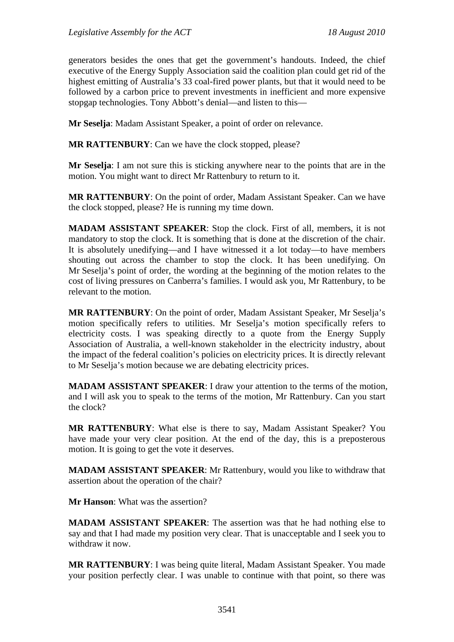generators besides the ones that get the government's handouts. Indeed, the chief executive of the Energy Supply Association said the coalition plan could get rid of the highest emitting of Australia's 33 coal-fired power plants, but that it would need to be followed by a carbon price to prevent investments in inefficient and more expensive stopgap technologies. Tony Abbott's denial—and listen to this—

**Mr Seselja**: Madam Assistant Speaker, a point of order on relevance.

**MR RATTENBURY**: Can we have the clock stopped, please?

**Mr Seselja**: I am not sure this is sticking anywhere near to the points that are in the motion. You might want to direct Mr Rattenbury to return to it.

**MR RATTENBURY**: On the point of order, Madam Assistant Speaker. Can we have the clock stopped, please? He is running my time down.

**MADAM ASSISTANT SPEAKER**: Stop the clock. First of all, members, it is not mandatory to stop the clock. It is something that is done at the discretion of the chair. It is absolutely unedifying—and I have witnessed it a lot today—to have members shouting out across the chamber to stop the clock. It has been unedifying. On Mr Seselja's point of order, the wording at the beginning of the motion relates to the cost of living pressures on Canberra's families. I would ask you, Mr Rattenbury, to be relevant to the motion.

**MR RATTENBURY**: On the point of order, Madam Assistant Speaker, Mr Seselja's motion specifically refers to utilities. Mr Seselja's motion specifically refers to electricity costs. I was speaking directly to a quote from the Energy Supply Association of Australia, a well-known stakeholder in the electricity industry, about the impact of the federal coalition's policies on electricity prices. It is directly relevant to Mr Seselja's motion because we are debating electricity prices.

**MADAM ASSISTANT SPEAKER**: I draw your attention to the terms of the motion, and I will ask you to speak to the terms of the motion, Mr Rattenbury. Can you start the clock?

**MR RATTENBURY**: What else is there to say, Madam Assistant Speaker? You have made your very clear position. At the end of the day, this is a preposterous motion. It is going to get the vote it deserves.

**MADAM ASSISTANT SPEAKER**: Mr Rattenbury, would you like to withdraw that assertion about the operation of the chair?

**Mr Hanson**: What was the assertion?

**MADAM ASSISTANT SPEAKER**: The assertion was that he had nothing else to say and that I had made my position very clear. That is unacceptable and I seek you to withdraw it now.

**MR RATTENBURY**: I was being quite literal, Madam Assistant Speaker. You made your position perfectly clear. I was unable to continue with that point, so there was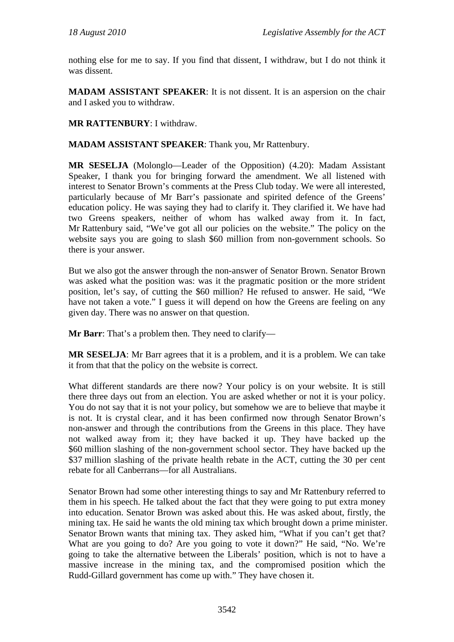nothing else for me to say. If you find that dissent, I withdraw, but I do not think it was dissent.

**MADAM ASSISTANT SPEAKER**: It is not dissent. It is an aspersion on the chair and I asked you to withdraw.

**MR RATTENBURY**: I withdraw.

**MADAM ASSISTANT SPEAKER**: Thank you, Mr Rattenbury.

**MR SESELJA** (Molonglo—Leader of the Opposition) (4.20): Madam Assistant Speaker, I thank you for bringing forward the amendment. We all listened with interest to Senator Brown's comments at the Press Club today. We were all interested, particularly because of Mr Barr's passionate and spirited defence of the Greens' education policy. He was saying they had to clarify it. They clarified it. We have had two Greens speakers, neither of whom has walked away from it. In fact, Mr Rattenbury said, "We've got all our policies on the website." The policy on the website says you are going to slash \$60 million from non-government schools. So there is your answer.

But we also got the answer through the non-answer of Senator Brown. Senator Brown was asked what the position was: was it the pragmatic position or the more strident position, let's say, of cutting the \$60 million? He refused to answer. He said, "We have not taken a vote." I guess it will depend on how the Greens are feeling on any given day. There was no answer on that question.

**Mr Barr**: That's a problem then. They need to clarify—

**MR SESELJA**: Mr Barr agrees that it is a problem, and it is a problem. We can take it from that that the policy on the website is correct.

What different standards are there now? Your policy is on your website. It is still there three days out from an election. You are asked whether or not it is your policy. You do not say that it is not your policy, but somehow we are to believe that maybe it is not. It is crystal clear, and it has been confirmed now through Senator Brown's non-answer and through the contributions from the Greens in this place. They have not walked away from it; they have backed it up. They have backed up the \$60 million slashing of the non-government school sector. They have backed up the \$37 million slashing of the private health rebate in the ACT, cutting the 30 per cent rebate for all Canberrans—for all Australians.

Senator Brown had some other interesting things to say and Mr Rattenbury referred to them in his speech. He talked about the fact that they were going to put extra money into education. Senator Brown was asked about this. He was asked about, firstly, the mining tax. He said he wants the old mining tax which brought down a prime minister. Senator Brown wants that mining tax. They asked him, "What if you can't get that? What are you going to do? Are you going to vote it down?" He said, "No. We're going to take the alternative between the Liberals' position, which is not to have a massive increase in the mining tax, and the compromised position which the Rudd-Gillard government has come up with." They have chosen it.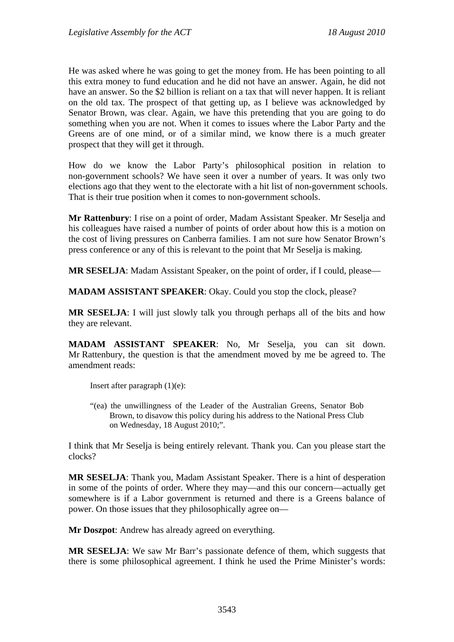He was asked where he was going to get the money from. He has been pointing to all this extra money to fund education and he did not have an answer. Again, he did not have an answer. So the \$2 billion is reliant on a tax that will never happen. It is reliant on the old tax. The prospect of that getting up, as I believe was acknowledged by Senator Brown, was clear. Again, we have this pretending that you are going to do something when you are not. When it comes to issues where the Labor Party and the Greens are of one mind, or of a similar mind, we know there is a much greater prospect that they will get it through.

How do we know the Labor Party's philosophical position in relation to non-government schools? We have seen it over a number of years. It was only two elections ago that they went to the electorate with a hit list of non-government schools. That is their true position when it comes to non-government schools.

**Mr Rattenbury**: I rise on a point of order, Madam Assistant Speaker. Mr Seselja and his colleagues have raised a number of points of order about how this is a motion on the cost of living pressures on Canberra families. I am not sure how Senator Brown's press conference or any of this is relevant to the point that Mr Seselja is making.

**MR SESELJA**: Madam Assistant Speaker, on the point of order, if I could, please—

**MADAM ASSISTANT SPEAKER**: Okay. Could you stop the clock, please?

**MR SESELJA**: I will just slowly talk you through perhaps all of the bits and how they are relevant.

**MADAM ASSISTANT SPEAKER**: No, Mr Seselja, you can sit down. Mr Rattenbury, the question is that the amendment moved by me be agreed to. The amendment reads:

Insert after paragraph (1)(e):

"(ea) the unwillingness of the Leader of the Australian Greens, Senator Bob Brown, to disavow this policy during his address to the National Press Club on Wednesday, 18 August 2010;".

I think that Mr Seselja is being entirely relevant. Thank you. Can you please start the clocks?

**MR SESELJA**: Thank you, Madam Assistant Speaker. There is a hint of desperation in some of the points of order. Where they may—and this our concern—actually get somewhere is if a Labor government is returned and there is a Greens balance of power. On those issues that they philosophically agree on—

**Mr Doszpot**: Andrew has already agreed on everything.

**MR SESELJA**: We saw Mr Barr's passionate defence of them, which suggests that there is some philosophical agreement. I think he used the Prime Minister's words: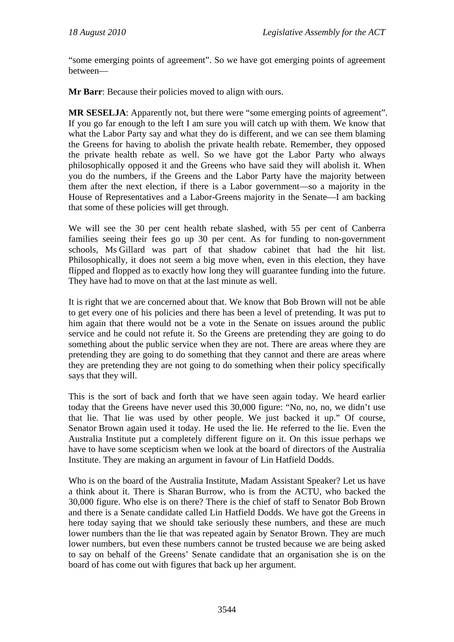"some emerging points of agreement". So we have got emerging points of agreement between—

**Mr Barr**: Because their policies moved to align with ours.

**MR SESELJA**: Apparently not, but there were "some emerging points of agreement". If you go far enough to the left I am sure you will catch up with them. We know that what the Labor Party say and what they do is different, and we can see them blaming the Greens for having to abolish the private health rebate. Remember, they opposed the private health rebate as well. So we have got the Labor Party who always philosophically opposed it and the Greens who have said they will abolish it. When you do the numbers, if the Greens and the Labor Party have the majority between them after the next election, if there is a Labor government—so a majority in the House of Representatives and a Labor-Greens majority in the Senate—I am backing that some of these policies will get through.

We will see the 30 per cent health rebate slashed, with 55 per cent of Canberra families seeing their fees go up 30 per cent. As for funding to non-government schools, Ms Gillard was part of that shadow cabinet that had the hit list. Philosophically, it does not seem a big move when, even in this election, they have flipped and flopped as to exactly how long they will guarantee funding into the future. They have had to move on that at the last minute as well.

It is right that we are concerned about that. We know that Bob Brown will not be able to get every one of his policies and there has been a level of pretending. It was put to him again that there would not be a vote in the Senate on issues around the public service and he could not refute it. So the Greens are pretending they are going to do something about the public service when they are not. There are areas where they are pretending they are going to do something that they cannot and there are areas where they are pretending they are not going to do something when their policy specifically says that they will.

This is the sort of back and forth that we have seen again today. We heard earlier today that the Greens have never used this 30,000 figure: "No, no, no, we didn't use that lie. That lie was used by other people. We just backed it up." Of course, Senator Brown again used it today. He used the lie. He referred to the lie. Even the Australia Institute put a completely different figure on it. On this issue perhaps we have to have some scepticism when we look at the board of directors of the Australia Institute. They are making an argument in favour of Lin Hatfield Dodds.

Who is on the board of the Australia Institute, Madam Assistant Speaker? Let us have a think about it. There is Sharan Burrow, who is from the ACTU, who backed the 30,000 figure. Who else is on there? There is the chief of staff to Senator Bob Brown and there is a Senate candidate called Lin Hatfield Dodds. We have got the Greens in here today saying that we should take seriously these numbers, and these are much lower numbers than the lie that was repeated again by Senator Brown. They are much lower numbers, but even these numbers cannot be trusted because we are being asked to say on behalf of the Greens' Senate candidate that an organisation she is on the board of has come out with figures that back up her argument.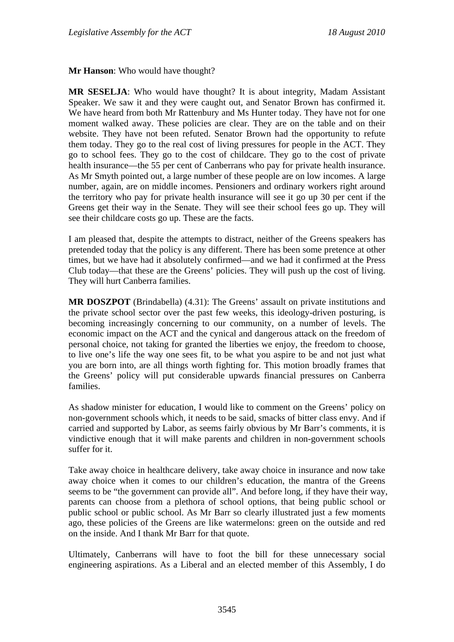**Mr Hanson**: Who would have thought?

**MR SESELJA**: Who would have thought? It is about integrity, Madam Assistant Speaker. We saw it and they were caught out, and Senator Brown has confirmed it. We have heard from both Mr Rattenbury and Ms Hunter today. They have not for one moment walked away. These policies are clear. They are on the table and on their website. They have not been refuted. Senator Brown had the opportunity to refute them today. They go to the real cost of living pressures for people in the ACT. They go to school fees. They go to the cost of childcare. They go to the cost of private health insurance—the 55 per cent of Canberrans who pay for private health insurance. As Mr Smyth pointed out, a large number of these people are on low incomes. A large number, again, are on middle incomes. Pensioners and ordinary workers right around the territory who pay for private health insurance will see it go up 30 per cent if the Greens get their way in the Senate. They will see their school fees go up. They will see their childcare costs go up. These are the facts.

I am pleased that, despite the attempts to distract, neither of the Greens speakers has pretended today that the policy is any different. There has been some pretence at other times, but we have had it absolutely confirmed—and we had it confirmed at the Press Club today—that these are the Greens' policies. They will push up the cost of living. They will hurt Canberra families.

**MR DOSZPOT** (Brindabella) (4.31): The Greens' assault on private institutions and the private school sector over the past few weeks, this ideology-driven posturing, is becoming increasingly concerning to our community, on a number of levels. The economic impact on the ACT and the cynical and dangerous attack on the freedom of personal choice, not taking for granted the liberties we enjoy, the freedom to choose, to live one's life the way one sees fit, to be what you aspire to be and not just what you are born into, are all things worth fighting for. This motion broadly frames that the Greens' policy will put considerable upwards financial pressures on Canberra families.

As shadow minister for education, I would like to comment on the Greens' policy on non-government schools which, it needs to be said, smacks of bitter class envy. And if carried and supported by Labor, as seems fairly obvious by Mr Barr's comments, it is vindictive enough that it will make parents and children in non-government schools suffer for it.

Take away choice in healthcare delivery, take away choice in insurance and now take away choice when it comes to our children's education, the mantra of the Greens seems to be "the government can provide all". And before long, if they have their way, parents can choose from a plethora of school options, that being public school or public school or public school. As Mr Barr so clearly illustrated just a few moments ago, these policies of the Greens are like watermelons: green on the outside and red on the inside. And I thank Mr Barr for that quote.

Ultimately, Canberrans will have to foot the bill for these unnecessary social engineering aspirations. As a Liberal and an elected member of this Assembly, I do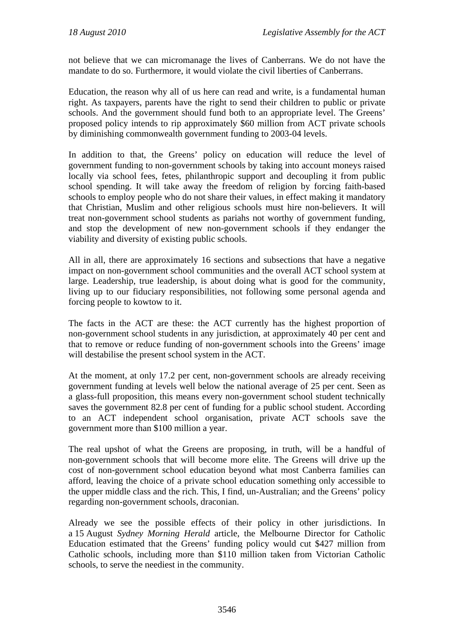not believe that we can micromanage the lives of Canberrans. We do not have the mandate to do so. Furthermore, it would violate the civil liberties of Canberrans.

Education, the reason why all of us here can read and write, is a fundamental human right. As taxpayers, parents have the right to send their children to public or private schools. And the government should fund both to an appropriate level. The Greens' proposed policy intends to rip approximately \$60 million from ACT private schools by diminishing commonwealth government funding to 2003-04 levels.

In addition to that, the Greens' policy on education will reduce the level of government funding to non-government schools by taking into account moneys raised locally via school fees, fetes, philanthropic support and decoupling it from public school spending. It will take away the freedom of religion by forcing faith-based schools to employ people who do not share their values, in effect making it mandatory that Christian, Muslim and other religious schools must hire non-believers. It will treat non-government school students as pariahs not worthy of government funding, and stop the development of new non-government schools if they endanger the viability and diversity of existing public schools.

All in all, there are approximately 16 sections and subsections that have a negative impact on non-government school communities and the overall ACT school system at large. Leadership, true leadership, is about doing what is good for the community, living up to our fiduciary responsibilities, not following some personal agenda and forcing people to kowtow to it.

The facts in the ACT are these: the ACT currently has the highest proportion of non-government school students in any jurisdiction, at approximately 40 per cent and that to remove or reduce funding of non-government schools into the Greens' image will destabilise the present school system in the ACT.

At the moment, at only 17.2 per cent, non-government schools are already receiving government funding at levels well below the national average of 25 per cent. Seen as a glass-full proposition, this means every non-government school student technically saves the government 82.8 per cent of funding for a public school student. According to an ACT independent school organisation, private ACT schools save the government more than \$100 million a year.

The real upshot of what the Greens are proposing, in truth, will be a handful of non-government schools that will become more elite. The Greens will drive up the cost of non-government school education beyond what most Canberra families can afford, leaving the choice of a private school education something only accessible to the upper middle class and the rich. This, I find, un-Australian; and the Greens' policy regarding non-government schools, draconian.

Already we see the possible effects of their policy in other jurisdictions. In a 15 August *Sydney Morning Herald* article, the Melbourne Director for Catholic Education estimated that the Greens' funding policy would cut \$427 million from Catholic schools, including more than \$110 million taken from Victorian Catholic schools, to serve the neediest in the community.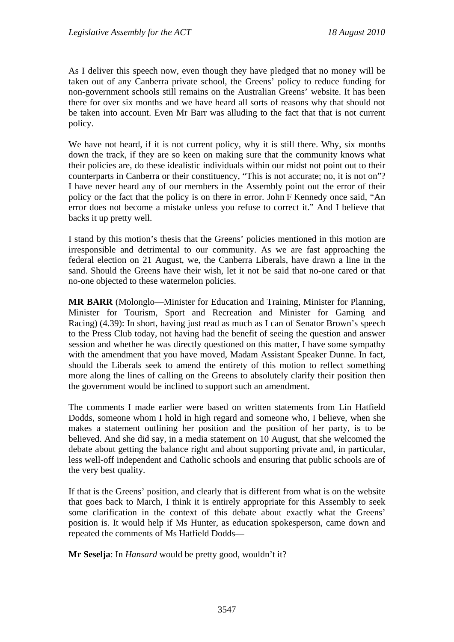As I deliver this speech now, even though they have pledged that no money will be taken out of any Canberra private school, the Greens' policy to reduce funding for non-government schools still remains on the Australian Greens' website. It has been there for over six months and we have heard all sorts of reasons why that should not be taken into account. Even Mr Barr was alluding to the fact that that is not current policy.

We have not heard, if it is not current policy, why it is still there. Why, six months down the track, if they are so keen on making sure that the community knows what their policies are, do these idealistic individuals within our midst not point out to their counterparts in Canberra or their constituency, "This is not accurate; no, it is not on"? I have never heard any of our members in the Assembly point out the error of their policy or the fact that the policy is on there in error. John F Kennedy once said, "An error does not become a mistake unless you refuse to correct it." And I believe that backs it up pretty well.

I stand by this motion's thesis that the Greens' policies mentioned in this motion are irresponsible and detrimental to our community. As we are fast approaching the federal election on 21 August, we, the Canberra Liberals, have drawn a line in the sand. Should the Greens have their wish, let it not be said that no-one cared or that no-one objected to these watermelon policies.

**MR BARR** (Molonglo—Minister for Education and Training, Minister for Planning, Minister for Tourism, Sport and Recreation and Minister for Gaming and Racing) (4.39): In short, having just read as much as I can of Senator Brown's speech to the Press Club today, not having had the benefit of seeing the question and answer session and whether he was directly questioned on this matter, I have some sympathy with the amendment that you have moved, Madam Assistant Speaker Dunne. In fact, should the Liberals seek to amend the entirety of this motion to reflect something more along the lines of calling on the Greens to absolutely clarify their position then the government would be inclined to support such an amendment.

The comments I made earlier were based on written statements from Lin Hatfield Dodds, someone whom I hold in high regard and someone who, I believe, when she makes a statement outlining her position and the position of her party, is to be believed. And she did say, in a media statement on 10 August, that she welcomed the debate about getting the balance right and about supporting private and, in particular, less well-off independent and Catholic schools and ensuring that public schools are of the very best quality.

If that is the Greens' position, and clearly that is different from what is on the website that goes back to March, I think it is entirely appropriate for this Assembly to seek some clarification in the context of this debate about exactly what the Greens' position is. It would help if Ms Hunter, as education spokesperson, came down and repeated the comments of Ms Hatfield Dodds—

**Mr Seselja**: In *Hansard* would be pretty good, wouldn't it?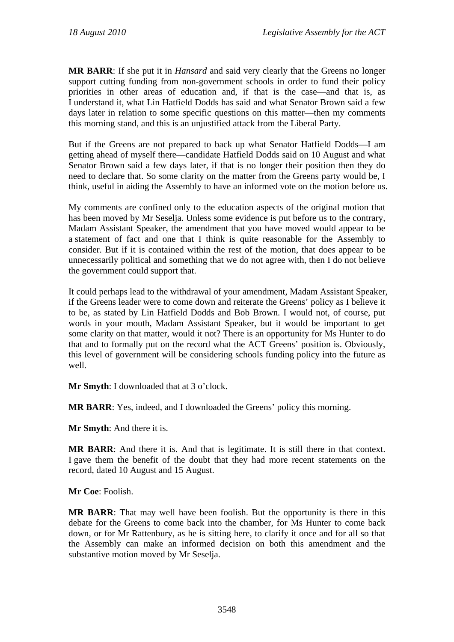**MR BARR**: If she put it in *Hansard* and said very clearly that the Greens no longer support cutting funding from non-government schools in order to fund their policy priorities in other areas of education and, if that is the case—and that is, as I understand it, what Lin Hatfield Dodds has said and what Senator Brown said a few days later in relation to some specific questions on this matter—then my comments this morning stand, and this is an unjustified attack from the Liberal Party.

But if the Greens are not prepared to back up what Senator Hatfield Dodds—I am getting ahead of myself there—candidate Hatfield Dodds said on 10 August and what Senator Brown said a few days later, if that is no longer their position then they do need to declare that. So some clarity on the matter from the Greens party would be, I think, useful in aiding the Assembly to have an informed vote on the motion before us.

My comments are confined only to the education aspects of the original motion that has been moved by Mr Seselja. Unless some evidence is put before us to the contrary, Madam Assistant Speaker, the amendment that you have moved would appear to be a statement of fact and one that I think is quite reasonable for the Assembly to consider. But if it is contained within the rest of the motion, that does appear to be unnecessarily political and something that we do not agree with, then I do not believe the government could support that.

It could perhaps lead to the withdrawal of your amendment, Madam Assistant Speaker, if the Greens leader were to come down and reiterate the Greens' policy as I believe it to be, as stated by Lin Hatfield Dodds and Bob Brown. I would not, of course, put words in your mouth, Madam Assistant Speaker, but it would be important to get some clarity on that matter, would it not? There is an opportunity for Ms Hunter to do that and to formally put on the record what the ACT Greens' position is. Obviously, this level of government will be considering schools funding policy into the future as well.

**Mr Smyth**: I downloaded that at 3 o'clock.

**MR BARR**: Yes, indeed, and I downloaded the Greens' policy this morning.

**Mr Smyth**: And there it is.

**MR BARR**: And there it is. And that is legitimate. It is still there in that context. I gave them the benefit of the doubt that they had more recent statements on the record, dated 10 August and 15 August.

**Mr Coe**: Foolish.

**MR BARR**: That may well have been foolish. But the opportunity is there in this debate for the Greens to come back into the chamber, for Ms Hunter to come back down, or for Mr Rattenbury, as he is sitting here, to clarify it once and for all so that the Assembly can make an informed decision on both this amendment and the substantive motion moved by Mr Seselja.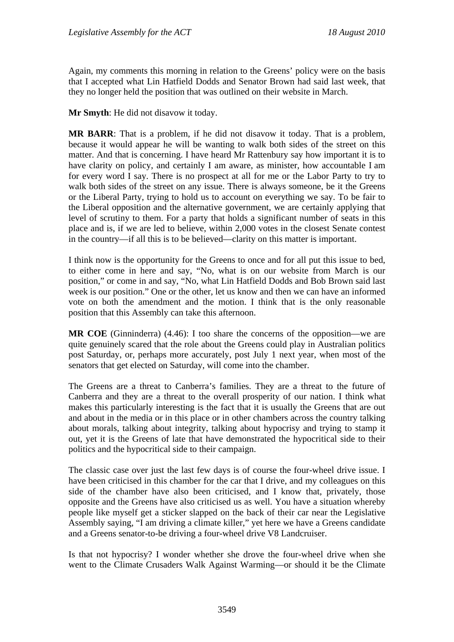Again, my comments this morning in relation to the Greens' policy were on the basis that I accepted what Lin Hatfield Dodds and Senator Brown had said last week, that they no longer held the position that was outlined on their website in March.

**Mr Smyth**: He did not disavow it today.

**MR BARR**: That is a problem, if he did not disavow it today. That is a problem, because it would appear he will be wanting to walk both sides of the street on this matter. And that is concerning. I have heard Mr Rattenbury say how important it is to have clarity on policy, and certainly I am aware, as minister, how accountable I am for every word I say. There is no prospect at all for me or the Labor Party to try to walk both sides of the street on any issue. There is always someone, be it the Greens or the Liberal Party, trying to hold us to account on everything we say. To be fair to the Liberal opposition and the alternative government, we are certainly applying that level of scrutiny to them. For a party that holds a significant number of seats in this place and is, if we are led to believe, within 2,000 votes in the closest Senate contest in the country—if all this is to be believed—clarity on this matter is important.

I think now is the opportunity for the Greens to once and for all put this issue to bed, to either come in here and say, "No, what is on our website from March is our position," or come in and say, "No, what Lin Hatfield Dodds and Bob Brown said last week is our position." One or the other, let us know and then we can have an informed vote on both the amendment and the motion. I think that is the only reasonable position that this Assembly can take this afternoon.

**MR COE** (Ginninderra) (4.46): I too share the concerns of the opposition—we are quite genuinely scared that the role about the Greens could play in Australian politics post Saturday, or, perhaps more accurately, post July 1 next year, when most of the senators that get elected on Saturday, will come into the chamber.

The Greens are a threat to Canberra's families. They are a threat to the future of Canberra and they are a threat to the overall prosperity of our nation. I think what makes this particularly interesting is the fact that it is usually the Greens that are out and about in the media or in this place or in other chambers across the country talking about morals, talking about integrity, talking about hypocrisy and trying to stamp it out, yet it is the Greens of late that have demonstrated the hypocritical side to their politics and the hypocritical side to their campaign.

The classic case over just the last few days is of course the four-wheel drive issue. I have been criticised in this chamber for the car that I drive, and my colleagues on this side of the chamber have also been criticised, and I know that, privately, those opposite and the Greens have also criticised us as well. You have a situation whereby people like myself get a sticker slapped on the back of their car near the Legislative Assembly saying, "I am driving a climate killer," yet here we have a Greens candidate and a Greens senator-to-be driving a four-wheel drive V8 Landcruiser.

Is that not hypocrisy? I wonder whether she drove the four-wheel drive when she went to the Climate Crusaders Walk Against Warming—or should it be the Climate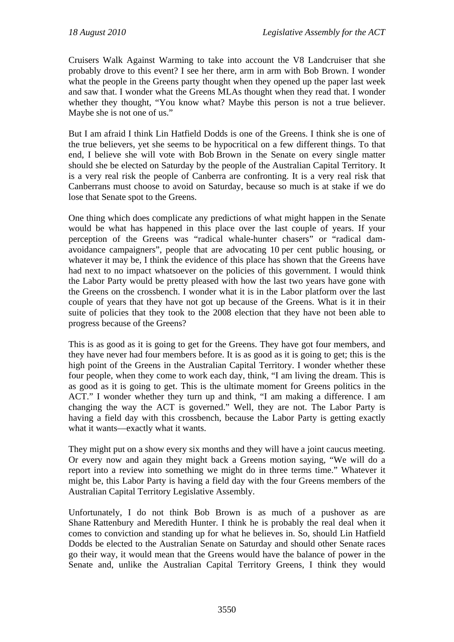Cruisers Walk Against Warming to take into account the V8 Landcruiser that she probably drove to this event? I see her there, arm in arm with Bob Brown. I wonder what the people in the Greens party thought when they opened up the paper last week and saw that. I wonder what the Greens MLAs thought when they read that. I wonder whether they thought, "You know what? Maybe this person is not a true believer. Maybe she is not one of us."

But I am afraid I think Lin Hatfield Dodds is one of the Greens. I think she is one of the true believers, yet she seems to be hypocritical on a few different things. To that end, I believe she will vote with Bob Brown in the Senate on every single matter should she be elected on Saturday by the people of the Australian Capital Territory. It is a very real risk the people of Canberra are confronting. It is a very real risk that Canberrans must choose to avoid on Saturday, because so much is at stake if we do lose that Senate spot to the Greens.

One thing which does complicate any predictions of what might happen in the Senate would be what has happened in this place over the last couple of years. If your perception of the Greens was "radical whale-hunter chasers" or "radical damavoidance campaigners", people that are advocating 10 per cent public housing, or whatever it may be, I think the evidence of this place has shown that the Greens have had next to no impact whatsoever on the policies of this government. I would think the Labor Party would be pretty pleased with how the last two years have gone with the Greens on the crossbench. I wonder what it is in the Labor platform over the last couple of years that they have not got up because of the Greens. What is it in their suite of policies that they took to the 2008 election that they have not been able to progress because of the Greens?

This is as good as it is going to get for the Greens. They have got four members, and they have never had four members before. It is as good as it is going to get; this is the high point of the Greens in the Australian Capital Territory. I wonder whether these four people, when they come to work each day, think, "I am living the dream. This is as good as it is going to get. This is the ultimate moment for Greens politics in the ACT." I wonder whether they turn up and think, "I am making a difference. I am changing the way the ACT is governed." Well, they are not. The Labor Party is having a field day with this crossbench, because the Labor Party is getting exactly what it wants—exactly what it wants.

They might put on a show every six months and they will have a joint caucus meeting. Or every now and again they might back a Greens motion saying, "We will do a report into a review into something we might do in three terms time." Whatever it might be, this Labor Party is having a field day with the four Greens members of the Australian Capital Territory Legislative Assembly.

Unfortunately, I do not think Bob Brown is as much of a pushover as are Shane Rattenbury and Meredith Hunter. I think he is probably the real deal when it comes to conviction and standing up for what he believes in. So, should Lin Hatfield Dodds be elected to the Australian Senate on Saturday and should other Senate races go their way, it would mean that the Greens would have the balance of power in the Senate and, unlike the Australian Capital Territory Greens, I think they would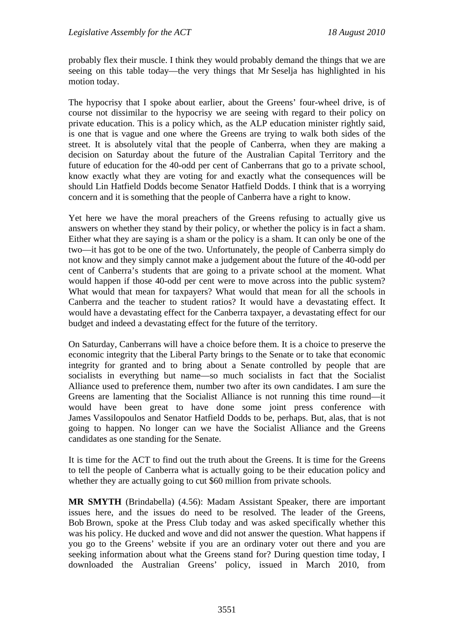probably flex their muscle. I think they would probably demand the things that we are seeing on this table today—the very things that Mr Seselja has highlighted in his motion today.

The hypocrisy that I spoke about earlier, about the Greens' four-wheel drive, is of course not dissimilar to the hypocrisy we are seeing with regard to their policy on private education. This is a policy which, as the ALP education minister rightly said, is one that is vague and one where the Greens are trying to walk both sides of the street. It is absolutely vital that the people of Canberra, when they are making a decision on Saturday about the future of the Australian Capital Territory and the future of education for the 40-odd per cent of Canberrans that go to a private school, know exactly what they are voting for and exactly what the consequences will be should Lin Hatfield Dodds become Senator Hatfield Dodds. I think that is a worrying concern and it is something that the people of Canberra have a right to know.

Yet here we have the moral preachers of the Greens refusing to actually give us answers on whether they stand by their policy, or whether the policy is in fact a sham. Either what they are saying is a sham or the policy is a sham. It can only be one of the two—it has got to be one of the two. Unfortunately, the people of Canberra simply do not know and they simply cannot make a judgement about the future of the 40-odd per cent of Canberra's students that are going to a private school at the moment. What would happen if those 40-odd per cent were to move across into the public system? What would that mean for taxpayers? What would that mean for all the schools in Canberra and the teacher to student ratios? It would have a devastating effect. It would have a devastating effect for the Canberra taxpayer, a devastating effect for our budget and indeed a devastating effect for the future of the territory.

On Saturday, Canberrans will have a choice before them. It is a choice to preserve the economic integrity that the Liberal Party brings to the Senate or to take that economic integrity for granted and to bring about a Senate controlled by people that are socialists in everything but name—so much socialists in fact that the Socialist Alliance used to preference them, number two after its own candidates. I am sure the Greens are lamenting that the Socialist Alliance is not running this time round—it would have been great to have done some joint press conference with James Vassilopoulos and Senator Hatfield Dodds to be, perhaps. But, alas, that is not going to happen. No longer can we have the Socialist Alliance and the Greens candidates as one standing for the Senate.

It is time for the ACT to find out the truth about the Greens. It is time for the Greens to tell the people of Canberra what is actually going to be their education policy and whether they are actually going to cut \$60 million from private schools.

**MR SMYTH** (Brindabella) (4.56): Madam Assistant Speaker, there are important issues here, and the issues do need to be resolved. The leader of the Greens, Bob Brown, spoke at the Press Club today and was asked specifically whether this was his policy. He ducked and wove and did not answer the question. What happens if you go to the Greens' website if you are an ordinary voter out there and you are seeking information about what the Greens stand for? During question time today, I downloaded the Australian Greens' policy, issued in March 2010, from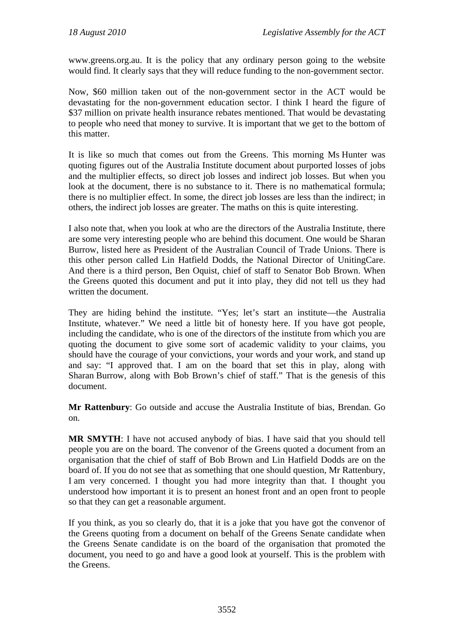www.greens.org.au. It is the policy that any ordinary person going to the website would find. It clearly says that they will reduce funding to the non-government sector.

Now, \$60 million taken out of the non-government sector in the ACT would be devastating for the non-government education sector. I think I heard the figure of \$37 million on private health insurance rebates mentioned. That would be devastating to people who need that money to survive. It is important that we get to the bottom of this matter.

It is like so much that comes out from the Greens. This morning Ms Hunter was quoting figures out of the Australia Institute document about purported losses of jobs and the multiplier effects, so direct job losses and indirect job losses. But when you look at the document, there is no substance to it. There is no mathematical formula; there is no multiplier effect. In some, the direct job losses are less than the indirect; in others, the indirect job losses are greater. The maths on this is quite interesting.

I also note that, when you look at who are the directors of the Australia Institute, there are some very interesting people who are behind this document. One would be Sharan Burrow, listed here as President of the Australian Council of Trade Unions. There is this other person called Lin Hatfield Dodds, the National Director of UnitingCare. And there is a third person, Ben Oquist, chief of staff to Senator Bob Brown. When the Greens quoted this document and put it into play, they did not tell us they had written the document.

They are hiding behind the institute. "Yes; let's start an institute—the Australia Institute, whatever." We need a little bit of honesty here. If you have got people, including the candidate, who is one of the directors of the institute from which you are quoting the document to give some sort of academic validity to your claims, you should have the courage of your convictions, your words and your work, and stand up and say: "I approved that. I am on the board that set this in play, along with Sharan Burrow, along with Bob Brown's chief of staff." That is the genesis of this document.

**Mr Rattenbury**: Go outside and accuse the Australia Institute of bias, Brendan. Go on.

**MR SMYTH**: I have not accused anybody of bias. I have said that you should tell people you are on the board. The convenor of the Greens quoted a document from an organisation that the chief of staff of Bob Brown and Lin Hatfield Dodds are on the board of. If you do not see that as something that one should question, Mr Rattenbury, I am very concerned. I thought you had more integrity than that. I thought you understood how important it is to present an honest front and an open front to people so that they can get a reasonable argument.

If you think, as you so clearly do, that it is a joke that you have got the convenor of the Greens quoting from a document on behalf of the Greens Senate candidate when the Greens Senate candidate is on the board of the organisation that promoted the document, you need to go and have a good look at yourself. This is the problem with the Greens.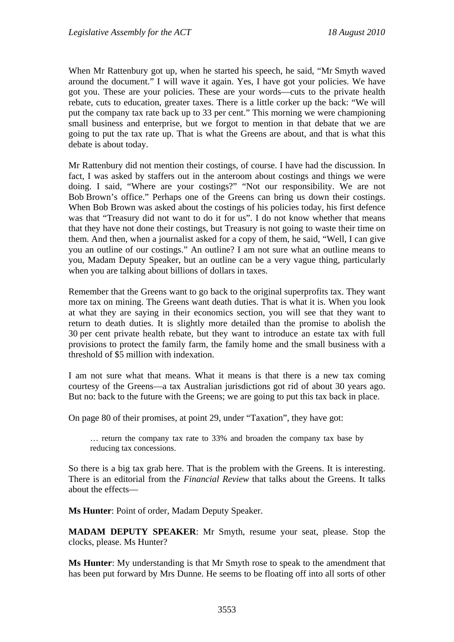When Mr Rattenbury got up, when he started his speech, he said, "Mr Smyth waved around the document." I will wave it again. Yes, I have got your policies. We have got you. These are your policies. These are your words—cuts to the private health rebate, cuts to education, greater taxes. There is a little corker up the back: "We will put the company tax rate back up to 33 per cent." This morning we were championing small business and enterprise, but we forgot to mention in that debate that we are going to put the tax rate up. That is what the Greens are about, and that is what this debate is about today.

Mr Rattenbury did not mention their costings, of course. I have had the discussion. In fact, I was asked by staffers out in the anteroom about costings and things we were doing. I said, "Where are your costings?" "Not our responsibility. We are not Bob Brown's office." Perhaps one of the Greens can bring us down their costings. When Bob Brown was asked about the costings of his policies today, his first defence was that "Treasury did not want to do it for us". I do not know whether that means that they have not done their costings, but Treasury is not going to waste their time on them. And then, when a journalist asked for a copy of them, he said, "Well, I can give you an outline of our costings." An outline? I am not sure what an outline means to you, Madam Deputy Speaker, but an outline can be a very vague thing, particularly when you are talking about billions of dollars in taxes.

Remember that the Greens want to go back to the original superprofits tax. They want more tax on mining. The Greens want death duties. That is what it is. When you look at what they are saying in their economics section, you will see that they want to return to death duties. It is slightly more detailed than the promise to abolish the 30 per cent private health rebate, but they want to introduce an estate tax with full provisions to protect the family farm, the family home and the small business with a threshold of \$5 million with indexation.

I am not sure what that means. What it means is that there is a new tax coming courtesy of the Greens—a tax Australian jurisdictions got rid of about 30 years ago. But no: back to the future with the Greens; we are going to put this tax back in place.

On page 80 of their promises, at point 29, under "Taxation", they have got:

… return the company tax rate to 33% and broaden the company tax base by reducing tax concessions.

So there is a big tax grab here. That is the problem with the Greens. It is interesting. There is an editorial from the *Financial Review* that talks about the Greens. It talks about the effects—

**Ms Hunter**: Point of order, Madam Deputy Speaker.

**MADAM DEPUTY SPEAKER**: Mr Smyth, resume your seat, please. Stop the clocks, please. Ms Hunter?

**Ms Hunter**: My understanding is that Mr Smyth rose to speak to the amendment that has been put forward by Mrs Dunne. He seems to be floating off into all sorts of other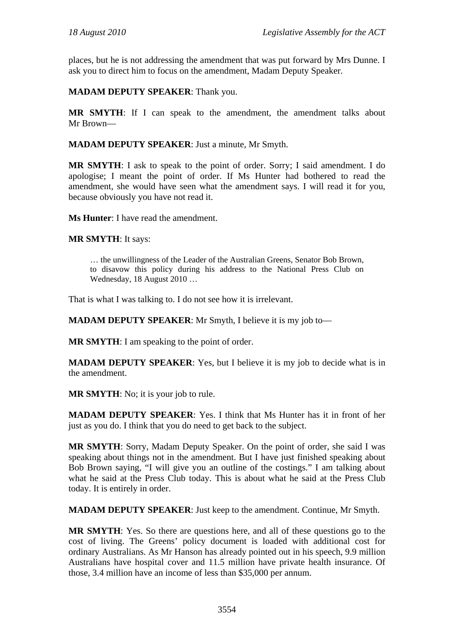places, but he is not addressing the amendment that was put forward by Mrs Dunne. I ask you to direct him to focus on the amendment, Madam Deputy Speaker.

**MADAM DEPUTY SPEAKER**: Thank you.

**MR SMYTH**: If I can speak to the amendment, the amendment talks about Mr Brown—

**MADAM DEPUTY SPEAKER**: Just a minute, Mr Smyth.

**MR SMYTH**: I ask to speak to the point of order. Sorry; I said amendment. I do apologise; I meant the point of order. If Ms Hunter had bothered to read the amendment, she would have seen what the amendment says. I will read it for you, because obviously you have not read it.

**Ms Hunter**: I have read the amendment.

**MR SMYTH**: It says:

… the unwillingness of the Leader of the Australian Greens, Senator Bob Brown, to disavow this policy during his address to the National Press Club on Wednesday, 18 August 2010 …

That is what I was talking to. I do not see how it is irrelevant.

**MADAM DEPUTY SPEAKER**: Mr Smyth, I believe it is my job to—

**MR SMYTH**: I am speaking to the point of order.

**MADAM DEPUTY SPEAKER**: Yes, but I believe it is my job to decide what is in the amendment.

**MR SMYTH**: No; it is your job to rule.

**MADAM DEPUTY SPEAKER**: Yes. I think that Ms Hunter has it in front of her just as you do. I think that you do need to get back to the subject.

**MR SMYTH**: Sorry, Madam Deputy Speaker. On the point of order, she said I was speaking about things not in the amendment. But I have just finished speaking about Bob Brown saying, "I will give you an outline of the costings." I am talking about what he said at the Press Club today. This is about what he said at the Press Club today. It is entirely in order.

**MADAM DEPUTY SPEAKER**: Just keep to the amendment. Continue, Mr Smyth.

**MR SMYTH**: Yes. So there are questions here, and all of these questions go to the cost of living. The Greens' policy document is loaded with additional cost for ordinary Australians. As Mr Hanson has already pointed out in his speech, 9.9 million Australians have hospital cover and 11.5 million have private health insurance. Of those, 3.4 million have an income of less than \$35,000 per annum.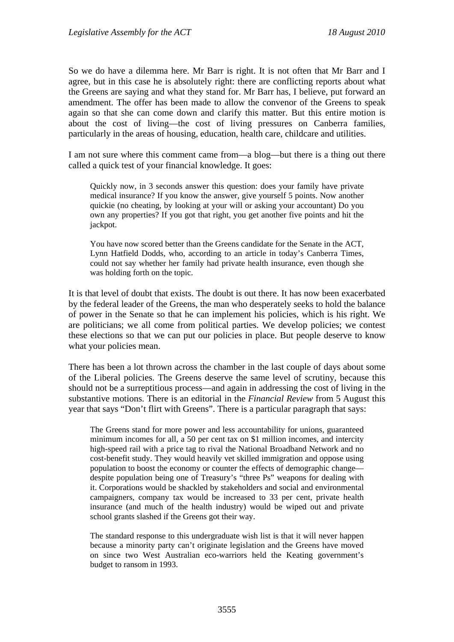So we do have a dilemma here. Mr Barr is right. It is not often that Mr Barr and I agree, but in this case he is absolutely right: there are conflicting reports about what the Greens are saying and what they stand for. Mr Barr has, I believe, put forward an amendment. The offer has been made to allow the convenor of the Greens to speak again so that she can come down and clarify this matter. But this entire motion is about the cost of living—the cost of living pressures on Canberra families, particularly in the areas of housing, education, health care, childcare and utilities.

I am not sure where this comment came from—a blog—but there is a thing out there called a quick test of your financial knowledge. It goes:

Quickly now, in 3 seconds answer this question: does your family have private medical insurance? If you know the answer, give yourself 5 points. Now another quickie (no cheating, by looking at your will or asking your accountant) Do you own any properties? If you got that right, you get another five points and hit the jackpot.

You have now scored better than the Greens candidate for the Senate in the ACT, Lynn Hatfield Dodds, who, according to an article in today's Canberra Times, could not say whether her family had private health insurance, even though she was holding forth on the topic.

It is that level of doubt that exists. The doubt is out there. It has now been exacerbated by the federal leader of the Greens, the man who desperately seeks to hold the balance of power in the Senate so that he can implement his policies, which is his right. We are politicians; we all come from political parties. We develop policies; we contest these elections so that we can put our policies in place. But people deserve to know what your policies mean.

There has been a lot thrown across the chamber in the last couple of days about some of the Liberal policies. The Greens deserve the same level of scrutiny, because this should not be a surreptitious process—and again in addressing the cost of living in the substantive motions. There is an editorial in the *Financial Review* from 5 August this year that says "Don't flirt with Greens". There is a particular paragraph that says:

The Greens stand for more power and less accountability for unions, guaranteed minimum incomes for all, a 50 per cent tax on \$1 million incomes, and intercity high-speed rail with a price tag to rival the National Broadband Network and no cost-benefit study. They would heavily vet skilled immigration and oppose using population to boost the economy or counter the effects of demographic change despite population being one of Treasury's "three Ps" weapons for dealing with it. Corporations would be shackled by stakeholders and social and environmental campaigners, company tax would be increased to 33 per cent, private health insurance (and much of the health industry) would be wiped out and private school grants slashed if the Greens got their way.

The standard response to this undergraduate wish list is that it will never happen because a minority party can't originate legislation and the Greens have moved on since two West Australian eco-warriors held the Keating government's budget to ransom in 1993.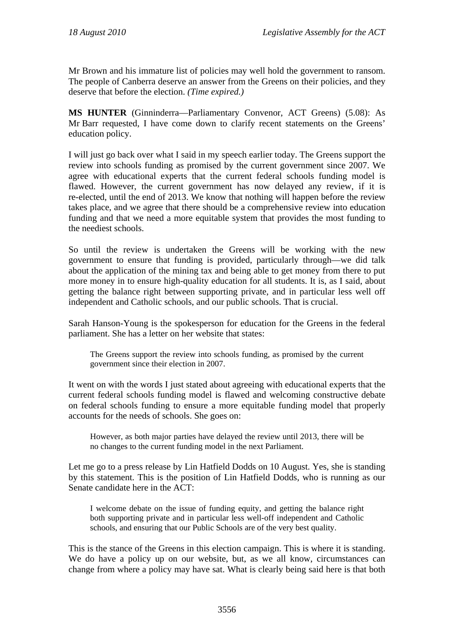Mr Brown and his immature list of policies may well hold the government to ransom. The people of Canberra deserve an answer from the Greens on their policies, and they deserve that before the election. *(Time expired.)*

**MS HUNTER** (Ginninderra—Parliamentary Convenor, ACT Greens) (5.08): As Mr Barr requested, I have come down to clarify recent statements on the Greens' education policy.

I will just go back over what I said in my speech earlier today. The Greens support the review into schools funding as promised by the current government since 2007. We agree with educational experts that the current federal schools funding model is flawed. However, the current government has now delayed any review, if it is re-elected, until the end of 2013. We know that nothing will happen before the review takes place, and we agree that there should be a comprehensive review into education funding and that we need a more equitable system that provides the most funding to the neediest schools.

So until the review is undertaken the Greens will be working with the new government to ensure that funding is provided, particularly through—we did talk about the application of the mining tax and being able to get money from there to put more money in to ensure high-quality education for all students. It is, as I said, about getting the balance right between supporting private, and in particular less well off independent and Catholic schools, and our public schools. That is crucial.

Sarah Hanson-Young is the spokesperson for education for the Greens in the federal parliament. She has a letter on her website that states:

The Greens support the review into schools funding, as promised by the current government since their election in 2007.

It went on with the words I just stated about agreeing with educational experts that the current federal schools funding model is flawed and welcoming constructive debate on federal schools funding to ensure a more equitable funding model that properly accounts for the needs of schools. She goes on:

However, as both major parties have delayed the review until 2013, there will be no changes to the current funding model in the next Parliament.

Let me go to a press release by Lin Hatfield Dodds on 10 August. Yes, she is standing by this statement. This is the position of Lin Hatfield Dodds, who is running as our Senate candidate here in the ACT:

I welcome debate on the issue of funding equity, and getting the balance right both supporting private and in particular less well-off independent and Catholic schools, and ensuring that our Public Schools are of the very best quality.

This is the stance of the Greens in this election campaign. This is where it is standing. We do have a policy up on our website, but, as we all know, circumstances can change from where a policy may have sat. What is clearly being said here is that both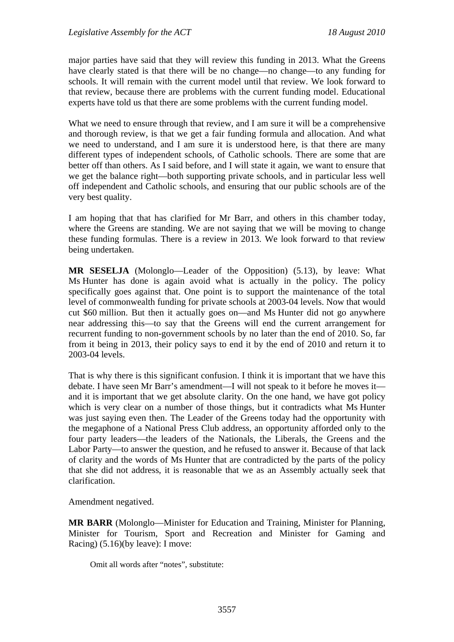major parties have said that they will review this funding in 2013. What the Greens have clearly stated is that there will be no change—no change—to any funding for schools. It will remain with the current model until that review. We look forward to that review, because there are problems with the current funding model. Educational experts have told us that there are some problems with the current funding model.

What we need to ensure through that review, and I am sure it will be a comprehensive and thorough review, is that we get a fair funding formula and allocation. And what we need to understand, and I am sure it is understood here, is that there are many different types of independent schools, of Catholic schools. There are some that are better off than others. As I said before, and I will state it again, we want to ensure that we get the balance right—both supporting private schools, and in particular less well off independent and Catholic schools, and ensuring that our public schools are of the very best quality.

I am hoping that that has clarified for Mr Barr, and others in this chamber today, where the Greens are standing. We are not saying that we will be moving to change these funding formulas. There is a review in 2013. We look forward to that review being undertaken.

**MR SESELJA** (Molonglo—Leader of the Opposition) (5.13), by leave: What Ms Hunter has done is again avoid what is actually in the policy. The policy specifically goes against that. One point is to support the maintenance of the total level of commonwealth funding for private schools at 2003-04 levels. Now that would cut \$60 million. But then it actually goes on—and Ms Hunter did not go anywhere near addressing this—to say that the Greens will end the current arrangement for recurrent funding to non-government schools by no later than the end of 2010. So, far from it being in 2013, their policy says to end it by the end of 2010 and return it to 2003-04 levels.

That is why there is this significant confusion. I think it is important that we have this debate. I have seen Mr Barr's amendment—I will not speak to it before he moves it and it is important that we get absolute clarity. On the one hand, we have got policy which is very clear on a number of those things, but it contradicts what Ms Hunter was just saying even then. The Leader of the Greens today had the opportunity with the megaphone of a National Press Club address, an opportunity afforded only to the four party leaders—the leaders of the Nationals, the Liberals, the Greens and the Labor Party—to answer the question, and he refused to answer it. Because of that lack of clarity and the words of Ms Hunter that are contradicted by the parts of the policy that she did not address, it is reasonable that we as an Assembly actually seek that clarification.

Amendment negatived.

**MR BARR** (Molonglo—Minister for Education and Training, Minister for Planning, Minister for Tourism, Sport and Recreation and Minister for Gaming and Racing) (5.16)(by leave): I move:

Omit all words after "notes", substitute: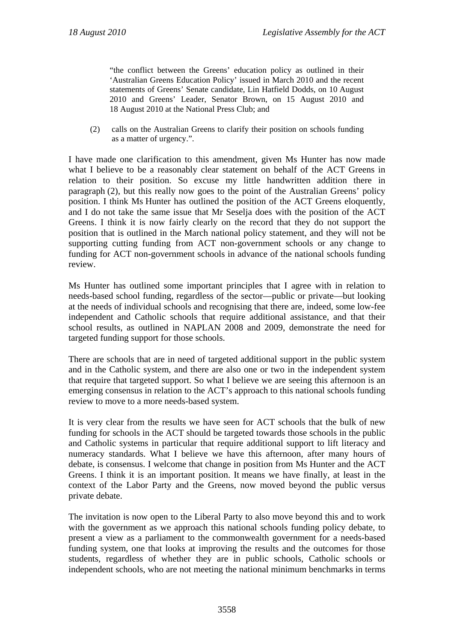"the conflict between the Greens' education policy as outlined in their 'Australian Greens Education Policy' issued in March 2010 and the recent statements of Greens' Senate candidate, Lin Hatfield Dodds, on 10 August 2010 and Greens' Leader, Senator Brown, on 15 August 2010 and 18 August 2010 at the National Press Club; and

(2) calls on the Australian Greens to clarify their position on schools funding as a matter of urgency.".

I have made one clarification to this amendment, given Ms Hunter has now made what I believe to be a reasonably clear statement on behalf of the ACT Greens in relation to their position. So excuse my little handwritten addition there in paragraph (2), but this really now goes to the point of the Australian Greens' policy position. I think Ms Hunter has outlined the position of the ACT Greens eloquently, and I do not take the same issue that Mr Seselja does with the position of the ACT Greens. I think it is now fairly clearly on the record that they do not support the position that is outlined in the March national policy statement, and they will not be supporting cutting funding from ACT non-government schools or any change to funding for ACT non-government schools in advance of the national schools funding review.

Ms Hunter has outlined some important principles that I agree with in relation to needs-based school funding, regardless of the sector—public or private—but looking at the needs of individual schools and recognising that there are, indeed, some low-fee independent and Catholic schools that require additional assistance, and that their school results, as outlined in NAPLAN 2008 and 2009, demonstrate the need for targeted funding support for those schools.

There are schools that are in need of targeted additional support in the public system and in the Catholic system, and there are also one or two in the independent system that require that targeted support. So what I believe we are seeing this afternoon is an emerging consensus in relation to the ACT's approach to this national schools funding review to move to a more needs-based system.

It is very clear from the results we have seen for ACT schools that the bulk of new funding for schools in the ACT should be targeted towards those schools in the public and Catholic systems in particular that require additional support to lift literacy and numeracy standards. What I believe we have this afternoon, after many hours of debate, is consensus. I welcome that change in position from Ms Hunter and the ACT Greens. I think it is an important position. It means we have finally, at least in the context of the Labor Party and the Greens, now moved beyond the public versus private debate.

The invitation is now open to the Liberal Party to also move beyond this and to work with the government as we approach this national schools funding policy debate, to present a view as a parliament to the commonwealth government for a needs-based funding system, one that looks at improving the results and the outcomes for those students, regardless of whether they are in public schools, Catholic schools or independent schools, who are not meeting the national minimum benchmarks in terms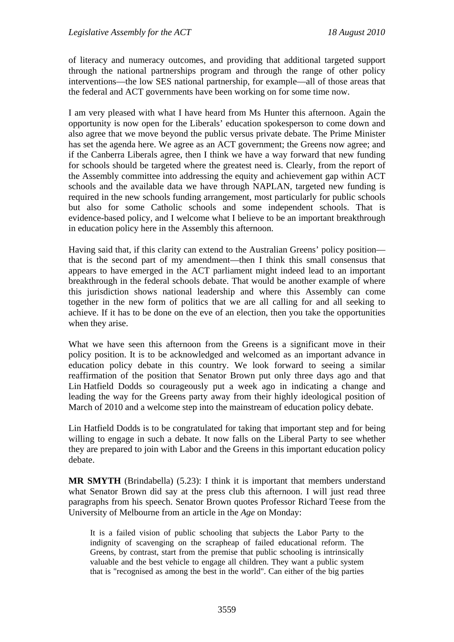of literacy and numeracy outcomes, and providing that additional targeted support through the national partnerships program and through the range of other policy interventions—the low SES national partnership, for example—all of those areas that the federal and ACT governments have been working on for some time now.

I am very pleased with what I have heard from Ms Hunter this afternoon. Again the opportunity is now open for the Liberals' education spokesperson to come down and also agree that we move beyond the public versus private debate. The Prime Minister has set the agenda here. We agree as an ACT government; the Greens now agree; and if the Canberra Liberals agree, then I think we have a way forward that new funding for schools should be targeted where the greatest need is. Clearly, from the report of the Assembly committee into addressing the equity and achievement gap within ACT schools and the available data we have through NAPLAN, targeted new funding is required in the new schools funding arrangement, most particularly for public schools but also for some Catholic schools and some independent schools. That is evidence-based policy, and I welcome what I believe to be an important breakthrough in education policy here in the Assembly this afternoon.

Having said that, if this clarity can extend to the Australian Greens' policy position that is the second part of my amendment—then I think this small consensus that appears to have emerged in the ACT parliament might indeed lead to an important breakthrough in the federal schools debate. That would be another example of where this jurisdiction shows national leadership and where this Assembly can come together in the new form of politics that we are all calling for and all seeking to achieve. If it has to be done on the eve of an election, then you take the opportunities when they arise.

What we have seen this afternoon from the Greens is a significant move in their policy position. It is to be acknowledged and welcomed as an important advance in education policy debate in this country. We look forward to seeing a similar reaffirmation of the position that Senator Brown put only three days ago and that Lin Hatfield Dodds so courageously put a week ago in indicating a change and leading the way for the Greens party away from their highly ideological position of March of 2010 and a welcome step into the mainstream of education policy debate.

Lin Hatfield Dodds is to be congratulated for taking that important step and for being willing to engage in such a debate. It now falls on the Liberal Party to see whether they are prepared to join with Labor and the Greens in this important education policy debate.

**MR SMYTH** (Brindabella) (5.23): I think it is important that members understand what Senator Brown did say at the press club this afternoon. I will just read three paragraphs from his speech. Senator Brown quotes Professor Richard Teese from the University of Melbourne from an article in the *Age* on Monday:

It is a failed vision of public schooling that subjects the Labor Party to the indignity of scavenging on the scrapheap of failed educational reform. The Greens, by contrast, start from the premise that public schooling is intrinsically valuable and the best vehicle to engage all children. They want a public system that is "recognised as among the best in the world". Can either of the big parties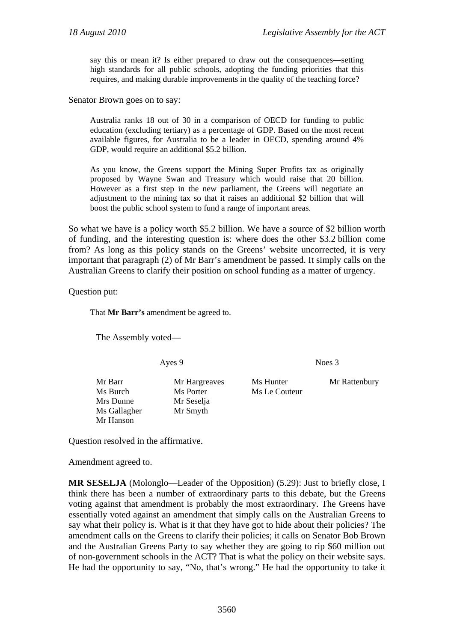say this or mean it? Is either prepared to draw out the consequences—setting high standards for all public schools, adopting the funding priorities that this requires, and making durable improvements in the quality of the teaching force?

Senator Brown goes on to say:

Australia ranks 18 out of 30 in a comparison of OECD for funding to public education (excluding tertiary) as a percentage of GDP. Based on the most recent available figures, for Australia to be a leader in OECD, spending around 4% GDP, would require an additional \$5.2 billion.

As you know, the Greens support the Mining Super Profits tax as originally proposed by Wayne Swan and Treasury which would raise that 20 billion. However as a first step in the new parliament, the Greens will negotiate an adjustment to the mining tax so that it raises an additional \$2 billion that will boost the public school system to fund a range of important areas.

So what we have is a policy worth \$5.2 billion. We have a source of \$2 billion worth of funding, and the interesting question is: where does the other \$3.2 billion come from? As long as this policy stands on the Greens' website uncorrected, it is very important that paragraph (2) of Mr Barr's amendment be passed. It simply calls on the Australian Greens to clarify their position on school funding as a matter of urgency.

Question put:

That **Mr Barr's** amendment be agreed to.

The Assembly voted—

Ayes 9 Noes 3

Mrs Dunne Mr Seselja Ms Gallagher Mr Smyth Mr Hanson

Ms Burch Ms Porter Ms Le Couteur

Mr Barr Mr Hargreaves Ms Hunter Mr Rattenbury

Question resolved in the affirmative.

Amendment agreed to.

**MR SESELJA** (Molonglo—Leader of the Opposition) (5.29): Just to briefly close, I think there has been a number of extraordinary parts to this debate, but the Greens voting against that amendment is probably the most extraordinary. The Greens have essentially voted against an amendment that simply calls on the Australian Greens to say what their policy is. What is it that they have got to hide about their policies? The amendment calls on the Greens to clarify their policies; it calls on Senator Bob Brown and the Australian Greens Party to say whether they are going to rip \$60 million out of non-government schools in the ACT? That is what the policy on their website says. He had the opportunity to say, "No, that's wrong." He had the opportunity to take it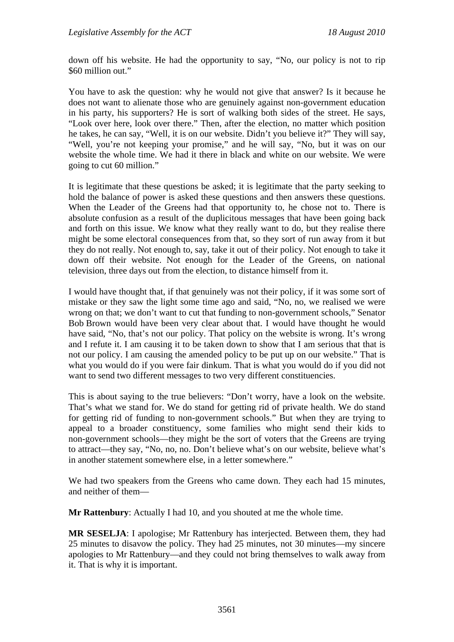down off his website. He had the opportunity to say, "No, our policy is not to rip \$60 million out."

You have to ask the question: why he would not give that answer? Is it because he does not want to alienate those who are genuinely against non-government education in his party, his supporters? He is sort of walking both sides of the street. He says, "Look over here, look over there." Then, after the election, no matter which position he takes, he can say, "Well, it is on our website. Didn't you believe it?" They will say, "Well, you're not keeping your promise," and he will say, "No, but it was on our website the whole time. We had it there in black and white on our website. We were going to cut 60 million."

It is legitimate that these questions be asked; it is legitimate that the party seeking to hold the balance of power is asked these questions and then answers these questions. When the Leader of the Greens had that opportunity to, he chose not to. There is absolute confusion as a result of the duplicitous messages that have been going back and forth on this issue. We know what they really want to do, but they realise there might be some electoral consequences from that, so they sort of run away from it but they do not really. Not enough to, say, take it out of their policy. Not enough to take it down off their website. Not enough for the Leader of the Greens, on national television, three days out from the election, to distance himself from it.

I would have thought that, if that genuinely was not their policy, if it was some sort of mistake or they saw the light some time ago and said, "No, no, we realised we were wrong on that; we don't want to cut that funding to non-government schools," Senator Bob Brown would have been very clear about that. I would have thought he would have said, "No, that's not our policy. That policy on the website is wrong. It's wrong and I refute it. I am causing it to be taken down to show that I am serious that that is not our policy. I am causing the amended policy to be put up on our website." That is what you would do if you were fair dinkum. That is what you would do if you did not want to send two different messages to two very different constituencies.

This is about saying to the true believers: "Don't worry, have a look on the website. That's what we stand for. We do stand for getting rid of private health. We do stand for getting rid of funding to non-government schools." But when they are trying to appeal to a broader constituency, some families who might send their kids to non-government schools—they might be the sort of voters that the Greens are trying to attract—they say, "No, no, no. Don't believe what's on our website, believe what's in another statement somewhere else, in a letter somewhere."

We had two speakers from the Greens who came down. They each had 15 minutes, and neither of them—

**Mr Rattenbury**: Actually I had 10, and you shouted at me the whole time.

**MR SESELJA**: I apologise; Mr Rattenbury has interjected. Between them, they had 25 minutes to disavow the policy. They had 25 minutes, not 30 minutes—my sincere apologies to Mr Rattenbury—and they could not bring themselves to walk away from it. That is why it is important.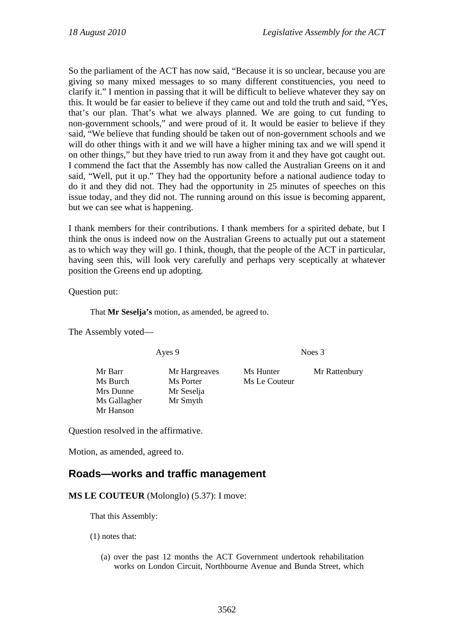So the parliament of the ACT has now said, "Because it is so unclear, because you are giving so many mixed messages to so many different constituencies, you need to clarify it." I mention in passing that it will be difficult to believe whatever they say on this. It would be far easier to believe if they came out and told the truth and said, "Yes, that's our plan. That's what we always planned. We are going to cut funding to non-government schools," and were proud of it. It would be easier to believe if they said, "We believe that funding should be taken out of non-government schools and we will do other things with it and we will have a higher mining tax and we will spend it on other things," but they have tried to run away from it and they have got caught out. I commend the fact that the Assembly has now called the Australian Greens on it and said, "Well, put it up." They had the opportunity before a national audience today to do it and they did not. They had the opportunity in 25 minutes of speeches on this issue today, and they did not. The running around on this issue is becoming apparent, but we can see what is happening.

I thank members for their contributions. I thank members for a spirited debate, but I think the onus is indeed now on the Australian Greens to actually put out a statement as to which way they will go. I think, though, that the people of the ACT in particular, having seen this, will look very carefully and perhaps very sceptically at whatever position the Greens end up adopting.

Question put:

That **Mr Seselja's** motion, as amended, be agreed to.

The Assembly voted—

Ayes 9 Noes 3

Mr Barr Mr Hargreaves Ms Hunter Mr Rattenbury Ms Burch Ms Porter Ms Le Couteur Mrs Dunne Mr Seselja Ms Gallagher Mr Smyth Mr Hanson

Question resolved in the affirmative.

Motion, as amended, agreed to.

## **Roads—works and traffic management**

**MS LE COUTEUR** (Molonglo) (5.37): I move:

That this Assembly:

(1) notes that:

(a) over the past 12 months the ACT Government undertook rehabilitation works on London Circuit, Northbourne Avenue and Bunda Street, which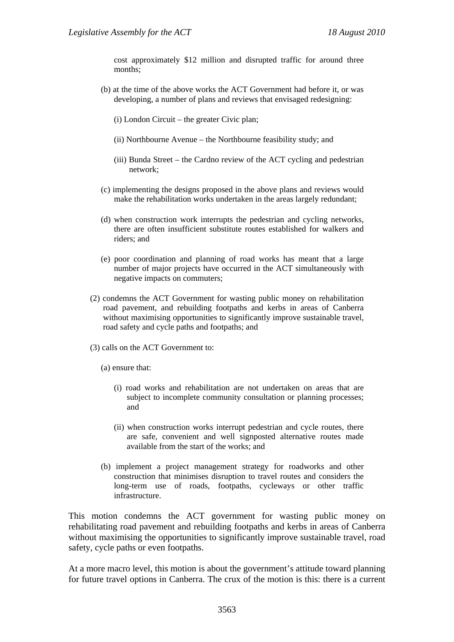cost approximately \$12 million and disrupted traffic for around three months;

- (b) at the time of the above works the ACT Government had before it, or was developing, a number of plans and reviews that envisaged redesigning:
	- (i) London Circuit the greater Civic plan;
	- (ii) Northbourne Avenue the Northbourne feasibility study; and
	- (iii) Bunda Street the Cardno review of the ACT cycling and pedestrian network;
- (c) implementing the designs proposed in the above plans and reviews would make the rehabilitation works undertaken in the areas largely redundant;
- (d) when construction work interrupts the pedestrian and cycling networks, there are often insufficient substitute routes established for walkers and riders; and
- (e) poor coordination and planning of road works has meant that a large number of major projects have occurred in the ACT simultaneously with negative impacts on commuters;
- (2) condemns the ACT Government for wasting public money on rehabilitation road pavement, and rebuilding footpaths and kerbs in areas of Canberra without maximising opportunities to significantly improve sustainable travel, road safety and cycle paths and footpaths; and
- (3) calls on the ACT Government to:
	- (a) ensure that:
		- (i) road works and rehabilitation are not undertaken on areas that are subject to incomplete community consultation or planning processes; and
		- (ii) when construction works interrupt pedestrian and cycle routes, there are safe, convenient and well signposted alternative routes made available from the start of the works; and
	- (b) implement a project management strategy for roadworks and other construction that minimises disruption to travel routes and considers the long-term use of roads, footpaths, cycleways or other traffic infrastructure.

This motion condemns the ACT government for wasting public money on rehabilitating road pavement and rebuilding footpaths and kerbs in areas of Canberra without maximising the opportunities to significantly improve sustainable travel, road safety, cycle paths or even footpaths.

At a more macro level, this motion is about the government's attitude toward planning for future travel options in Canberra. The crux of the motion is this: there is a current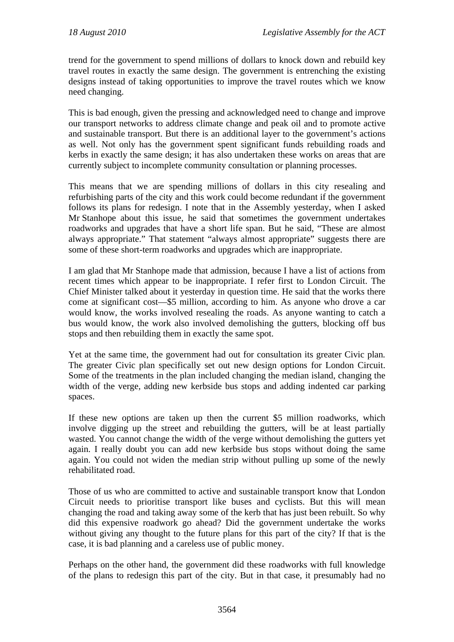trend for the government to spend millions of dollars to knock down and rebuild key travel routes in exactly the same design. The government is entrenching the existing designs instead of taking opportunities to improve the travel routes which we know need changing.

This is bad enough, given the pressing and acknowledged need to change and improve our transport networks to address climate change and peak oil and to promote active and sustainable transport. But there is an additional layer to the government's actions as well. Not only has the government spent significant funds rebuilding roads and kerbs in exactly the same design; it has also undertaken these works on areas that are currently subject to incomplete community consultation or planning processes.

This means that we are spending millions of dollars in this city resealing and refurbishing parts of the city and this work could become redundant if the government follows its plans for redesign. I note that in the Assembly yesterday, when I asked Mr Stanhope about this issue, he said that sometimes the government undertakes roadworks and upgrades that have a short life span. But he said, "These are almost always appropriate." That statement "always almost appropriate" suggests there are some of these short-term roadworks and upgrades which are inappropriate.

I am glad that Mr Stanhope made that admission, because I have a list of actions from recent times which appear to be inappropriate. I refer first to London Circuit. The Chief Minister talked about it yesterday in question time. He said that the works there come at significant cost—\$5 million, according to him. As anyone who drove a car would know, the works involved resealing the roads. As anyone wanting to catch a bus would know, the work also involved demolishing the gutters, blocking off bus stops and then rebuilding them in exactly the same spot.

Yet at the same time, the government had out for consultation its greater Civic plan*.* The greater Civic plan specifically set out new design options for London Circuit. Some of the treatments in the plan included changing the median island, changing the width of the verge, adding new kerbside bus stops and adding indented car parking spaces.

If these new options are taken up then the current \$5 million roadworks, which involve digging up the street and rebuilding the gutters, will be at least partially wasted. You cannot change the width of the verge without demolishing the gutters yet again. I really doubt you can add new kerbside bus stops without doing the same again. You could not widen the median strip without pulling up some of the newly rehabilitated road.

Those of us who are committed to active and sustainable transport know that London Circuit needs to prioritise transport like buses and cyclists. But this will mean changing the road and taking away some of the kerb that has just been rebuilt. So why did this expensive roadwork go ahead? Did the government undertake the works without giving any thought to the future plans for this part of the city? If that is the case, it is bad planning and a careless use of public money.

Perhaps on the other hand, the government did these roadworks with full knowledge of the plans to redesign this part of the city. But in that case, it presumably had no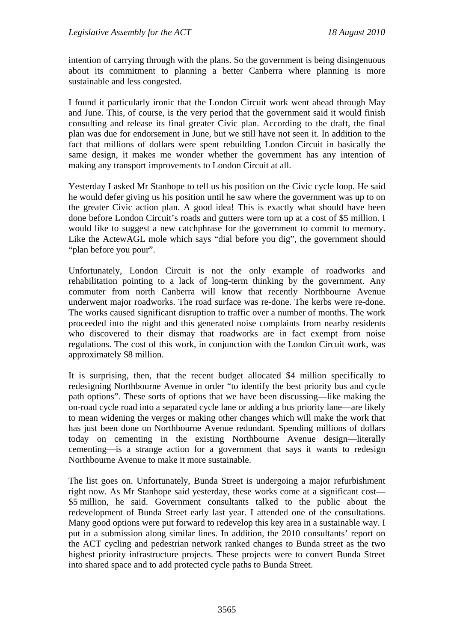intention of carrying through with the plans. So the government is being disingenuous about its commitment to planning a better Canberra where planning is more sustainable and less congested.

I found it particularly ironic that the London Circuit work went ahead through May and June. This, of course, is the very period that the government said it would finish consulting and release its final greater Civic plan. According to the draft, the final plan was due for endorsement in June, but we still have not seen it. In addition to the fact that millions of dollars were spent rebuilding London Circuit in basically the same design, it makes me wonder whether the government has any intention of making any transport improvements to London Circuit at all.

Yesterday I asked Mr Stanhope to tell us his position on the Civic cycle loop. He said he would defer giving us his position until he saw where the government was up to on the greater Civic action plan. A good idea! This is exactly what should have been done before London Circuit's roads and gutters were torn up at a cost of \$5 million. I would like to suggest a new catchphrase for the government to commit to memory. Like the ActewAGL mole which says "dial before you dig", the government should "plan before you pour".

Unfortunately, London Circuit is not the only example of roadworks and rehabilitation pointing to a lack of long-term thinking by the government. Any commuter from north Canberra will know that recently Northbourne Avenue underwent major roadworks. The road surface was re-done. The kerbs were re-done. The works caused significant disruption to traffic over a number of months. The work proceeded into the night and this generated noise complaints from nearby residents who discovered to their dismay that roadworks are in fact exempt from noise regulations. The cost of this work, in conjunction with the London Circuit work, was approximately \$8 million.

It is surprising, then, that the recent budget allocated \$4 million specifically to redesigning Northbourne Avenue in order "to identify the best priority bus and cycle path options". These sorts of options that we have been discussing—like making the on-road cycle road into a separated cycle lane or adding a bus priority lane—are likely to mean widening the verges or making other changes which will make the work that has just been done on Northbourne Avenue redundant. Spending millions of dollars today on cementing in the existing Northbourne Avenue design—literally cementing—is a strange action for a government that says it wants to redesign Northbourne Avenue to make it more sustainable.

The list goes on. Unfortunately, Bunda Street is undergoing a major refurbishment right now. As Mr Stanhope said yesterday, these works come at a significant cost— \$5 million, he said. Government consultants talked to the public about the redevelopment of Bunda Street early last year. I attended one of the consultations. Many good options were put forward to redevelop this key area in a sustainable way. I put in a submission along similar lines. In addition, the 2010 consultants' report on the ACT cycling and pedestrian network ranked changes to Bunda street as the two highest priority infrastructure projects. These projects were to convert Bunda Street into shared space and to add protected cycle paths to Bunda Street.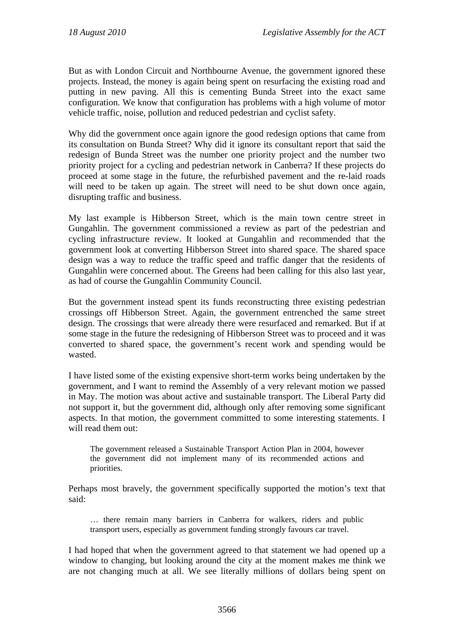But as with London Circuit and Northbourne Avenue, the government ignored these projects. Instead, the money is again being spent on resurfacing the existing road and putting in new paving. All this is cementing Bunda Street into the exact same configuration. We know that configuration has problems with a high volume of motor vehicle traffic, noise, pollution and reduced pedestrian and cyclist safety.

Why did the government once again ignore the good redesign options that came from its consultation on Bunda Street? Why did it ignore its consultant report that said the redesign of Bunda Street was the number one priority project and the number two priority project for a cycling and pedestrian network in Canberra? If these projects do proceed at some stage in the future, the refurbished pavement and the re-laid roads will need to be taken up again. The street will need to be shut down once again, disrupting traffic and business.

My last example is Hibberson Street, which is the main town centre street in Gungahlin. The government commissioned a review as part of the pedestrian and cycling infrastructure review. It looked at Gungahlin and recommended that the government look at converting Hibberson Street into shared space. The shared space design was a way to reduce the traffic speed and traffic danger that the residents of Gungahlin were concerned about. The Greens had been calling for this also last year, as had of course the Gungahlin Community Council.

But the government instead spent its funds reconstructing three existing pedestrian crossings off Hibberson Street. Again, the government entrenched the same street design. The crossings that were already there were resurfaced and remarked. But if at some stage in the future the redesigning of Hibberson Street was to proceed and it was converted to shared space, the government's recent work and spending would be wasted.

I have listed some of the existing expensive short-term works being undertaken by the government, and I want to remind the Assembly of a very relevant motion we passed in May. The motion was about active and sustainable transport. The Liberal Party did not support it, but the government did, although only after removing some significant aspects. In that motion, the government committed to some interesting statements. I will read them out:

The government released a Sustainable Transport Action Plan in 2004, however the government did not implement many of its recommended actions and priorities.

Perhaps most bravely, the government specifically supported the motion's text that said:

… there remain many barriers in Canberra for walkers, riders and public transport users, especially as government funding strongly favours car travel.

I had hoped that when the government agreed to that statement we had opened up a window to changing, but looking around the city at the moment makes me think we are not changing much at all. We see literally millions of dollars being spent on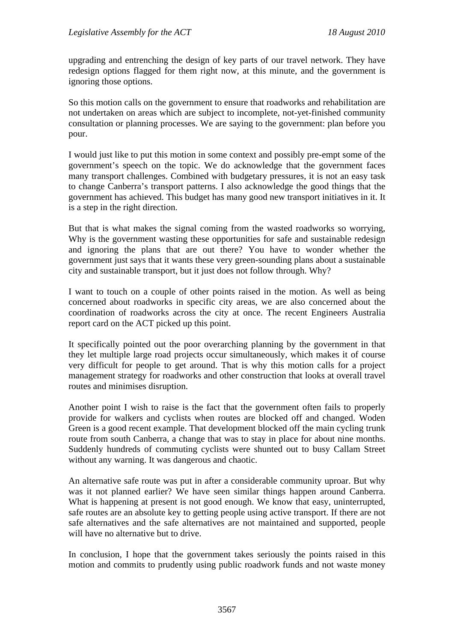upgrading and entrenching the design of key parts of our travel network. They have redesign options flagged for them right now, at this minute, and the government is ignoring those options.

So this motion calls on the government to ensure that roadworks and rehabilitation are not undertaken on areas which are subject to incomplete, not-yet-finished community consultation or planning processes. We are saying to the government: plan before you pour.

I would just like to put this motion in some context and possibly pre-empt some of the government's speech on the topic. We do acknowledge that the government faces many transport challenges. Combined with budgetary pressures, it is not an easy task to change Canberra's transport patterns. I also acknowledge the good things that the government has achieved. This budget has many good new transport initiatives in it. It is a step in the right direction.

But that is what makes the signal coming from the wasted roadworks so worrying, Why is the government wasting these opportunities for safe and sustainable redesign and ignoring the plans that are out there? You have to wonder whether the government just says that it wants these very green-sounding plans about a sustainable city and sustainable transport, but it just does not follow through. Why?

I want to touch on a couple of other points raised in the motion. As well as being concerned about roadworks in specific city areas, we are also concerned about the coordination of roadworks across the city at once. The recent Engineers Australia report card on the ACT picked up this point.

It specifically pointed out the poor overarching planning by the government in that they let multiple large road projects occur simultaneously, which makes it of course very difficult for people to get around. That is why this motion calls for a project management strategy for roadworks and other construction that looks at overall travel routes and minimises disruption.

Another point I wish to raise is the fact that the government often fails to properly provide for walkers and cyclists when routes are blocked off and changed. Woden Green is a good recent example. That development blocked off the main cycling trunk route from south Canberra, a change that was to stay in place for about nine months. Suddenly hundreds of commuting cyclists were shunted out to busy Callam Street without any warning. It was dangerous and chaotic.

An alternative safe route was put in after a considerable community uproar. But why was it not planned earlier? We have seen similar things happen around Canberra. What is happening at present is not good enough. We know that easy, uninterrupted, safe routes are an absolute key to getting people using active transport. If there are not safe alternatives and the safe alternatives are not maintained and supported, people will have no alternative but to drive.

In conclusion, I hope that the government takes seriously the points raised in this motion and commits to prudently using public roadwork funds and not waste money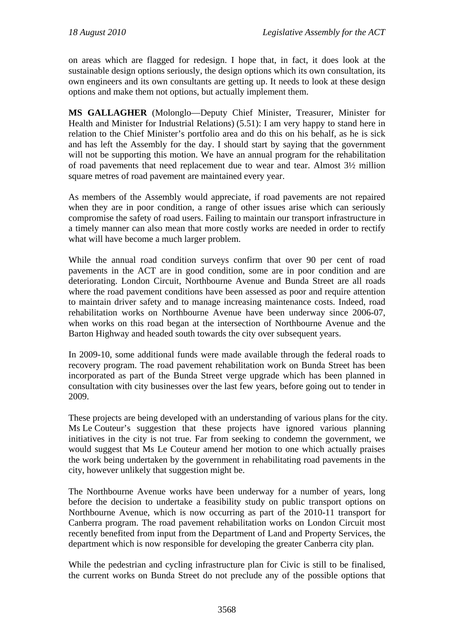on areas which are flagged for redesign. I hope that, in fact, it does look at the sustainable design options seriously, the design options which its own consultation, its own engineers and its own consultants are getting up. It needs to look at these design options and make them not options, but actually implement them.

**MS GALLAGHER** (Molonglo—Deputy Chief Minister, Treasurer, Minister for Health and Minister for Industrial Relations) (5.51): I am very happy to stand here in relation to the Chief Minister's portfolio area and do this on his behalf, as he is sick and has left the Assembly for the day. I should start by saying that the government will not be supporting this motion. We have an annual program for the rehabilitation of road pavements that need replacement due to wear and tear. Almost 3½ million square metres of road pavement are maintained every year.

As members of the Assembly would appreciate, if road pavements are not repaired when they are in poor condition, a range of other issues arise which can seriously compromise the safety of road users. Failing to maintain our transport infrastructure in a timely manner can also mean that more costly works are needed in order to rectify what will have become a much larger problem.

While the annual road condition surveys confirm that over 90 per cent of road pavements in the ACT are in good condition, some are in poor condition and are deteriorating. London Circuit, Northbourne Avenue and Bunda Street are all roads where the road pavement conditions have been assessed as poor and require attention to maintain driver safety and to manage increasing maintenance costs. Indeed, road rehabilitation works on Northbourne Avenue have been underway since 2006-07, when works on this road began at the intersection of Northbourne Avenue and the Barton Highway and headed south towards the city over subsequent years.

In 2009-10, some additional funds were made available through the federal roads to recovery program. The road pavement rehabilitation work on Bunda Street has been incorporated as part of the Bunda Street verge upgrade which has been planned in consultation with city businesses over the last few years, before going out to tender in 2009.

These projects are being developed with an understanding of various plans for the city. Ms Le Couteur's suggestion that these projects have ignored various planning initiatives in the city is not true. Far from seeking to condemn the government, we would suggest that Ms Le Couteur amend her motion to one which actually praises the work being undertaken by the government in rehabilitating road pavements in the city, however unlikely that suggestion might be.

The Northbourne Avenue works have been underway for a number of years, long before the decision to undertake a feasibility study on public transport options on Northbourne Avenue, which is now occurring as part of the 2010-11 transport for Canberra program. The road pavement rehabilitation works on London Circuit most recently benefited from input from the Department of Land and Property Services, the department which is now responsible for developing the greater Canberra city plan.

While the pedestrian and cycling infrastructure plan for Civic is still to be finalised, the current works on Bunda Street do not preclude any of the possible options that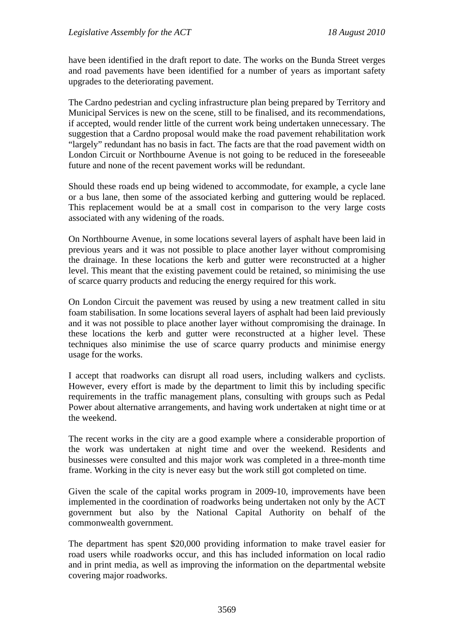have been identified in the draft report to date. The works on the Bunda Street verges and road pavements have been identified for a number of years as important safety upgrades to the deteriorating pavement.

The Cardno pedestrian and cycling infrastructure plan being prepared by Territory and Municipal Services is new on the scene, still to be finalised, and its recommendations, if accepted, would render little of the current work being undertaken unnecessary. The suggestion that a Cardno proposal would make the road pavement rehabilitation work "largely" redundant has no basis in fact. The facts are that the road pavement width on London Circuit or Northbourne Avenue is not going to be reduced in the foreseeable future and none of the recent pavement works will be redundant.

Should these roads end up being widened to accommodate, for example, a cycle lane or a bus lane, then some of the associated kerbing and guttering would be replaced. This replacement would be at a small cost in comparison to the very large costs associated with any widening of the roads.

On Northbourne Avenue, in some locations several layers of asphalt have been laid in previous years and it was not possible to place another layer without compromising the drainage. In these locations the kerb and gutter were reconstructed at a higher level. This meant that the existing pavement could be retained, so minimising the use of scarce quarry products and reducing the energy required for this work.

On London Circuit the pavement was reused by using a new treatment called in situ foam stabilisation. In some locations several layers of asphalt had been laid previously and it was not possible to place another layer without compromising the drainage. In these locations the kerb and gutter were reconstructed at a higher level. These techniques also minimise the use of scarce quarry products and minimise energy usage for the works.

I accept that roadworks can disrupt all road users, including walkers and cyclists. However, every effort is made by the department to limit this by including specific requirements in the traffic management plans, consulting with groups such as Pedal Power about alternative arrangements, and having work undertaken at night time or at the weekend.

The recent works in the city are a good example where a considerable proportion of the work was undertaken at night time and over the weekend. Residents and businesses were consulted and this major work was completed in a three-month time frame. Working in the city is never easy but the work still got completed on time.

Given the scale of the capital works program in 2009-10, improvements have been implemented in the coordination of roadworks being undertaken not only by the ACT government but also by the National Capital Authority on behalf of the commonwealth government.

The department has spent \$20,000 providing information to make travel easier for road users while roadworks occur, and this has included information on local radio and in print media, as well as improving the information on the departmental website covering major roadworks.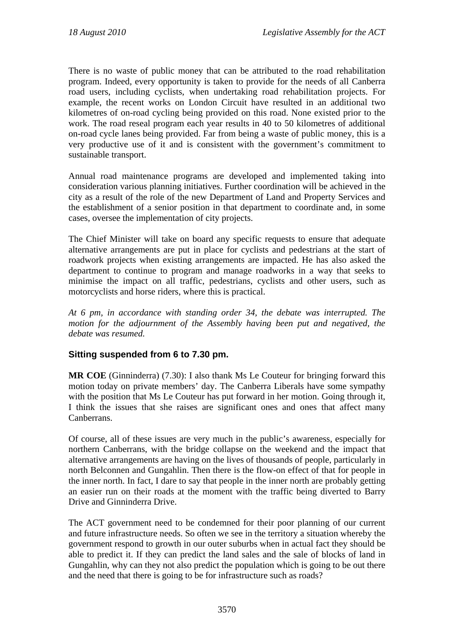There is no waste of public money that can be attributed to the road rehabilitation program. Indeed, every opportunity is taken to provide for the needs of all Canberra road users, including cyclists, when undertaking road rehabilitation projects. For example, the recent works on London Circuit have resulted in an additional two kilometres of on-road cycling being provided on this road. None existed prior to the work. The road reseal program each year results in 40 to 50 kilometres of additional on-road cycle lanes being provided. Far from being a waste of public money, this is a very productive use of it and is consistent with the government's commitment to sustainable transport.

Annual road maintenance programs are developed and implemented taking into consideration various planning initiatives. Further coordination will be achieved in the city as a result of the role of the new Department of Land and Property Services and the establishment of a senior position in that department to coordinate and, in some cases, oversee the implementation of city projects.

The Chief Minister will take on board any specific requests to ensure that adequate alternative arrangements are put in place for cyclists and pedestrians at the start of roadwork projects when existing arrangements are impacted. He has also asked the department to continue to program and manage roadworks in a way that seeks to minimise the impact on all traffic, pedestrians, cyclists and other users, such as motorcyclists and horse riders, where this is practical.

*At 6 pm, in accordance with standing order 34, the debate was interrupted. The motion for the adjournment of the Assembly having been put and negatived, the debate was resumed.* 

## **Sitting suspended from 6 to 7.30 pm.**

**MR COE** (Ginninderra) (7.30): I also thank Ms Le Couteur for bringing forward this motion today on private members' day. The Canberra Liberals have some sympathy with the position that Ms Le Couteur has put forward in her motion. Going through it, I think the issues that she raises are significant ones and ones that affect many Canberrans.

Of course, all of these issues are very much in the public's awareness, especially for northern Canberrans, with the bridge collapse on the weekend and the impact that alternative arrangements are having on the lives of thousands of people, particularly in north Belconnen and Gungahlin. Then there is the flow-on effect of that for people in the inner north. In fact, I dare to say that people in the inner north are probably getting an easier run on their roads at the moment with the traffic being diverted to Barry Drive and Ginninderra Drive.

The ACT government need to be condemned for their poor planning of our current and future infrastructure needs. So often we see in the territory a situation whereby the government respond to growth in our outer suburbs when in actual fact they should be able to predict it. If they can predict the land sales and the sale of blocks of land in Gungahlin, why can they not also predict the population which is going to be out there and the need that there is going to be for infrastructure such as roads?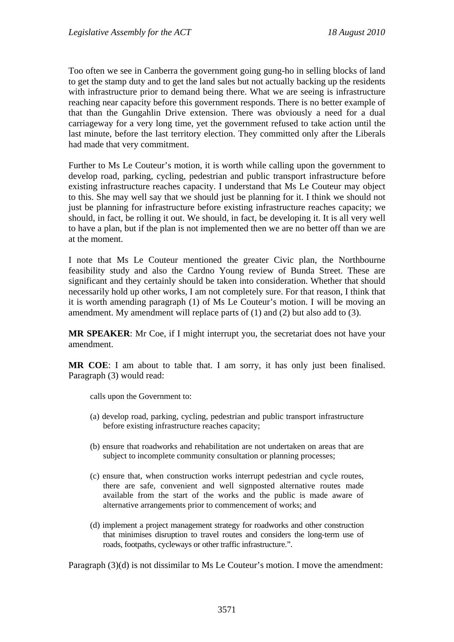Too often we see in Canberra the government going gung-ho in selling blocks of land to get the stamp duty and to get the land sales but not actually backing up the residents with infrastructure prior to demand being there. What we are seeing is infrastructure reaching near capacity before this government responds. There is no better example of that than the Gungahlin Drive extension. There was obviously a need for a dual carriageway for a very long time, yet the government refused to take action until the last minute, before the last territory election. They committed only after the Liberals had made that very commitment.

Further to Ms Le Couteur's motion, it is worth while calling upon the government to develop road, parking, cycling, pedestrian and public transport infrastructure before existing infrastructure reaches capacity. I understand that Ms Le Couteur may object to this. She may well say that we should just be planning for it. I think we should not just be planning for infrastructure before existing infrastructure reaches capacity; we should, in fact, be rolling it out. We should, in fact, be developing it. It is all very well to have a plan, but if the plan is not implemented then we are no better off than we are at the moment.

I note that Ms Le Couteur mentioned the greater Civic plan, the Northbourne feasibility study and also the Cardno Young review of Bunda Street. These are significant and they certainly should be taken into consideration. Whether that should necessarily hold up other works, I am not completely sure. For that reason, I think that it is worth amending paragraph (1) of Ms Le Couteur's motion. I will be moving an amendment. My amendment will replace parts of (1) and (2) but also add to (3).

**MR SPEAKER**: Mr Coe, if I might interrupt you, the secretariat does not have your amendment.

**MR COE**: I am about to table that. I am sorry, it has only just been finalised. Paragraph (3) would read:

calls upon the Government to:

- (a) develop road, parking, cycling, pedestrian and public transport infrastructure before existing infrastructure reaches capacity;
- (b) ensure that roadworks and rehabilitation are not undertaken on areas that are subject to incomplete community consultation or planning processes:
- (c) ensure that, when construction works interrupt pedestrian and cycle routes, there are safe, convenient and well signposted alternative routes made available from the start of the works and the public is made aware of alternative arrangements prior to commencement of works; and
- (d) implement a project management strategy for roadworks and other construction that minimises disruption to travel routes and considers the long-term use of roads, footpaths, cycleways or other traffic infrastructure.".

Paragraph (3)(d) is not dissimilar to Ms Le Couteur's motion. I move the amendment: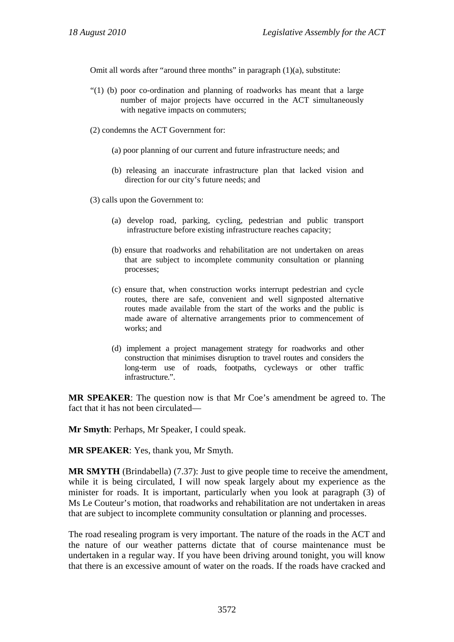Omit all words after "around three months" in paragraph (1)(a), substitute:

- "(1) (b) poor co-ordination and planning of roadworks has meant that a large number of major projects have occurred in the ACT simultaneously with negative impacts on commuters;
- (2) condemns the ACT Government for:
	- (a) poor planning of our current and future infrastructure needs; and
	- (b) releasing an inaccurate infrastructure plan that lacked vision and direction for our city's future needs; and
- (3) calls upon the Government to:
	- (a) develop road, parking, cycling, pedestrian and public transport infrastructure before existing infrastructure reaches capacity;
	- (b) ensure that roadworks and rehabilitation are not undertaken on areas that are subject to incomplete community consultation or planning processes;
	- (c) ensure that, when construction works interrupt pedestrian and cycle routes, there are safe, convenient and well signposted alternative routes made available from the start of the works and the public is made aware of alternative arrangements prior to commencement of works; and
	- (d) implement a project management strategy for roadworks and other construction that minimises disruption to travel routes and considers the long-term use of roads, footpaths, cycleways or other traffic infrastructure.".

**MR SPEAKER**: The question now is that Mr Coe's amendment be agreed to. The fact that it has not been circulated—

**Mr Smyth**: Perhaps, Mr Speaker, I could speak.

**MR SPEAKER**: Yes, thank you, Mr Smyth.

**MR SMYTH** (Brindabella) (7.37): Just to give people time to receive the amendment, while it is being circulated, I will now speak largely about my experience as the minister for roads. It is important, particularly when you look at paragraph (3) of Ms Le Couteur's motion, that roadworks and rehabilitation are not undertaken in areas that are subject to incomplete community consultation or planning and processes.

The road resealing program is very important. The nature of the roads in the ACT and the nature of our weather patterns dictate that of course maintenance must be undertaken in a regular way. If you have been driving around tonight, you will know that there is an excessive amount of water on the roads. If the roads have cracked and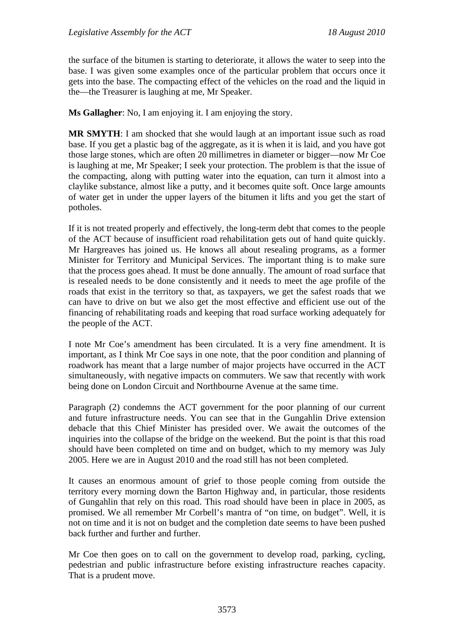the surface of the bitumen is starting to deteriorate, it allows the water to seep into the base. I was given some examples once of the particular problem that occurs once it gets into the base. The compacting effect of the vehicles on the road and the liquid in the—the Treasurer is laughing at me, Mr Speaker.

**Ms Gallagher**: No, I am enjoying it. I am enjoying the story.

**MR SMYTH**: I am shocked that she would laugh at an important issue such as road base. If you get a plastic bag of the aggregate, as it is when it is laid, and you have got those large stones, which are often 20 millimetres in diameter or bigger—now Mr Coe is laughing at me, Mr Speaker; I seek your protection. The problem is that the issue of the compacting, along with putting water into the equation, can turn it almost into a claylike substance, almost like a putty, and it becomes quite soft. Once large amounts of water get in under the upper layers of the bitumen it lifts and you get the start of potholes.

If it is not treated properly and effectively, the long-term debt that comes to the people of the ACT because of insufficient road rehabilitation gets out of hand quite quickly. Mr Hargreaves has joined us. He knows all about resealing programs, as a former Minister for Territory and Municipal Services. The important thing is to make sure that the process goes ahead. It must be done annually. The amount of road surface that is resealed needs to be done consistently and it needs to meet the age profile of the roads that exist in the territory so that, as taxpayers, we get the safest roads that we can have to drive on but we also get the most effective and efficient use out of the financing of rehabilitating roads and keeping that road surface working adequately for the people of the ACT.

I note Mr Coe's amendment has been circulated. It is a very fine amendment. It is important, as I think Mr Coe says in one note, that the poor condition and planning of roadwork has meant that a large number of major projects have occurred in the ACT simultaneously, with negative impacts on commuters. We saw that recently with work being done on London Circuit and Northbourne Avenue at the same time.

Paragraph (2) condemns the ACT government for the poor planning of our current and future infrastructure needs. You can see that in the Gungahlin Drive extension debacle that this Chief Minister has presided over. We await the outcomes of the inquiries into the collapse of the bridge on the weekend. But the point is that this road should have been completed on time and on budget, which to my memory was July 2005. Here we are in August 2010 and the road still has not been completed.

It causes an enormous amount of grief to those people coming from outside the territory every morning down the Barton Highway and, in particular, those residents of Gungahlin that rely on this road. This road should have been in place in 2005, as promised. We all remember Mr Corbell's mantra of "on time, on budget". Well, it is not on time and it is not on budget and the completion date seems to have been pushed back further and further and further.

Mr Coe then goes on to call on the government to develop road, parking, cycling, pedestrian and public infrastructure before existing infrastructure reaches capacity. That is a prudent move.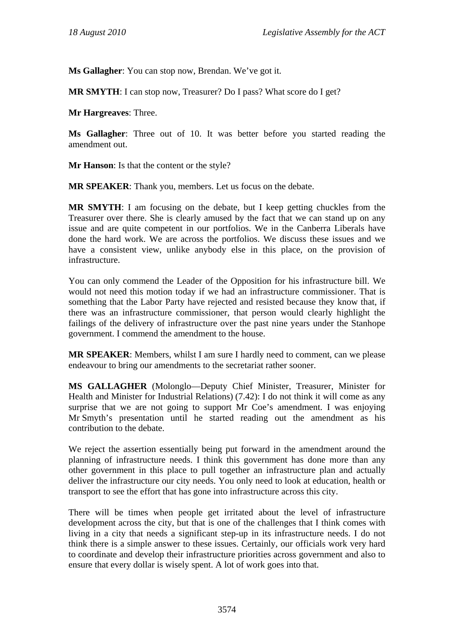**Ms Gallagher**: You can stop now, Brendan. We've got it.

**MR SMYTH**: I can stop now, Treasurer? Do I pass? What score do I get?

**Mr Hargreaves**: Three.

**Ms Gallagher**: Three out of 10. It was better before you started reading the amendment out.

**Mr Hanson**: Is that the content or the style?

**MR SPEAKER**: Thank you, members. Let us focus on the debate.

**MR SMYTH**: I am focusing on the debate, but I keep getting chuckles from the Treasurer over there. She is clearly amused by the fact that we can stand up on any issue and are quite competent in our portfolios. We in the Canberra Liberals have done the hard work. We are across the portfolios. We discuss these issues and we have a consistent view, unlike anybody else in this place, on the provision of infrastructure.

You can only commend the Leader of the Opposition for his infrastructure bill. We would not need this motion today if we had an infrastructure commissioner. That is something that the Labor Party have rejected and resisted because they know that, if there was an infrastructure commissioner, that person would clearly highlight the failings of the delivery of infrastructure over the past nine years under the Stanhope government. I commend the amendment to the house.

**MR SPEAKER**: Members, whilst I am sure I hardly need to comment, can we please endeavour to bring our amendments to the secretariat rather sooner.

**MS GALLAGHER** (Molonglo—Deputy Chief Minister, Treasurer, Minister for Health and Minister for Industrial Relations) (7.42): I do not think it will come as any surprise that we are not going to support Mr Coe's amendment. I was enjoying Mr Smyth's presentation until he started reading out the amendment as his contribution to the debate.

We reject the assertion essentially being put forward in the amendment around the planning of infrastructure needs. I think this government has done more than any other government in this place to pull together an infrastructure plan and actually deliver the infrastructure our city needs. You only need to look at education, health or transport to see the effort that has gone into infrastructure across this city.

There will be times when people get irritated about the level of infrastructure development across the city, but that is one of the challenges that I think comes with living in a city that needs a significant step-up in its infrastructure needs. I do not think there is a simple answer to these issues. Certainly, our officials work very hard to coordinate and develop their infrastructure priorities across government and also to ensure that every dollar is wisely spent. A lot of work goes into that.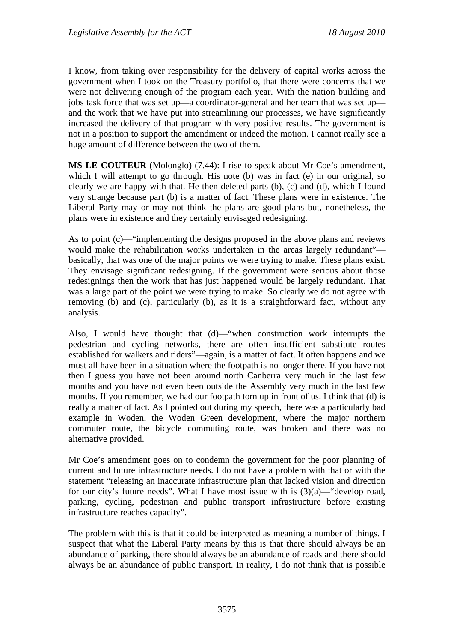I know, from taking over responsibility for the delivery of capital works across the government when I took on the Treasury portfolio, that there were concerns that we were not delivering enough of the program each year. With the nation building and jobs task force that was set up—a coordinator-general and her team that was set up and the work that we have put into streamlining our processes, we have significantly increased the delivery of that program with very positive results. The government is not in a position to support the amendment or indeed the motion. I cannot really see a huge amount of difference between the two of them.

**MS LE COUTEUR** (Molonglo) (7.44): I rise to speak about Mr Coe's amendment, which I will attempt to go through. His note (b) was in fact (e) in our original, so clearly we are happy with that. He then deleted parts (b), (c) and (d), which I found very strange because part (b) is a matter of fact. These plans were in existence. The Liberal Party may or may not think the plans are good plans but, nonetheless, the plans were in existence and they certainly envisaged redesigning.

As to point (c)—"implementing the designs proposed in the above plans and reviews would make the rehabilitation works undertaken in the areas largely redundant" basically, that was one of the major points we were trying to make. These plans exist. They envisage significant redesigning. If the government were serious about those redesignings then the work that has just happened would be largely redundant. That was a large part of the point we were trying to make. So clearly we do not agree with removing (b) and (c), particularly (b), as it is a straightforward fact, without any analysis.

Also, I would have thought that (d)—"when construction work interrupts the pedestrian and cycling networks, there are often insufficient substitute routes established for walkers and riders"—again, is a matter of fact. It often happens and we must all have been in a situation where the footpath is no longer there. If you have not then I guess you have not been around north Canberra very much in the last few months and you have not even been outside the Assembly very much in the last few months. If you remember, we had our footpath torn up in front of us. I think that (d) is really a matter of fact. As I pointed out during my speech, there was a particularly bad example in Woden, the Woden Green development, where the major northern commuter route, the bicycle commuting route, was broken and there was no alternative provided.

Mr Coe's amendment goes on to condemn the government for the poor planning of current and future infrastructure needs. I do not have a problem with that or with the statement "releasing an inaccurate infrastructure plan that lacked vision and direction for our city's future needs". What I have most issue with is  $(3)(a)$ —"develop road, parking, cycling, pedestrian and public transport infrastructure before existing infrastructure reaches capacity".

The problem with this is that it could be interpreted as meaning a number of things. I suspect that what the Liberal Party means by this is that there should always be an abundance of parking, there should always be an abundance of roads and there should always be an abundance of public transport. In reality, I do not think that is possible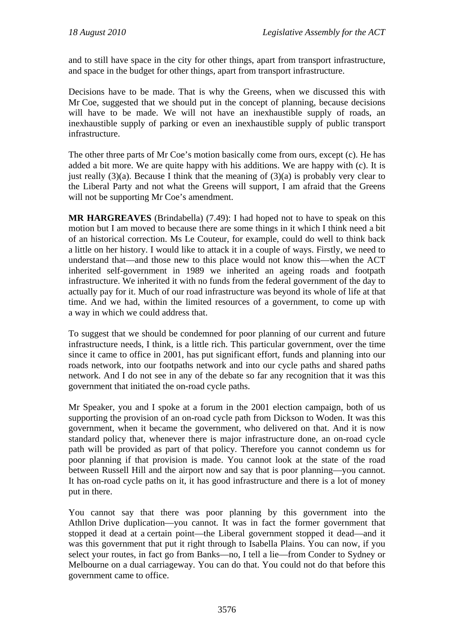and to still have space in the city for other things, apart from transport infrastructure, and space in the budget for other things, apart from transport infrastructure.

Decisions have to be made. That is why the Greens, when we discussed this with Mr Coe, suggested that we should put in the concept of planning, because decisions will have to be made. We will not have an inexhaustible supply of roads, an inexhaustible supply of parking or even an inexhaustible supply of public transport infrastructure.

The other three parts of Mr Coe's motion basically come from ours, except (c). He has added a bit more. We are quite happy with his additions. We are happy with (c). It is just really  $(3)(a)$ . Because I think that the meaning of  $(3)(a)$  is probably very clear to the Liberal Party and not what the Greens will support, I am afraid that the Greens will not be supporting Mr Coe's amendment.

**MR HARGREAVES** (Brindabella) (7.49): I had hoped not to have to speak on this motion but I am moved to because there are some things in it which I think need a bit of an historical correction. Ms Le Couteur, for example, could do well to think back a little on her history. I would like to attack it in a couple of ways. Firstly, we need to understand that—and those new to this place would not know this—when the ACT inherited self-government in 1989 we inherited an ageing roads and footpath infrastructure. We inherited it with no funds from the federal government of the day to actually pay for it. Much of our road infrastructure was beyond its whole of life at that time. And we had, within the limited resources of a government, to come up with a way in which we could address that.

To suggest that we should be condemned for poor planning of our current and future infrastructure needs, I think, is a little rich. This particular government, over the time since it came to office in 2001, has put significant effort, funds and planning into our roads network, into our footpaths network and into our cycle paths and shared paths network. And I do not see in any of the debate so far any recognition that it was this government that initiated the on-road cycle paths.

Mr Speaker, you and I spoke at a forum in the 2001 election campaign, both of us supporting the provision of an on-road cycle path from Dickson to Woden. It was this government, when it became the government, who delivered on that. And it is now standard policy that, whenever there is major infrastructure done, an on-road cycle path will be provided as part of that policy. Therefore you cannot condemn us for poor planning if that provision is made. You cannot look at the state of the road between Russell Hill and the airport now and say that is poor planning—you cannot. It has on-road cycle paths on it, it has good infrastructure and there is a lot of money put in there.

You cannot say that there was poor planning by this government into the Athllon Drive duplication—you cannot. It was in fact the former government that stopped it dead at a certain point—the Liberal government stopped it dead—and it was this government that put it right through to Isabella Plains. You can now, if you select your routes, in fact go from Banks—no, I tell a lie—from Conder to Sydney or Melbourne on a dual carriageway. You can do that. You could not do that before this government came to office.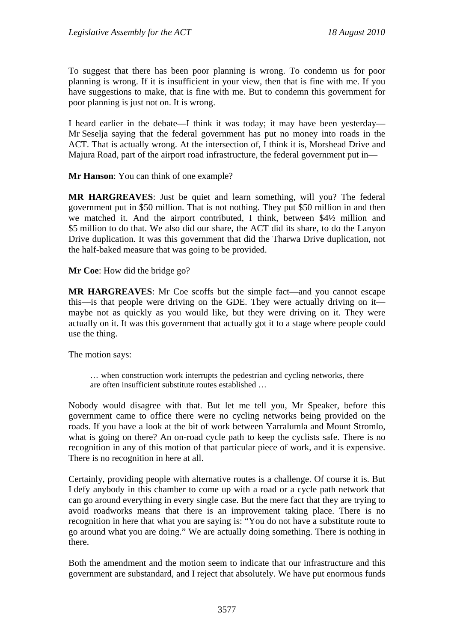To suggest that there has been poor planning is wrong. To condemn us for poor planning is wrong. If it is insufficient in your view, then that is fine with me. If you have suggestions to make, that is fine with me. But to condemn this government for poor planning is just not on. It is wrong.

I heard earlier in the debate—I think it was today; it may have been yesterday— Mr Seselja saying that the federal government has put no money into roads in the ACT. That is actually wrong. At the intersection of, I think it is, Morshead Drive and Majura Road, part of the airport road infrastructure, the federal government put in—

**Mr Hanson**: You can think of one example?

**MR HARGREAVES**: Just be quiet and learn something, will you? The federal government put in \$50 million. That is not nothing. They put \$50 million in and then we matched it. And the airport contributed, I think, between \$4½ million and \$5 million to do that. We also did our share, the ACT did its share, to do the Lanyon Drive duplication. It was this government that did the Tharwa Drive duplication, not the half-baked measure that was going to be provided.

**Mr Coe**: How did the bridge go?

**MR HARGREAVES**: Mr Coe scoffs but the simple fact—and you cannot escape this—is that people were driving on the GDE. They were actually driving on it maybe not as quickly as you would like, but they were driving on it. They were actually on it. It was this government that actually got it to a stage where people could use the thing.

The motion says:

… when construction work interrupts the pedestrian and cycling networks, there are often insufficient substitute routes established …

Nobody would disagree with that. But let me tell you, Mr Speaker, before this government came to office there were no cycling networks being provided on the roads. If you have a look at the bit of work between Yarralumla and Mount Stromlo, what is going on there? An on-road cycle path to keep the cyclists safe. There is no recognition in any of this motion of that particular piece of work, and it is expensive. There is no recognition in here at all.

Certainly, providing people with alternative routes is a challenge. Of course it is. But I defy anybody in this chamber to come up with a road or a cycle path network that can go around everything in every single case. But the mere fact that they are trying to avoid roadworks means that there is an improvement taking place. There is no recognition in here that what you are saying is: "You do not have a substitute route to go around what you are doing." We are actually doing something. There is nothing in there.

Both the amendment and the motion seem to indicate that our infrastructure and this government are substandard, and I reject that absolutely. We have put enormous funds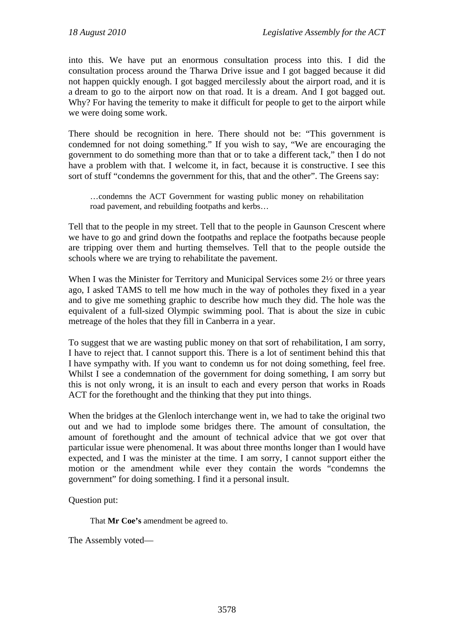into this. We have put an enormous consultation process into this. I did the consultation process around the Tharwa Drive issue and I got bagged because it did not happen quickly enough. I got bagged mercilessly about the airport road, and it is a dream to go to the airport now on that road. It is a dream. And I got bagged out. Why? For having the temerity to make it difficult for people to get to the airport while we were doing some work.

There should be recognition in here. There should not be: "This government is condemned for not doing something." If you wish to say, "We are encouraging the government to do something more than that or to take a different tack," then I do not have a problem with that. I welcome it, in fact, because it is constructive. I see this sort of stuff "condemns the government for this, that and the other". The Greens say:

…condemns the ACT Government for wasting public money on rehabilitation road pavement, and rebuilding footpaths and kerbs…

Tell that to the people in my street. Tell that to the people in Gaunson Crescent where we have to go and grind down the footpaths and replace the footpaths because people are tripping over them and hurting themselves. Tell that to the people outside the schools where we are trying to rehabilitate the pavement.

When I was the Minister for Territory and Municipal Services some 2½ or three years ago, I asked TAMS to tell me how much in the way of potholes they fixed in a year and to give me something graphic to describe how much they did. The hole was the equivalent of a full-sized Olympic swimming pool. That is about the size in cubic metreage of the holes that they fill in Canberra in a year.

To suggest that we are wasting public money on that sort of rehabilitation, I am sorry, I have to reject that. I cannot support this. There is a lot of sentiment behind this that I have sympathy with. If you want to condemn us for not doing something, feel free. Whilst I see a condemnation of the government for doing something. I am sorry but this is not only wrong, it is an insult to each and every person that works in Roads ACT for the forethought and the thinking that they put into things.

When the bridges at the Glenloch interchange went in, we had to take the original two out and we had to implode some bridges there. The amount of consultation, the amount of forethought and the amount of technical advice that we got over that particular issue were phenomenal. It was about three months longer than I would have expected, and I was the minister at the time. I am sorry, I cannot support either the motion or the amendment while ever they contain the words "condemns the government" for doing something. I find it a personal insult.

Question put:

That **Mr Coe's** amendment be agreed to.

The Assembly voted—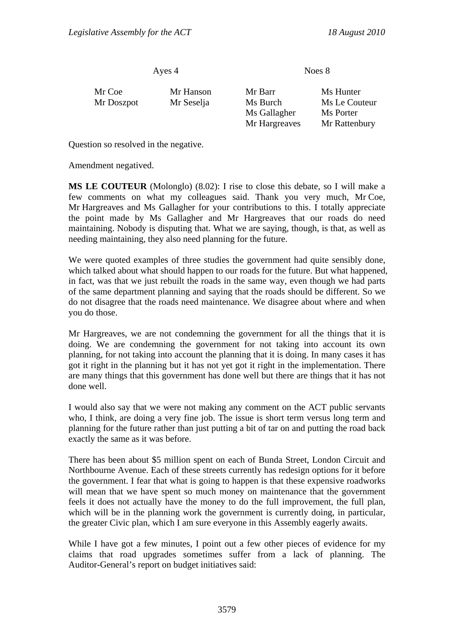Ayes 4 Noes 8

| Mr Coe<br>Mr Doszpot | Mr Hanson<br>Mr Seselja | Mr Barr<br>Ms Burch<br>Ms Gallagher | Ms Hunter<br>Ms Le Couteur<br>Ms Porter |
|----------------------|-------------------------|-------------------------------------|-----------------------------------------|
|                      |                         | Mr Hargreaves                       | Mr Rattenbury                           |

Question so resolved in the negative.

Amendment negatived.

**MS LE COUTEUR** (Molonglo) (8.02): I rise to close this debate, so I will make a few comments on what my colleagues said. Thank you very much, Mr Coe, Mr Hargreaves and Ms Gallagher for your contributions to this. I totally appreciate the point made by Ms Gallagher and Mr Hargreaves that our roads do need maintaining. Nobody is disputing that. What we are saying, though, is that, as well as needing maintaining, they also need planning for the future.

We were quoted examples of three studies the government had quite sensibly done, which talked about what should happen to our roads for the future. But what happened, in fact, was that we just rebuilt the roads in the same way, even though we had parts of the same department planning and saying that the roads should be different. So we do not disagree that the roads need maintenance. We disagree about where and when you do those.

Mr Hargreaves, we are not condemning the government for all the things that it is doing. We are condemning the government for not taking into account its own planning, for not taking into account the planning that it is doing. In many cases it has got it right in the planning but it has not yet got it right in the implementation. There are many things that this government has done well but there are things that it has not done well.

I would also say that we were not making any comment on the ACT public servants who, I think, are doing a very fine job. The issue is short term versus long term and planning for the future rather than just putting a bit of tar on and putting the road back exactly the same as it was before.

There has been about \$5 million spent on each of Bunda Street, London Circuit and Northbourne Avenue. Each of these streets currently has redesign options for it before the government. I fear that what is going to happen is that these expensive roadworks will mean that we have spent so much money on maintenance that the government feels it does not actually have the money to do the full improvement, the full plan, which will be in the planning work the government is currently doing, in particular, the greater Civic plan, which I am sure everyone in this Assembly eagerly awaits.

While I have got a few minutes, I point out a few other pieces of evidence for my claims that road upgrades sometimes suffer from a lack of planning. The Auditor-General's report on budget initiatives said: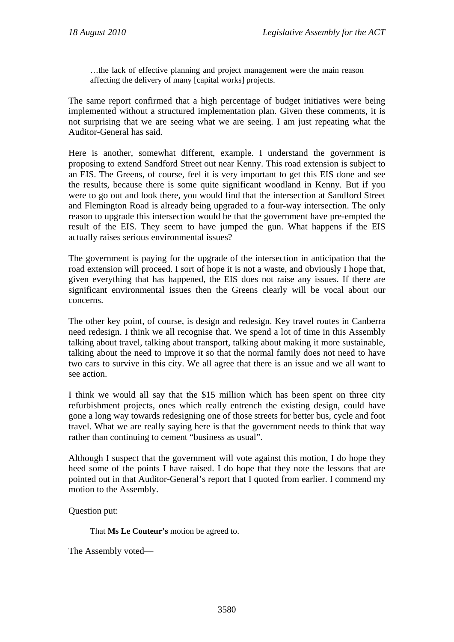…the lack of effective planning and project management were the main reason affecting the delivery of many [capital works] projects.

The same report confirmed that a high percentage of budget initiatives were being implemented without a structured implementation plan. Given these comments, it is not surprising that we are seeing what we are seeing. I am just repeating what the Auditor-General has said.

Here is another, somewhat different, example. I understand the government is proposing to extend Sandford Street out near Kenny. This road extension is subject to an EIS. The Greens, of course, feel it is very important to get this EIS done and see the results, because there is some quite significant woodland in Kenny. But if you were to go out and look there, you would find that the intersection at Sandford Street and Flemington Road is already being upgraded to a four-way intersection. The only reason to upgrade this intersection would be that the government have pre-empted the result of the EIS. They seem to have jumped the gun. What happens if the EIS actually raises serious environmental issues?

The government is paying for the upgrade of the intersection in anticipation that the road extension will proceed. I sort of hope it is not a waste, and obviously I hope that, given everything that has happened, the EIS does not raise any issues. If there are significant environmental issues then the Greens clearly will be vocal about our concerns.

The other key point, of course, is design and redesign. Key travel routes in Canberra need redesign. I think we all recognise that. We spend a lot of time in this Assembly talking about travel, talking about transport, talking about making it more sustainable, talking about the need to improve it so that the normal family does not need to have two cars to survive in this city. We all agree that there is an issue and we all want to see action.

I think we would all say that the \$15 million which has been spent on three city refurbishment projects, ones which really entrench the existing design, could have gone a long way towards redesigning one of those streets for better bus, cycle and foot travel. What we are really saying here is that the government needs to think that way rather than continuing to cement "business as usual".

Although I suspect that the government will vote against this motion, I do hope they heed some of the points I have raised. I do hope that they note the lessons that are pointed out in that Auditor-General's report that I quoted from earlier. I commend my motion to the Assembly.

Question put:

That **Ms Le Couteur's** motion be agreed to.

The Assembly voted—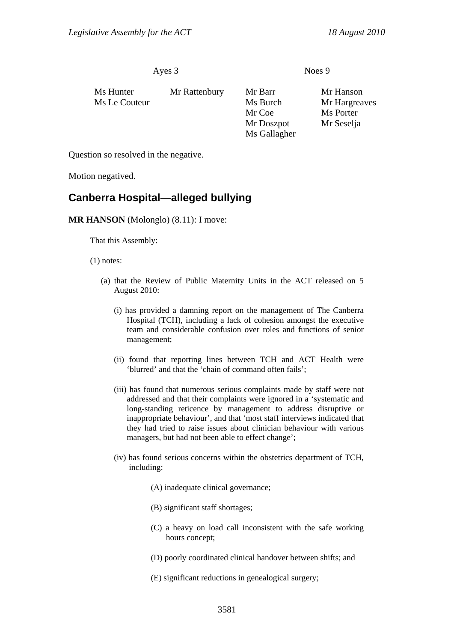Ayes 3 Noes 9

| Ms Hunter     | Mr Rattenbury | Mr Barr      | Mr Hanson     |
|---------------|---------------|--------------|---------------|
| Ms Le Couteur |               | Ms Burch     | Mr Hargreaves |
|               |               | Mr Coe       | Ms Porter     |
|               |               | Mr Doszpot   | Mr Seselja    |
|               |               | Ms Gallagher |               |

Question so resolved in the negative.

Motion negatived.

## **Canberra Hospital—alleged bullying**

## **MR HANSON** (Molonglo) (8.11): I move:

That this Assembly:

(1) notes:

- (a) that the Review of Public Maternity Units in the ACT released on 5 August 2010:
	- (i) has provided a damning report on the management of The Canberra Hospital (TCH), including a lack of cohesion amongst the executive team and considerable confusion over roles and functions of senior management;
	- (ii) found that reporting lines between TCH and ACT Health were 'blurred' and that the 'chain of command often fails';
	- (iii) has found that numerous serious complaints made by staff were not addressed and that their complaints were ignored in a 'systematic and long-standing reticence by management to address disruptive or inappropriate behaviour', and that 'most staff interviews indicated that they had tried to raise issues about clinician behaviour with various managers, but had not been able to effect change';
	- (iv) has found serious concerns within the obstetrics department of TCH, including:
		- (A) inadequate clinical governance;
		- (B) significant staff shortages;
		- (C) a heavy on load call inconsistent with the safe working hours concept;
		- (D) poorly coordinated clinical handover between shifts; and
		- (E) significant reductions in genealogical surgery;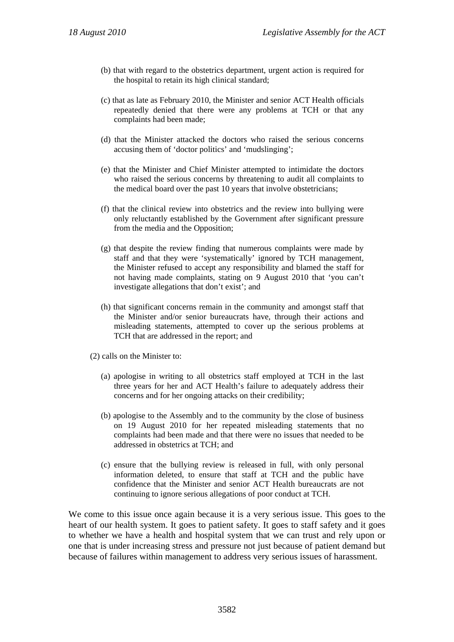- (b) that with regard to the obstetrics department, urgent action is required for the hospital to retain its high clinical standard;
- (c) that as late as February 2010, the Minister and senior ACT Health officials repeatedly denied that there were any problems at TCH or that any complaints had been made;
- (d) that the Minister attacked the doctors who raised the serious concerns accusing them of 'doctor politics' and 'mudslinging';
- (e) that the Minister and Chief Minister attempted to intimidate the doctors who raised the serious concerns by threatening to audit all complaints to the medical board over the past 10 years that involve obstetricians;
- (f) that the clinical review into obstetrics and the review into bullying were only reluctantly established by the Government after significant pressure from the media and the Opposition;
- (g) that despite the review finding that numerous complaints were made by staff and that they were 'systematically' ignored by TCH management, the Minister refused to accept any responsibility and blamed the staff for not having made complaints, stating on 9 August 2010 that 'you can't investigate allegations that don't exist'; and
- (h) that significant concerns remain in the community and amongst staff that the Minister and/or senior bureaucrats have, through their actions and misleading statements, attempted to cover up the serious problems at TCH that are addressed in the report; and
- (2) calls on the Minister to:
	- (a) apologise in writing to all obstetrics staff employed at TCH in the last three years for her and ACT Health's failure to adequately address their concerns and for her ongoing attacks on their credibility;
	- (b) apologise to the Assembly and to the community by the close of business on 19 August 2010 for her repeated misleading statements that no complaints had been made and that there were no issues that needed to be addressed in obstetrics at TCH; and
	- (c) ensure that the bullying review is released in full, with only personal information deleted, to ensure that staff at TCH and the public have confidence that the Minister and senior ACT Health bureaucrats are not continuing to ignore serious allegations of poor conduct at TCH.

We come to this issue once again because it is a very serious issue. This goes to the heart of our health system. It goes to patient safety. It goes to staff safety and it goes to whether we have a health and hospital system that we can trust and rely upon or one that is under increasing stress and pressure not just because of patient demand but because of failures within management to address very serious issues of harassment.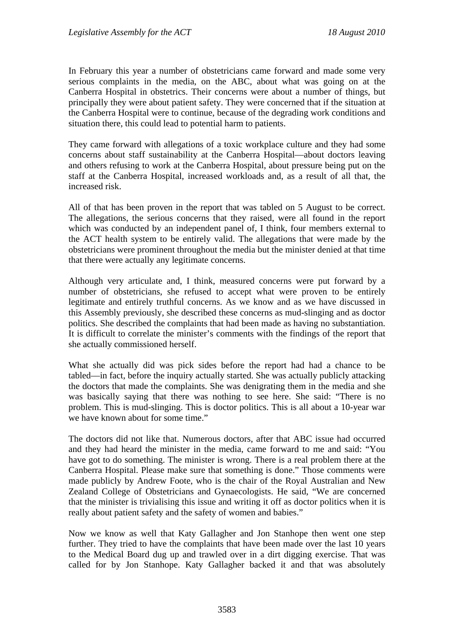In February this year a number of obstetricians came forward and made some very serious complaints in the media, on the ABC, about what was going on at the Canberra Hospital in obstetrics. Their concerns were about a number of things, but principally they were about patient safety. They were concerned that if the situation at the Canberra Hospital were to continue, because of the degrading work conditions and situation there, this could lead to potential harm to patients.

They came forward with allegations of a toxic workplace culture and they had some concerns about staff sustainability at the Canberra Hospital—about doctors leaving and others refusing to work at the Canberra Hospital, about pressure being put on the staff at the Canberra Hospital, increased workloads and, as a result of all that, the increased risk.

All of that has been proven in the report that was tabled on 5 August to be correct. The allegations, the serious concerns that they raised, were all found in the report which was conducted by an independent panel of, I think, four members external to the ACT health system to be entirely valid. The allegations that were made by the obstetricians were prominent throughout the media but the minister denied at that time that there were actually any legitimate concerns.

Although very articulate and, I think, measured concerns were put forward by a number of obstetricians, she refused to accept what were proven to be entirely legitimate and entirely truthful concerns. As we know and as we have discussed in this Assembly previously, she described these concerns as mud-slinging and as doctor politics. She described the complaints that had been made as having no substantiation. It is difficult to correlate the minister's comments with the findings of the report that she actually commissioned herself.

What she actually did was pick sides before the report had had a chance to be tabled—in fact, before the inquiry actually started. She was actually publicly attacking the doctors that made the complaints. She was denigrating them in the media and she was basically saying that there was nothing to see here. She said: "There is no problem. This is mud-slinging. This is doctor politics. This is all about a 10-year war we have known about for some time."

The doctors did not like that. Numerous doctors, after that ABC issue had occurred and they had heard the minister in the media, came forward to me and said: "You have got to do something. The minister is wrong. There is a real problem there at the Canberra Hospital. Please make sure that something is done." Those comments were made publicly by Andrew Foote, who is the chair of the Royal Australian and New Zealand College of Obstetricians and Gynaecologists. He said, "We are concerned that the minister is trivialising this issue and writing it off as doctor politics when it is really about patient safety and the safety of women and babies."

Now we know as well that Katy Gallagher and Jon Stanhope then went one step further. They tried to have the complaints that have been made over the last 10 years to the Medical Board dug up and trawled over in a dirt digging exercise. That was called for by Jon Stanhope. Katy Gallagher backed it and that was absolutely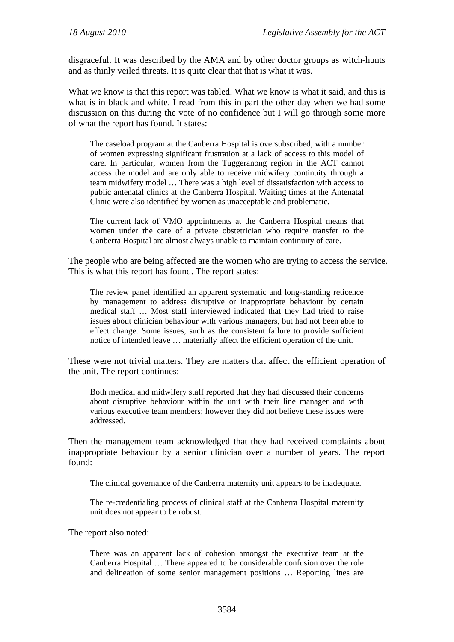disgraceful. It was described by the AMA and by other doctor groups as witch-hunts and as thinly veiled threats. It is quite clear that that is what it was.

What we know is that this report was tabled. What we know is what it said, and this is what is in black and white. I read from this in part the other day when we had some discussion on this during the vote of no confidence but I will go through some more of what the report has found. It states:

The caseload program at the Canberra Hospital is oversubscribed, with a number of women expressing significant frustration at a lack of access to this model of care. In particular, women from the Tuggeranong region in the ACT cannot access the model and are only able to receive midwifery continuity through a team midwifery model … There was a high level of dissatisfaction with access to public antenatal clinics at the Canberra Hospital. Waiting times at the Antenatal Clinic were also identified by women as unacceptable and problematic.

The current lack of VMO appointments at the Canberra Hospital means that women under the care of a private obstetrician who require transfer to the Canberra Hospital are almost always unable to maintain continuity of care.

The people who are being affected are the women who are trying to access the service. This is what this report has found. The report states:

The review panel identified an apparent systematic and long-standing reticence by management to address disruptive or inappropriate behaviour by certain medical staff … Most staff interviewed indicated that they had tried to raise issues about clinician behaviour with various managers, but had not been able to effect change. Some issues, such as the consistent failure to provide sufficient notice of intended leave … materially affect the efficient operation of the unit.

These were not trivial matters. They are matters that affect the efficient operation of the unit. The report continues:

Both medical and midwifery staff reported that they had discussed their concerns about disruptive behaviour within the unit with their line manager and with various executive team members; however they did not believe these issues were addressed.

Then the management team acknowledged that they had received complaints about inappropriate behaviour by a senior clinician over a number of years. The report found:

The clinical governance of the Canberra maternity unit appears to be inadequate.

The re-credentialing process of clinical staff at the Canberra Hospital maternity unit does not appear to be robust.

The report also noted:

There was an apparent lack of cohesion amongst the executive team at the Canberra Hospital … There appeared to be considerable confusion over the role and delineation of some senior management positions … Reporting lines are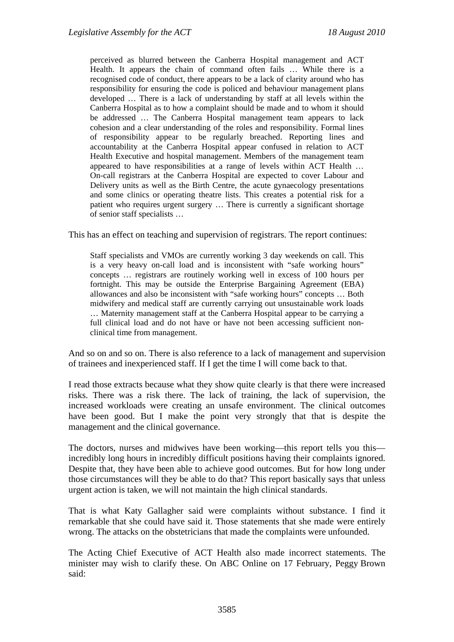perceived as blurred between the Canberra Hospital management and ACT Health. It appears the chain of command often fails … While there is a recognised code of conduct, there appears to be a lack of clarity around who has responsibility for ensuring the code is policed and behaviour management plans developed … There is a lack of understanding by staff at all levels within the Canberra Hospital as to how a complaint should be made and to whom it should be addressed … The Canberra Hospital management team appears to lack cohesion and a clear understanding of the roles and responsibility. Formal lines of responsibility appear to be regularly breached. Reporting lines and accountability at the Canberra Hospital appear confused in relation to ACT Health Executive and hospital management. Members of the management team appeared to have responsibilities at a range of levels within ACT Health … On-call registrars at the Canberra Hospital are expected to cover Labour and Delivery units as well as the Birth Centre, the acute gynaecology presentations and some clinics or operating theatre lists. This creates a potential risk for a patient who requires urgent surgery … There is currently a significant shortage of senior staff specialists …

This has an effect on teaching and supervision of registrars. The report continues:

Staff specialists and VMOs are currently working 3 day weekends on call. This is a very heavy on-call load and is inconsistent with "safe working hours" concepts … registrars are routinely working well in excess of 100 hours per fortnight. This may be outside the Enterprise Bargaining Agreement (EBA) allowances and also be inconsistent with "safe working hours" concepts … Both midwifery and medical staff are currently carrying out unsustainable work loads … Maternity management staff at the Canberra Hospital appear to be carrying a full clinical load and do not have or have not been accessing sufficient nonclinical time from management.

And so on and so on. There is also reference to a lack of management and supervision of trainees and inexperienced staff. If I get the time I will come back to that.

I read those extracts because what they show quite clearly is that there were increased risks. There was a risk there. The lack of training, the lack of supervision, the increased workloads were creating an unsafe environment. The clinical outcomes have been good. But I make the point very strongly that that is despite the management and the clinical governance.

The doctors, nurses and midwives have been working—this report tells you this incredibly long hours in incredibly difficult positions having their complaints ignored. Despite that, they have been able to achieve good outcomes. But for how long under those circumstances will they be able to do that? This report basically says that unless urgent action is taken, we will not maintain the high clinical standards.

That is what Katy Gallagher said were complaints without substance. I find it remarkable that she could have said it. Those statements that she made were entirely wrong. The attacks on the obstetricians that made the complaints were unfounded.

The Acting Chief Executive of ACT Health also made incorrect statements. The minister may wish to clarify these. On ABC Online on 17 February, Peggy Brown said: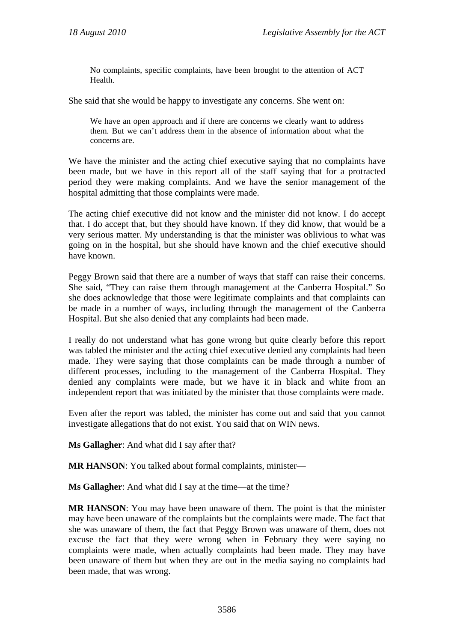No complaints, specific complaints, have been brought to the attention of ACT Health.

She said that she would be happy to investigate any concerns. She went on:

We have an open approach and if there are concerns we clearly want to address them. But we can't address them in the absence of information about what the concerns are.

We have the minister and the acting chief executive saying that no complaints have been made, but we have in this report all of the staff saying that for a protracted period they were making complaints. And we have the senior management of the hospital admitting that those complaints were made.

The acting chief executive did not know and the minister did not know. I do accept that. I do accept that, but they should have known. If they did know, that would be a very serious matter. My understanding is that the minister was oblivious to what was going on in the hospital, but she should have known and the chief executive should have known.

Peggy Brown said that there are a number of ways that staff can raise their concerns. She said, "They can raise them through management at the Canberra Hospital." So she does acknowledge that those were legitimate complaints and that complaints can be made in a number of ways, including through the management of the Canberra Hospital. But she also denied that any complaints had been made.

I really do not understand what has gone wrong but quite clearly before this report was tabled the minister and the acting chief executive denied any complaints had been made. They were saying that those complaints can be made through a number of different processes, including to the management of the Canberra Hospital. They denied any complaints were made, but we have it in black and white from an independent report that was initiated by the minister that those complaints were made.

Even after the report was tabled, the minister has come out and said that you cannot investigate allegations that do not exist. You said that on WIN news.

**Ms Gallagher**: And what did I say after that?

**MR HANSON**: You talked about formal complaints, minister—

**Ms Gallagher**: And what did I say at the time—at the time?

**MR HANSON**: You may have been unaware of them. The point is that the minister may have been unaware of the complaints but the complaints were made. The fact that she was unaware of them, the fact that Peggy Brown was unaware of them, does not excuse the fact that they were wrong when in February they were saying no complaints were made, when actually complaints had been made. They may have been unaware of them but when they are out in the media saying no complaints had been made, that was wrong.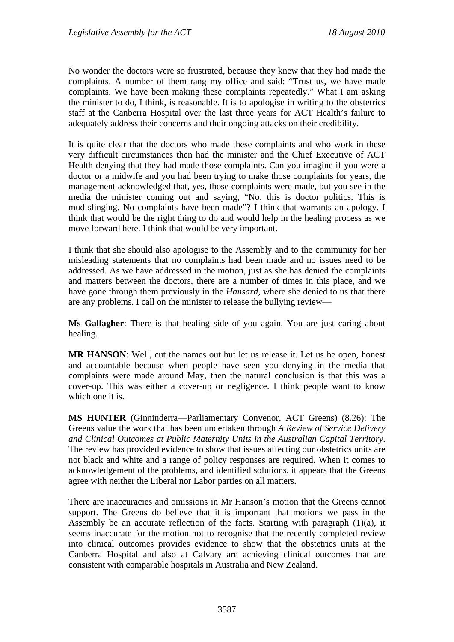No wonder the doctors were so frustrated, because they knew that they had made the complaints. A number of them rang my office and said: "Trust us, we have made complaints. We have been making these complaints repeatedly." What I am asking the minister to do, I think, is reasonable. It is to apologise in writing to the obstetrics staff at the Canberra Hospital over the last three years for ACT Health's failure to adequately address their concerns and their ongoing attacks on their credibility.

It is quite clear that the doctors who made these complaints and who work in these very difficult circumstances then had the minister and the Chief Executive of ACT Health denying that they had made those complaints. Can you imagine if you were a doctor or a midwife and you had been trying to make those complaints for years, the management acknowledged that, yes, those complaints were made, but you see in the media the minister coming out and saying, "No, this is doctor politics. This is mud-slinging. No complaints have been made"? I think that warrants an apology. I think that would be the right thing to do and would help in the healing process as we move forward here. I think that would be very important.

I think that she should also apologise to the Assembly and to the community for her misleading statements that no complaints had been made and no issues need to be addressed. As we have addressed in the motion, just as she has denied the complaints and matters between the doctors, there are a number of times in this place, and we have gone through them previously in the *Hansard*, where she denied to us that there are any problems. I call on the minister to release the bullying review—

**Ms Gallagher**: There is that healing side of you again. You are just caring about healing.

**MR HANSON**: Well, cut the names out but let us release it. Let us be open, honest and accountable because when people have seen you denying in the media that complaints were made around May, then the natural conclusion is that this was a cover-up. This was either a cover-up or negligence. I think people want to know which one it is.

**MS HUNTER** (Ginninderra—Parliamentary Convenor, ACT Greens) (8.26): The Greens value the work that has been undertaken through *A Review of Service Delivery and Clinical Outcomes at Public Maternity Units in the Australian Capital Territory*. The review has provided evidence to show that issues affecting our obstetrics units are not black and white and a range of policy responses are required. When it comes to acknowledgement of the problems, and identified solutions, it appears that the Greens agree with neither the Liberal nor Labor parties on all matters.

There are inaccuracies and omissions in Mr Hanson's motion that the Greens cannot support. The Greens do believe that it is important that motions we pass in the Assembly be an accurate reflection of the facts. Starting with paragraph (1)(a), it seems inaccurate for the motion not to recognise that the recently completed review into clinical outcomes provides evidence to show that the obstetrics units at the Canberra Hospital and also at Calvary are achieving clinical outcomes that are consistent with comparable hospitals in Australia and New Zealand.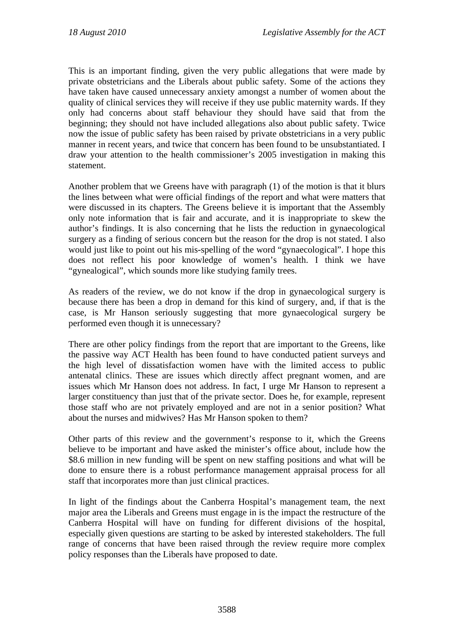This is an important finding, given the very public allegations that were made by private obstetricians and the Liberals about public safety. Some of the actions they have taken have caused unnecessary anxiety amongst a number of women about the quality of clinical services they will receive if they use public maternity wards. If they only had concerns about staff behaviour they should have said that from the beginning; they should not have included allegations also about public safety. Twice now the issue of public safety has been raised by private obstetricians in a very public manner in recent years, and twice that concern has been found to be unsubstantiated. I draw your attention to the health commissioner's 2005 investigation in making this statement.

Another problem that we Greens have with paragraph (1) of the motion is that it blurs the lines between what were official findings of the report and what were matters that were discussed in its chapters. The Greens believe it is important that the Assembly only note information that is fair and accurate, and it is inappropriate to skew the author's findings. It is also concerning that he lists the reduction in gynaecological surgery as a finding of serious concern but the reason for the drop is not stated. I also would just like to point out his mis-spelling of the word "gynaecological". I hope this does not reflect his poor knowledge of women's health. I think we have "gynealogical", which sounds more like studying family trees.

As readers of the review, we do not know if the drop in gynaecological surgery is because there has been a drop in demand for this kind of surgery, and, if that is the case, is Mr Hanson seriously suggesting that more gynaecological surgery be performed even though it is unnecessary?

There are other policy findings from the report that are important to the Greens, like the passive way ACT Health has been found to have conducted patient surveys and the high level of dissatisfaction women have with the limited access to public antenatal clinics. These are issues which directly affect pregnant women, and are issues which Mr Hanson does not address. In fact, I urge Mr Hanson to represent a larger constituency than just that of the private sector. Does he, for example, represent those staff who are not privately employed and are not in a senior position? What about the nurses and midwives? Has Mr Hanson spoken to them?

Other parts of this review and the government's response to it, which the Greens believe to be important and have asked the minister's office about, include how the \$8.6 million in new funding will be spent on new staffing positions and what will be done to ensure there is a robust performance management appraisal process for all staff that incorporates more than just clinical practices.

In light of the findings about the Canberra Hospital's management team, the next major area the Liberals and Greens must engage in is the impact the restructure of the Canberra Hospital will have on funding for different divisions of the hospital, especially given questions are starting to be asked by interested stakeholders. The full range of concerns that have been raised through the review require more complex policy responses than the Liberals have proposed to date.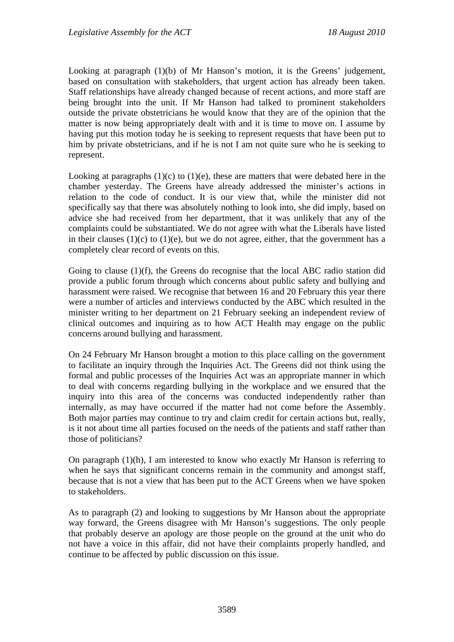Looking at paragraph (1)(b) of Mr Hanson's motion, it is the Greens' judgement, based on consultation with stakeholders, that urgent action has already been taken. Staff relationships have already changed because of recent actions, and more staff are being brought into the unit. If Mr Hanson had talked to prominent stakeholders outside the private obstetricians he would know that they are of the opinion that the matter is now being appropriately dealt with and it is time to move on. I assume by having put this motion today he is seeking to represent requests that have been put to him by private obstetricians, and if he is not I am not quite sure who he is seeking to represent.

Looking at paragraphs  $(1)(c)$  to  $(1)(e)$ , these are matters that were debated here in the chamber yesterday. The Greens have already addressed the minister's actions in relation to the code of conduct. It is our view that, while the minister did not specifically say that there was absolutely nothing to look into, she did imply, based on advice she had received from her department, that it was unlikely that any of the complaints could be substantiated. We do not agree with what the Liberals have listed in their clauses (1)(c) to (1)(e), but we do not agree, either, that the government has a completely clear record of events on this.

Going to clause (1)(f), the Greens do recognise that the local ABC radio station did provide a public forum through which concerns about public safety and bullying and harassment were raised. We recognise that between 16 and 20 February this year there were a number of articles and interviews conducted by the ABC which resulted in the minister writing to her department on 21 February seeking an independent review of clinical outcomes and inquiring as to how ACT Health may engage on the public concerns around bullying and harassment.

On 24 February Mr Hanson brought a motion to this place calling on the government to facilitate an inquiry through the Inquiries Act. The Greens did not think using the formal and public processes of the Inquiries Act was an appropriate manner in which to deal with concerns regarding bullying in the workplace and we ensured that the inquiry into this area of the concerns was conducted independently rather than internally, as may have occurred if the matter had not come before the Assembly. Both major parties may continue to try and claim credit for certain actions but, really, is it not about time all parties focused on the needs of the patients and staff rather than those of politicians?

On paragraph  $(1)(h)$ , I am interested to know who exactly Mr Hanson is referring to when he says that significant concerns remain in the community and amongst staff, because that is not a view that has been put to the ACT Greens when we have spoken to stakeholders.

As to paragraph (2) and looking to suggestions by Mr Hanson about the appropriate way forward, the Greens disagree with Mr Hanson's suggestions. The only people that probably deserve an apology are those people on the ground at the unit who do not have a voice in this affair, did not have their complaints properly handled, and continue to be affected by public discussion on this issue.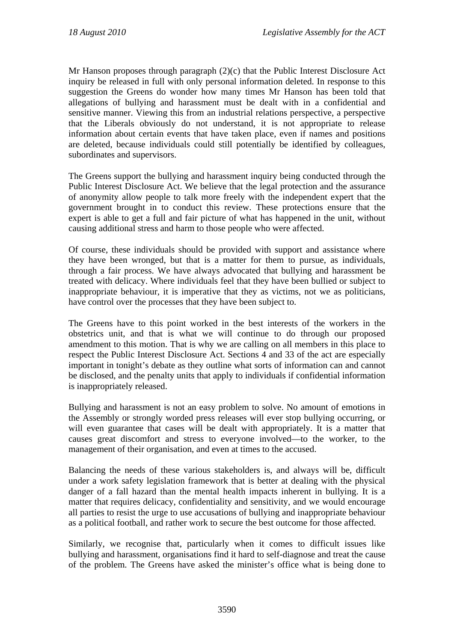Mr Hanson proposes through paragraph (2)(c) that the Public Interest Disclosure Act inquiry be released in full with only personal information deleted. In response to this suggestion the Greens do wonder how many times Mr Hanson has been told that allegations of bullying and harassment must be dealt with in a confidential and sensitive manner. Viewing this from an industrial relations perspective, a perspective that the Liberals obviously do not understand, it is not appropriate to release information about certain events that have taken place, even if names and positions are deleted, because individuals could still potentially be identified by colleagues, subordinates and supervisors.

The Greens support the bullying and harassment inquiry being conducted through the Public Interest Disclosure Act. We believe that the legal protection and the assurance of anonymity allow people to talk more freely with the independent expert that the government brought in to conduct this review. These protections ensure that the expert is able to get a full and fair picture of what has happened in the unit, without causing additional stress and harm to those people who were affected.

Of course, these individuals should be provided with support and assistance where they have been wronged, but that is a matter for them to pursue, as individuals, through a fair process. We have always advocated that bullying and harassment be treated with delicacy. Where individuals feel that they have been bullied or subject to inappropriate behaviour, it is imperative that they as victims, not we as politicians, have control over the processes that they have been subject to.

The Greens have to this point worked in the best interests of the workers in the obstetrics unit, and that is what we will continue to do through our proposed amendment to this motion. That is why we are calling on all members in this place to respect the Public Interest Disclosure Act. Sections 4 and 33 of the act are especially important in tonight's debate as they outline what sorts of information can and cannot be disclosed, and the penalty units that apply to individuals if confidential information is inappropriately released.

Bullying and harassment is not an easy problem to solve. No amount of emotions in the Assembly or strongly worded press releases will ever stop bullying occurring, or will even guarantee that cases will be dealt with appropriately. It is a matter that causes great discomfort and stress to everyone involved—to the worker, to the management of their organisation, and even at times to the accused.

Balancing the needs of these various stakeholders is, and always will be, difficult under a work safety legislation framework that is better at dealing with the physical danger of a fall hazard than the mental health impacts inherent in bullying. It is a matter that requires delicacy, confidentiality and sensitivity, and we would encourage all parties to resist the urge to use accusations of bullying and inappropriate behaviour as a political football, and rather work to secure the best outcome for those affected.

Similarly, we recognise that, particularly when it comes to difficult issues like bullying and harassment, organisations find it hard to self-diagnose and treat the cause of the problem. The Greens have asked the minister's office what is being done to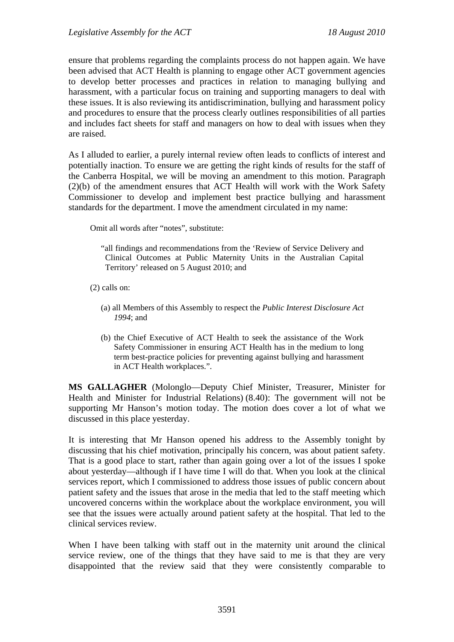ensure that problems regarding the complaints process do not happen again. We have been advised that ACT Health is planning to engage other ACT government agencies to develop better processes and practices in relation to managing bullying and harassment, with a particular focus on training and supporting managers to deal with these issues. It is also reviewing its antidiscrimination, bullying and harassment policy and procedures to ensure that the process clearly outlines responsibilities of all parties and includes fact sheets for staff and managers on how to deal with issues when they are raised.

As I alluded to earlier, a purely internal review often leads to conflicts of interest and potentially inaction. To ensure we are getting the right kinds of results for the staff of the Canberra Hospital, we will be moving an amendment to this motion. Paragraph (2)(b) of the amendment ensures that ACT Health will work with the Work Safety Commissioner to develop and implement best practice bullying and harassment standards for the department. I move the amendment circulated in my name:

Omit all words after "notes", substitute:

"all findings and recommendations from the 'Review of Service Delivery and Clinical Outcomes at Public Maternity Units in the Australian Capital Territory' released on 5 August 2010; and

(2) calls on:

- (a) all Members of this Assembly to respect the *Public Interest Disclosure Act 1994*; and
- (b) the Chief Executive of ACT Health to seek the assistance of the Work Safety Commissioner in ensuring ACT Health has in the medium to long term best-practice policies for preventing against bullying and harassment in ACT Health workplaces.".

**MS GALLAGHER** (Molonglo—Deputy Chief Minister, Treasurer, Minister for Health and Minister for Industrial Relations) (8.40): The government will not be supporting Mr Hanson's motion today. The motion does cover a lot of what we discussed in this place yesterday.

It is interesting that Mr Hanson opened his address to the Assembly tonight by discussing that his chief motivation, principally his concern, was about patient safety. That is a good place to start, rather than again going over a lot of the issues I spoke about yesterday—although if I have time I will do that. When you look at the clinical services report, which I commissioned to address those issues of public concern about patient safety and the issues that arose in the media that led to the staff meeting which uncovered concerns within the workplace about the workplace environment, you will see that the issues were actually around patient safety at the hospital. That led to the clinical services review.

When I have been talking with staff out in the maternity unit around the clinical service review, one of the things that they have said to me is that they are very disappointed that the review said that they were consistently comparable to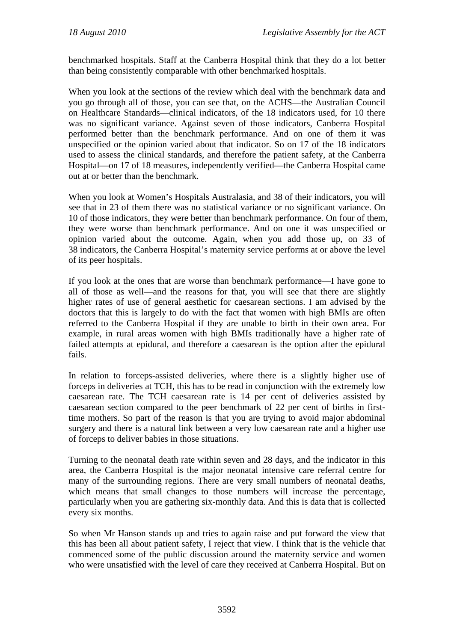benchmarked hospitals. Staff at the Canberra Hospital think that they do a lot better than being consistently comparable with other benchmarked hospitals.

When you look at the sections of the review which deal with the benchmark data and you go through all of those, you can see that, on the ACHS—the Australian Council on Healthcare Standards—clinical indicators, of the 18 indicators used, for 10 there was no significant variance. Against seven of those indicators, Canberra Hospital performed better than the benchmark performance. And on one of them it was unspecified or the opinion varied about that indicator. So on 17 of the 18 indicators used to assess the clinical standards, and therefore the patient safety, at the Canberra Hospital—on 17 of 18 measures, independently verified—the Canberra Hospital came out at or better than the benchmark.

When you look at Women's Hospitals Australasia, and 38 of their indicators, you will see that in 23 of them there was no statistical variance or no significant variance. On 10 of those indicators, they were better than benchmark performance. On four of them, they were worse than benchmark performance. And on one it was unspecified or opinion varied about the outcome. Again, when you add those up, on 33 of 38 indicators, the Canberra Hospital's maternity service performs at or above the level of its peer hospitals.

If you look at the ones that are worse than benchmark performance—I have gone to all of those as well—and the reasons for that, you will see that there are slightly higher rates of use of general aesthetic for caesarean sections. I am advised by the doctors that this is largely to do with the fact that women with high BMIs are often referred to the Canberra Hospital if they are unable to birth in their own area. For example, in rural areas women with high BMIs traditionally have a higher rate of failed attempts at epidural, and therefore a caesarean is the option after the epidural fails.

In relation to forceps-assisted deliveries, where there is a slightly higher use of forceps in deliveries at TCH, this has to be read in conjunction with the extremely low caesarean rate. The TCH caesarean rate is 14 per cent of deliveries assisted by caesarean section compared to the peer benchmark of 22 per cent of births in firsttime mothers. So part of the reason is that you are trying to avoid major abdominal surgery and there is a natural link between a very low caesarean rate and a higher use of forceps to deliver babies in those situations.

Turning to the neonatal death rate within seven and 28 days, and the indicator in this area, the Canberra Hospital is the major neonatal intensive care referral centre for many of the surrounding regions. There are very small numbers of neonatal deaths, which means that small changes to those numbers will increase the percentage, particularly when you are gathering six-monthly data. And this is data that is collected every six months.

So when Mr Hanson stands up and tries to again raise and put forward the view that this has been all about patient safety, I reject that view. I think that is the vehicle that commenced some of the public discussion around the maternity service and women who were unsatisfied with the level of care they received at Canberra Hospital. But on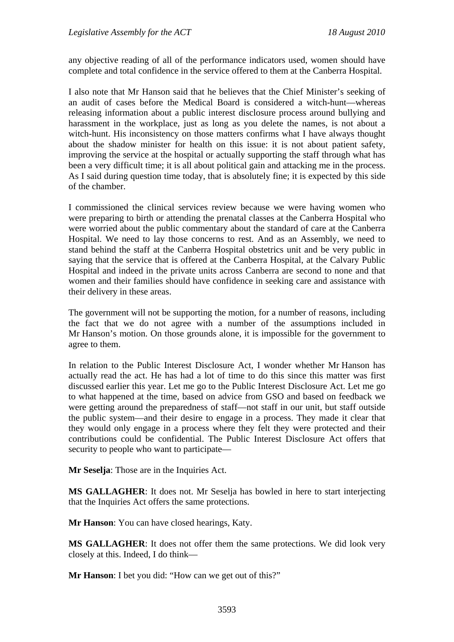any objective reading of all of the performance indicators used, women should have complete and total confidence in the service offered to them at the Canberra Hospital.

I also note that Mr Hanson said that he believes that the Chief Minister's seeking of an audit of cases before the Medical Board is considered a witch-hunt—whereas releasing information about a public interest disclosure process around bullying and harassment in the workplace, just as long as you delete the names, is not about a witch-hunt. His inconsistency on those matters confirms what I have always thought about the shadow minister for health on this issue: it is not about patient safety, improving the service at the hospital or actually supporting the staff through what has been a very difficult time; it is all about political gain and attacking me in the process. As I said during question time today, that is absolutely fine; it is expected by this side of the chamber.

I commissioned the clinical services review because we were having women who were preparing to birth or attending the prenatal classes at the Canberra Hospital who were worried about the public commentary about the standard of care at the Canberra Hospital. We need to lay those concerns to rest. And as an Assembly, we need to stand behind the staff at the Canberra Hospital obstetrics unit and be very public in saying that the service that is offered at the Canberra Hospital, at the Calvary Public Hospital and indeed in the private units across Canberra are second to none and that women and their families should have confidence in seeking care and assistance with their delivery in these areas.

The government will not be supporting the motion, for a number of reasons, including the fact that we do not agree with a number of the assumptions included in Mr Hanson's motion. On those grounds alone, it is impossible for the government to agree to them.

In relation to the Public Interest Disclosure Act, I wonder whether Mr Hanson has actually read the act. He has had a lot of time to do this since this matter was first discussed earlier this year. Let me go to the Public Interest Disclosure Act. Let me go to what happened at the time, based on advice from GSO and based on feedback we were getting around the preparedness of staff—not staff in our unit, but staff outside the public system—and their desire to engage in a process. They made it clear that they would only engage in a process where they felt they were protected and their contributions could be confidential. The Public Interest Disclosure Act offers that security to people who want to participate—

**Mr Seselja**: Those are in the Inquiries Act.

**MS GALLAGHER**: It does not. Mr Seselja has bowled in here to start interjecting that the Inquiries Act offers the same protections.

**Mr Hanson**: You can have closed hearings, Katy.

**MS GALLAGHER**: It does not offer them the same protections. We did look very closely at this. Indeed, I do think—

**Mr Hanson:** I bet you did: "How can we get out of this?"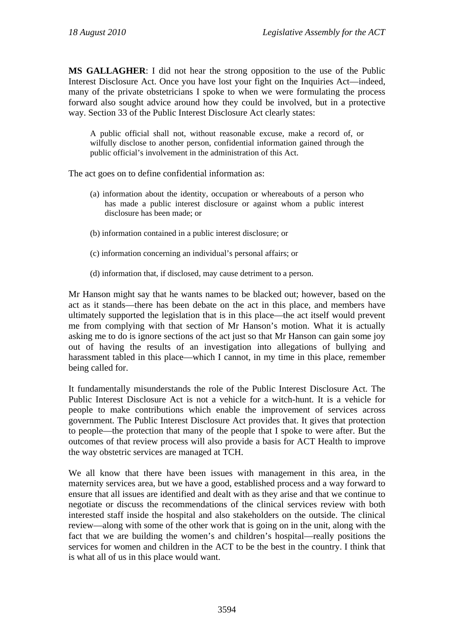**MS GALLAGHER**: I did not hear the strong opposition to the use of the Public Interest Disclosure Act. Once you have lost your fight on the Inquiries Act—indeed, many of the private obstetricians I spoke to when we were formulating the process forward also sought advice around how they could be involved, but in a protective way. Section 33 of the Public Interest Disclosure Act clearly states:

A public official shall not, without reasonable excuse, make a record of, or wilfully disclose to another person, confidential information gained through the public official's involvement in the administration of this Act.

The act goes on to define confidential information as:

- (a) information about the identity, occupation or whereabouts of a person who has made a public interest disclosure or against whom a public interest disclosure has been made; or
- (b) information contained in a public interest disclosure; or
- (c) information concerning an individual's personal affairs; or
- (d) information that, if disclosed, may cause detriment to a person.

Mr Hanson might say that he wants names to be blacked out; however, based on the act as it stands—there has been debate on the act in this place, and members have ultimately supported the legislation that is in this place—the act itself would prevent me from complying with that section of Mr Hanson's motion. What it is actually asking me to do is ignore sections of the act just so that Mr Hanson can gain some joy out of having the results of an investigation into allegations of bullying and harassment tabled in this place—which I cannot, in my time in this place, remember being called for.

It fundamentally misunderstands the role of the Public Interest Disclosure Act. The Public Interest Disclosure Act is not a vehicle for a witch-hunt. It is a vehicle for people to make contributions which enable the improvement of services across government. The Public Interest Disclosure Act provides that. It gives that protection to people—the protection that many of the people that I spoke to were after. But the outcomes of that review process will also provide a basis for ACT Health to improve the way obstetric services are managed at TCH.

We all know that there have been issues with management in this area, in the maternity services area, but we have a good, established process and a way forward to ensure that all issues are identified and dealt with as they arise and that we continue to negotiate or discuss the recommendations of the clinical services review with both interested staff inside the hospital and also stakeholders on the outside. The clinical review—along with some of the other work that is going on in the unit, along with the fact that we are building the women's and children's hospital—really positions the services for women and children in the ACT to be the best in the country. I think that is what all of us in this place would want.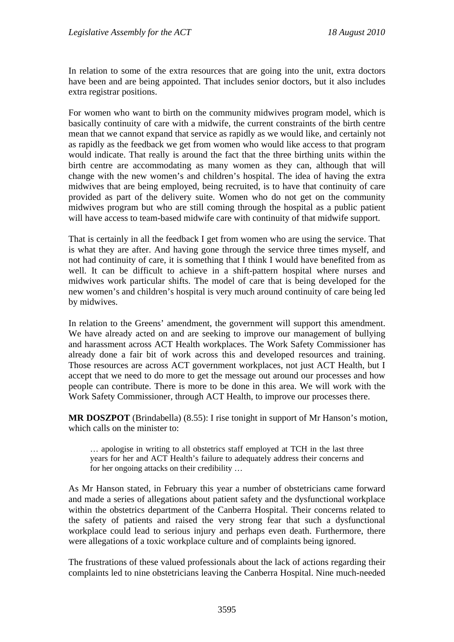In relation to some of the extra resources that are going into the unit, extra doctors have been and are being appointed. That includes senior doctors, but it also includes extra registrar positions.

For women who want to birth on the community midwives program model, which is basically continuity of care with a midwife, the current constraints of the birth centre mean that we cannot expand that service as rapidly as we would like, and certainly not as rapidly as the feedback we get from women who would like access to that program would indicate. That really is around the fact that the three birthing units within the birth centre are accommodating as many women as they can, although that will change with the new women's and children's hospital. The idea of having the extra midwives that are being employed, being recruited, is to have that continuity of care provided as part of the delivery suite. Women who do not get on the community midwives program but who are still coming through the hospital as a public patient will have access to team-based midwife care with continuity of that midwife support.

That is certainly in all the feedback I get from women who are using the service. That is what they are after. And having gone through the service three times myself, and not had continuity of care, it is something that I think I would have benefited from as well. It can be difficult to achieve in a shift-pattern hospital where nurses and midwives work particular shifts. The model of care that is being developed for the new women's and children's hospital is very much around continuity of care being led by midwives.

In relation to the Greens' amendment, the government will support this amendment. We have already acted on and are seeking to improve our management of bullying and harassment across ACT Health workplaces. The Work Safety Commissioner has already done a fair bit of work across this and developed resources and training. Those resources are across ACT government workplaces, not just ACT Health, but I accept that we need to do more to get the message out around our processes and how people can contribute. There is more to be done in this area. We will work with the Work Safety Commissioner, through ACT Health, to improve our processes there.

**MR DOSZPOT** (Brindabella) (8.55): I rise tonight in support of Mr Hanson's motion, which calls on the minister to:

… apologise in writing to all obstetrics staff employed at TCH in the last three years for her and ACT Health's failure to adequately address their concerns and for her ongoing attacks on their credibility …

As Mr Hanson stated, in February this year a number of obstetricians came forward and made a series of allegations about patient safety and the dysfunctional workplace within the obstetrics department of the Canberra Hospital. Their concerns related to the safety of patients and raised the very strong fear that such a dysfunctional workplace could lead to serious injury and perhaps even death. Furthermore, there were allegations of a toxic workplace culture and of complaints being ignored.

The frustrations of these valued professionals about the lack of actions regarding their complaints led to nine obstetricians leaving the Canberra Hospital. Nine much-needed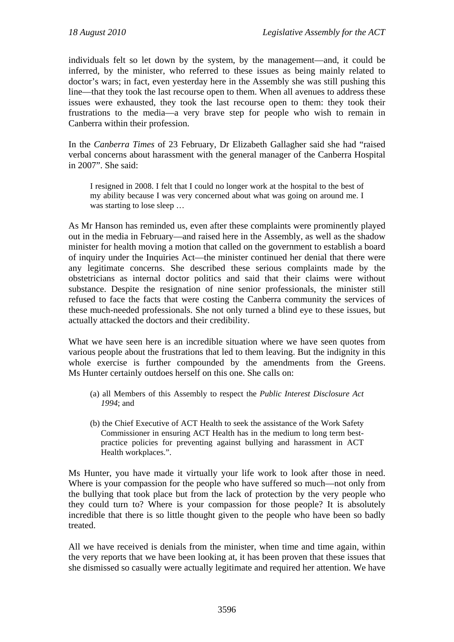individuals felt so let down by the system, by the management—and, it could be inferred, by the minister, who referred to these issues as being mainly related to doctor's wars; in fact, even yesterday here in the Assembly she was still pushing this line—that they took the last recourse open to them. When all avenues to address these issues were exhausted, they took the last recourse open to them: they took their frustrations to the media—a very brave step for people who wish to remain in Canberra within their profession.

In the *Canberra Times* of 23 February, Dr Elizabeth Gallagher said she had "raised verbal concerns about harassment with the general manager of the Canberra Hospital in 2007". She said:

I resigned in 2008. I felt that I could no longer work at the hospital to the best of my ability because I was very concerned about what was going on around me. I was starting to lose sleep …

As Mr Hanson has reminded us, even after these complaints were prominently played out in the media in February—and raised here in the Assembly, as well as the shadow minister for health moving a motion that called on the government to establish a board of inquiry under the Inquiries Act—the minister continued her denial that there were any legitimate concerns. She described these serious complaints made by the obstetricians as internal doctor politics and said that their claims were without substance. Despite the resignation of nine senior professionals, the minister still refused to face the facts that were costing the Canberra community the services of these much-needed professionals. She not only turned a blind eye to these issues, but actually attacked the doctors and their credibility.

What we have seen here is an incredible situation where we have seen quotes from various people about the frustrations that led to them leaving. But the indignity in this whole exercise is further compounded by the amendments from the Greens. Ms Hunter certainly outdoes herself on this one. She calls on:

- (a) all Members of this Assembly to respect the *Public Interest Disclosure Act 1994*; and
- (b) the Chief Executive of ACT Health to seek the assistance of the Work Safety Commissioner in ensuring ACT Health has in the medium to long term bestpractice policies for preventing against bullying and harassment in ACT Health workplaces.".

Ms Hunter, you have made it virtually your life work to look after those in need. Where is your compassion for the people who have suffered so much—not only from the bullying that took place but from the lack of protection by the very people who they could turn to? Where is your compassion for those people? It is absolutely incredible that there is so little thought given to the people who have been so badly treated.

All we have received is denials from the minister, when time and time again, within the very reports that we have been looking at, it has been proven that these issues that she dismissed so casually were actually legitimate and required her attention. We have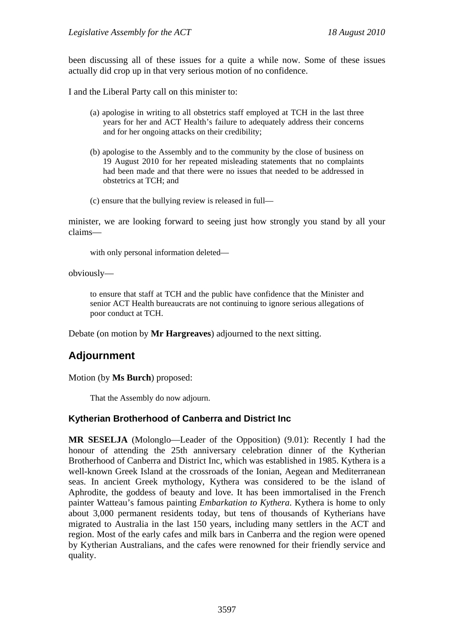been discussing all of these issues for a quite a while now. Some of these issues actually did crop up in that very serious motion of no confidence.

I and the Liberal Party call on this minister to:

- (a) apologise in writing to all obstetrics staff employed at TCH in the last three years for her and ACT Health's failure to adequately address their concerns and for her ongoing attacks on their credibility;
- (b) apologise to the Assembly and to the community by the close of business on 19 August 2010 for her repeated misleading statements that no complaints had been made and that there were no issues that needed to be addressed in obstetrics at TCH; and
- (c) ensure that the bullying review is released in full—

minister, we are looking forward to seeing just how strongly you stand by all your claims—

with only personal information deleted—

obviously—

to ensure that staff at TCH and the public have confidence that the Minister and senior ACT Health bureaucrats are not continuing to ignore serious allegations of poor conduct at TCH.

Debate (on motion by **Mr Hargreaves**) adjourned to the next sitting.

# **Adjournment**

Motion (by **Ms Burch**) proposed:

That the Assembly do now adjourn.

### **Kytherian Brotherhood of Canberra and District Inc**

**MR SESELJA** (Molonglo—Leader of the Opposition) (9.01): Recently I had the honour of attending the 25th anniversary celebration dinner of the Kytherian Brotherhood of Canberra and District Inc, which was established in 1985. Kythera is a well-known Greek Island at the crossroads of the Ionian, Aegean and Mediterranean seas. In ancient Greek mythology, Kythera was considered to be the island of Aphrodite, the goddess of beauty and love. It has been immortalised in the French painter Watteau's famous painting *Embarkation to Kythera*. Kythera is home to only about 3,000 permanent residents today, but tens of thousands of Kytherians have migrated to Australia in the last 150 years, including many settlers in the ACT and region. Most of the early cafes and milk bars in Canberra and the region were opened by Kytherian Australians, and the cafes were renowned for their friendly service and quality.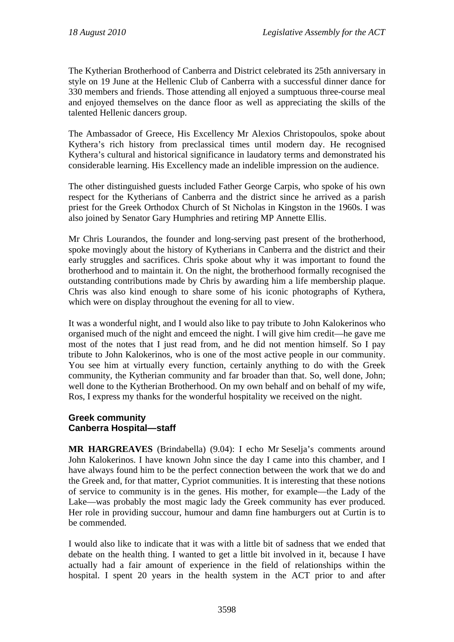The Kytherian Brotherhood of Canberra and District celebrated its 25th anniversary in style on 19 June at the Hellenic Club of Canberra with a successful dinner dance for 330 members and friends. Those attending all enjoyed a sumptuous three-course meal and enjoyed themselves on the dance floor as well as appreciating the skills of the talented Hellenic dancers group.

The Ambassador of Greece, His Excellency Mr Alexios Christopoulos, spoke about Kythera's rich history from preclassical times until modern day. He recognised Kythera's cultural and historical significance in laudatory terms and demonstrated his considerable learning. His Excellency made an indelible impression on the audience.

The other distinguished guests included Father George Carpis, who spoke of his own respect for the Kytherians of Canberra and the district since he arrived as a parish priest for the Greek Orthodox Church of St Nicholas in Kingston in the 1960s. I was also joined by Senator Gary Humphries and retiring MP Annette Ellis.

Mr Chris Lourandos, the founder and long-serving past present of the brotherhood, spoke movingly about the history of Kytherians in Canberra and the district and their early struggles and sacrifices. Chris spoke about why it was important to found the brotherhood and to maintain it. On the night, the brotherhood formally recognised the outstanding contributions made by Chris by awarding him a life membership plaque. Chris was also kind enough to share some of his iconic photographs of Kythera, which were on display throughout the evening for all to view.

It was a wonderful night, and I would also like to pay tribute to John Kalokerinos who organised much of the night and emceed the night. I will give him credit—he gave me most of the notes that I just read from, and he did not mention himself. So I pay tribute to John Kalokerinos, who is one of the most active people in our community. You see him at virtually every function, certainly anything to do with the Greek community, the Kytherian community and far broader than that. So, well done, John; well done to the Kytherian Brotherhood. On my own behalf and on behalf of my wife, Ros, I express my thanks for the wonderful hospitality we received on the night.

### **Greek community Canberra Hospital—staff**

**MR HARGREAVES** (Brindabella) (9.04): I echo Mr Seselja's comments around John Kalokerinos. I have known John since the day I came into this chamber, and I have always found him to be the perfect connection between the work that we do and the Greek and, for that matter, Cypriot communities. It is interesting that these notions of service to community is in the genes. His mother, for example—the Lady of the Lake—was probably the most magic lady the Greek community has ever produced. Her role in providing succour, humour and damn fine hamburgers out at Curtin is to be commended.

I would also like to indicate that it was with a little bit of sadness that we ended that debate on the health thing. I wanted to get a little bit involved in it, because I have actually had a fair amount of experience in the field of relationships within the hospital. I spent 20 years in the health system in the ACT prior to and after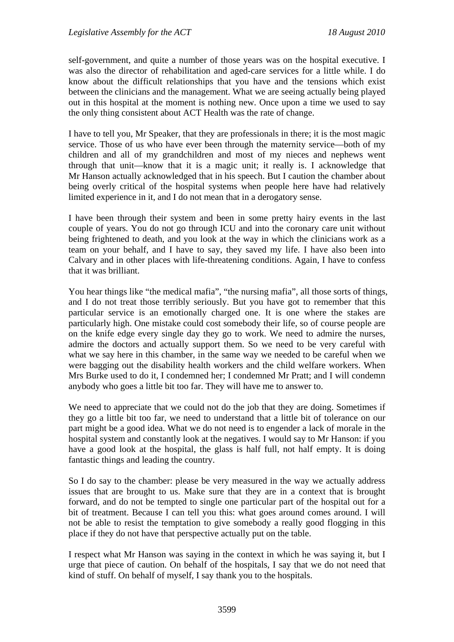self-government, and quite a number of those years was on the hospital executive. I was also the director of rehabilitation and aged-care services for a little while. I do know about the difficult relationships that you have and the tensions which exist between the clinicians and the management. What we are seeing actually being played out in this hospital at the moment is nothing new. Once upon a time we used to say the only thing consistent about ACT Health was the rate of change.

I have to tell you, Mr Speaker, that they are professionals in there; it is the most magic service. Those of us who have ever been through the maternity service—both of my children and all of my grandchildren and most of my nieces and nephews went through that unit—know that it is a magic unit; it really is. I acknowledge that Mr Hanson actually acknowledged that in his speech. But I caution the chamber about being overly critical of the hospital systems when people here have had relatively limited experience in it, and I do not mean that in a derogatory sense.

I have been through their system and been in some pretty hairy events in the last couple of years. You do not go through ICU and into the coronary care unit without being frightened to death, and you look at the way in which the clinicians work as a team on your behalf, and I have to say, they saved my life. I have also been into Calvary and in other places with life-threatening conditions. Again, I have to confess that it was brilliant.

You hear things like "the medical mafia", "the nursing mafia", all those sorts of things, and I do not treat those terribly seriously. But you have got to remember that this particular service is an emotionally charged one. It is one where the stakes are particularly high. One mistake could cost somebody their life, so of course people are on the knife edge every single day they go to work. We need to admire the nurses, admire the doctors and actually support them. So we need to be very careful with what we say here in this chamber, in the same way we needed to be careful when we were bagging out the disability health workers and the child welfare workers. When Mrs Burke used to do it, I condemned her; I condemned Mr Pratt; and I will condemn anybody who goes a little bit too far. They will have me to answer to.

We need to appreciate that we could not do the job that they are doing. Sometimes if they go a little bit too far, we need to understand that a little bit of tolerance on our part might be a good idea. What we do not need is to engender a lack of morale in the hospital system and constantly look at the negatives. I would say to Mr Hanson: if you have a good look at the hospital, the glass is half full, not half empty. It is doing fantastic things and leading the country.

So I do say to the chamber: please be very measured in the way we actually address issues that are brought to us. Make sure that they are in a context that is brought forward, and do not be tempted to single one particular part of the hospital out for a bit of treatment. Because I can tell you this: what goes around comes around. I will not be able to resist the temptation to give somebody a really good flogging in this place if they do not have that perspective actually put on the table.

I respect what Mr Hanson was saying in the context in which he was saying it, but I urge that piece of caution. On behalf of the hospitals, I say that we do not need that kind of stuff. On behalf of myself, I say thank you to the hospitals.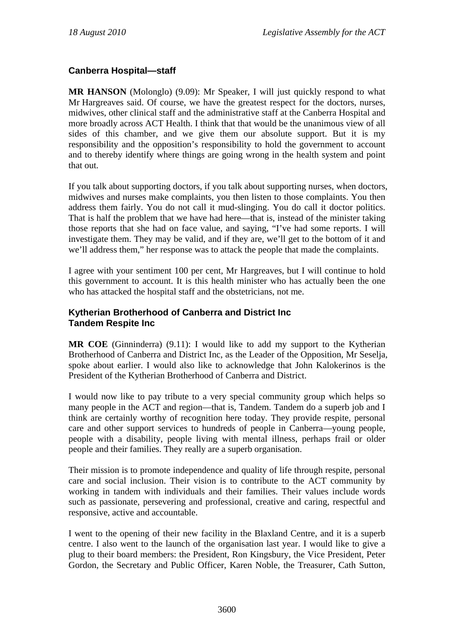## **Canberra Hospital—staff**

**MR HANSON** (Molonglo) (9.09): Mr Speaker, I will just quickly respond to what Mr Hargreaves said. Of course, we have the greatest respect for the doctors, nurses, midwives, other clinical staff and the administrative staff at the Canberra Hospital and more broadly across ACT Health. I think that that would be the unanimous view of all sides of this chamber, and we give them our absolute support. But it is my responsibility and the opposition's responsibility to hold the government to account and to thereby identify where things are going wrong in the health system and point that out.

If you talk about supporting doctors, if you talk about supporting nurses, when doctors, midwives and nurses make complaints, you then listen to those complaints. You then address them fairly. You do not call it mud-slinging. You do call it doctor politics. That is half the problem that we have had here—that is, instead of the minister taking those reports that she had on face value, and saying, "I've had some reports. I will investigate them. They may be valid, and if they are, we'll get to the bottom of it and we'll address them," her response was to attack the people that made the complaints.

I agree with your sentiment 100 per cent, Mr Hargreaves, but I will continue to hold this government to account. It is this health minister who has actually been the one who has attacked the hospital staff and the obstetricians, not me.

### **Kytherian Brotherhood of Canberra and District Inc Tandem Respite Inc**

**MR COE** (Ginninderra) (9.11): I would like to add my support to the Kytherian Brotherhood of Canberra and District Inc, as the Leader of the Opposition, Mr Seselja, spoke about earlier. I would also like to acknowledge that John Kalokerinos is the President of the Kytherian Brotherhood of Canberra and District.

I would now like to pay tribute to a very special community group which helps so many people in the ACT and region—that is, Tandem. Tandem do a superb job and I think are certainly worthy of recognition here today. They provide respite, personal care and other support services to hundreds of people in Canberra—young people, people with a disability, people living with mental illness, perhaps frail or older people and their families. They really are a superb organisation.

Their mission is to promote independence and quality of life through respite, personal care and social inclusion. Their vision is to contribute to the ACT community by working in tandem with individuals and their families. Their values include words such as passionate, persevering and professional, creative and caring, respectful and responsive, active and accountable.

I went to the opening of their new facility in the Blaxland Centre, and it is a superb centre. I also went to the launch of the organisation last year. I would like to give a plug to their board members: the President, Ron Kingsbury, the Vice President, Peter Gordon, the Secretary and Public Officer, Karen Noble, the Treasurer, Cath Sutton,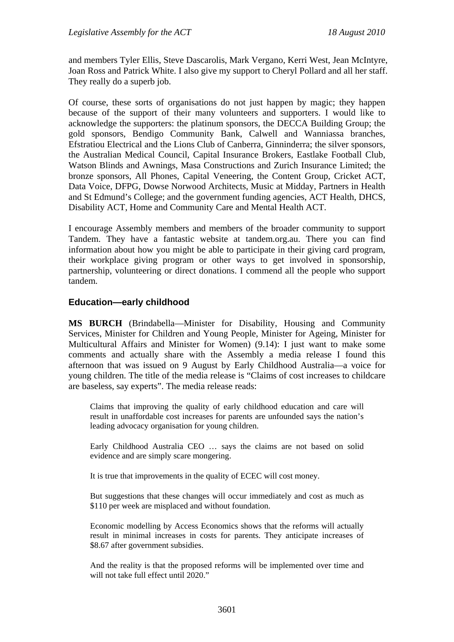and members Tyler Ellis, Steve Dascarolis, Mark Vergano, Kerri West, Jean McIntyre, Joan Ross and Patrick White. I also give my support to Cheryl Pollard and all her staff. They really do a superb job.

Of course, these sorts of organisations do not just happen by magic; they happen because of the support of their many volunteers and supporters. I would like to acknowledge the supporters: the platinum sponsors, the DECCA Building Group; the gold sponsors, Bendigo Community Bank, Calwell and Wanniassa branches, Efstratiou Electrical and the Lions Club of Canberra, Ginninderra; the silver sponsors, the Australian Medical Council, Capital Insurance Brokers, Eastlake Football Club, Watson Blinds and Awnings, Masa Constructions and Zurich Insurance Limited; the bronze sponsors, All Phones, Capital Veneering, the Content Group, Cricket ACT, Data Voice, DFPG, Dowse Norwood Architects, Music at Midday, Partners in Health and St Edmund's College; and the government funding agencies, ACT Health, DHCS, Disability ACT, Home and Community Care and Mental Health ACT.

I encourage Assembly members and members of the broader community to support Tandem. They have a fantastic website at tandem.org.au. There you can find information about how you might be able to participate in their giving card program, their workplace giving program or other ways to get involved in sponsorship, partnership, volunteering or direct donations. I commend all the people who support tandem.

### **Education—early childhood**

**MS BURCH** (Brindabella—Minister for Disability, Housing and Community Services, Minister for Children and Young People, Minister for Ageing, Minister for Multicultural Affairs and Minister for Women) (9.14): I just want to make some comments and actually share with the Assembly a media release I found this afternoon that was issued on 9 August by Early Childhood Australia—a voice for young children. The title of the media release is "Claims of cost increases to childcare are baseless, say experts". The media release reads:

Claims that improving the quality of early childhood education and care will result in unaffordable cost increases for parents are unfounded says the nation's leading advocacy organisation for young children.

Early Childhood Australia CEO … says the claims are not based on solid evidence and are simply scare mongering.

It is true that improvements in the quality of ECEC will cost money.

But suggestions that these changes will occur immediately and cost as much as \$110 per week are misplaced and without foundation.

Economic modelling by Access Economics shows that the reforms will actually result in minimal increases in costs for parents. They anticipate increases of \$8.67 after government subsidies.

And the reality is that the proposed reforms will be implemented over time and will not take full effect until 2020."